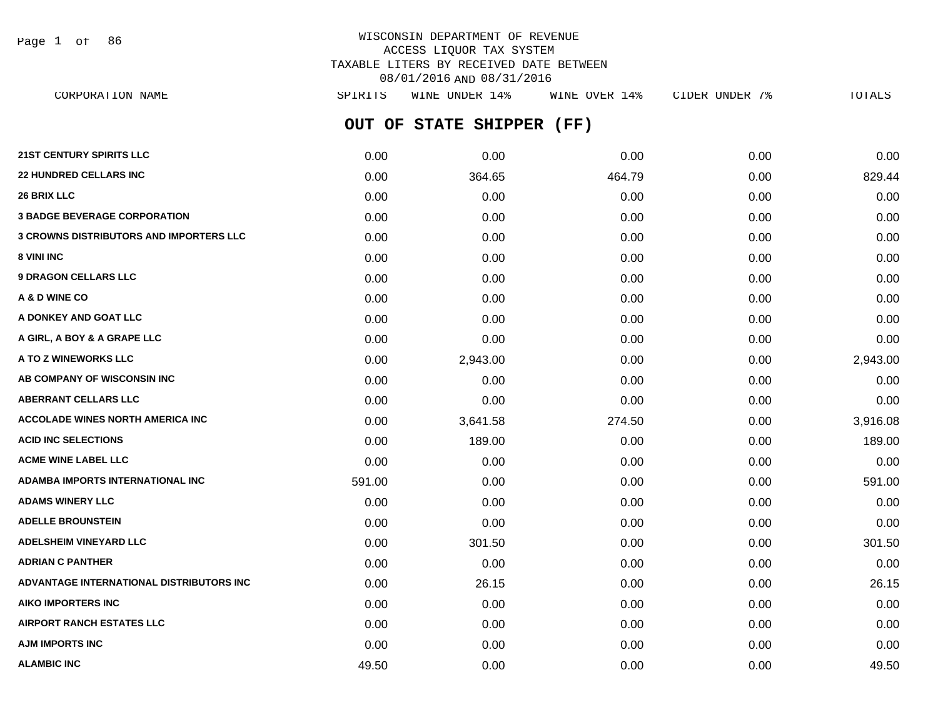Page 1 of 86

# WISCONSIN DEPARTMENT OF REVENUE ACCESS LIQUOR TAX SYSTEM TAXABLE LITERS BY RECEIVED DATE BETWEEN 08/01/2016 AND 08/31/2016

**OUT OF STATE SHIPPER (FF) 21ST CENTURY SPIRITS LLC** 0.00 0.00 0.00 0.00 0.00 **22 HUNDRED CELLARS INC** 0.00 364.65 464.79 0.00 829.44 **26 BRIX LLC** 0.00 0.00 0.00 0.00 0.00 **3 BADGE BEVERAGE CORPORATION** 0.00 0.00 0.00 0.00 0.00 **3 CROWNS DISTRIBUTORS AND IMPORTERS LLC** 0.00 0.00 0.00 0.00 0.00 **8 VINI INC** 0.00 0.00 0.00 0.00 0.00 **9 DRAGON CELLARS LLC** 0.00 0.00 0.00 0.00 0.00 **A & D WINE CO** 0.00 0.00 0.00 0.00 0.00 **A DONKEY AND GOAT LLC**  $\begin{array}{ccc} 0.00 & 0.00 & 0.00 & 0.00 & 0.00 & 0.00 \end{array}$ **A GIRL, A BOY & A GRAPE LLC** 0.00 0.00 0.00 0.00 0.00 **A TO Z WINEWORKS LLC** 0.00 2,943.00 0.00 0.00 2,943.00 **AB COMPANY OF WISCONSIN INC**  $0.00$   $0.00$   $0.00$   $0.00$   $0.00$   $0.00$   $0.00$   $0.00$   $0.00$   $0.00$   $0.00$   $0.00$   $0.00$   $0.00$   $0.00$   $0.00$   $0.00$   $0.00$   $0.00$   $0.00$   $0.00$   $0.00$   $0.00$   $0.00$   $0.00$   $0.00$   $0.00$   $0.$ **ABERRANT CELLARS LLC** 0.00 0.00 0.00 0.00 0.00 **ACCOLADE WINES NORTH AMERICA INC** 0.00 3,641.58 274.50 0.00 3,916.08 **ACID INC SELECTIONS** 0.00 189.00 0.00 0.00 189.00 **ACME WINE LABEL LLC** 0.00 0.00 0.00 0.00 0.00 **ADAMBA IMPORTS INTERNATIONAL INC** 591.00 0.00 0.00 0.00 591.00 CORPORATION NAME SPIRITS WINE UNDER 14% WINE OVER 14% CIDER UNDER 7% TOTALS

**ADAMS WINERY LLC** 0.00 0.00 0.00 0.00 0.00 **ADELLE BROUNSTEIN** 0.00 0.00 0.00 0.00 0.00 **ADELSHEIM VINEYARD LLC** 0.00 301.50 0.00 0.00 301.50 **ADRIAN C PANTHER** 0.00 0.00 0.00 0.00 0.00 **ADVANTAGE INTERNATIONAL DISTRIBUTORS INC** 0.00 26.15 0.00 0.00 26.15 **AIKO IMPORTERS INC** 0.00 0.00 0.00 0.00 0.00 **AIRPORT RANCH ESTATES LLC** 0.00 0.00 0.00 0.00 0.00 **AJM IMPORTS INC** 0.00 0.00 0.00 0.00 0.00 **ALAMBIC INC** 6.000 **19.50 49.50 19.50 19.50 0.00 0.00 0.00 0.00 0.00 19.50**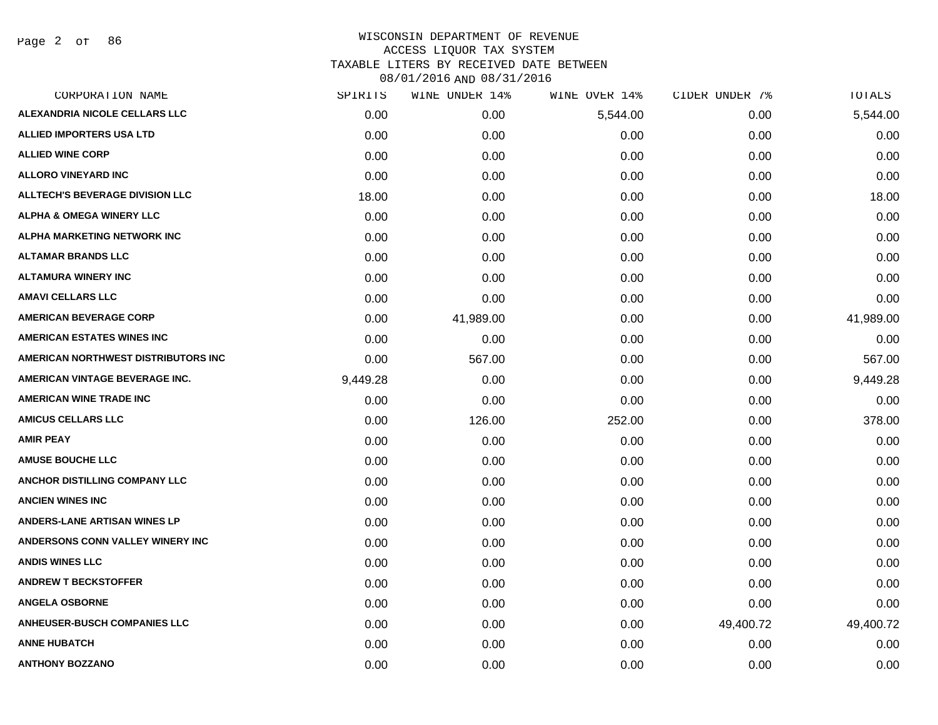Page 2 of 86

| CORPORATION NAME                       | SPIRITS  | WINE UNDER 14% | WINE OVER 14% | CIDER UNDER 7% | TOTALS    |
|----------------------------------------|----------|----------------|---------------|----------------|-----------|
| ALEXANDRIA NICOLE CELLARS LLC          | 0.00     | 0.00           | 5,544.00      | 0.00           | 5,544.00  |
| <b>ALLIED IMPORTERS USA LTD</b>        | 0.00     | 0.00           | 0.00          | 0.00           | 0.00      |
| <b>ALLIED WINE CORP</b>                | 0.00     | 0.00           | 0.00          | 0.00           | 0.00      |
| <b>ALLORO VINEYARD INC</b>             | 0.00     | 0.00           | 0.00          | 0.00           | 0.00      |
| <b>ALLTECH'S BEVERAGE DIVISION LLC</b> | 18.00    | 0.00           | 0.00          | 0.00           | 18.00     |
| <b>ALPHA &amp; OMEGA WINERY LLC</b>    | 0.00     | 0.00           | 0.00          | 0.00           | 0.00      |
| ALPHA MARKETING NETWORK INC            | 0.00     | 0.00           | 0.00          | 0.00           | 0.00      |
| <b>ALTAMAR BRANDS LLC</b>              | 0.00     | 0.00           | 0.00          | 0.00           | 0.00      |
| <b>ALTAMURA WINERY INC</b>             | 0.00     | 0.00           | 0.00          | 0.00           | 0.00      |
| <b>AMAVI CELLARS LLC</b>               | 0.00     | 0.00           | 0.00          | 0.00           | 0.00      |
| <b>AMERICAN BEVERAGE CORP</b>          | 0.00     | 41,989.00      | 0.00          | 0.00           | 41,989.00 |
| <b>AMERICAN ESTATES WINES INC</b>      | 0.00     | 0.00           | 0.00          | 0.00           | 0.00      |
| AMERICAN NORTHWEST DISTRIBUTORS INC    | 0.00     | 567.00         | 0.00          | 0.00           | 567.00    |
| AMERICAN VINTAGE BEVERAGE INC.         | 9,449.28 | 0.00           | 0.00          | 0.00           | 9,449.28  |
| <b>AMERICAN WINE TRADE INC</b>         | 0.00     | 0.00           | 0.00          | 0.00           | 0.00      |
| <b>AMICUS CELLARS LLC</b>              | 0.00     | 126.00         | 252.00        | 0.00           | 378.00    |
| <b>AMIR PEAY</b>                       | 0.00     | 0.00           | 0.00          | 0.00           | 0.00      |
| <b>AMUSE BOUCHE LLC</b>                | 0.00     | 0.00           | 0.00          | 0.00           | 0.00      |
| ANCHOR DISTILLING COMPANY LLC          | 0.00     | 0.00           | 0.00          | 0.00           | 0.00      |
| <b>ANCIEN WINES INC</b>                | 0.00     | 0.00           | 0.00          | 0.00           | 0.00      |
| <b>ANDERS-LANE ARTISAN WINES LP</b>    | 0.00     | 0.00           | 0.00          | 0.00           | 0.00      |
| ANDERSONS CONN VALLEY WINERY INC       | 0.00     | 0.00           | 0.00          | 0.00           | 0.00      |
| <b>ANDIS WINES LLC</b>                 | 0.00     | 0.00           | 0.00          | 0.00           | 0.00      |
| <b>ANDREW T BECKSTOFFER</b>            | 0.00     | 0.00           | 0.00          | 0.00           | 0.00      |
| <b>ANGELA OSBORNE</b>                  | 0.00     | 0.00           | 0.00          | 0.00           | 0.00      |
| <b>ANHEUSER-BUSCH COMPANIES LLC</b>    | 0.00     | 0.00           | 0.00          | 49,400.72      | 49,400.72 |
| <b>ANNE HUBATCH</b>                    | 0.00     | 0.00           | 0.00          | 0.00           | 0.00      |
| <b>ANTHONY BOZZANO</b>                 | 0.00     | 0.00           | 0.00          | 0.00           | 0.00      |
|                                        |          |                |               |                |           |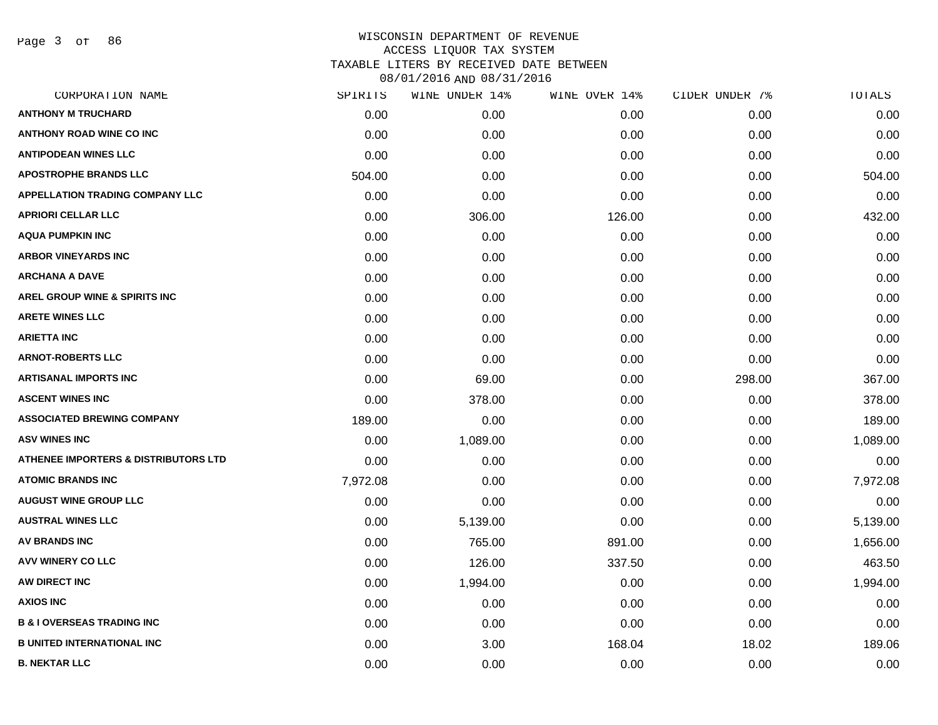Page 3 of 86

| CORPORATION NAME                                | SPIRITS  | WINE UNDER 14% | WINE OVER 14% | CIDER UNDER 7% | TOTALS   |
|-------------------------------------------------|----------|----------------|---------------|----------------|----------|
| <b>ANTHONY M TRUCHARD</b>                       | 0.00     | 0.00           | 0.00          | 0.00           | 0.00     |
| <b>ANTHONY ROAD WINE CO INC</b>                 | 0.00     | 0.00           | 0.00          | 0.00           | 0.00     |
| <b>ANTIPODEAN WINES LLC</b>                     | 0.00     | 0.00           | 0.00          | 0.00           | 0.00     |
| <b>APOSTROPHE BRANDS LLC</b>                    | 504.00   | 0.00           | 0.00          | 0.00           | 504.00   |
| <b>APPELLATION TRADING COMPANY LLC</b>          | 0.00     | 0.00           | 0.00          | 0.00           | 0.00     |
| <b>APRIORI CELLAR LLC</b>                       | 0.00     | 306.00         | 126.00        | 0.00           | 432.00   |
| <b>AQUA PUMPKIN INC</b>                         | 0.00     | 0.00           | 0.00          | 0.00           | 0.00     |
| <b>ARBOR VINEYARDS INC</b>                      | 0.00     | 0.00           | 0.00          | 0.00           | 0.00     |
| <b>ARCHANA A DAVE</b>                           | 0.00     | 0.00           | 0.00          | 0.00           | 0.00     |
| <b>AREL GROUP WINE &amp; SPIRITS INC</b>        | 0.00     | 0.00           | 0.00          | 0.00           | 0.00     |
| <b>ARETE WINES LLC</b>                          | 0.00     | 0.00           | 0.00          | 0.00           | 0.00     |
| <b>ARIETTA INC</b>                              | 0.00     | 0.00           | 0.00          | 0.00           | 0.00     |
| <b>ARNOT-ROBERTS LLC</b>                        | 0.00     | 0.00           | 0.00          | 0.00           | 0.00     |
| <b>ARTISANAL IMPORTS INC</b>                    | 0.00     | 69.00          | 0.00          | 298.00         | 367.00   |
| <b>ASCENT WINES INC</b>                         | 0.00     | 378.00         | 0.00          | 0.00           | 378.00   |
| <b>ASSOCIATED BREWING COMPANY</b>               | 189.00   | 0.00           | 0.00          | 0.00           | 189.00   |
| <b>ASV WINES INC</b>                            | 0.00     | 1,089.00       | 0.00          | 0.00           | 1,089.00 |
| <b>ATHENEE IMPORTERS &amp; DISTRIBUTORS LTD</b> | 0.00     | 0.00           | 0.00          | 0.00           | 0.00     |
| <b>ATOMIC BRANDS INC</b>                        | 7,972.08 | 0.00           | 0.00          | 0.00           | 7,972.08 |
| <b>AUGUST WINE GROUP LLC</b>                    | 0.00     | 0.00           | 0.00          | 0.00           | 0.00     |
| <b>AUSTRAL WINES LLC</b>                        | 0.00     | 5,139.00       | 0.00          | 0.00           | 5,139.00 |
| <b>AV BRANDS INC</b>                            | 0.00     | 765.00         | 891.00        | 0.00           | 1,656.00 |
| <b>AVV WINERY CO LLC</b>                        | 0.00     | 126.00         | 337.50        | 0.00           | 463.50   |
| AW DIRECT INC                                   | 0.00     | 1,994.00       | 0.00          | 0.00           | 1,994.00 |
| <b>AXIOS INC</b>                                | 0.00     | 0.00           | 0.00          | 0.00           | 0.00     |
| <b>B &amp; I OVERSEAS TRADING INC</b>           | 0.00     | 0.00           | 0.00          | 0.00           | 0.00     |
| <b>B UNITED INTERNATIONAL INC</b>               | 0.00     | 3.00           | 168.04        | 18.02          | 189.06   |
| <b>B. NEKTAR LLC</b>                            | 0.00     | 0.00           | 0.00          | 0.00           | 0.00     |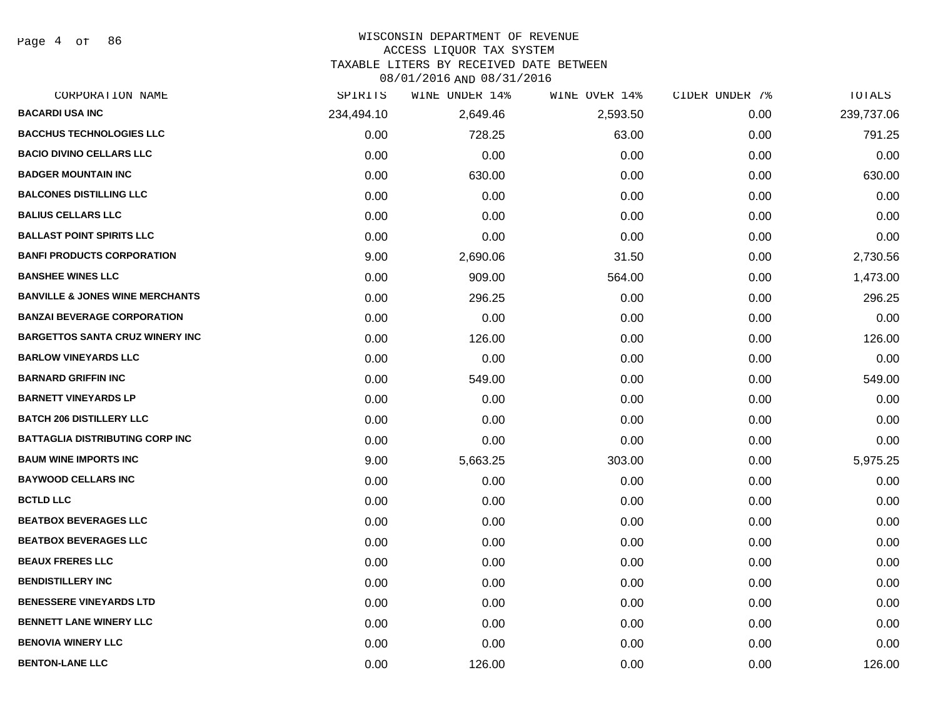Page 4 of 86

#### WISCONSIN DEPARTMENT OF REVENUE

### ACCESS LIQUOR TAX SYSTEM

TAXABLE LITERS BY RECEIVED DATE BETWEEN

| CORPORATION NAME                           | SPIRITS    | WINE UNDER 14% | WINE OVER 14% | CIDER UNDER 7% | TOTALS     |
|--------------------------------------------|------------|----------------|---------------|----------------|------------|
| <b>BACARDI USA INC</b>                     | 234,494.10 | 2,649.46       | 2,593.50      | 0.00           | 239,737.06 |
| <b>BACCHUS TECHNOLOGIES LLC</b>            | 0.00       | 728.25         | 63.00         | 0.00           | 791.25     |
| <b>BACIO DIVINO CELLARS LLC</b>            | 0.00       | 0.00           | 0.00          | 0.00           | 0.00       |
| <b>BADGER MOUNTAIN INC</b>                 | 0.00       | 630.00         | 0.00          | 0.00           | 630.00     |
| <b>BALCONES DISTILLING LLC</b>             | 0.00       | 0.00           | 0.00          | 0.00           | 0.00       |
| <b>BALIUS CELLARS LLC</b>                  | 0.00       | 0.00           | 0.00          | 0.00           | 0.00       |
| <b>BALLAST POINT SPIRITS LLC</b>           | 0.00       | 0.00           | 0.00          | 0.00           | 0.00       |
| <b>BANFI PRODUCTS CORPORATION</b>          | 9.00       | 2,690.06       | 31.50         | 0.00           | 2,730.56   |
| <b>BANSHEE WINES LLC</b>                   | 0.00       | 909.00         | 564.00        | 0.00           | 1,473.00   |
| <b>BANVILLE &amp; JONES WINE MERCHANTS</b> | 0.00       | 296.25         | 0.00          | 0.00           | 296.25     |
| <b>BANZAI BEVERAGE CORPORATION</b>         | 0.00       | 0.00           | 0.00          | 0.00           | 0.00       |
| <b>BARGETTOS SANTA CRUZ WINERY INC</b>     | 0.00       | 126.00         | 0.00          | 0.00           | 126.00     |
| <b>BARLOW VINEYARDS LLC</b>                | 0.00       | 0.00           | 0.00          | 0.00           | 0.00       |
| <b>BARNARD GRIFFIN INC</b>                 | 0.00       | 549.00         | 0.00          | 0.00           | 549.00     |
| <b>BARNETT VINEYARDS LP</b>                | 0.00       | 0.00           | 0.00          | 0.00           | 0.00       |
| <b>BATCH 206 DISTILLERY LLC</b>            | 0.00       | 0.00           | 0.00          | 0.00           | 0.00       |
| <b>BATTAGLIA DISTRIBUTING CORP INC</b>     | 0.00       | 0.00           | 0.00          | 0.00           | 0.00       |
| <b>BAUM WINE IMPORTS INC</b>               | 9.00       | 5,663.25       | 303.00        | 0.00           | 5,975.25   |
| <b>BAYWOOD CELLARS INC</b>                 | 0.00       | 0.00           | 0.00          | 0.00           | 0.00       |
| <b>BCTLD LLC</b>                           | 0.00       | 0.00           | 0.00          | 0.00           | 0.00       |
| <b>BEATBOX BEVERAGES LLC</b>               | 0.00       | 0.00           | 0.00          | 0.00           | 0.00       |
| <b>BEATBOX BEVERAGES LLC</b>               | 0.00       | 0.00           | 0.00          | 0.00           | 0.00       |
| <b>BEAUX FRERES LLC</b>                    | 0.00       | 0.00           | 0.00          | 0.00           | 0.00       |
| <b>BENDISTILLERY INC</b>                   | 0.00       | 0.00           | 0.00          | 0.00           | 0.00       |
| <b>BENESSERE VINEYARDS LTD</b>             | 0.00       | 0.00           | 0.00          | 0.00           | 0.00       |
| <b>BENNETT LANE WINERY LLC</b>             | 0.00       | 0.00           | 0.00          | 0.00           | 0.00       |
| <b>BENOVIA WINERY LLC</b>                  | 0.00       | 0.00           | 0.00          | 0.00           | 0.00       |
| <b>BENTON-LANE LLC</b>                     | 0.00       | 126.00         | 0.00          | 0.00           | 126.00     |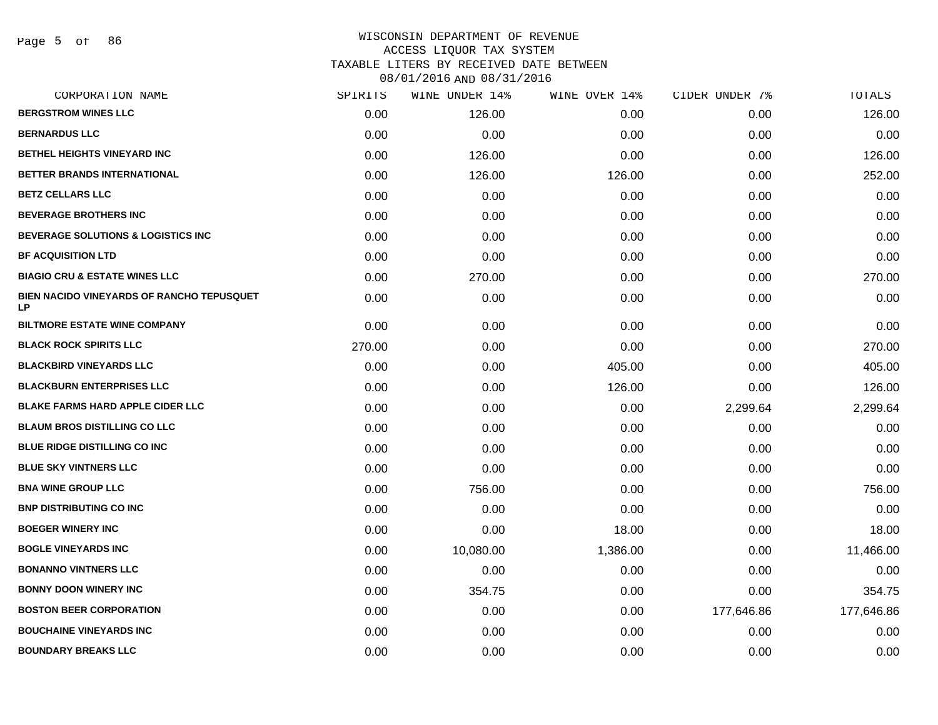| CORPORATION NAME                                              | SPIRITS | WINE UNDER 14% | WINE OVER 14% | CIDER UNDER 7% | <b>TOTALS</b> |
|---------------------------------------------------------------|---------|----------------|---------------|----------------|---------------|
| <b>BERGSTROM WINES LLC</b>                                    | 0.00    | 126.00         | 0.00          | 0.00           | 126.00        |
| <b>BERNARDUS LLC</b>                                          | 0.00    | 0.00           | 0.00          | 0.00           | 0.00          |
| BETHEL HEIGHTS VINEYARD INC                                   | 0.00    | 126.00         | 0.00          | 0.00           | 126.00        |
| <b>BETTER BRANDS INTERNATIONAL</b>                            | 0.00    | 126.00         | 126.00        | 0.00           | 252.00        |
| <b>BETZ CELLARS LLC</b>                                       | 0.00    | 0.00           | 0.00          | 0.00           | 0.00          |
| <b>BEVERAGE BROTHERS INC</b>                                  | 0.00    | 0.00           | 0.00          | 0.00           | 0.00          |
| <b>BEVERAGE SOLUTIONS &amp; LOGISTICS INC</b>                 | 0.00    | 0.00           | 0.00          | 0.00           | 0.00          |
| <b>BF ACQUISITION LTD</b>                                     | 0.00    | 0.00           | 0.00          | 0.00           | 0.00          |
| <b>BIAGIO CRU &amp; ESTATE WINES LLC</b>                      | 0.00    | 270.00         | 0.00          | 0.00           | 270.00        |
| <b>BIEN NACIDO VINEYARDS OF RANCHO TEPUSQUET</b><br><b>LP</b> | 0.00    | 0.00           | 0.00          | 0.00           | 0.00          |
| <b>BILTMORE ESTATE WINE COMPANY</b>                           | 0.00    | 0.00           | 0.00          | 0.00           | 0.00          |
| <b>BLACK ROCK SPIRITS LLC</b>                                 | 270.00  | 0.00           | 0.00          | 0.00           | 270.00        |
| <b>BLACKBIRD VINEYARDS LLC</b>                                | 0.00    | 0.00           | 405.00        | 0.00           | 405.00        |
| <b>BLACKBURN ENTERPRISES LLC</b>                              | 0.00    | 0.00           | 126.00        | 0.00           | 126.00        |
| <b>BLAKE FARMS HARD APPLE CIDER LLC</b>                       | 0.00    | 0.00           | 0.00          | 2,299.64       | 2,299.64      |
| <b>BLAUM BROS DISTILLING CO LLC</b>                           | 0.00    | 0.00           | 0.00          | 0.00           | 0.00          |
| <b>BLUE RIDGE DISTILLING CO INC</b>                           | 0.00    | 0.00           | 0.00          | 0.00           | 0.00          |
| <b>BLUE SKY VINTNERS LLC</b>                                  | 0.00    | 0.00           | 0.00          | 0.00           | 0.00          |
| <b>BNA WINE GROUP LLC</b>                                     | 0.00    | 756.00         | 0.00          | 0.00           | 756.00        |
| <b>BNP DISTRIBUTING CO INC</b>                                | 0.00    | 0.00           | 0.00          | 0.00           | 0.00          |
| <b>BOEGER WINERY INC</b>                                      | 0.00    | 0.00           | 18.00         | 0.00           | 18.00         |
| <b>BOGLE VINEYARDS INC</b>                                    | 0.00    | 10,080.00      | 1,386.00      | 0.00           | 11,466.00     |
| <b>BONANNO VINTNERS LLC</b>                                   | 0.00    | 0.00           | 0.00          | 0.00           | 0.00          |
| <b>BONNY DOON WINERY INC</b>                                  | 0.00    | 354.75         | 0.00          | 0.00           | 354.75        |
| <b>BOSTON BEER CORPORATION</b>                                | 0.00    | 0.00           | 0.00          | 177,646.86     | 177,646.86    |
| <b>BOUCHAINE VINEYARDS INC</b>                                | 0.00    | 0.00           | 0.00          | 0.00           | 0.00          |
| <b>BOUNDARY BREAKS LLC</b>                                    | 0.00    | 0.00           | 0.00          | 0.00           | 0.00          |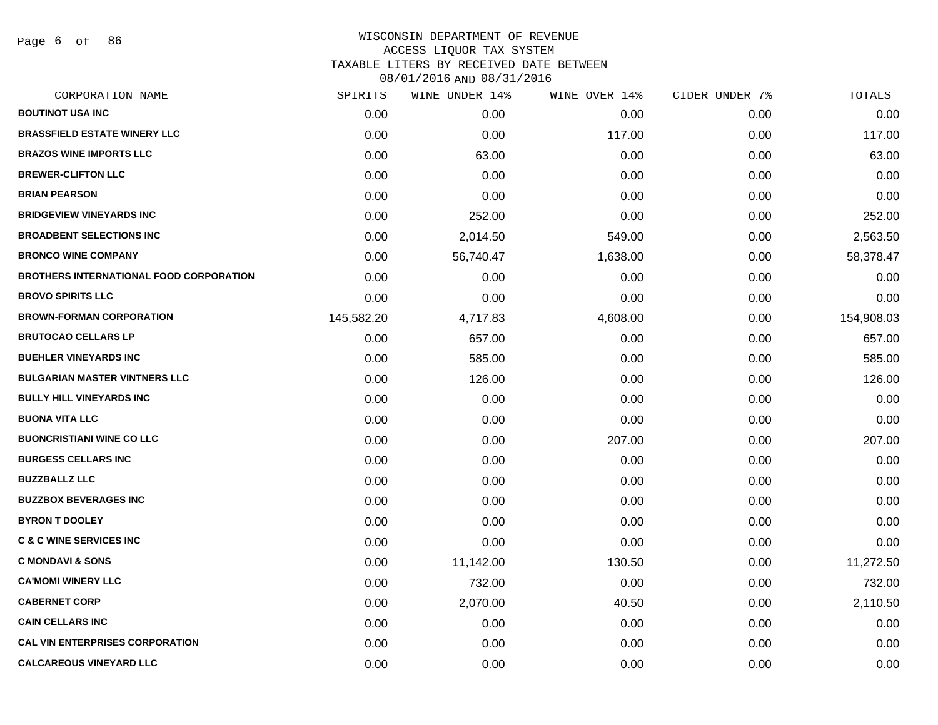Page 6 of 86

### WISCONSIN DEPARTMENT OF REVENUE ACCESS LIQUOR TAX SYSTEM TAXABLE LITERS BY RECEIVED DATE BETWEEN

| CORPORATION NAME                               | SPIRITS    | WINE UNDER 14% | WINE OVER 14% | CIDER UNDER 7% | TOTALS     |
|------------------------------------------------|------------|----------------|---------------|----------------|------------|
| <b>BOUTINOT USA INC</b>                        | 0.00       | 0.00           | 0.00          | 0.00           | 0.00       |
| <b>BRASSFIELD ESTATE WINERY LLC</b>            | 0.00       | 0.00           | 117.00        | 0.00           | 117.00     |
| <b>BRAZOS WINE IMPORTS LLC</b>                 | 0.00       | 63.00          | 0.00          | 0.00           | 63.00      |
| <b>BREWER-CLIFTON LLC</b>                      | 0.00       | 0.00           | 0.00          | 0.00           | 0.00       |
| <b>BRIAN PEARSON</b>                           | 0.00       | 0.00           | 0.00          | 0.00           | 0.00       |
| <b>BRIDGEVIEW VINEYARDS INC</b>                | 0.00       | 252.00         | 0.00          | 0.00           | 252.00     |
| <b>BROADBENT SELECTIONS INC</b>                | 0.00       | 2,014.50       | 549.00        | 0.00           | 2,563.50   |
| <b>BRONCO WINE COMPANY</b>                     | 0.00       | 56,740.47      | 1,638.00      | 0.00           | 58,378.47  |
| <b>BROTHERS INTERNATIONAL FOOD CORPORATION</b> | 0.00       | 0.00           | 0.00          | 0.00           | 0.00       |
| <b>BROVO SPIRITS LLC</b>                       | 0.00       | 0.00           | 0.00          | 0.00           | 0.00       |
| <b>BROWN-FORMAN CORPORATION</b>                | 145,582.20 | 4,717.83       | 4,608.00      | 0.00           | 154,908.03 |
| <b>BRUTOCAO CELLARS LP</b>                     | 0.00       | 657.00         | 0.00          | 0.00           | 657.00     |
| <b>BUEHLER VINEYARDS INC</b>                   | 0.00       | 585.00         | 0.00          | 0.00           | 585.00     |
| <b>BULGARIAN MASTER VINTNERS LLC</b>           | 0.00       | 126.00         | 0.00          | 0.00           | 126.00     |
| <b>BULLY HILL VINEYARDS INC</b>                | 0.00       | 0.00           | 0.00          | 0.00           | 0.00       |
| <b>BUONA VITA LLC</b>                          | 0.00       | 0.00           | 0.00          | 0.00           | 0.00       |
| <b>BUONCRISTIANI WINE CO LLC</b>               | 0.00       | 0.00           | 207.00        | 0.00           | 207.00     |
| <b>BURGESS CELLARS INC</b>                     | 0.00       | 0.00           | 0.00          | 0.00           | 0.00       |
| <b>BUZZBALLZ LLC</b>                           | 0.00       | 0.00           | 0.00          | 0.00           | 0.00       |
| <b>BUZZBOX BEVERAGES INC</b>                   | 0.00       | 0.00           | 0.00          | 0.00           | 0.00       |
| <b>BYRON T DOOLEY</b>                          | 0.00       | 0.00           | 0.00          | 0.00           | 0.00       |
| <b>C &amp; C WINE SERVICES INC</b>             | 0.00       | 0.00           | 0.00          | 0.00           | 0.00       |
| <b>C MONDAVI &amp; SONS</b>                    | 0.00       | 11,142.00      | 130.50        | 0.00           | 11,272.50  |
| <b>CA'MOMI WINERY LLC</b>                      | 0.00       | 732.00         | 0.00          | 0.00           | 732.00     |
| <b>CABERNET CORP</b>                           | 0.00       | 2,070.00       | 40.50         | 0.00           | 2,110.50   |
| <b>CAIN CELLARS INC</b>                        | 0.00       | 0.00           | 0.00          | 0.00           | 0.00       |
| <b>CAL VIN ENTERPRISES CORPORATION</b>         | 0.00       | 0.00           | 0.00          | 0.00           | 0.00       |
| <b>CALCAREOUS VINEYARD LLC</b>                 | 0.00       | 0.00           | 0.00          | 0.00           | 0.00       |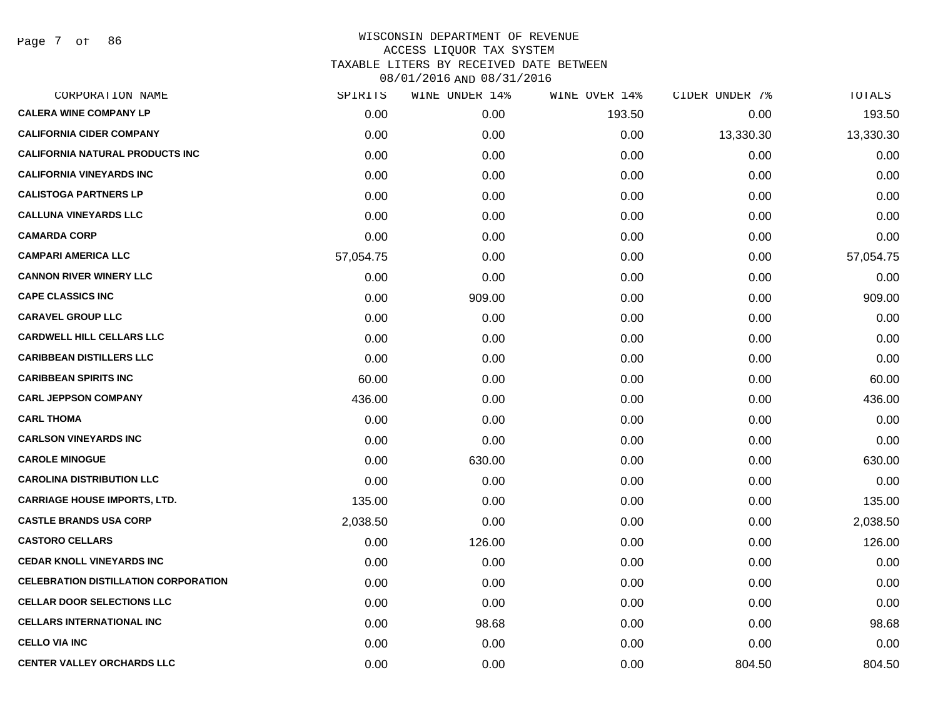Page 7 of 86

| CORPORATION NAME                            | SPIRITS   | WINE UNDER 14% | WINE OVER 14% | CIDER UNDER 7% | TOTALS    |
|---------------------------------------------|-----------|----------------|---------------|----------------|-----------|
| <b>CALERA WINE COMPANY LP</b>               | 0.00      | 0.00           | 193.50        | 0.00           | 193.50    |
| <b>CALIFORNIA CIDER COMPANY</b>             | 0.00      | 0.00           | 0.00          | 13,330.30      | 13,330.30 |
| <b>CALIFORNIA NATURAL PRODUCTS INC</b>      | 0.00      | 0.00           | 0.00          | 0.00           | 0.00      |
| <b>CALIFORNIA VINEYARDS INC</b>             | 0.00      | 0.00           | 0.00          | 0.00           | 0.00      |
| <b>CALISTOGA PARTNERS LP</b>                | 0.00      | 0.00           | 0.00          | 0.00           | 0.00      |
| <b>CALLUNA VINEYARDS LLC</b>                | 0.00      | 0.00           | 0.00          | 0.00           | 0.00      |
| <b>CAMARDA CORP</b>                         | 0.00      | 0.00           | 0.00          | 0.00           | 0.00      |
| <b>CAMPARI AMERICA LLC</b>                  | 57,054.75 | 0.00           | 0.00          | 0.00           | 57,054.75 |
| <b>CANNON RIVER WINERY LLC</b>              | 0.00      | 0.00           | 0.00          | 0.00           | 0.00      |
| <b>CAPE CLASSICS INC</b>                    | 0.00      | 909.00         | 0.00          | 0.00           | 909.00    |
| <b>CARAVEL GROUP LLC</b>                    | 0.00      | 0.00           | 0.00          | 0.00           | 0.00      |
| <b>CARDWELL HILL CELLARS LLC</b>            | 0.00      | 0.00           | 0.00          | 0.00           | 0.00      |
| <b>CARIBBEAN DISTILLERS LLC</b>             | 0.00      | 0.00           | 0.00          | 0.00           | 0.00      |
| <b>CARIBBEAN SPIRITS INC</b>                | 60.00     | 0.00           | 0.00          | 0.00           | 60.00     |
| <b>CARL JEPPSON COMPANY</b>                 | 436.00    | 0.00           | 0.00          | 0.00           | 436.00    |
| <b>CARL THOMA</b>                           | 0.00      | 0.00           | 0.00          | 0.00           | 0.00      |
| <b>CARLSON VINEYARDS INC</b>                | 0.00      | 0.00           | 0.00          | 0.00           | 0.00      |
| <b>CAROLE MINOGUE</b>                       | 0.00      | 630.00         | 0.00          | 0.00           | 630.00    |
| <b>CAROLINA DISTRIBUTION LLC</b>            | 0.00      | 0.00           | 0.00          | 0.00           | 0.00      |
| <b>CARRIAGE HOUSE IMPORTS, LTD.</b>         | 135.00    | 0.00           | 0.00          | 0.00           | 135.00    |
| <b>CASTLE BRANDS USA CORP</b>               | 2,038.50  | 0.00           | 0.00          | 0.00           | 2,038.50  |
| <b>CASTORO CELLARS</b>                      | 0.00      | 126.00         | 0.00          | 0.00           | 126.00    |
| <b>CEDAR KNOLL VINEYARDS INC</b>            | 0.00      | 0.00           | 0.00          | 0.00           | 0.00      |
| <b>CELEBRATION DISTILLATION CORPORATION</b> | 0.00      | 0.00           | 0.00          | 0.00           | 0.00      |
| <b>CELLAR DOOR SELECTIONS LLC</b>           | 0.00      | 0.00           | 0.00          | 0.00           | 0.00      |
| <b>CELLARS INTERNATIONAL INC</b>            | 0.00      | 98.68          | 0.00          | 0.00           | 98.68     |
| <b>CELLO VIA INC</b>                        | 0.00      | 0.00           | 0.00          | 0.00           | 0.00      |
| <b>CENTER VALLEY ORCHARDS LLC</b>           | 0.00      | 0.00           | 0.00          | 804.50         | 804.50    |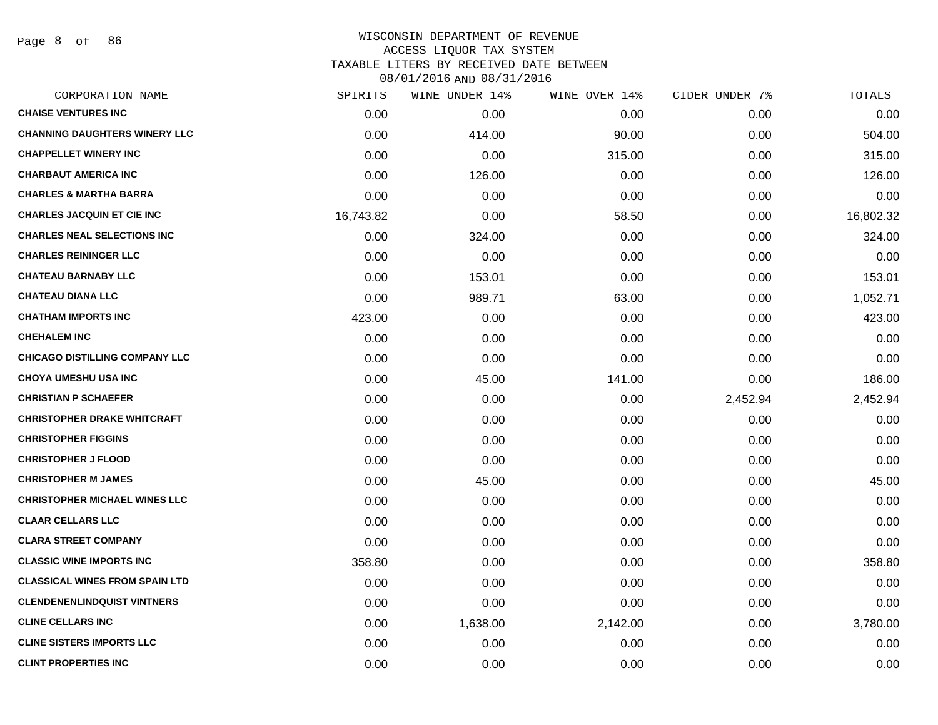Page 8 of 86

| CORPORATION NAME                      | SPIRITS   | WINE UNDER 14% | WINE OVER 14% | CIDER UNDER 7% | TOTALS    |
|---------------------------------------|-----------|----------------|---------------|----------------|-----------|
| <b>CHAISE VENTURES INC</b>            | 0.00      | 0.00           | 0.00          | 0.00           | 0.00      |
| <b>CHANNING DAUGHTERS WINERY LLC</b>  | 0.00      | 414.00         | 90.00         | 0.00           | 504.00    |
| <b>CHAPPELLET WINERY INC</b>          | 0.00      | 0.00           | 315.00        | 0.00           | 315.00    |
| <b>CHARBAUT AMERICA INC</b>           | 0.00      | 126.00         | 0.00          | 0.00           | 126.00    |
| <b>CHARLES &amp; MARTHA BARRA</b>     | 0.00      | 0.00           | 0.00          | 0.00           | 0.00      |
| <b>CHARLES JACQUIN ET CIE INC</b>     | 16,743.82 | 0.00           | 58.50         | 0.00           | 16,802.32 |
| <b>CHARLES NEAL SELECTIONS INC</b>    | 0.00      | 324.00         | 0.00          | 0.00           | 324.00    |
| <b>CHARLES REININGER LLC</b>          | 0.00      | 0.00           | 0.00          | 0.00           | 0.00      |
| <b>CHATEAU BARNABY LLC</b>            | 0.00      | 153.01         | 0.00          | 0.00           | 153.01    |
| <b>CHATEAU DIANA LLC</b>              | 0.00      | 989.71         | 63.00         | 0.00           | 1,052.71  |
| <b>CHATHAM IMPORTS INC</b>            | 423.00    | 0.00           | 0.00          | 0.00           | 423.00    |
| <b>CHEHALEM INC</b>                   | 0.00      | 0.00           | 0.00          | 0.00           | 0.00      |
| <b>CHICAGO DISTILLING COMPANY LLC</b> | 0.00      | 0.00           | 0.00          | 0.00           | 0.00      |
| <b>CHOYA UMESHU USA INC</b>           | 0.00      | 45.00          | 141.00        | 0.00           | 186.00    |
| <b>CHRISTIAN P SCHAEFER</b>           | 0.00      | 0.00           | 0.00          | 2,452.94       | 2,452.94  |
| <b>CHRISTOPHER DRAKE WHITCRAFT</b>    | 0.00      | 0.00           | 0.00          | 0.00           | 0.00      |
| <b>CHRISTOPHER FIGGINS</b>            | 0.00      | 0.00           | 0.00          | 0.00           | 0.00      |
| <b>CHRISTOPHER J FLOOD</b>            | 0.00      | 0.00           | 0.00          | 0.00           | 0.00      |
| <b>CHRISTOPHER M JAMES</b>            | 0.00      | 45.00          | 0.00          | 0.00           | 45.00     |
| <b>CHRISTOPHER MICHAEL WINES LLC</b>  | 0.00      | 0.00           | 0.00          | 0.00           | 0.00      |
| <b>CLAAR CELLARS LLC</b>              | 0.00      | 0.00           | 0.00          | 0.00           | 0.00      |
| <b>CLARA STREET COMPANY</b>           | 0.00      | 0.00           | 0.00          | 0.00           | 0.00      |
| <b>CLASSIC WINE IMPORTS INC</b>       | 358.80    | 0.00           | 0.00          | 0.00           | 358.80    |
| <b>CLASSICAL WINES FROM SPAIN LTD</b> | 0.00      | 0.00           | 0.00          | 0.00           | 0.00      |
| <b>CLENDENENLINDQUIST VINTNERS</b>    | 0.00      | 0.00           | 0.00          | 0.00           | 0.00      |
| <b>CLINE CELLARS INC</b>              | 0.00      | 1,638.00       | 2,142.00      | 0.00           | 3,780.00  |
| <b>CLINE SISTERS IMPORTS LLC</b>      | 0.00      | 0.00           | 0.00          | 0.00           | 0.00      |
| <b>CLINT PROPERTIES INC</b>           | 0.00      | 0.00           | 0.00          | 0.00           | 0.00      |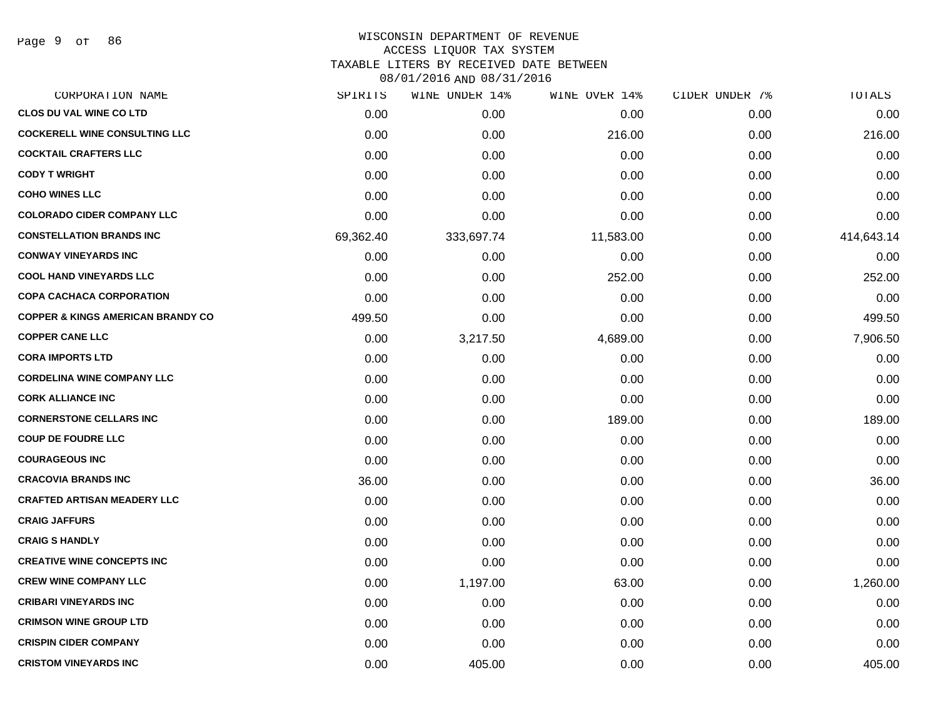# WISCONSIN DEPARTMENT OF REVENUE ACCESS LIQUOR TAX SYSTEM TAXABLE LITERS BY RECEIVED DATE BETWEEN

| CORPORATION NAME                             | SPIRITS   | WINE UNDER 14% | WINE OVER 14% | CIDER UNDER 7% | TOTALS     |
|----------------------------------------------|-----------|----------------|---------------|----------------|------------|
| <b>CLOS DU VAL WINE CO LTD</b>               | 0.00      | 0.00           | 0.00          | 0.00           | 0.00       |
| <b>COCKERELL WINE CONSULTING LLC</b>         | 0.00      | 0.00           | 216.00        | 0.00           | 216.00     |
| <b>COCKTAIL CRAFTERS LLC</b>                 | 0.00      | 0.00           | 0.00          | 0.00           | 0.00       |
| <b>CODY T WRIGHT</b>                         | 0.00      | 0.00           | 0.00          | 0.00           | 0.00       |
| <b>COHO WINES LLC</b>                        | 0.00      | 0.00           | 0.00          | 0.00           | 0.00       |
| <b>COLORADO CIDER COMPANY LLC</b>            | 0.00      | 0.00           | 0.00          | 0.00           | 0.00       |
| <b>CONSTELLATION BRANDS INC</b>              | 69,362.40 | 333,697.74     | 11,583.00     | 0.00           | 414,643.14 |
| <b>CONWAY VINEYARDS INC</b>                  | 0.00      | 0.00           | 0.00          | 0.00           | 0.00       |
| <b>COOL HAND VINEYARDS LLC</b>               | 0.00      | 0.00           | 252.00        | 0.00           | 252.00     |
| <b>COPA CACHACA CORPORATION</b>              | 0.00      | 0.00           | 0.00          | 0.00           | 0.00       |
| <b>COPPER &amp; KINGS AMERICAN BRANDY CO</b> | 499.50    | 0.00           | 0.00          | 0.00           | 499.50     |
| <b>COPPER CANE LLC</b>                       | 0.00      | 3,217.50       | 4,689.00      | 0.00           | 7,906.50   |
| <b>CORA IMPORTS LTD</b>                      | 0.00      | 0.00           | 0.00          | 0.00           | 0.00       |
| <b>CORDELINA WINE COMPANY LLC</b>            | 0.00      | 0.00           | 0.00          | 0.00           | 0.00       |
| <b>CORK ALLIANCE INC</b>                     | 0.00      | 0.00           | 0.00          | 0.00           | 0.00       |
| <b>CORNERSTONE CELLARS INC</b>               | 0.00      | 0.00           | 189.00        | 0.00           | 189.00     |
| <b>COUP DE FOUDRE LLC</b>                    | 0.00      | 0.00           | 0.00          | 0.00           | 0.00       |
| <b>COURAGEOUS INC</b>                        | 0.00      | 0.00           | 0.00          | 0.00           | 0.00       |
| <b>CRACOVIA BRANDS INC</b>                   | 36.00     | 0.00           | 0.00          | 0.00           | 36.00      |
| <b>CRAFTED ARTISAN MEADERY LLC</b>           | 0.00      | 0.00           | 0.00          | 0.00           | 0.00       |
| <b>CRAIG JAFFURS</b>                         | 0.00      | 0.00           | 0.00          | 0.00           | 0.00       |
| <b>CRAIG S HANDLY</b>                        | 0.00      | 0.00           | 0.00          | 0.00           | 0.00       |
| <b>CREATIVE WINE CONCEPTS INC</b>            | 0.00      | 0.00           | 0.00          | 0.00           | 0.00       |
| <b>CREW WINE COMPANY LLC</b>                 | 0.00      | 1,197.00       | 63.00         | 0.00           | 1,260.00   |
| <b>CRIBARI VINEYARDS INC</b>                 | 0.00      | 0.00           | 0.00          | 0.00           | 0.00       |
| <b>CRIMSON WINE GROUP LTD</b>                | 0.00      | 0.00           | 0.00          | 0.00           | 0.00       |
| <b>CRISPIN CIDER COMPANY</b>                 | 0.00      | 0.00           | 0.00          | 0.00           | 0.00       |
| <b>CRISTOM VINEYARDS INC</b>                 | 0.00      | 405.00         | 0.00          | 0.00           | 405.00     |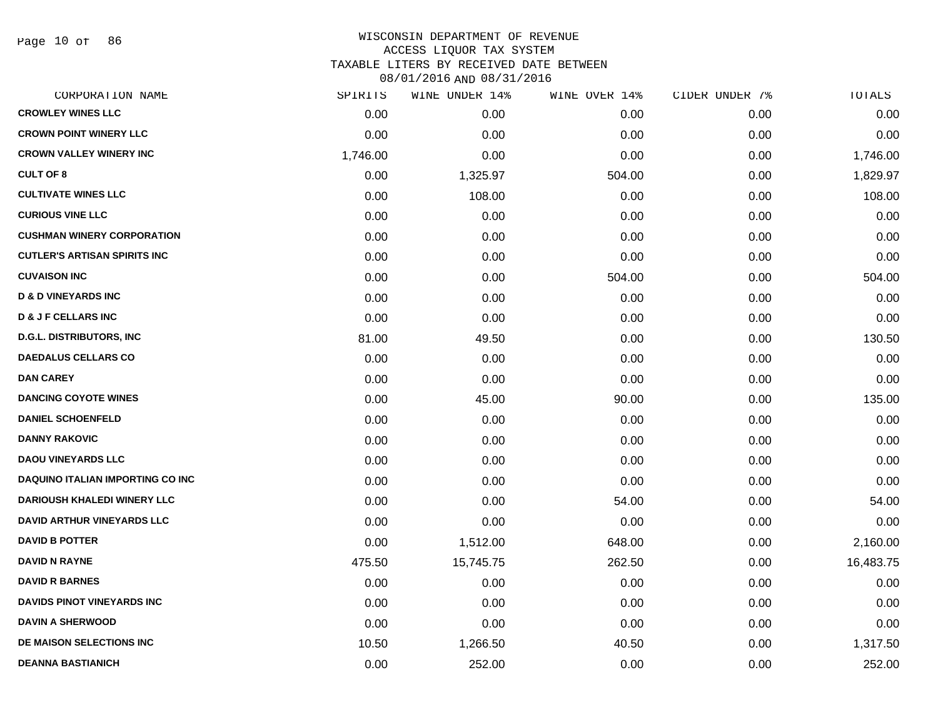Page 10 of 86

| CORPORATION NAME                        | SPIRITS  | WINE UNDER 14% | WINE OVER 14% | CIDER UNDER 7% | TOTALS    |
|-----------------------------------------|----------|----------------|---------------|----------------|-----------|
| <b>CROWLEY WINES LLC</b>                | 0.00     | 0.00           | 0.00          | 0.00           | 0.00      |
| <b>CROWN POINT WINERY LLC</b>           | 0.00     | 0.00           | 0.00          | 0.00           | 0.00      |
| <b>CROWN VALLEY WINERY INC</b>          | 1,746.00 | 0.00           | 0.00          | 0.00           | 1,746.00  |
| <b>CULT OF 8</b>                        | 0.00     | 1,325.97       | 504.00        | 0.00           | 1,829.97  |
| <b>CULTIVATE WINES LLC</b>              | 0.00     | 108.00         | 0.00          | 0.00           | 108.00    |
| <b>CURIOUS VINE LLC</b>                 | 0.00     | 0.00           | 0.00          | 0.00           | 0.00      |
| <b>CUSHMAN WINERY CORPORATION</b>       | 0.00     | 0.00           | 0.00          | 0.00           | 0.00      |
| <b>CUTLER'S ARTISAN SPIRITS INC</b>     | 0.00     | 0.00           | 0.00          | 0.00           | 0.00      |
| <b>CUVAISON INC</b>                     | 0.00     | 0.00           | 504.00        | 0.00           | 504.00    |
| <b>D &amp; D VINEYARDS INC</b>          | 0.00     | 0.00           | 0.00          | 0.00           | 0.00      |
| <b>D &amp; J F CELLARS INC</b>          | 0.00     | 0.00           | 0.00          | 0.00           | 0.00      |
| <b>D.G.L. DISTRIBUTORS, INC</b>         | 81.00    | 49.50          | 0.00          | 0.00           | 130.50    |
| <b>DAEDALUS CELLARS CO</b>              | 0.00     | 0.00           | 0.00          | 0.00           | 0.00      |
| <b>DAN CAREY</b>                        | 0.00     | 0.00           | 0.00          | 0.00           | 0.00      |
| <b>DANCING COYOTE WINES</b>             | 0.00     | 45.00          | 90.00         | 0.00           | 135.00    |
| <b>DANIEL SCHOENFELD</b>                | 0.00     | 0.00           | 0.00          | 0.00           | 0.00      |
| <b>DANNY RAKOVIC</b>                    | 0.00     | 0.00           | 0.00          | 0.00           | 0.00      |
| <b>DAOU VINEYARDS LLC</b>               | 0.00     | 0.00           | 0.00          | 0.00           | 0.00      |
| <b>DAQUINO ITALIAN IMPORTING CO INC</b> | 0.00     | 0.00           | 0.00          | 0.00           | 0.00      |
| <b>DARIOUSH KHALEDI WINERY LLC</b>      | 0.00     | 0.00           | 54.00         | 0.00           | 54.00     |
| <b>DAVID ARTHUR VINEYARDS LLC</b>       | 0.00     | 0.00           | 0.00          | 0.00           | 0.00      |
| <b>DAVID B POTTER</b>                   | 0.00     | 1,512.00       | 648.00        | 0.00           | 2,160.00  |
| <b>DAVID N RAYNE</b>                    | 475.50   | 15,745.75      | 262.50        | 0.00           | 16,483.75 |
| <b>DAVID R BARNES</b>                   | 0.00     | 0.00           | 0.00          | 0.00           | 0.00      |
| <b>DAVIDS PINOT VINEYARDS INC</b>       | 0.00     | 0.00           | 0.00          | 0.00           | 0.00      |
| <b>DAVIN A SHERWOOD</b>                 | 0.00     | 0.00           | 0.00          | 0.00           | 0.00      |
| DE MAISON SELECTIONS INC                | 10.50    | 1,266.50       | 40.50         | 0.00           | 1,317.50  |
| <b>DEANNA BASTIANICH</b>                | 0.00     | 252.00         | 0.00          | 0.00           | 252.00    |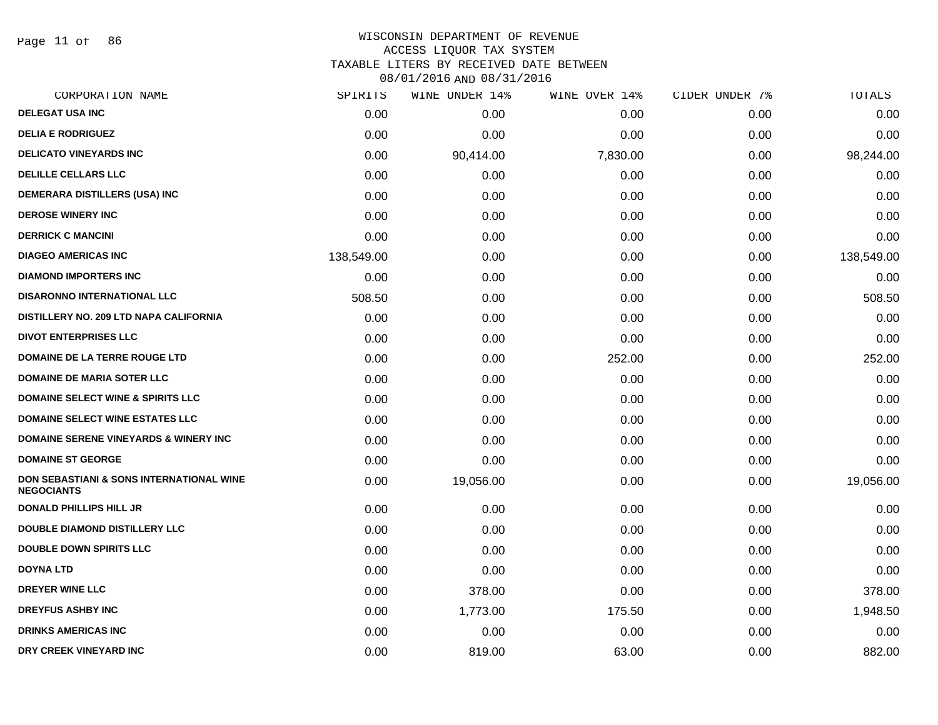Page 11 of 86

### WISCONSIN DEPARTMENT OF REVENUE ACCESS LIQUOR TAX SYSTEM TAXABLE LITERS BY RECEIVED DATE BETWEEN

| CORPORATION NAME                                                         | SPIRITS    | WINE UNDER 14% | WINE OVER 14% | CIDER UNDER 7% | TOTALS     |
|--------------------------------------------------------------------------|------------|----------------|---------------|----------------|------------|
| <b>DELEGAT USA INC</b>                                                   | 0.00       | 0.00           | 0.00          | 0.00           | 0.00       |
| <b>DELIA E RODRIGUEZ</b>                                                 | 0.00       | 0.00           | 0.00          | 0.00           | 0.00       |
| <b>DELICATO VINEYARDS INC</b>                                            | 0.00       | 90,414.00      | 7,830.00      | 0.00           | 98,244.00  |
| <b>DELILLE CELLARS LLC</b>                                               | 0.00       | 0.00           | 0.00          | 0.00           | 0.00       |
| DEMERARA DISTILLERS (USA) INC                                            | 0.00       | 0.00           | 0.00          | 0.00           | 0.00       |
| <b>DEROSE WINERY INC</b>                                                 | 0.00       | 0.00           | 0.00          | 0.00           | 0.00       |
| <b>DERRICK C MANCINI</b>                                                 | 0.00       | 0.00           | 0.00          | 0.00           | 0.00       |
| <b>DIAGEO AMERICAS INC</b>                                               | 138,549.00 | 0.00           | 0.00          | 0.00           | 138,549.00 |
| <b>DIAMOND IMPORTERS INC</b>                                             | 0.00       | 0.00           | 0.00          | 0.00           | 0.00       |
| <b>DISARONNO INTERNATIONAL LLC</b>                                       | 508.50     | 0.00           | 0.00          | 0.00           | 508.50     |
| DISTILLERY NO. 209 LTD NAPA CALIFORNIA                                   | 0.00       | 0.00           | 0.00          | 0.00           | 0.00       |
| <b>DIVOT ENTERPRISES LLC</b>                                             | 0.00       | 0.00           | 0.00          | 0.00           | 0.00       |
| DOMAINE DE LA TERRE ROUGE LTD                                            | 0.00       | 0.00           | 252.00        | 0.00           | 252.00     |
| <b>DOMAINE DE MARIA SOTER LLC</b>                                        | 0.00       | 0.00           | 0.00          | 0.00           | 0.00       |
| <b>DOMAINE SELECT WINE &amp; SPIRITS LLC</b>                             | 0.00       | 0.00           | 0.00          | 0.00           | 0.00       |
| <b>DOMAINE SELECT WINE ESTATES LLC</b>                                   | 0.00       | 0.00           | 0.00          | 0.00           | 0.00       |
| <b>DOMAINE SERENE VINEYARDS &amp; WINERY INC</b>                         | 0.00       | 0.00           | 0.00          | 0.00           | 0.00       |
| <b>DOMAINE ST GEORGE</b>                                                 | 0.00       | 0.00           | 0.00          | 0.00           | 0.00       |
| <b>DON SEBASTIANI &amp; SONS INTERNATIONAL WINE</b><br><b>NEGOCIANTS</b> | 0.00       | 19,056.00      | 0.00          | 0.00           | 19,056.00  |
| <b>DONALD PHILLIPS HILL JR</b>                                           | 0.00       | 0.00           | 0.00          | 0.00           | 0.00       |
| DOUBLE DIAMOND DISTILLERY LLC                                            | 0.00       | 0.00           | 0.00          | 0.00           | 0.00       |
| <b>DOUBLE DOWN SPIRITS LLC</b>                                           | 0.00       | 0.00           | 0.00          | 0.00           | 0.00       |
| <b>DOYNA LTD</b>                                                         | 0.00       | 0.00           | 0.00          | 0.00           | 0.00       |
| <b>DREYER WINE LLC</b>                                                   | 0.00       | 378.00         | 0.00          | 0.00           | 378.00     |
| <b>DREYFUS ASHBY INC</b>                                                 | 0.00       | 1,773.00       | 175.50        | 0.00           | 1,948.50   |
| <b>DRINKS AMERICAS INC</b>                                               | 0.00       | 0.00           | 0.00          | 0.00           | 0.00       |
| DRY CREEK VINEYARD INC                                                   | 0.00       | 819.00         | 63.00         | 0.00           | 882.00     |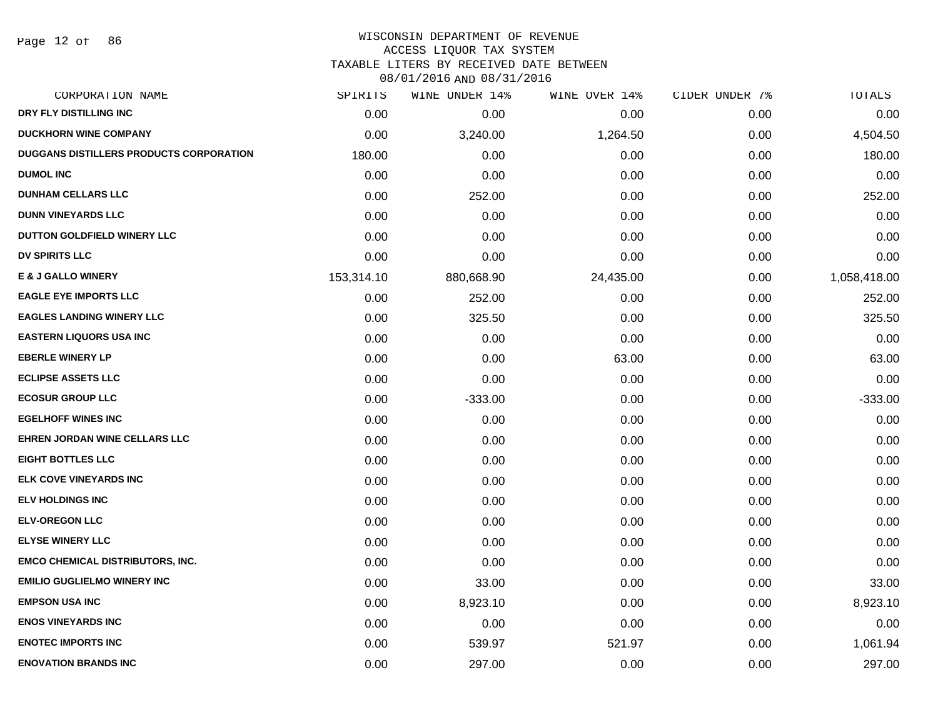Page 12 of 86

### WISCONSIN DEPARTMENT OF REVENUE ACCESS LIQUOR TAX SYSTEM

TAXABLE LITERS BY RECEIVED DATE BETWEEN

| CORPORATION NAME                               | SPIRITS    | WINE UNDER 14% | WINE OVER 14% | CIDER UNDER 7% | TOTALS       |
|------------------------------------------------|------------|----------------|---------------|----------------|--------------|
| DRY FLY DISTILLING INC                         | 0.00       | 0.00           | 0.00          | 0.00           | 0.00         |
| <b>DUCKHORN WINE COMPANY</b>                   | 0.00       | 3,240.00       | 1,264.50      | 0.00           | 4,504.50     |
| <b>DUGGANS DISTILLERS PRODUCTS CORPORATION</b> | 180.00     | 0.00           | 0.00          | 0.00           | 180.00       |
| <b>DUMOL INC</b>                               | 0.00       | 0.00           | 0.00          | 0.00           | 0.00         |
| <b>DUNHAM CELLARS LLC</b>                      | 0.00       | 252.00         | 0.00          | 0.00           | 252.00       |
| <b>DUNN VINEYARDS LLC</b>                      | 0.00       | 0.00           | 0.00          | 0.00           | 0.00         |
| DUTTON GOLDFIELD WINERY LLC                    | 0.00       | 0.00           | 0.00          | 0.00           | 0.00         |
| <b>DV SPIRITS LLC</b>                          | 0.00       | 0.00           | 0.00          | 0.00           | 0.00         |
| <b>E &amp; J GALLO WINERY</b>                  | 153,314.10 | 880,668.90     | 24,435.00     | 0.00           | 1,058,418.00 |
| <b>EAGLE EYE IMPORTS LLC</b>                   | 0.00       | 252.00         | 0.00          | 0.00           | 252.00       |
| <b>EAGLES LANDING WINERY LLC</b>               | 0.00       | 325.50         | 0.00          | 0.00           | 325.50       |
| <b>EASTERN LIQUORS USA INC</b>                 | 0.00       | 0.00           | 0.00          | 0.00           | 0.00         |
| <b>EBERLE WINERY LP</b>                        | 0.00       | 0.00           | 63.00         | 0.00           | 63.00        |
| <b>ECLIPSE ASSETS LLC</b>                      | 0.00       | 0.00           | 0.00          | 0.00           | 0.00         |
| <b>ECOSUR GROUP LLC</b>                        | 0.00       | $-333.00$      | 0.00          | 0.00           | $-333.00$    |
| <b>EGELHOFF WINES INC</b>                      | 0.00       | 0.00           | 0.00          | 0.00           | 0.00         |
| <b>EHREN JORDAN WINE CELLARS LLC</b>           | 0.00       | 0.00           | 0.00          | 0.00           | 0.00         |
| <b>EIGHT BOTTLES LLC</b>                       | 0.00       | 0.00           | 0.00          | 0.00           | 0.00         |
| <b>ELK COVE VINEYARDS INC</b>                  | 0.00       | 0.00           | 0.00          | 0.00           | 0.00         |
| <b>ELV HOLDINGS INC</b>                        | 0.00       | 0.00           | 0.00          | 0.00           | 0.00         |
| <b>ELV-OREGON LLC</b>                          | 0.00       | 0.00           | 0.00          | 0.00           | 0.00         |
| <b>ELYSE WINERY LLC</b>                        | 0.00       | 0.00           | 0.00          | 0.00           | 0.00         |
| <b>EMCO CHEMICAL DISTRIBUTORS, INC.</b>        | 0.00       | 0.00           | 0.00          | 0.00           | 0.00         |
| <b>EMILIO GUGLIELMO WINERY INC</b>             | 0.00       | 33.00          | 0.00          | 0.00           | 33.00        |
| <b>EMPSON USA INC</b>                          | 0.00       | 8,923.10       | 0.00          | 0.00           | 8,923.10     |
| <b>ENOS VINEYARDS INC</b>                      | 0.00       | 0.00           | 0.00          | 0.00           | 0.00         |
| <b>ENOTEC IMPORTS INC</b>                      | 0.00       | 539.97         | 521.97        | 0.00           | 1,061.94     |
| <b>ENOVATION BRANDS INC</b>                    | 0.00       | 297.00         | 0.00          | 0.00           | 297.00       |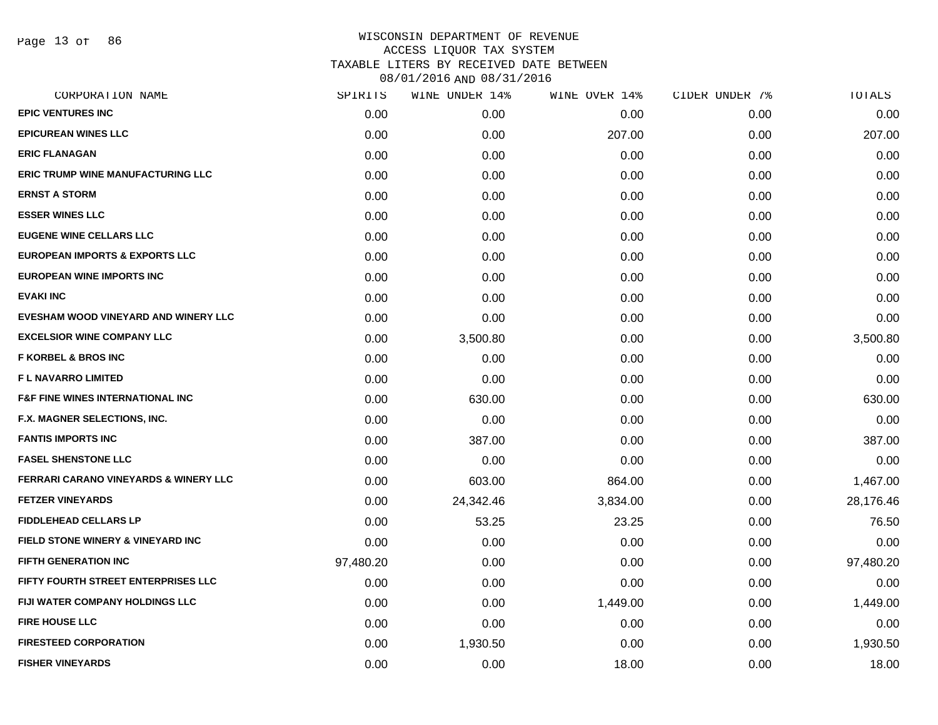Page 13 of 86

| CORPORATION NAME                                 | SPIRITS   | WINE UNDER 14% | WINE OVER 14% | CIDER UNDER 7% | TOTALS    |
|--------------------------------------------------|-----------|----------------|---------------|----------------|-----------|
| <b>EPIC VENTURES INC</b>                         | 0.00      | 0.00           | 0.00          | 0.00           | 0.00      |
| <b>EPICUREAN WINES LLC</b>                       | 0.00      | 0.00           | 207.00        | 0.00           | 207.00    |
| <b>ERIC FLANAGAN</b>                             | 0.00      | 0.00           | 0.00          | 0.00           | 0.00      |
| <b>ERIC TRUMP WINE MANUFACTURING LLC</b>         | 0.00      | 0.00           | 0.00          | 0.00           | 0.00      |
| <b>ERNST A STORM</b>                             | 0.00      | 0.00           | 0.00          | 0.00           | 0.00      |
| <b>ESSER WINES LLC</b>                           | 0.00      | 0.00           | 0.00          | 0.00           | 0.00      |
| <b>EUGENE WINE CELLARS LLC</b>                   | 0.00      | 0.00           | 0.00          | 0.00           | 0.00      |
| <b>EUROPEAN IMPORTS &amp; EXPORTS LLC</b>        | 0.00      | 0.00           | 0.00          | 0.00           | 0.00      |
| <b>EUROPEAN WINE IMPORTS INC</b>                 | 0.00      | 0.00           | 0.00          | 0.00           | 0.00      |
| <b>EVAKI INC</b>                                 | 0.00      | 0.00           | 0.00          | 0.00           | 0.00      |
| EVESHAM WOOD VINEYARD AND WINERY LLC             | 0.00      | 0.00           | 0.00          | 0.00           | 0.00      |
| <b>EXCELSIOR WINE COMPANY LLC</b>                | 0.00      | 3,500.80       | 0.00          | 0.00           | 3,500.80  |
| <b>F KORBEL &amp; BROS INC</b>                   | 0.00      | 0.00           | 0.00          | 0.00           | 0.00      |
| <b>FL NAVARRO LIMITED</b>                        | 0.00      | 0.00           | 0.00          | 0.00           | 0.00      |
| <b>F&amp;F FINE WINES INTERNATIONAL INC</b>      | 0.00      | 630.00         | 0.00          | 0.00           | 630.00    |
| F.X. MAGNER SELECTIONS, INC.                     | 0.00      | 0.00           | 0.00          | 0.00           | 0.00      |
| <b>FANTIS IMPORTS INC</b>                        | 0.00      | 387.00         | 0.00          | 0.00           | 387.00    |
| <b>FASEL SHENSTONE LLC</b>                       | 0.00      | 0.00           | 0.00          | 0.00           | 0.00      |
| <b>FERRARI CARANO VINEYARDS &amp; WINERY LLC</b> | 0.00      | 603.00         | 864.00        | 0.00           | 1,467.00  |
| <b>FETZER VINEYARDS</b>                          | 0.00      | 24,342.46      | 3,834.00      | 0.00           | 28,176.46 |
| <b>FIDDLEHEAD CELLARS LP</b>                     | 0.00      | 53.25          | 23.25         | 0.00           | 76.50     |
| <b>FIELD STONE WINERY &amp; VINEYARD INC</b>     | 0.00      | 0.00           | 0.00          | 0.00           | 0.00      |
| <b>FIFTH GENERATION INC</b>                      | 97,480.20 | 0.00           | 0.00          | 0.00           | 97,480.20 |
| <b>FIFTY FOURTH STREET ENTERPRISES LLC</b>       | 0.00      | 0.00           | 0.00          | 0.00           | 0.00      |
| FIJI WATER COMPANY HOLDINGS LLC                  | 0.00      | 0.00           | 1,449.00      | 0.00           | 1,449.00  |
| <b>FIRE HOUSE LLC</b>                            | 0.00      | 0.00           | 0.00          | 0.00           | 0.00      |
| <b>FIRESTEED CORPORATION</b>                     | 0.00      | 1,930.50       | 0.00          | 0.00           | 1,930.50  |
| <b>FISHER VINEYARDS</b>                          | 0.00      | 0.00           | 18.00         | 0.00           | 18.00     |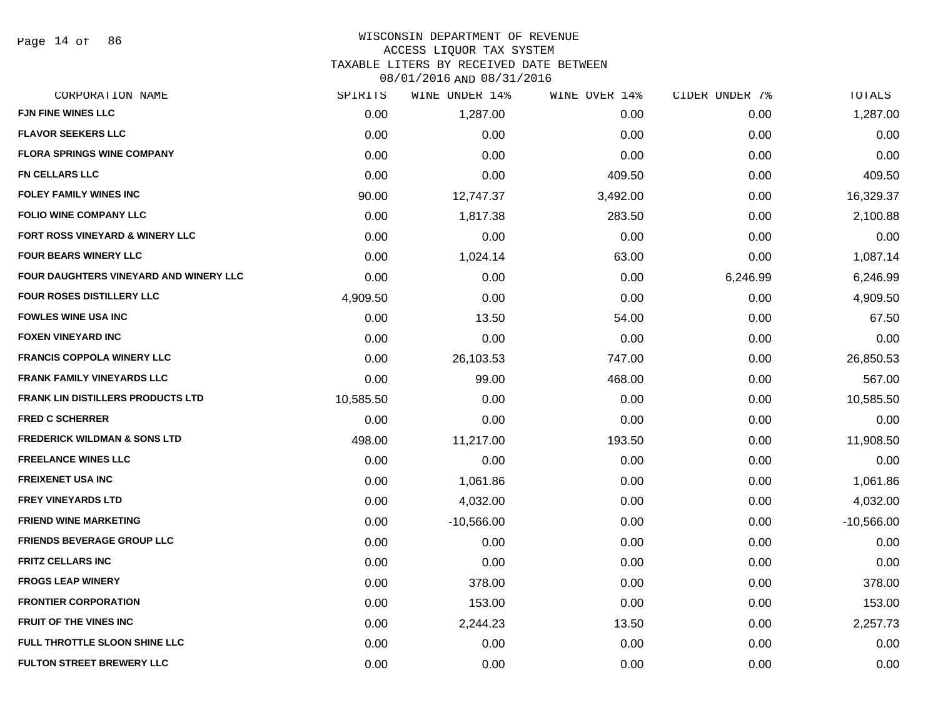Page 14 of 86

### WISCONSIN DEPARTMENT OF REVENUE ACCESS LIQUOR TAX SYSTEM TAXABLE LITERS BY RECEIVED DATE BETWEEN

| CORPORATION NAME                           | SPIRITS   | WINE UNDER 14% | WINE OVER 14% | CIDER UNDER 7% | TOTALS       |
|--------------------------------------------|-----------|----------------|---------------|----------------|--------------|
| <b>FJN FINE WINES LLC</b>                  | 0.00      | 1,287.00       | 0.00          | 0.00           | 1,287.00     |
| <b>FLAVOR SEEKERS LLC</b>                  | 0.00      | 0.00           | 0.00          | 0.00           | 0.00         |
| <b>FLORA SPRINGS WINE COMPANY</b>          | 0.00      | 0.00           | 0.00          | 0.00           | 0.00         |
| <b>FN CELLARS LLC</b>                      | 0.00      | 0.00           | 409.50        | 0.00           | 409.50       |
| <b>FOLEY FAMILY WINES INC</b>              | 90.00     | 12,747.37      | 3,492.00      | 0.00           | 16,329.37    |
| <b>FOLIO WINE COMPANY LLC</b>              | 0.00      | 1,817.38       | 283.50        | 0.00           | 2,100.88     |
| <b>FORT ROSS VINEYARD &amp; WINERY LLC</b> | 0.00      | 0.00           | 0.00          | 0.00           | 0.00         |
| <b>FOUR BEARS WINERY LLC</b>               | 0.00      | 1,024.14       | 63.00         | 0.00           | 1,087.14     |
| FOUR DAUGHTERS VINEYARD AND WINERY LLC     | 0.00      | 0.00           | 0.00          | 6,246.99       | 6,246.99     |
| <b>FOUR ROSES DISTILLERY LLC</b>           | 4,909.50  | 0.00           | 0.00          | 0.00           | 4,909.50     |
| <b>FOWLES WINE USA INC</b>                 | 0.00      | 13.50          | 54.00         | 0.00           | 67.50        |
| <b>FOXEN VINEYARD INC</b>                  | 0.00      | 0.00           | 0.00          | 0.00           | 0.00         |
| <b>FRANCIS COPPOLA WINERY LLC</b>          | 0.00      | 26,103.53      | 747.00        | 0.00           | 26,850.53    |
| <b>FRANK FAMILY VINEYARDS LLC</b>          | 0.00      | 99.00          | 468.00        | 0.00           | 567.00       |
| <b>FRANK LIN DISTILLERS PRODUCTS LTD</b>   | 10,585.50 | 0.00           | 0.00          | 0.00           | 10,585.50    |
| <b>FRED C SCHERRER</b>                     | 0.00      | 0.00           | 0.00          | 0.00           | 0.00         |
| <b>FREDERICK WILDMAN &amp; SONS LTD</b>    | 498.00    | 11,217.00      | 193.50        | 0.00           | 11,908.50    |
| <b>FREELANCE WINES LLC</b>                 | 0.00      | 0.00           | 0.00          | 0.00           | 0.00         |
| <b>FREIXENET USA INC</b>                   | 0.00      | 1,061.86       | 0.00          | 0.00           | 1,061.86     |
| <b>FREY VINEYARDS LTD</b>                  | 0.00      | 4,032.00       | 0.00          | 0.00           | 4,032.00     |
| <b>FRIEND WINE MARKETING</b>               | 0.00      | $-10,566.00$   | 0.00          | 0.00           | $-10,566.00$ |
| <b>FRIENDS BEVERAGE GROUP LLC</b>          | 0.00      | 0.00           | 0.00          | 0.00           | 0.00         |
| <b>FRITZ CELLARS INC</b>                   | 0.00      | 0.00           | 0.00          | 0.00           | 0.00         |
| <b>FROGS LEAP WINERY</b>                   | 0.00      | 378.00         | 0.00          | 0.00           | 378.00       |
| <b>FRONTIER CORPORATION</b>                | 0.00      | 153.00         | 0.00          | 0.00           | 153.00       |
| <b>FRUIT OF THE VINES INC</b>              | 0.00      | 2,244.23       | 13.50         | 0.00           | 2,257.73     |
| FULL THROTTLE SLOON SHINE LLC              | 0.00      | 0.00           | 0.00          | 0.00           | 0.00         |
| <b>FULTON STREET BREWERY LLC</b>           | 0.00      | 0.00           | 0.00          | 0.00           | 0.00         |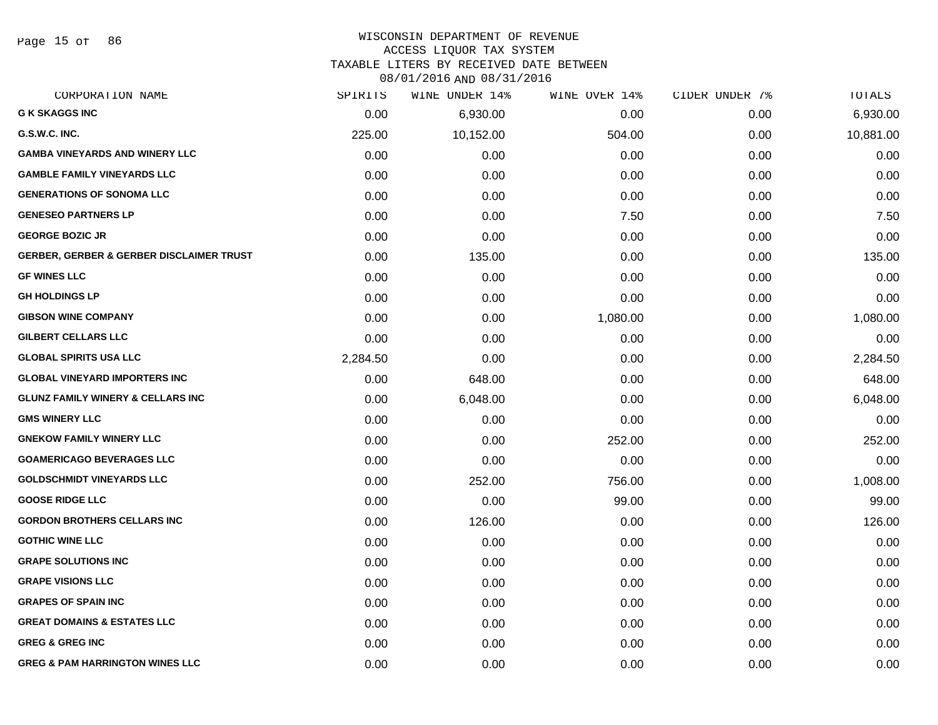Page 15 of 86

# WISCONSIN DEPARTMENT OF REVENUE

# ACCESS LIQUOR TAX SYSTEM

TAXABLE LITERS BY RECEIVED DATE BETWEEN

| CORPORATION NAME                                    | SPIRITS  | WINE UNDER 14% | WINE OVER 14% | CIDER UNDER 7% | TOTALS    |
|-----------------------------------------------------|----------|----------------|---------------|----------------|-----------|
| <b>G K SKAGGS INC</b>                               | 0.00     | 6,930.00       | 0.00          | 0.00           | 6,930.00  |
| G.S.W.C. INC.                                       | 225.00   | 10,152.00      | 504.00        | 0.00           | 10,881.00 |
| <b>GAMBA VINEYARDS AND WINERY LLC</b>               | 0.00     | 0.00           | 0.00          | 0.00           | 0.00      |
| <b>GAMBLE FAMILY VINEYARDS LLC</b>                  | 0.00     | 0.00           | 0.00          | 0.00           | 0.00      |
| <b>GENERATIONS OF SONOMA LLC</b>                    | 0.00     | 0.00           | 0.00          | 0.00           | 0.00      |
| <b>GENESEO PARTNERS LP</b>                          | 0.00     | 0.00           | 7.50          | 0.00           | 7.50      |
| <b>GEORGE BOZIC JR</b>                              | 0.00     | 0.00           | 0.00          | 0.00           | 0.00      |
| <b>GERBER, GERBER &amp; GERBER DISCLAIMER TRUST</b> | 0.00     | 135.00         | 0.00          | 0.00           | 135.00    |
| <b>GF WINES LLC</b>                                 | 0.00     | 0.00           | 0.00          | 0.00           | 0.00      |
| <b>GH HOLDINGS LP</b>                               | 0.00     | 0.00           | 0.00          | 0.00           | 0.00      |
| <b>GIBSON WINE COMPANY</b>                          | 0.00     | 0.00           | 1,080.00      | 0.00           | 1,080.00  |
| <b>GILBERT CELLARS LLC</b>                          | 0.00     | 0.00           | 0.00          | 0.00           | 0.00      |
| <b>GLOBAL SPIRITS USA LLC</b>                       | 2,284.50 | 0.00           | 0.00          | 0.00           | 2,284.50  |
| <b>GLOBAL VINEYARD IMPORTERS INC</b>                | 0.00     | 648.00         | 0.00          | 0.00           | 648.00    |
| <b>GLUNZ FAMILY WINERY &amp; CELLARS INC</b>        | 0.00     | 6,048.00       | 0.00          | 0.00           | 6,048.00  |
| <b>GMS WINERY LLC</b>                               | 0.00     | 0.00           | 0.00          | 0.00           | 0.00      |
| <b>GNEKOW FAMILY WINERY LLC</b>                     | 0.00     | 0.00           | 252.00        | 0.00           | 252.00    |
| <b>GOAMERICAGO BEVERAGES LLC</b>                    | 0.00     | 0.00           | 0.00          | 0.00           | 0.00      |
| <b>GOLDSCHMIDT VINEYARDS LLC</b>                    | 0.00     | 252.00         | 756.00        | 0.00           | 1,008.00  |
| <b>GOOSE RIDGE LLC</b>                              | 0.00     | 0.00           | 99.00         | 0.00           | 99.00     |
| <b>GORDON BROTHERS CELLARS INC</b>                  | 0.00     | 126.00         | 0.00          | 0.00           | 126.00    |
| <b>GOTHIC WINE LLC</b>                              | 0.00     | 0.00           | 0.00          | 0.00           | 0.00      |
| <b>GRAPE SOLUTIONS INC</b>                          | 0.00     | 0.00           | 0.00          | 0.00           | 0.00      |
| <b>GRAPE VISIONS LLC</b>                            | 0.00     | 0.00           | 0.00          | 0.00           | 0.00      |
| <b>GRAPES OF SPAIN INC</b>                          | 0.00     | 0.00           | 0.00          | 0.00           | 0.00      |
| <b>GREAT DOMAINS &amp; ESTATES LLC</b>              | 0.00     | 0.00           | 0.00          | 0.00           | 0.00      |
| <b>GREG &amp; GREG INC</b>                          | 0.00     | 0.00           | 0.00          | 0.00           | 0.00      |
| <b>GREG &amp; PAM HARRINGTON WINES LLC</b>          | 0.00     | 0.00           | 0.00          | 0.00           | 0.00      |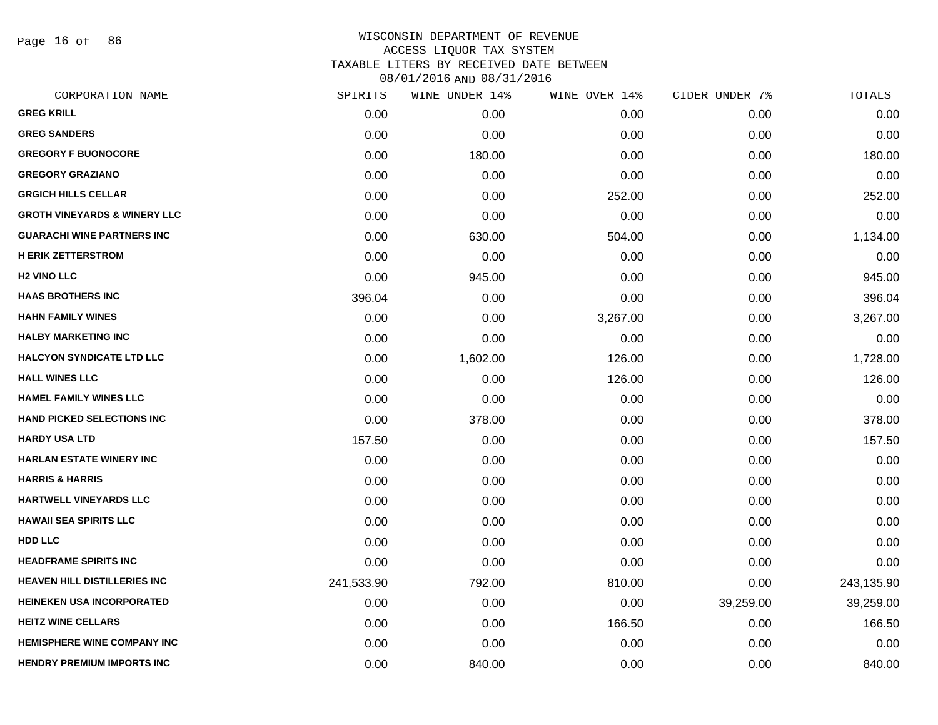Page 16 of 86

| CORPORATION NAME                        | SPIRITS    | WINE UNDER 14% | WINE OVER 14% | CIDER UNDER 7% | TOTALS     |
|-----------------------------------------|------------|----------------|---------------|----------------|------------|
| <b>GREG KRILL</b>                       | 0.00       | 0.00           | 0.00          | 0.00           | 0.00       |
| <b>GREG SANDERS</b>                     | 0.00       | 0.00           | 0.00          | 0.00           | 0.00       |
| <b>GREGORY F BUONOCORE</b>              | 0.00       | 180.00         | 0.00          | 0.00           | 180.00     |
| <b>GREGORY GRAZIANO</b>                 | 0.00       | 0.00           | 0.00          | 0.00           | 0.00       |
| <b>GRGICH HILLS CELLAR</b>              | 0.00       | 0.00           | 252.00        | 0.00           | 252.00     |
| <b>GROTH VINEYARDS &amp; WINERY LLC</b> | 0.00       | 0.00           | 0.00          | 0.00           | 0.00       |
| <b>GUARACHI WINE PARTNERS INC</b>       | 0.00       | 630.00         | 504.00        | 0.00           | 1,134.00   |
| <b>H ERIK ZETTERSTROM</b>               | 0.00       | 0.00           | 0.00          | 0.00           | 0.00       |
| <b>H2 VINO LLC</b>                      | 0.00       | 945.00         | 0.00          | 0.00           | 945.00     |
| <b>HAAS BROTHERS INC</b>                | 396.04     | 0.00           | 0.00          | 0.00           | 396.04     |
| <b>HAHN FAMILY WINES</b>                | 0.00       | 0.00           | 3,267.00      | 0.00           | 3,267.00   |
| <b>HALBY MARKETING INC</b>              | 0.00       | 0.00           | 0.00          | 0.00           | 0.00       |
| <b>HALCYON SYNDICATE LTD LLC</b>        | 0.00       | 1,602.00       | 126.00        | 0.00           | 1,728.00   |
| <b>HALL WINES LLC</b>                   | 0.00       | 0.00           | 126.00        | 0.00           | 126.00     |
| <b>HAMEL FAMILY WINES LLC</b>           | 0.00       | 0.00           | 0.00          | 0.00           | 0.00       |
| <b>HAND PICKED SELECTIONS INC</b>       | 0.00       | 378.00         | 0.00          | 0.00           | 378.00     |
| <b>HARDY USA LTD</b>                    | 157.50     | 0.00           | 0.00          | 0.00           | 157.50     |
| <b>HARLAN ESTATE WINERY INC</b>         | 0.00       | 0.00           | 0.00          | 0.00           | 0.00       |
| <b>HARRIS &amp; HARRIS</b>              | 0.00       | 0.00           | 0.00          | 0.00           | 0.00       |
| HARTWELL VINEYARDS LLC                  | 0.00       | 0.00           | 0.00          | 0.00           | 0.00       |
| <b>HAWAII SEA SPIRITS LLC</b>           | 0.00       | 0.00           | 0.00          | 0.00           | 0.00       |
| <b>HDD LLC</b>                          | 0.00       | 0.00           | 0.00          | 0.00           | 0.00       |
| <b>HEADFRAME SPIRITS INC</b>            | 0.00       | 0.00           | 0.00          | 0.00           | 0.00       |
| <b>HEAVEN HILL DISTILLERIES INC</b>     | 241,533.90 | 792.00         | 810.00        | 0.00           | 243,135.90 |
| <b>HEINEKEN USA INCORPORATED</b>        | 0.00       | 0.00           | 0.00          | 39,259.00      | 39,259.00  |
| <b>HEITZ WINE CELLARS</b>               | 0.00       | 0.00           | 166.50        | 0.00           | 166.50     |
| <b>HEMISPHERE WINE COMPANY INC</b>      | 0.00       | 0.00           | 0.00          | 0.00           | 0.00       |
| <b>HENDRY PREMIUM IMPORTS INC</b>       | 0.00       | 840.00         | 0.00          | 0.00           | 840.00     |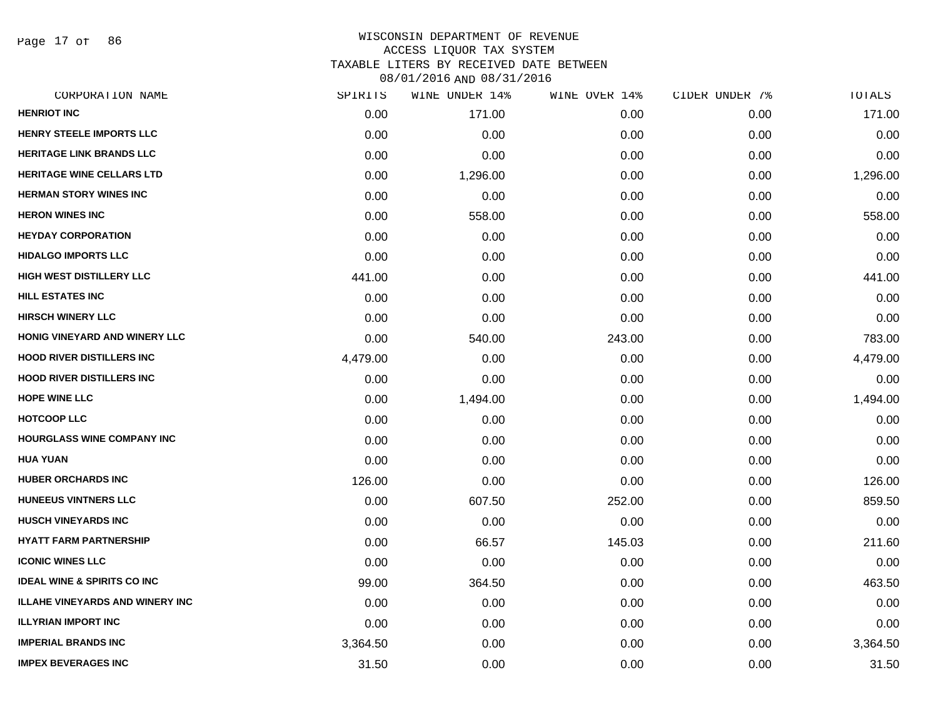Page 17 of 86

| SPIRITS  | WINE UNDER 14% | WINE OVER 14% | CIDER UNDER 7% | TOTALS   |
|----------|----------------|---------------|----------------|----------|
| 0.00     | 171.00         | 0.00          | 0.00           | 171.00   |
| 0.00     | 0.00           | 0.00          | 0.00           | 0.00     |
| 0.00     | 0.00           | 0.00          | 0.00           | 0.00     |
| 0.00     | 1,296.00       | 0.00          | 0.00           | 1,296.00 |
| 0.00     | 0.00           | 0.00          | 0.00           | 0.00     |
| 0.00     | 558.00         | 0.00          | 0.00           | 558.00   |
| 0.00     | 0.00           | 0.00          | 0.00           | 0.00     |
| 0.00     | 0.00           | 0.00          | 0.00           | 0.00     |
| 441.00   | 0.00           | 0.00          | 0.00           | 441.00   |
| 0.00     | 0.00           | 0.00          | 0.00           | 0.00     |
| 0.00     | 0.00           | 0.00          | 0.00           | 0.00     |
| 0.00     | 540.00         | 243.00        | 0.00           | 783.00   |
| 4,479.00 | 0.00           | 0.00          | 0.00           | 4,479.00 |
| 0.00     | 0.00           | 0.00          | 0.00           | 0.00     |
| 0.00     | 1,494.00       | 0.00          | 0.00           | 1,494.00 |
| 0.00     | 0.00           | 0.00          | 0.00           | 0.00     |
| 0.00     | 0.00           | 0.00          | 0.00           | 0.00     |
| 0.00     | 0.00           | 0.00          | 0.00           | 0.00     |
| 126.00   | 0.00           | 0.00          | 0.00           | 126.00   |
| 0.00     | 607.50         | 252.00        | 0.00           | 859.50   |
| 0.00     | 0.00           | 0.00          | 0.00           | 0.00     |
| 0.00     | 66.57          | 145.03        | 0.00           | 211.60   |
| 0.00     | 0.00           | 0.00          | 0.00           | 0.00     |
| 99.00    | 364.50         | 0.00          | 0.00           | 463.50   |
| 0.00     | 0.00           | 0.00          | 0.00           | 0.00     |
| 0.00     | 0.00           | 0.00          | 0.00           | 0.00     |
| 3,364.50 | 0.00           | 0.00          | 0.00           | 3,364.50 |
| 31.50    | 0.00           | 0.00          | 0.00           | 31.50    |
|          |                |               |                |          |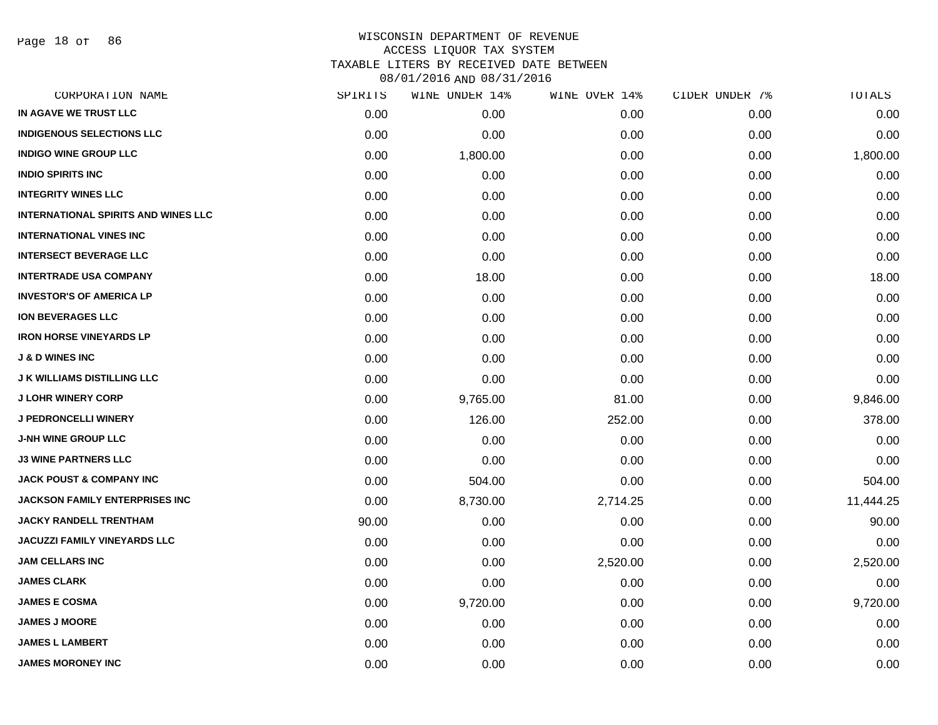Page 18 of 86

### WISCONSIN DEPARTMENT OF REVENUE ACCESS LIQUOR TAX SYSTEM

TAXABLE LITERS BY RECEIVED DATE BETWEEN

| CORPORATION NAME                           | SPIRITS | WINE UNDER 14% | WINE OVER 14% | CIDER UNDER 7% | TOTALS    |
|--------------------------------------------|---------|----------------|---------------|----------------|-----------|
| IN AGAVE WE TRUST LLC                      | 0.00    | 0.00           | 0.00          | 0.00           | 0.00      |
| <b>INDIGENOUS SELECTIONS LLC</b>           | 0.00    | 0.00           | 0.00          | 0.00           | 0.00      |
| <b>INDIGO WINE GROUP LLC</b>               | 0.00    | 1,800.00       | 0.00          | 0.00           | 1,800.00  |
| <b>INDIO SPIRITS INC</b>                   | 0.00    | 0.00           | 0.00          | 0.00           | 0.00      |
| <b>INTEGRITY WINES LLC</b>                 | 0.00    | 0.00           | 0.00          | 0.00           | 0.00      |
| <b>INTERNATIONAL SPIRITS AND WINES LLC</b> | 0.00    | 0.00           | 0.00          | 0.00           | 0.00      |
| <b>INTERNATIONAL VINES INC</b>             | 0.00    | 0.00           | 0.00          | 0.00           | 0.00      |
| <b>INTERSECT BEVERAGE LLC</b>              | 0.00    | 0.00           | 0.00          | 0.00           | 0.00      |
| <b>INTERTRADE USA COMPANY</b>              | 0.00    | 18.00          | 0.00          | 0.00           | 18.00     |
| <b>INVESTOR'S OF AMERICA LP</b>            | 0.00    | 0.00           | 0.00          | 0.00           | 0.00      |
| <b>ION BEVERAGES LLC</b>                   | 0.00    | 0.00           | 0.00          | 0.00           | 0.00      |
| <b>IRON HORSE VINEYARDS LP</b>             | 0.00    | 0.00           | 0.00          | 0.00           | 0.00      |
| <b>J &amp; D WINES INC</b>                 | 0.00    | 0.00           | 0.00          | 0.00           | 0.00      |
| <b>J K WILLIAMS DISTILLING LLC</b>         | 0.00    | 0.00           | 0.00          | 0.00           | 0.00      |
| <b>J LOHR WINERY CORP</b>                  | 0.00    | 9,765.00       | 81.00         | 0.00           | 9,846.00  |
| <b>J PEDRONCELLI WINERY</b>                | 0.00    | 126.00         | 252.00        | 0.00           | 378.00    |
| J-NH WINE GROUP LLC                        | 0.00    | 0.00           | 0.00          | 0.00           | 0.00      |
| <b>J3 WINE PARTNERS LLC</b>                | 0.00    | 0.00           | 0.00          | 0.00           | 0.00      |
| <b>JACK POUST &amp; COMPANY INC</b>        | 0.00    | 504.00         | 0.00          | 0.00           | 504.00    |
| <b>JACKSON FAMILY ENTERPRISES INC</b>      | 0.00    | 8,730.00       | 2,714.25      | 0.00           | 11,444.25 |
| <b>JACKY RANDELL TRENTHAM</b>              | 90.00   | 0.00           | 0.00          | 0.00           | 90.00     |
| <b>JACUZZI FAMILY VINEYARDS LLC</b>        | 0.00    | 0.00           | 0.00          | 0.00           | 0.00      |
| <b>JAM CELLARS INC</b>                     | 0.00    | 0.00           | 2,520.00      | 0.00           | 2,520.00  |
| <b>JAMES CLARK</b>                         | 0.00    | 0.00           | 0.00          | 0.00           | 0.00      |
| <b>JAMES E COSMA</b>                       | 0.00    | 9,720.00       | 0.00          | 0.00           | 9,720.00  |
| <b>JAMES J MOORE</b>                       | 0.00    | 0.00           | 0.00          | 0.00           | 0.00      |
| <b>JAMES L LAMBERT</b>                     | 0.00    | 0.00           | 0.00          | 0.00           | 0.00      |
| <b>JAMES MORONEY INC</b>                   | 0.00    | 0.00           | 0.00          | 0.00           | 0.00      |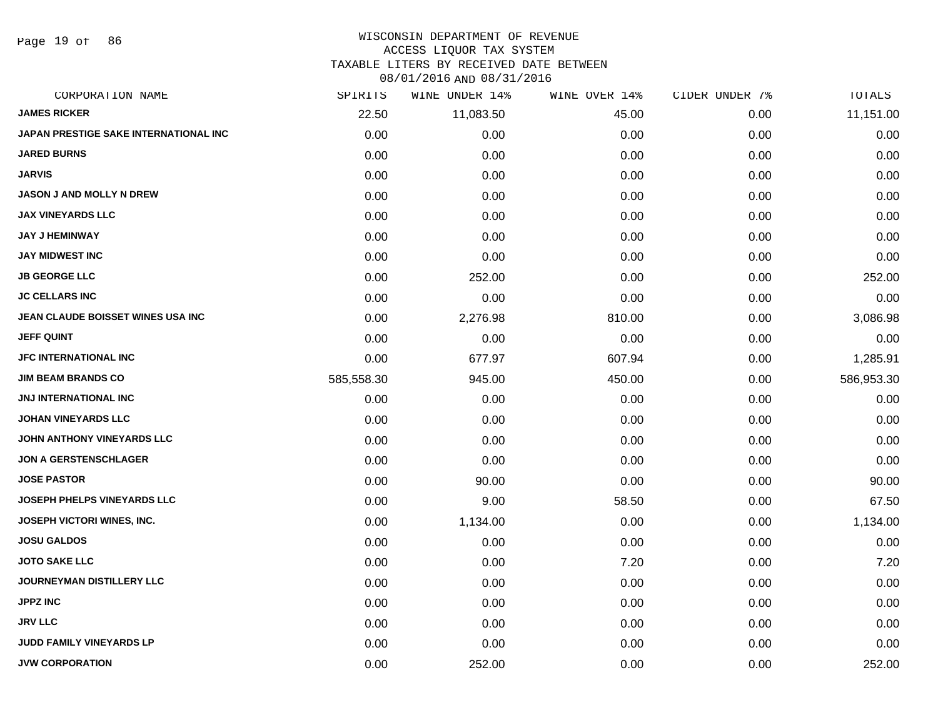Page 19 of 86

# WISCONSIN DEPARTMENT OF REVENUE

# ACCESS LIQUOR TAX SYSTEM

TAXABLE LITERS BY RECEIVED DATE BETWEEN

| CORPORATION NAME                      | SPIRITS    | WINE UNDER 14% | WINE OVER 14% | CIDER UNDER 7% | TOTALS     |
|---------------------------------------|------------|----------------|---------------|----------------|------------|
| <b>JAMES RICKER</b>                   | 22.50      | 11,083.50      | 45.00         | 0.00           | 11,151.00  |
| JAPAN PRESTIGE SAKE INTERNATIONAL INC | 0.00       | 0.00           | 0.00          | 0.00           | 0.00       |
| <b>JARED BURNS</b>                    | 0.00       | 0.00           | 0.00          | 0.00           | 0.00       |
| <b>JARVIS</b>                         | 0.00       | 0.00           | 0.00          | 0.00           | 0.00       |
| <b>JASON J AND MOLLY N DREW</b>       | 0.00       | 0.00           | 0.00          | 0.00           | 0.00       |
| <b>JAX VINEYARDS LLC</b>              | 0.00       | 0.00           | 0.00          | 0.00           | 0.00       |
| <b>JAY J HEMINWAY</b>                 | 0.00       | 0.00           | 0.00          | 0.00           | 0.00       |
| <b>JAY MIDWEST INC</b>                | 0.00       | 0.00           | 0.00          | 0.00           | 0.00       |
| <b>JB GEORGE LLC</b>                  | 0.00       | 252.00         | 0.00          | 0.00           | 252.00     |
| <b>JC CELLARS INC</b>                 | 0.00       | 0.00           | 0.00          | 0.00           | 0.00       |
| JEAN CLAUDE BOISSET WINES USA INC     | 0.00       | 2,276.98       | 810.00        | 0.00           | 3,086.98   |
| <b>JEFF QUINT</b>                     | 0.00       | 0.00           | 0.00          | 0.00           | 0.00       |
| <b>JFC INTERNATIONAL INC</b>          | 0.00       | 677.97         | 607.94        | 0.00           | 1,285.91   |
| <b>JIM BEAM BRANDS CO</b>             | 585,558.30 | 945.00         | 450.00        | 0.00           | 586,953.30 |
| <b>JNJ INTERNATIONAL INC</b>          | 0.00       | 0.00           | 0.00          | 0.00           | 0.00       |
| <b>JOHAN VINEYARDS LLC</b>            | 0.00       | 0.00           | 0.00          | 0.00           | 0.00       |
| JOHN ANTHONY VINEYARDS LLC            | 0.00       | 0.00           | 0.00          | 0.00           | 0.00       |
| <b>JON A GERSTENSCHLAGER</b>          | 0.00       | 0.00           | 0.00          | 0.00           | 0.00       |
| <b>JOSE PASTOR</b>                    | 0.00       | 90.00          | 0.00          | 0.00           | 90.00      |
| <b>JOSEPH PHELPS VINEYARDS LLC</b>    | 0.00       | 9.00           | 58.50         | 0.00           | 67.50      |
| JOSEPH VICTORI WINES, INC.            | 0.00       | 1,134.00       | 0.00          | 0.00           | 1,134.00   |
| <b>JOSU GALDOS</b>                    | 0.00       | 0.00           | 0.00          | 0.00           | 0.00       |
| <b>JOTO SAKE LLC</b>                  | 0.00       | 0.00           | 7.20          | 0.00           | 7.20       |
| JOURNEYMAN DISTILLERY LLC             | 0.00       | 0.00           | 0.00          | 0.00           | 0.00       |
| <b>JPPZ INC</b>                       | 0.00       | 0.00           | 0.00          | 0.00           | 0.00       |
| <b>JRV LLC</b>                        | 0.00       | 0.00           | 0.00          | 0.00           | 0.00       |
| JUDD FAMILY VINEYARDS LP              | 0.00       | 0.00           | 0.00          | 0.00           | 0.00       |
| <b>JVW CORPORATION</b>                | 0.00       | 252.00         | 0.00          | 0.00           | 252.00     |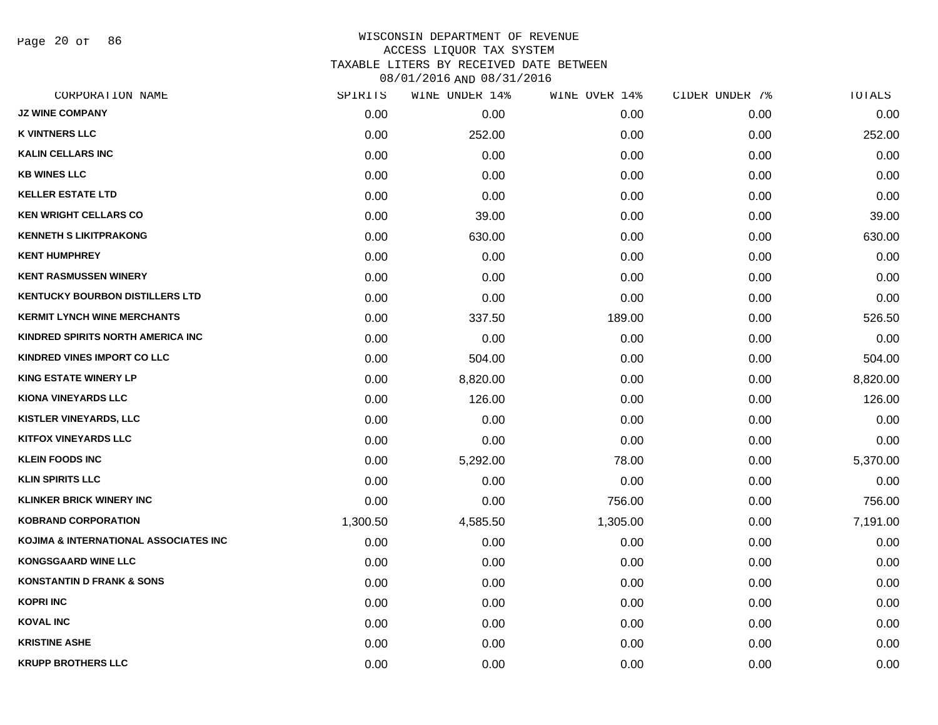Page 20 of 86

| CORPORATION NAME                       | SPIRITS  | WINE UNDER 14% | WINE OVER 14% | CIDER UNDER 7% | TOTALS   |
|----------------------------------------|----------|----------------|---------------|----------------|----------|
| <b>JZ WINE COMPANY</b>                 | 0.00     | 0.00           | 0.00          | 0.00           | 0.00     |
| <b>K VINTNERS LLC</b>                  | 0.00     | 252.00         | 0.00          | 0.00           | 252.00   |
| <b>KALIN CELLARS INC</b>               | 0.00     | 0.00           | 0.00          | 0.00           | 0.00     |
| <b>KB WINES LLC</b>                    | 0.00     | 0.00           | 0.00          | 0.00           | 0.00     |
| <b>KELLER ESTATE LTD</b>               | 0.00     | 0.00           | 0.00          | 0.00           | 0.00     |
| <b>KEN WRIGHT CELLARS CO</b>           | 0.00     | 39.00          | 0.00          | 0.00           | 39.00    |
| <b>KENNETH S LIKITPRAKONG</b>          | 0.00     | 630.00         | 0.00          | 0.00           | 630.00   |
| <b>KENT HUMPHREY</b>                   | 0.00     | 0.00           | 0.00          | 0.00           | 0.00     |
| <b>KENT RASMUSSEN WINERY</b>           | 0.00     | 0.00           | 0.00          | 0.00           | 0.00     |
| <b>KENTUCKY BOURBON DISTILLERS LTD</b> | 0.00     | 0.00           | 0.00          | 0.00           | 0.00     |
| <b>KERMIT LYNCH WINE MERCHANTS</b>     | 0.00     | 337.50         | 189.00        | 0.00           | 526.50   |
| KINDRED SPIRITS NORTH AMERICA INC      | 0.00     | 0.00           | 0.00          | 0.00           | 0.00     |
| KINDRED VINES IMPORT CO LLC            | 0.00     | 504.00         | 0.00          | 0.00           | 504.00   |
| <b>KING ESTATE WINERY LP</b>           | 0.00     | 8,820.00       | 0.00          | 0.00           | 8,820.00 |
| KIONA VINEYARDS LLC                    | 0.00     | 126.00         | 0.00          | 0.00           | 126.00   |
| <b>KISTLER VINEYARDS, LLC</b>          | 0.00     | 0.00           | 0.00          | 0.00           | 0.00     |
| <b>KITFOX VINEYARDS LLC</b>            | 0.00     | 0.00           | 0.00          | 0.00           | 0.00     |
| <b>KLEIN FOODS INC</b>                 | 0.00     | 5,292.00       | 78.00         | 0.00           | 5,370.00 |
| <b>KLIN SPIRITS LLC</b>                | 0.00     | 0.00           | 0.00          | 0.00           | 0.00     |
| <b>KLINKER BRICK WINERY INC</b>        | 0.00     | 0.00           | 756.00        | 0.00           | 756.00   |
| <b>KOBRAND CORPORATION</b>             | 1,300.50 | 4,585.50       | 1,305.00      | 0.00           | 7,191.00 |
| KOJIMA & INTERNATIONAL ASSOCIATES INC  | 0.00     | 0.00           | 0.00          | 0.00           | 0.00     |
| <b>KONGSGAARD WINE LLC</b>             | 0.00     | 0.00           | 0.00          | 0.00           | 0.00     |
| <b>KONSTANTIN D FRANK &amp; SONS</b>   | 0.00     | 0.00           | 0.00          | 0.00           | 0.00     |
| <b>KOPRI INC</b>                       | 0.00     | 0.00           | 0.00          | 0.00           | 0.00     |
| <b>KOVAL INC</b>                       | 0.00     | 0.00           | 0.00          | 0.00           | 0.00     |
| <b>KRISTINE ASHE</b>                   | 0.00     | 0.00           | 0.00          | 0.00           | 0.00     |
| <b>KRUPP BROTHERS LLC</b>              | 0.00     | 0.00           | 0.00          | 0.00           | 0.00     |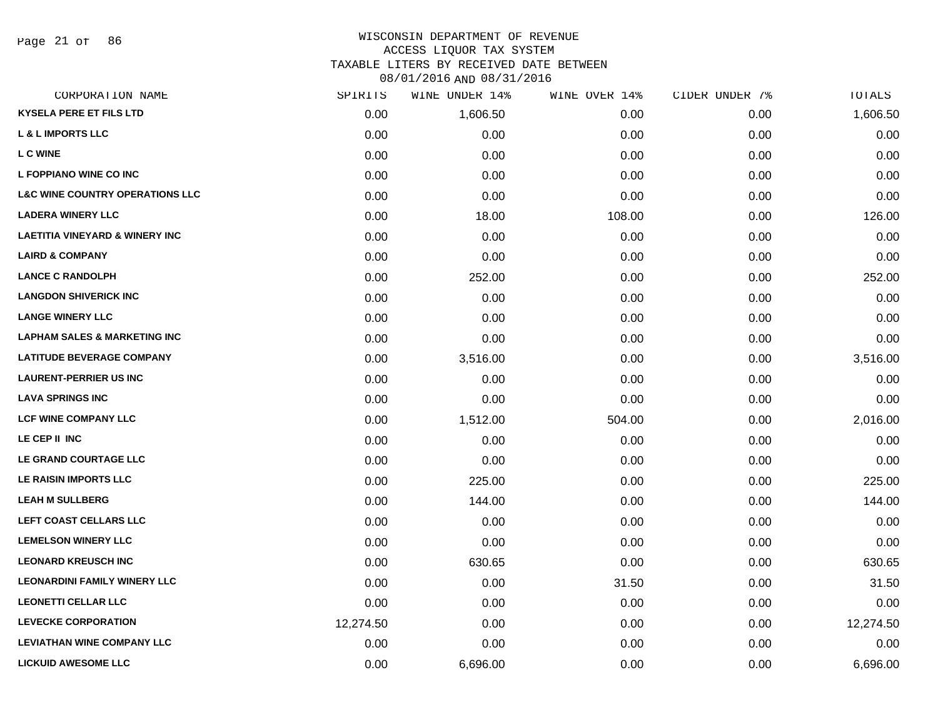### WISCONSIN DEPARTMENT OF REVENUE ACCESS LIQUOR TAX SYSTEM

TAXABLE LITERS BY RECEIVED DATE BETWEEN

| CORPORATION NAME                           | SPIRITS   | WINE UNDER 14% | WINE OVER 14% | CIDER UNDER 7% | TOTALS    |
|--------------------------------------------|-----------|----------------|---------------|----------------|-----------|
| <b>KYSELA PERE ET FILS LTD</b>             | 0.00      | 1,606.50       | 0.00          | 0.00           | 1,606.50  |
| <b>L &amp; L IMPORTS LLC</b>               | 0.00      | 0.00           | 0.00          | 0.00           | 0.00      |
| L C WINE                                   | 0.00      | 0.00           | 0.00          | 0.00           | 0.00      |
| L FOPPIANO WINE CO INC                     | 0.00      | 0.00           | 0.00          | 0.00           | 0.00      |
| <b>L&amp;C WINE COUNTRY OPERATIONS LLC</b> | 0.00      | 0.00           | 0.00          | 0.00           | 0.00      |
| <b>LADERA WINERY LLC</b>                   | 0.00      | 18.00          | 108.00        | 0.00           | 126.00    |
| <b>LAETITIA VINEYARD &amp; WINERY INC</b>  | 0.00      | 0.00           | 0.00          | 0.00           | 0.00      |
| <b>LAIRD &amp; COMPANY</b>                 | 0.00      | 0.00           | 0.00          | 0.00           | 0.00      |
| <b>LANCE C RANDOLPH</b>                    | 0.00      | 252.00         | 0.00          | 0.00           | 252.00    |
| <b>LANGDON SHIVERICK INC</b>               | 0.00      | 0.00           | 0.00          | 0.00           | 0.00      |
| <b>LANGE WINERY LLC</b>                    | 0.00      | 0.00           | 0.00          | 0.00           | 0.00      |
| <b>LAPHAM SALES &amp; MARKETING INC</b>    | 0.00      | 0.00           | 0.00          | 0.00           | 0.00      |
| <b>LATITUDE BEVERAGE COMPANY</b>           | 0.00      | 3,516.00       | 0.00          | 0.00           | 3,516.00  |
| <b>LAURENT-PERRIER US INC</b>              | 0.00      | 0.00           | 0.00          | 0.00           | 0.00      |
| <b>LAVA SPRINGS INC</b>                    | 0.00      | 0.00           | 0.00          | 0.00           | 0.00      |
| <b>LCF WINE COMPANY LLC</b>                | 0.00      | 1,512.00       | 504.00        | 0.00           | 2,016.00  |
| LE CEP II INC                              | 0.00      | 0.00           | 0.00          | 0.00           | 0.00      |
| LE GRAND COURTAGE LLC                      | 0.00      | 0.00           | 0.00          | 0.00           | 0.00      |
| LE RAISIN IMPORTS LLC                      | 0.00      | 225.00         | 0.00          | 0.00           | 225.00    |
| <b>LEAH M SULLBERG</b>                     | 0.00      | 144.00         | 0.00          | 0.00           | 144.00    |
| LEFT COAST CELLARS LLC                     | 0.00      | 0.00           | 0.00          | 0.00           | 0.00      |
| <b>LEMELSON WINERY LLC</b>                 | 0.00      | 0.00           | 0.00          | 0.00           | 0.00      |
| <b>LEONARD KREUSCH INC</b>                 | 0.00      | 630.65         | 0.00          | 0.00           | 630.65    |
| <b>LEONARDINI FAMILY WINERY LLC</b>        | 0.00      | 0.00           | 31.50         | 0.00           | 31.50     |
| <b>LEONETTI CELLAR LLC</b>                 | 0.00      | 0.00           | 0.00          | 0.00           | 0.00      |
| <b>LEVECKE CORPORATION</b>                 | 12,274.50 | 0.00           | 0.00          | 0.00           | 12,274.50 |
| <b>LEVIATHAN WINE COMPANY LLC</b>          | 0.00      | 0.00           | 0.00          | 0.00           | 0.00      |
| <b>LICKUID AWESOME LLC</b>                 | 0.00      | 6,696.00       | 0.00          | 0.00           | 6,696.00  |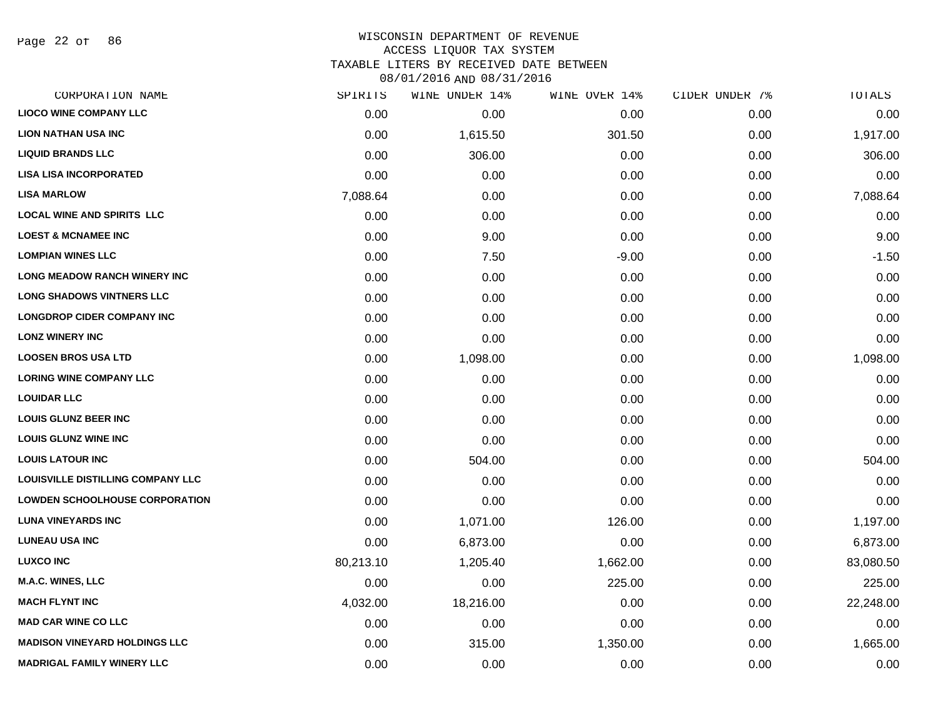Page 22 of 86

# WISCONSIN DEPARTMENT OF REVENUE ACCESS LIQUOR TAX SYSTEM

TAXABLE LITERS BY RECEIVED DATE BETWEEN

| CORPORATION NAME                      | SPIRITS   | WINE UNDER 14% | WINE OVER 14% | CIDER UNDER 7% | TOTALS    |
|---------------------------------------|-----------|----------------|---------------|----------------|-----------|
| <b>LIOCO WINE COMPANY LLC</b>         | 0.00      | 0.00           | 0.00          | 0.00           | 0.00      |
| <b>LION NATHAN USA INC</b>            | 0.00      | 1,615.50       | 301.50        | 0.00           | 1,917.00  |
| <b>LIQUID BRANDS LLC</b>              | 0.00      | 306.00         | 0.00          | 0.00           | 306.00    |
| <b>LISA LISA INCORPORATED</b>         | 0.00      | 0.00           | 0.00          | 0.00           | 0.00      |
| <b>LISA MARLOW</b>                    | 7,088.64  | 0.00           | 0.00          | 0.00           | 7,088.64  |
| <b>LOCAL WINE AND SPIRITS LLC</b>     | 0.00      | 0.00           | 0.00          | 0.00           | 0.00      |
| <b>LOEST &amp; MCNAMEE INC</b>        | 0.00      | 9.00           | 0.00          | 0.00           | 9.00      |
| <b>LOMPIAN WINES LLC</b>              | 0.00      | 7.50           | $-9.00$       | 0.00           | $-1.50$   |
| <b>LONG MEADOW RANCH WINERY INC</b>   | 0.00      | 0.00           | 0.00          | 0.00           | 0.00      |
| <b>LONG SHADOWS VINTNERS LLC</b>      | 0.00      | 0.00           | 0.00          | 0.00           | 0.00      |
| <b>LONGDROP CIDER COMPANY INC</b>     | 0.00      | 0.00           | 0.00          | 0.00           | 0.00      |
| <b>LONZ WINERY INC</b>                | 0.00      | 0.00           | 0.00          | 0.00           | 0.00      |
| <b>LOOSEN BROS USA LTD</b>            | 0.00      | 1,098.00       | 0.00          | 0.00           | 1,098.00  |
| <b>LORING WINE COMPANY LLC</b>        | 0.00      | 0.00           | 0.00          | 0.00           | 0.00      |
| <b>LOUIDAR LLC</b>                    | 0.00      | 0.00           | 0.00          | 0.00           | 0.00      |
| <b>LOUIS GLUNZ BEER INC</b>           | 0.00      | 0.00           | 0.00          | 0.00           | 0.00      |
| <b>LOUIS GLUNZ WINE INC</b>           | 0.00      | 0.00           | 0.00          | 0.00           | 0.00      |
| <b>LOUIS LATOUR INC</b>               | 0.00      | 504.00         | 0.00          | 0.00           | 504.00    |
| LOUISVILLE DISTILLING COMPANY LLC     | 0.00      | 0.00           | 0.00          | 0.00           | 0.00      |
| <b>LOWDEN SCHOOLHOUSE CORPORATION</b> | 0.00      | 0.00           | 0.00          | 0.00           | 0.00      |
| <b>LUNA VINEYARDS INC</b>             | 0.00      | 1,071.00       | 126.00        | 0.00           | 1,197.00  |
| <b>LUNEAU USA INC</b>                 | 0.00      | 6,873.00       | 0.00          | 0.00           | 6,873.00  |
| <b>LUXCO INC</b>                      | 80,213.10 | 1,205.40       | 1,662.00      | 0.00           | 83,080.50 |
| <b>M.A.C. WINES, LLC</b>              | 0.00      | 0.00           | 225.00        | 0.00           | 225.00    |
| <b>MACH FLYNT INC</b>                 | 4,032.00  | 18,216.00      | 0.00          | 0.00           | 22,248.00 |
| <b>MAD CAR WINE CO LLC</b>            | 0.00      | 0.00           | 0.00          | 0.00           | 0.00      |
| <b>MADISON VINEYARD HOLDINGS LLC</b>  | 0.00      | 315.00         | 1,350.00      | 0.00           | 1,665.00  |
| <b>MADRIGAL FAMILY WINERY LLC</b>     | 0.00      | 0.00           | 0.00          | 0.00           | 0.00      |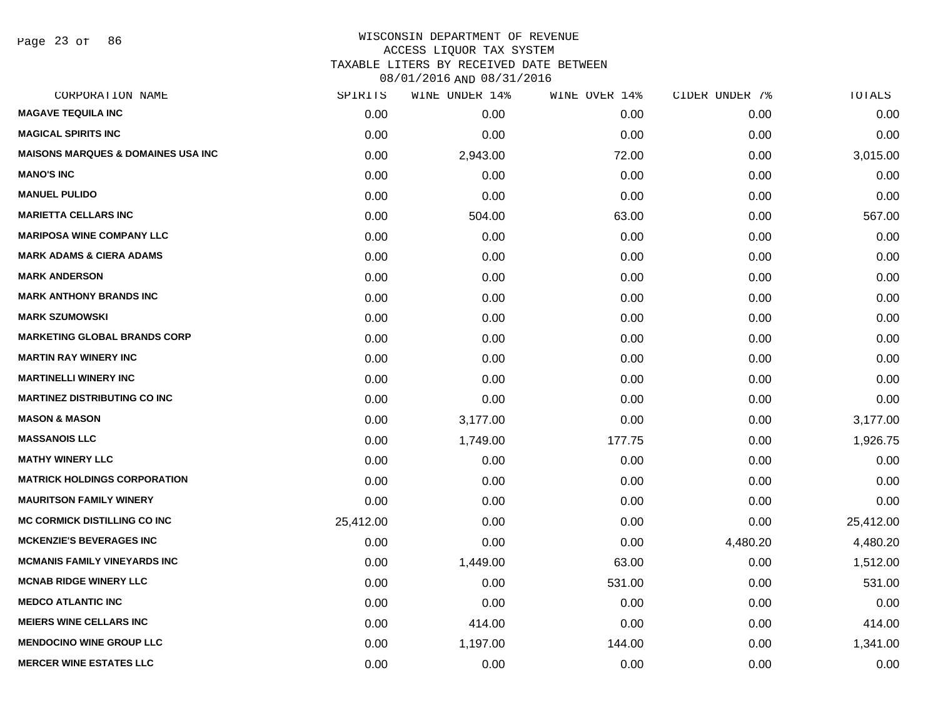Page 23 of 86

# WISCONSIN DEPARTMENT OF REVENUE ACCESS LIQUOR TAX SYSTEM TAXABLE LITERS BY RECEIVED DATE BETWEEN

| CORPORATION NAME                              | SPIRITS   | WINE UNDER 14% | WINE OVER 14% | CIDER UNDER 7% | TOTALS    |
|-----------------------------------------------|-----------|----------------|---------------|----------------|-----------|
| <b>MAGAVE TEQUILA INC</b>                     | 0.00      | 0.00           | 0.00          | 0.00           | 0.00      |
| <b>MAGICAL SPIRITS INC</b>                    | 0.00      | 0.00           | 0.00          | 0.00           | 0.00      |
| <b>MAISONS MARQUES &amp; DOMAINES USA INC</b> | 0.00      | 2,943.00       | 72.00         | 0.00           | 3,015.00  |
| <b>MANO'S INC</b>                             | 0.00      | 0.00           | 0.00          | 0.00           | 0.00      |
| <b>MANUEL PULIDO</b>                          | 0.00      | 0.00           | 0.00          | 0.00           | 0.00      |
| <b>MARIETTA CELLARS INC</b>                   | 0.00      | 504.00         | 63.00         | 0.00           | 567.00    |
| <b>MARIPOSA WINE COMPANY LLC</b>              | 0.00      | 0.00           | 0.00          | 0.00           | 0.00      |
| <b>MARK ADAMS &amp; CIERA ADAMS</b>           | 0.00      | 0.00           | 0.00          | 0.00           | 0.00      |
| <b>MARK ANDERSON</b>                          | 0.00      | 0.00           | 0.00          | 0.00           | 0.00      |
| <b>MARK ANTHONY BRANDS INC</b>                | 0.00      | 0.00           | 0.00          | 0.00           | 0.00      |
| <b>MARK SZUMOWSKI</b>                         | 0.00      | 0.00           | 0.00          | 0.00           | 0.00      |
| <b>MARKETING GLOBAL BRANDS CORP</b>           | 0.00      | 0.00           | 0.00          | 0.00           | 0.00      |
| <b>MARTIN RAY WINERY INC</b>                  | 0.00      | 0.00           | 0.00          | 0.00           | 0.00      |
| <b>MARTINELLI WINERY INC</b>                  | 0.00      | 0.00           | 0.00          | 0.00           | 0.00      |
| <b>MARTINEZ DISTRIBUTING CO INC</b>           | 0.00      | 0.00           | 0.00          | 0.00           | 0.00      |
| <b>MASON &amp; MASON</b>                      | 0.00      | 3,177.00       | 0.00          | 0.00           | 3,177.00  |
| <b>MASSANOIS LLC</b>                          | 0.00      | 1,749.00       | 177.75        | 0.00           | 1,926.75  |
| <b>MATHY WINERY LLC</b>                       | 0.00      | 0.00           | 0.00          | 0.00           | 0.00      |
| <b>MATRICK HOLDINGS CORPORATION</b>           | 0.00      | 0.00           | 0.00          | 0.00           | 0.00      |
| <b>MAURITSON FAMILY WINERY</b>                | 0.00      | 0.00           | 0.00          | 0.00           | 0.00      |
| <b>MC CORMICK DISTILLING CO INC</b>           | 25,412.00 | 0.00           | 0.00          | 0.00           | 25,412.00 |
| <b>MCKENZIE'S BEVERAGES INC</b>               | 0.00      | 0.00           | 0.00          | 4,480.20       | 4,480.20  |
| <b>MCMANIS FAMILY VINEYARDS INC</b>           | 0.00      | 1,449.00       | 63.00         | 0.00           | 1,512.00  |
| <b>MCNAB RIDGE WINERY LLC</b>                 | 0.00      | 0.00           | 531.00        | 0.00           | 531.00    |
| <b>MEDCO ATLANTIC INC</b>                     | 0.00      | 0.00           | 0.00          | 0.00           | 0.00      |
| <b>MEIERS WINE CELLARS INC</b>                | 0.00      | 414.00         | 0.00          | 0.00           | 414.00    |
| <b>MENDOCINO WINE GROUP LLC</b>               | 0.00      | 1,197.00       | 144.00        | 0.00           | 1,341.00  |
| <b>MERCER WINE ESTATES LLC</b>                | 0.00      | 0.00           | 0.00          | 0.00           | 0.00      |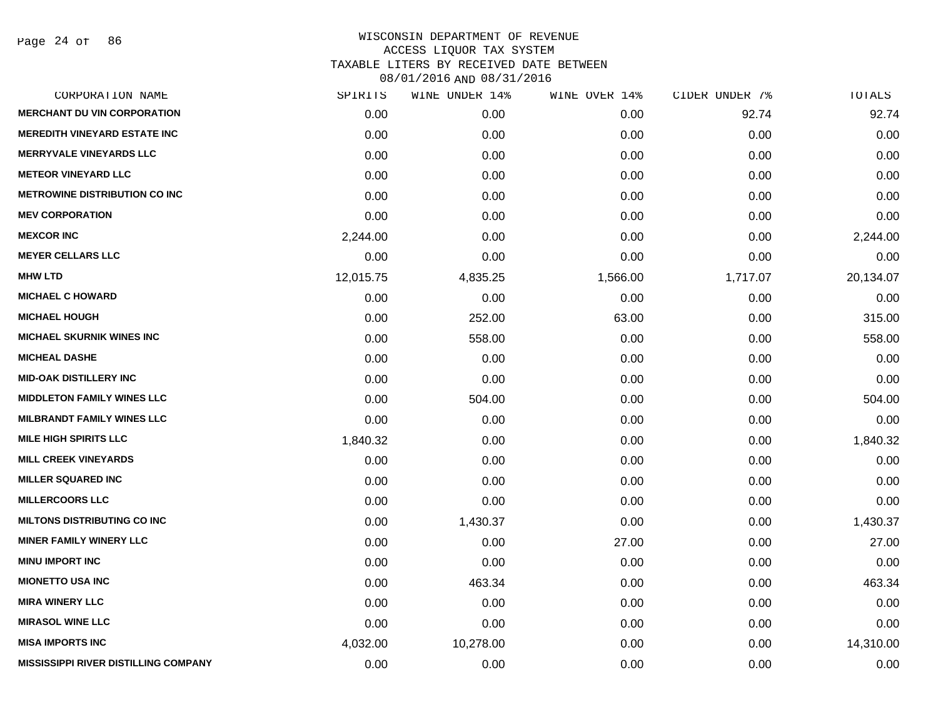Page 24 of 86

| SPIRITS   | WINE UNDER 14% | WINE OVER 14% | CIDER UNDER 7% | TOTALS    |
|-----------|----------------|---------------|----------------|-----------|
| 0.00      | 0.00           | 0.00          | 92.74          | 92.74     |
| 0.00      | 0.00           | 0.00          | 0.00           | 0.00      |
| 0.00      | 0.00           | 0.00          | 0.00           | 0.00      |
| 0.00      | 0.00           | 0.00          | 0.00           | 0.00      |
| 0.00      | 0.00           | 0.00          | 0.00           | 0.00      |
| 0.00      | 0.00           | 0.00          | 0.00           | 0.00      |
| 2,244.00  | 0.00           | 0.00          | 0.00           | 2,244.00  |
| 0.00      | 0.00           | 0.00          | 0.00           | 0.00      |
| 12,015.75 | 4,835.25       | 1,566.00      | 1,717.07       | 20,134.07 |
| 0.00      | 0.00           | 0.00          | 0.00           | 0.00      |
| 0.00      | 252.00         | 63.00         | 0.00           | 315.00    |
| 0.00      | 558.00         | 0.00          | 0.00           | 558.00    |
| 0.00      | 0.00           | 0.00          | 0.00           | 0.00      |
| 0.00      | 0.00           | 0.00          | 0.00           | 0.00      |
| 0.00      | 504.00         | 0.00          | 0.00           | 504.00    |
| 0.00      | 0.00           | 0.00          | 0.00           | 0.00      |
| 1,840.32  | 0.00           | 0.00          | 0.00           | 1,840.32  |
| 0.00      | 0.00           | 0.00          | 0.00           | 0.00      |
| 0.00      | 0.00           | 0.00          | 0.00           | 0.00      |
| 0.00      | 0.00           | 0.00          | 0.00           | 0.00      |
| 0.00      | 1,430.37       | 0.00          | 0.00           | 1,430.37  |
| 0.00      | 0.00           | 27.00         | 0.00           | 27.00     |
| 0.00      | 0.00           | 0.00          | 0.00           | 0.00      |
| 0.00      | 463.34         | 0.00          | 0.00           | 463.34    |
| 0.00      | 0.00           | 0.00          | 0.00           | 0.00      |
| 0.00      | 0.00           | 0.00          | 0.00           | 0.00      |
| 4,032.00  | 10,278.00      | 0.00          | 0.00           | 14,310.00 |
| 0.00      | 0.00           | 0.00          | 0.00           | 0.00      |
|           |                |               |                |           |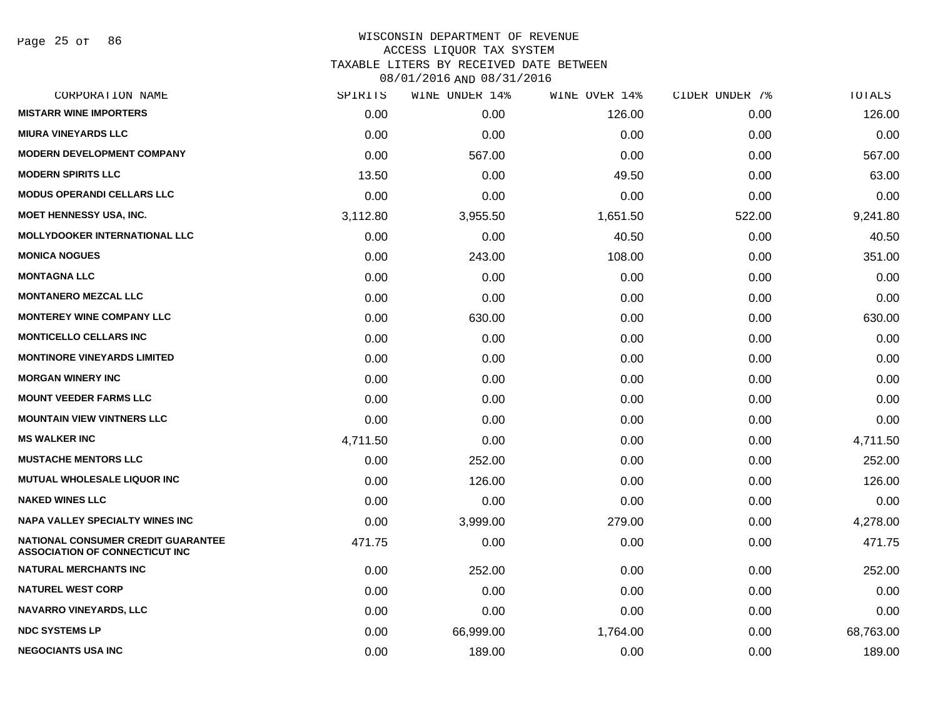Page 25 of 86

| CORPORATION NAME                                                                   | SPIRITS  | WINE UNDER 14% | WINE OVER 14% | CIDER UNDER 7% | TOTALS    |
|------------------------------------------------------------------------------------|----------|----------------|---------------|----------------|-----------|
| <b>MISTARR WINE IMPORTERS</b>                                                      | 0.00     | 0.00           | 126.00        | 0.00           | 126.00    |
| <b>MIURA VINEYARDS LLC</b>                                                         | 0.00     | 0.00           | 0.00          | 0.00           | 0.00      |
| <b>MODERN DEVELOPMENT COMPANY</b>                                                  | 0.00     | 567.00         | 0.00          | 0.00           | 567.00    |
| <b>MODERN SPIRITS LLC</b>                                                          | 13.50    | 0.00           | 49.50         | 0.00           | 63.00     |
| <b>MODUS OPERANDI CELLARS LLC</b>                                                  | 0.00     | 0.00           | 0.00          | 0.00           | 0.00      |
| <b>MOET HENNESSY USA, INC.</b>                                                     | 3,112.80 | 3,955.50       | 1,651.50      | 522.00         | 9,241.80  |
| <b>MOLLYDOOKER INTERNATIONAL LLC</b>                                               | 0.00     | 0.00           | 40.50         | 0.00           | 40.50     |
| <b>MONICA NOGUES</b>                                                               | 0.00     | 243.00         | 108.00        | 0.00           | 351.00    |
| <b>MONTAGNA LLC</b>                                                                | 0.00     | 0.00           | 0.00          | 0.00           | 0.00      |
| <b>MONTANERO MEZCAL LLC</b>                                                        | 0.00     | 0.00           | 0.00          | 0.00           | 0.00      |
| <b>MONTEREY WINE COMPANY LLC</b>                                                   | 0.00     | 630.00         | 0.00          | 0.00           | 630.00    |
| <b>MONTICELLO CELLARS INC.</b>                                                     | 0.00     | 0.00           | 0.00          | 0.00           | 0.00      |
| <b>MONTINORE VINEYARDS LIMITED</b>                                                 | 0.00     | 0.00           | 0.00          | 0.00           | 0.00      |
| <b>MORGAN WINERY INC</b>                                                           | 0.00     | 0.00           | 0.00          | 0.00           | 0.00      |
| <b>MOUNT VEEDER FARMS LLC</b>                                                      | 0.00     | 0.00           | 0.00          | 0.00           | 0.00      |
| <b>MOUNTAIN VIEW VINTNERS LLC</b>                                                  | 0.00     | 0.00           | 0.00          | 0.00           | 0.00      |
| <b>MS WALKER INC</b>                                                               | 4,711.50 | 0.00           | 0.00          | 0.00           | 4,711.50  |
| <b>MUSTACHE MENTORS LLC</b>                                                        | 0.00     | 252.00         | 0.00          | 0.00           | 252.00    |
| <b>MUTUAL WHOLESALE LIQUOR INC</b>                                                 | 0.00     | 126.00         | 0.00          | 0.00           | 126.00    |
| <b>NAKED WINES LLC</b>                                                             | 0.00     | 0.00           | 0.00          | 0.00           | 0.00      |
| <b>NAPA VALLEY SPECIALTY WINES INC</b>                                             | 0.00     | 3,999.00       | 279.00        | 0.00           | 4,278.00  |
| <b>NATIONAL CONSUMER CREDIT GUARANTEE</b><br><b>ASSOCIATION OF CONNECTICUT INC</b> | 471.75   | 0.00           | 0.00          | 0.00           | 471.75    |
| <b>NATURAL MERCHANTS INC</b>                                                       | 0.00     | 252.00         | 0.00          | 0.00           | 252.00    |
| <b>NATUREL WEST CORP</b>                                                           | 0.00     | 0.00           | 0.00          | 0.00           | 0.00      |
| NAVARRO VINEYARDS, LLC                                                             | 0.00     | 0.00           | 0.00          | 0.00           | 0.00      |
| <b>NDC SYSTEMS LP</b>                                                              | 0.00     | 66,999.00      | 1,764.00      | 0.00           | 68,763.00 |
| <b>NEGOCIANTS USA INC</b>                                                          | 0.00     | 189.00         | 0.00          | 0.00           | 189.00    |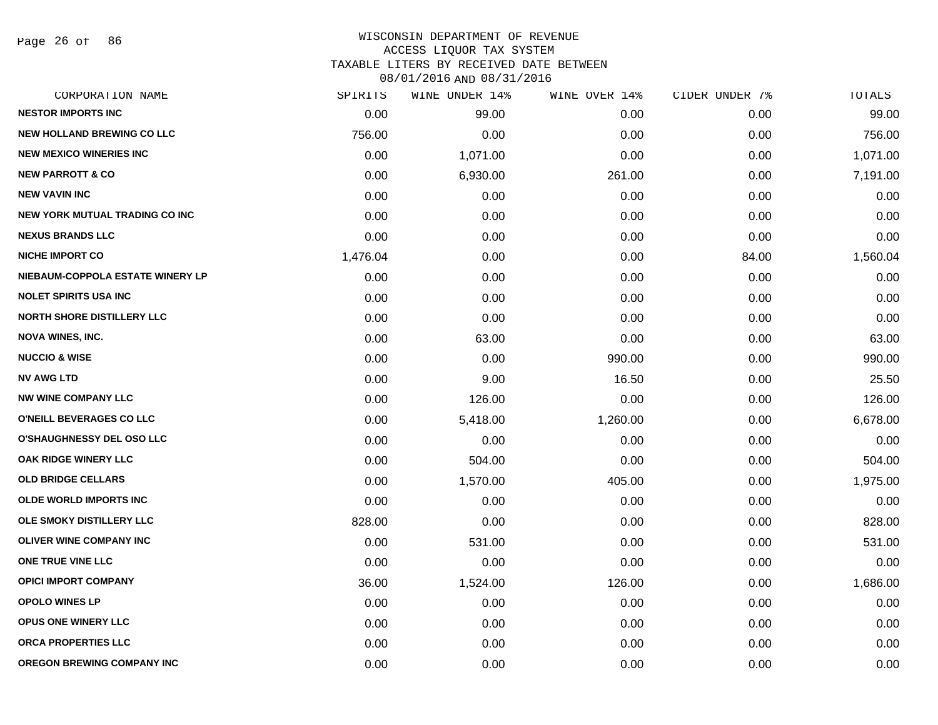Page 26 of 86

### WISCONSIN DEPARTMENT OF REVENUE ACCESS LIQUOR TAX SYSTEM TAXABLE LITERS BY RECEIVED DATE BETWEEN

| CORPORATION NAME                      | SPIRITS  | WINE UNDER 14% | WINE OVER 14% | CIDER UNDER 7% | TOTALS   |
|---------------------------------------|----------|----------------|---------------|----------------|----------|
| <b>NESTOR IMPORTS INC</b>             | 0.00     | 99.00          | 0.00          | 0.00           | 99.00    |
| <b>NEW HOLLAND BREWING CO LLC</b>     | 756.00   | 0.00           | 0.00          | 0.00           | 756.00   |
| <b>NEW MEXICO WINERIES INC</b>        | 0.00     | 1,071.00       | 0.00          | 0.00           | 1,071.00 |
| <b>NEW PARROTT &amp; CO</b>           | 0.00     | 6,930.00       | 261.00        | 0.00           | 7,191.00 |
| <b>NEW VAVIN INC</b>                  | 0.00     | 0.00           | 0.00          | 0.00           | 0.00     |
| <b>NEW YORK MUTUAL TRADING CO INC</b> | 0.00     | 0.00           | 0.00          | 0.00           | 0.00     |
| <b>NEXUS BRANDS LLC</b>               | 0.00     | 0.00           | 0.00          | 0.00           | 0.00     |
| <b>NICHE IMPORT CO</b>                | 1,476.04 | 0.00           | 0.00          | 84.00          | 1,560.04 |
| NIEBAUM-COPPOLA ESTATE WINERY LP      | 0.00     | 0.00           | 0.00          | 0.00           | 0.00     |
| <b>NOLET SPIRITS USA INC</b>          | 0.00     | 0.00           | 0.00          | 0.00           | 0.00     |
| NORTH SHORE DISTILLERY LLC            | 0.00     | 0.00           | 0.00          | 0.00           | 0.00     |
| <b>NOVA WINES, INC.</b>               | 0.00     | 63.00          | 0.00          | 0.00           | 63.00    |
| <b>NUCCIO &amp; WISE</b>              | 0.00     | 0.00           | 990.00        | 0.00           | 990.00   |
| <b>NV AWG LTD</b>                     | 0.00     | 9.00           | 16.50         | 0.00           | 25.50    |
| <b>NW WINE COMPANY LLC</b>            | 0.00     | 126.00         | 0.00          | 0.00           | 126.00   |
| O'NEILL BEVERAGES CO LLC              | 0.00     | 5,418.00       | 1,260.00      | 0.00           | 6,678.00 |
| <b>O'SHAUGHNESSY DEL OSO LLC</b>      | 0.00     | 0.00           | 0.00          | 0.00           | 0.00     |
| OAK RIDGE WINERY LLC                  | 0.00     | 504.00         | 0.00          | 0.00           | 504.00   |
| <b>OLD BRIDGE CELLARS</b>             | 0.00     | 1,570.00       | 405.00        | 0.00           | 1,975.00 |
| <b>OLDE WORLD IMPORTS INC</b>         | 0.00     | 0.00           | 0.00          | 0.00           | 0.00     |
| OLE SMOKY DISTILLERY LLC              | 828.00   | 0.00           | 0.00          | 0.00           | 828.00   |
| <b>OLIVER WINE COMPANY INC</b>        | 0.00     | 531.00         | 0.00          | 0.00           | 531.00   |
| ONE TRUE VINE LLC                     | 0.00     | 0.00           | 0.00          | 0.00           | 0.00     |
| <b>OPICI IMPORT COMPANY</b>           | 36.00    | 1,524.00       | 126.00        | 0.00           | 1,686.00 |
| <b>OPOLO WINES LP</b>                 | 0.00     | 0.00           | 0.00          | 0.00           | 0.00     |
| <b>OPUS ONE WINERY LLC</b>            | 0.00     | 0.00           | 0.00          | 0.00           | 0.00     |
| <b>ORCA PROPERTIES LLC</b>            | 0.00     | 0.00           | 0.00          | 0.00           | 0.00     |
| OREGON BREWING COMPANY INC            | 0.00     | 0.00           | 0.00          | 0.00           | 0.00     |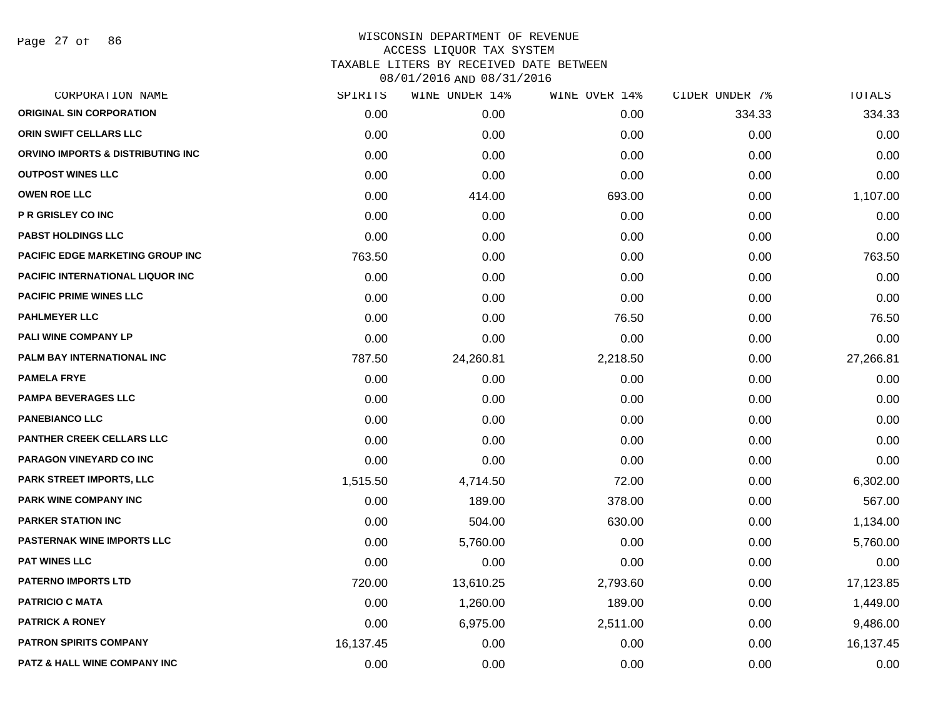Page 27 of 86

| CORPORATION NAME                        | SPIRITS   | WINE UNDER 14% | WINE OVER 14% | CIDER UNDER 7% | TOTALS    |
|-----------------------------------------|-----------|----------------|---------------|----------------|-----------|
| <b>ORIGINAL SIN CORPORATION</b>         | 0.00      | 0.00           | 0.00          | 334.33         | 334.33    |
| ORIN SWIFT CELLARS LLC                  | 0.00      | 0.00           | 0.00          | 0.00           | 0.00      |
| ORVINO IMPORTS & DISTRIBUTING INC       | 0.00      | 0.00           | 0.00          | 0.00           | 0.00      |
| <b>OUTPOST WINES LLC</b>                | 0.00      | 0.00           | 0.00          | 0.00           | 0.00      |
| <b>OWEN ROE LLC</b>                     | 0.00      | 414.00         | 693.00        | 0.00           | 1,107.00  |
| <b>P R GRISLEY CO INC</b>               | 0.00      | 0.00           | 0.00          | 0.00           | 0.00      |
| <b>PABST HOLDINGS LLC</b>               | 0.00      | 0.00           | 0.00          | 0.00           | 0.00      |
| <b>PACIFIC EDGE MARKETING GROUP INC</b> | 763.50    | 0.00           | 0.00          | 0.00           | 763.50    |
| <b>PACIFIC INTERNATIONAL LIQUOR INC</b> | 0.00      | 0.00           | 0.00          | 0.00           | 0.00      |
| <b>PACIFIC PRIME WINES LLC</b>          | 0.00      | 0.00           | 0.00          | 0.00           | 0.00      |
| <b>PAHLMEYER LLC</b>                    | 0.00      | 0.00           | 76.50         | 0.00           | 76.50     |
| PALI WINE COMPANY LP                    | 0.00      | 0.00           | 0.00          | 0.00           | 0.00      |
| PALM BAY INTERNATIONAL INC              | 787.50    | 24,260.81      | 2,218.50      | 0.00           | 27,266.81 |
| <b>PAMELA FRYE</b>                      | 0.00      | 0.00           | 0.00          | 0.00           | 0.00      |
| <b>PAMPA BEVERAGES LLC</b>              | 0.00      | 0.00           | 0.00          | 0.00           | 0.00      |
| <b>PANEBIANCO LLC</b>                   | 0.00      | 0.00           | 0.00          | 0.00           | 0.00      |
| <b>PANTHER CREEK CELLARS LLC</b>        | 0.00      | 0.00           | 0.00          | 0.00           | 0.00      |
| PARAGON VINEYARD CO INC                 | 0.00      | 0.00           | 0.00          | 0.00           | 0.00      |
| PARK STREET IMPORTS, LLC                | 1,515.50  | 4,714.50       | 72.00         | 0.00           | 6,302.00  |
| PARK WINE COMPANY INC                   | 0.00      | 189.00         | 378.00        | 0.00           | 567.00    |
| <b>PARKER STATION INC</b>               | 0.00      | 504.00         | 630.00        | 0.00           | 1,134.00  |
| <b>PASTERNAK WINE IMPORTS LLC</b>       | 0.00      | 5,760.00       | 0.00          | 0.00           | 5,760.00  |
| <b>PAT WINES LLC</b>                    | 0.00      | 0.00           | 0.00          | 0.00           | 0.00      |
| <b>PATERNO IMPORTS LTD</b>              | 720.00    | 13,610.25      | 2,793.60      | 0.00           | 17,123.85 |
| <b>PATRICIO C MATA</b>                  | 0.00      | 1,260.00       | 189.00        | 0.00           | 1,449.00  |
| <b>PATRICK A RONEY</b>                  | 0.00      | 6,975.00       | 2,511.00      | 0.00           | 9,486.00  |
| <b>PATRON SPIRITS COMPANY</b>           | 16,137.45 | 0.00           | 0.00          | 0.00           | 16,137.45 |
| PATZ & HALL WINE COMPANY INC            | 0.00      | 0.00           | 0.00          | 0.00           | 0.00      |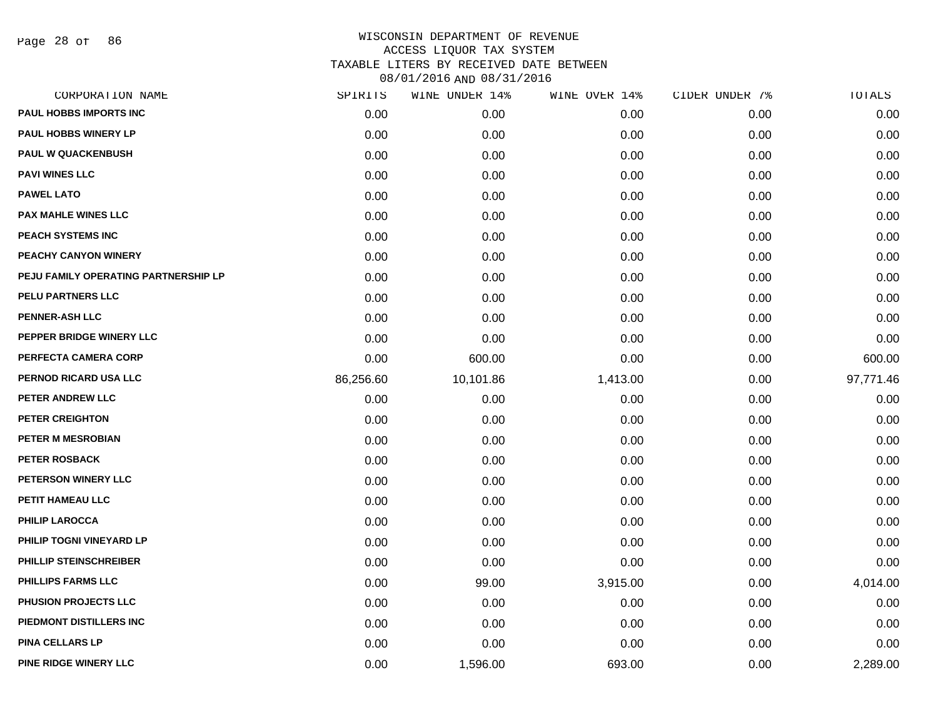Page 28 of 86

| CORPORATION NAME                     | SPIRITS   | WINE UNDER 14% | WINE OVER 14% | CIDER UNDER 7% | TOTALS    |
|--------------------------------------|-----------|----------------|---------------|----------------|-----------|
| PAUL HOBBS IMPORTS INC               | 0.00      | 0.00           | 0.00          | 0.00           | 0.00      |
| <b>PAUL HOBBS WINERY LP</b>          | 0.00      | 0.00           | 0.00          | 0.00           | 0.00      |
| <b>PAUL W QUACKENBUSH</b>            | 0.00      | 0.00           | 0.00          | 0.00           | 0.00      |
| <b>PAVI WINES LLC</b>                | 0.00      | 0.00           | 0.00          | 0.00           | 0.00      |
| <b>PAWEL LATO</b>                    | 0.00      | 0.00           | 0.00          | 0.00           | 0.00      |
| <b>PAX MAHLE WINES LLC</b>           | 0.00      | 0.00           | 0.00          | 0.00           | 0.00      |
| <b>PEACH SYSTEMS INC</b>             | 0.00      | 0.00           | 0.00          | 0.00           | 0.00      |
| PEACHY CANYON WINERY                 | 0.00      | 0.00           | 0.00          | 0.00           | 0.00      |
| PEJU FAMILY OPERATING PARTNERSHIP LP | 0.00      | 0.00           | 0.00          | 0.00           | 0.00      |
| PELU PARTNERS LLC                    | 0.00      | 0.00           | 0.00          | 0.00           | 0.00      |
| <b>PENNER-ASH LLC</b>                | 0.00      | 0.00           | 0.00          | 0.00           | 0.00      |
| PEPPER BRIDGE WINERY LLC             | 0.00      | 0.00           | 0.00          | 0.00           | 0.00      |
| PERFECTA CAMERA CORP                 | 0.00      | 600.00         | 0.00          | 0.00           | 600.00    |
| PERNOD RICARD USA LLC                | 86,256.60 | 10,101.86      | 1,413.00      | 0.00           | 97,771.46 |
| PETER ANDREW LLC                     | 0.00      | 0.00           | 0.00          | 0.00           | 0.00      |
| PETER CREIGHTON                      | 0.00      | 0.00           | 0.00          | 0.00           | 0.00      |
| <b>PETER M MESROBIAN</b>             | 0.00      | 0.00           | 0.00          | 0.00           | 0.00      |
| <b>PETER ROSBACK</b>                 | 0.00      | 0.00           | 0.00          | 0.00           | 0.00      |
| PETERSON WINERY LLC                  | 0.00      | 0.00           | 0.00          | 0.00           | 0.00      |
| PETIT HAMEAU LLC                     | 0.00      | 0.00           | 0.00          | 0.00           | 0.00      |
| <b>PHILIP LAROCCA</b>                | 0.00      | 0.00           | 0.00          | 0.00           | 0.00      |
| PHILIP TOGNI VINEYARD LP             | 0.00      | 0.00           | 0.00          | 0.00           | 0.00      |
| PHILLIP STEINSCHREIBER               | 0.00      | 0.00           | 0.00          | 0.00           | 0.00      |
| <b>PHILLIPS FARMS LLC</b>            | 0.00      | 99.00          | 3,915.00      | 0.00           | 4,014.00  |
| PHUSION PROJECTS LLC                 | 0.00      | 0.00           | 0.00          | 0.00           | 0.00      |
| PIEDMONT DISTILLERS INC              | 0.00      | 0.00           | 0.00          | 0.00           | 0.00      |
| <b>PINA CELLARS LP</b>               | 0.00      | 0.00           | 0.00          | 0.00           | 0.00      |
| PINE RIDGE WINERY LLC                | 0.00      | 1,596.00       | 693.00        | 0.00           | 2,289.00  |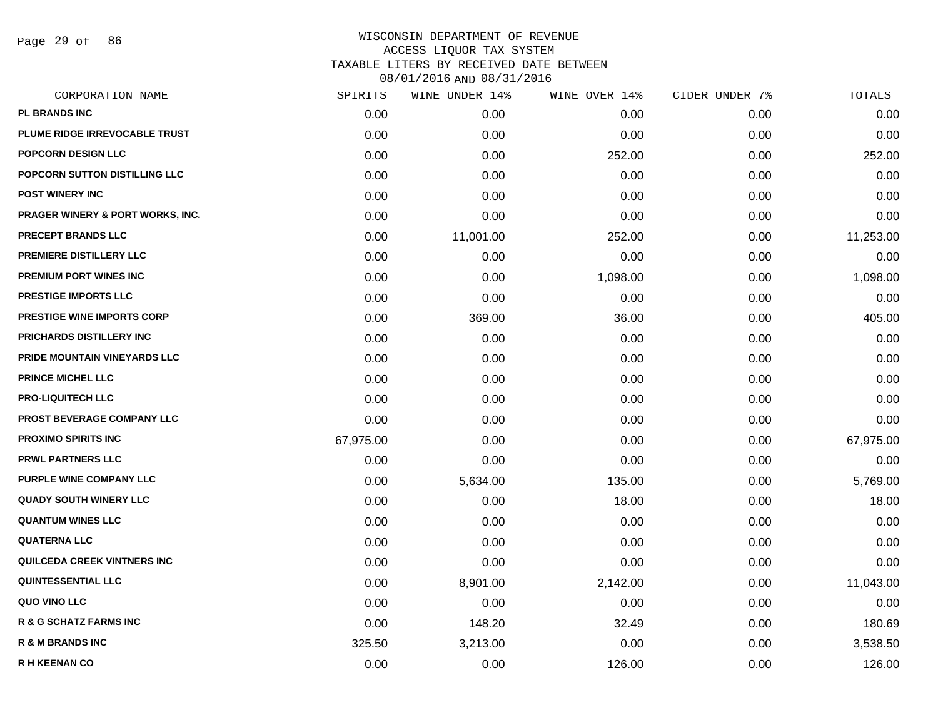Page 29 of 86

| CORPORATION NAME                 | SPIRITS   | WINE UNDER 14% | WINE OVER 14% | CIDER UNDER 7% | TOTALS    |
|----------------------------------|-----------|----------------|---------------|----------------|-----------|
| PL BRANDS INC                    | 0.00      | 0.00           | 0.00          | 0.00           | 0.00      |
| PLUME RIDGE IRREVOCABLE TRUST    | 0.00      | 0.00           | 0.00          | 0.00           | 0.00      |
| <b>POPCORN DESIGN LLC</b>        | 0.00      | 0.00           | 252.00        | 0.00           | 252.00    |
| POPCORN SUTTON DISTILLING LLC    | 0.00      | 0.00           | 0.00          | 0.00           | 0.00      |
| <b>POST WINERY INC</b>           | 0.00      | 0.00           | 0.00          | 0.00           | 0.00      |
| PRAGER WINERY & PORT WORKS, INC. | 0.00      | 0.00           | 0.00          | 0.00           | 0.00      |
| PRECEPT BRANDS LLC               | 0.00      | 11,001.00      | 252.00        | 0.00           | 11,253.00 |
| PREMIERE DISTILLERY LLC          | 0.00      | 0.00           | 0.00          | 0.00           | 0.00      |
| PREMIUM PORT WINES INC           | 0.00      | 0.00           | 1,098.00      | 0.00           | 1,098.00  |
| <b>PRESTIGE IMPORTS LLC</b>      | 0.00      | 0.00           | 0.00          | 0.00           | 0.00      |
| PRESTIGE WINE IMPORTS CORP       | 0.00      | 369.00         | 36.00         | 0.00           | 405.00    |
| PRICHARDS DISTILLERY INC         | 0.00      | 0.00           | 0.00          | 0.00           | 0.00      |
| PRIDE MOUNTAIN VINEYARDS LLC     | 0.00      | 0.00           | 0.00          | 0.00           | 0.00      |
| <b>PRINCE MICHEL LLC</b>         | 0.00      | 0.00           | 0.00          | 0.00           | 0.00      |
| <b>PRO-LIQUITECH LLC</b>         | 0.00      | 0.00           | 0.00          | 0.00           | 0.00      |
| PROST BEVERAGE COMPANY LLC       | 0.00      | 0.00           | 0.00          | 0.00           | 0.00      |
| <b>PROXIMO SPIRITS INC</b>       | 67,975.00 | 0.00           | 0.00          | 0.00           | 67,975.00 |
| PRWL PARTNERS LLC                | 0.00      | 0.00           | 0.00          | 0.00           | 0.00      |
| PURPLE WINE COMPANY LLC          | 0.00      | 5,634.00       | 135.00        | 0.00           | 5,769.00  |
| <b>QUADY SOUTH WINERY LLC</b>    | 0.00      | 0.00           | 18.00         | 0.00           | 18.00     |
| <b>QUANTUM WINES LLC</b>         | 0.00      | 0.00           | 0.00          | 0.00           | 0.00      |
| <b>QUATERNA LLC</b>              | 0.00      | 0.00           | 0.00          | 0.00           | 0.00      |
| QUILCEDA CREEK VINTNERS INC      | 0.00      | 0.00           | 0.00          | 0.00           | 0.00      |
| <b>QUINTESSENTIAL LLC</b>        | 0.00      | 8,901.00       | 2,142.00      | 0.00           | 11,043.00 |
| <b>QUO VINO LLC</b>              | 0.00      | 0.00           | 0.00          | 0.00           | 0.00      |
| R & G SCHATZ FARMS INC           | 0.00      | 148.20         | 32.49         | 0.00           | 180.69    |
| <b>R &amp; M BRANDS INC</b>      | 325.50    | 3,213.00       | 0.00          | 0.00           | 3,538.50  |
| <b>R H KEENAN CO</b>             | 0.00      | 0.00           | 126.00        | 0.00           | 126.00    |
|                                  |           |                |               |                |           |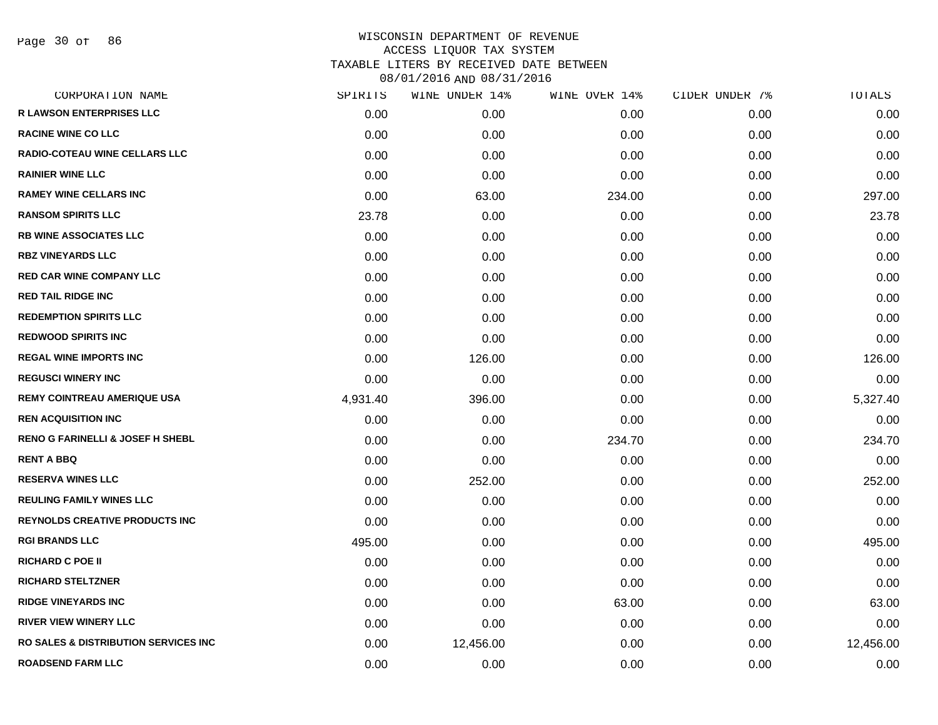Page 30 of 86

| CORPORATION NAME                            | SPIRITS  | WINE UNDER 14% | WINE OVER 14% | CIDER UNDER 7% | TOTALS    |
|---------------------------------------------|----------|----------------|---------------|----------------|-----------|
| <b>R LAWSON ENTERPRISES LLC</b>             | 0.00     | 0.00           | 0.00          | 0.00           | 0.00      |
| <b>RACINE WINE CO LLC</b>                   | 0.00     | 0.00           | 0.00          | 0.00           | 0.00      |
| RADIO-COTEAU WINE CELLARS LLC               | 0.00     | 0.00           | 0.00          | 0.00           | 0.00      |
| <b>RAINIER WINE LLC</b>                     | 0.00     | 0.00           | 0.00          | 0.00           | 0.00      |
| <b>RAMEY WINE CELLARS INC</b>               | 0.00     | 63.00          | 234.00        | 0.00           | 297.00    |
| <b>RANSOM SPIRITS LLC</b>                   | 23.78    | 0.00           | 0.00          | 0.00           | 23.78     |
| <b>RB WINE ASSOCIATES LLC</b>               | 0.00     | 0.00           | 0.00          | 0.00           | 0.00      |
| <b>RBZ VINEYARDS LLC</b>                    | 0.00     | 0.00           | 0.00          | 0.00           | 0.00      |
| <b>RED CAR WINE COMPANY LLC</b>             | 0.00     | 0.00           | 0.00          | 0.00           | 0.00      |
| <b>RED TAIL RIDGE INC</b>                   | 0.00     | 0.00           | 0.00          | 0.00           | 0.00      |
| <b>REDEMPTION SPIRITS LLC</b>               | 0.00     | 0.00           | 0.00          | 0.00           | 0.00      |
| <b>REDWOOD SPIRITS INC</b>                  | 0.00     | 0.00           | 0.00          | 0.00           | 0.00      |
| <b>REGAL WINE IMPORTS INC</b>               | 0.00     | 126.00         | 0.00          | 0.00           | 126.00    |
| <b>REGUSCI WINERY INC</b>                   | 0.00     | 0.00           | 0.00          | 0.00           | 0.00      |
| <b>REMY COINTREAU AMERIQUE USA</b>          | 4,931.40 | 396.00         | 0.00          | 0.00           | 5,327.40  |
| <b>REN ACQUISITION INC</b>                  | 0.00     | 0.00           | 0.00          | 0.00           | 0.00      |
| <b>RENO G FARINELLI &amp; JOSEF H SHEBL</b> | 0.00     | 0.00           | 234.70        | 0.00           | 234.70    |
| <b>RENT A BBQ</b>                           | 0.00     | 0.00           | 0.00          | 0.00           | 0.00      |
| <b>RESERVA WINES LLC</b>                    | 0.00     | 252.00         | 0.00          | 0.00           | 252.00    |
| <b>REULING FAMILY WINES LLC</b>             | 0.00     | 0.00           | 0.00          | 0.00           | 0.00      |
| <b>REYNOLDS CREATIVE PRODUCTS INC</b>       | 0.00     | 0.00           | 0.00          | 0.00           | 0.00      |
| <b>RGI BRANDS LLC</b>                       | 495.00   | 0.00           | 0.00          | 0.00           | 495.00    |
| <b>RICHARD C POE II</b>                     | 0.00     | 0.00           | 0.00          | 0.00           | 0.00      |
| <b>RICHARD STELTZNER</b>                    | 0.00     | 0.00           | 0.00          | 0.00           | 0.00      |
| <b>RIDGE VINEYARDS INC</b>                  | 0.00     | 0.00           | 63.00         | 0.00           | 63.00     |
| <b>RIVER VIEW WINERY LLC</b>                | 0.00     | 0.00           | 0.00          | 0.00           | 0.00      |
| RO SALES & DISTRIBUTION SERVICES INC        | 0.00     | 12,456.00      | 0.00          | 0.00           | 12,456.00 |
| <b>ROADSEND FARM LLC</b>                    | 0.00     | 0.00           | 0.00          | 0.00           | 0.00      |
|                                             |          |                |               |                |           |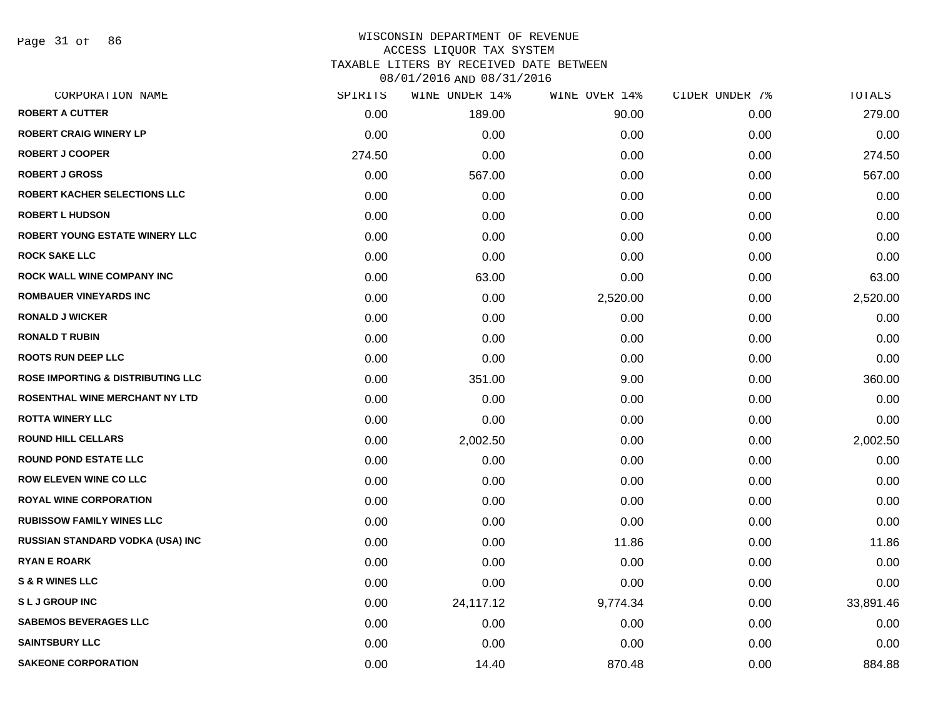Page 31 of 86

# WISCONSIN DEPARTMENT OF REVENUE ACCESS LIQUOR TAX SYSTEM TAXABLE LITERS BY RECEIVED DATE BETWEEN

| CORPORATION NAME                             | SPIRITS | WINE UNDER 14% | WINE OVER 14% | CIDER UNDER 7% | TOTALS    |
|----------------------------------------------|---------|----------------|---------------|----------------|-----------|
| <b>ROBERT A CUTTER</b>                       | 0.00    | 189.00         | 90.00         | 0.00           | 279.00    |
| <b>ROBERT CRAIG WINERY LP</b>                | 0.00    | 0.00           | 0.00          | 0.00           | 0.00      |
| <b>ROBERT J COOPER</b>                       | 274.50  | 0.00           | 0.00          | 0.00           | 274.50    |
| <b>ROBERT J GROSS</b>                        | 0.00    | 567.00         | 0.00          | 0.00           | 567.00    |
| <b>ROBERT KACHER SELECTIONS LLC</b>          | 0.00    | 0.00           | 0.00          | 0.00           | 0.00      |
| <b>ROBERT L HUDSON</b>                       | 0.00    | 0.00           | 0.00          | 0.00           | 0.00      |
| <b>ROBERT YOUNG ESTATE WINERY LLC</b>        | 0.00    | 0.00           | 0.00          | 0.00           | 0.00      |
| <b>ROCK SAKE LLC</b>                         | 0.00    | 0.00           | 0.00          | 0.00           | 0.00      |
| ROCK WALL WINE COMPANY INC                   | 0.00    | 63.00          | 0.00          | 0.00           | 63.00     |
| <b>ROMBAUER VINEYARDS INC</b>                | 0.00    | 0.00           | 2,520.00      | 0.00           | 2,520.00  |
| <b>RONALD J WICKER</b>                       | 0.00    | 0.00           | 0.00          | 0.00           | 0.00      |
| <b>RONALD T RUBIN</b>                        | 0.00    | 0.00           | 0.00          | 0.00           | 0.00      |
| <b>ROOTS RUN DEEP LLC</b>                    | 0.00    | 0.00           | 0.00          | 0.00           | 0.00      |
| <b>ROSE IMPORTING &amp; DISTRIBUTING LLC</b> | 0.00    | 351.00         | 9.00          | 0.00           | 360.00    |
| ROSENTHAL WINE MERCHANT NY LTD               | 0.00    | 0.00           | 0.00          | 0.00           | 0.00      |
| <b>ROTTA WINERY LLC</b>                      | 0.00    | 0.00           | 0.00          | 0.00           | 0.00      |
| <b>ROUND HILL CELLARS</b>                    | 0.00    | 2,002.50       | 0.00          | 0.00           | 2,002.50  |
| <b>ROUND POND ESTATE LLC</b>                 | 0.00    | 0.00           | 0.00          | 0.00           | 0.00      |
| <b>ROW ELEVEN WINE CO LLC</b>                | 0.00    | 0.00           | 0.00          | 0.00           | 0.00      |
| <b>ROYAL WINE CORPORATION</b>                | 0.00    | 0.00           | 0.00          | 0.00           | 0.00      |
| <b>RUBISSOW FAMILY WINES LLC</b>             | 0.00    | 0.00           | 0.00          | 0.00           | 0.00      |
| RUSSIAN STANDARD VODKA (USA) INC             | 0.00    | 0.00           | 11.86         | 0.00           | 11.86     |
| <b>RYAN E ROARK</b>                          | 0.00    | 0.00           | 0.00          | 0.00           | 0.00      |
| <b>S &amp; R WINES LLC</b>                   | 0.00    | 0.00           | 0.00          | 0.00           | 0.00      |
| <b>SLJGROUP INC</b>                          | 0.00    | 24,117.12      | 9,774.34      | 0.00           | 33,891.46 |
| <b>SABEMOS BEVERAGES LLC</b>                 | 0.00    | 0.00           | 0.00          | 0.00           | 0.00      |
| <b>SAINTSBURY LLC</b>                        | 0.00    | 0.00           | 0.00          | 0.00           | 0.00      |
| <b>SAKEONE CORPORATION</b>                   | 0.00    | 14.40          | 870.48        | 0.00           | 884.88    |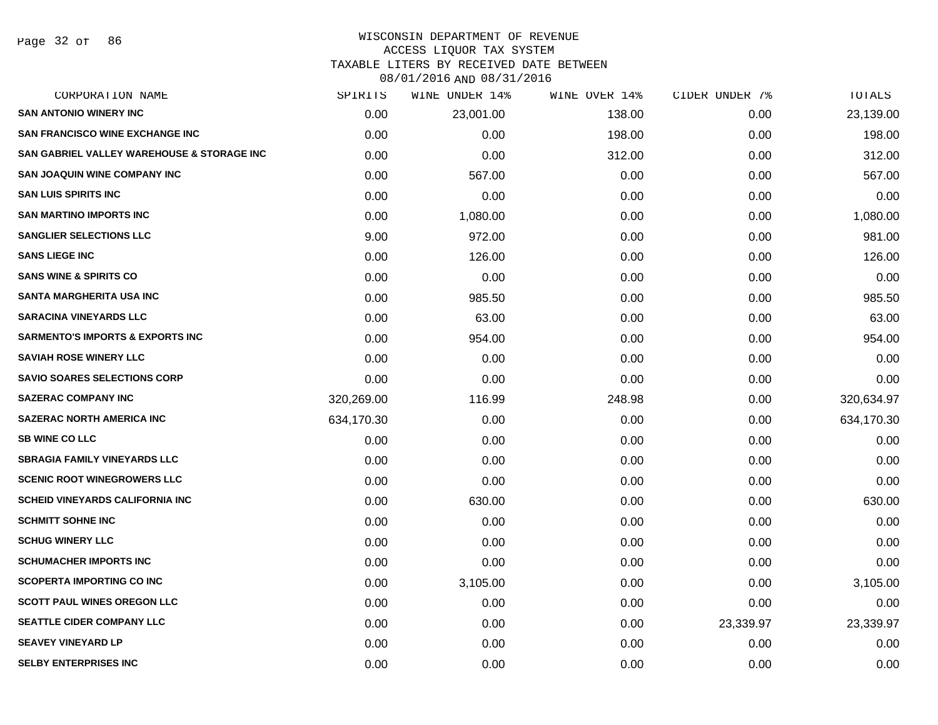### WISCONSIN DEPARTMENT OF REVENUE ACCESS LIQUOR TAX SYSTEM

TAXABLE LITERS BY RECEIVED DATE BETWEEN

| CORPORATION NAME                            | SPIRITS    | WINE UNDER 14% | WINE OVER 14% | CIDER UNDER 7% | TOTALS     |
|---------------------------------------------|------------|----------------|---------------|----------------|------------|
| <b>SAN ANTONIO WINERY INC</b>               | 0.00       | 23,001.00      | 138.00        | 0.00           | 23,139.00  |
| <b>SAN FRANCISCO WINE EXCHANGE INC.</b>     | 0.00       | 0.00           | 198.00        | 0.00           | 198.00     |
| SAN GABRIEL VALLEY WAREHOUSE & STORAGE INC  | 0.00       | 0.00           | 312.00        | 0.00           | 312.00     |
| <b>SAN JOAQUIN WINE COMPANY INC</b>         | 0.00       | 567.00         | 0.00          | 0.00           | 567.00     |
| <b>SAN LUIS SPIRITS INC</b>                 | 0.00       | 0.00           | 0.00          | 0.00           | 0.00       |
| <b>SAN MARTINO IMPORTS INC</b>              | 0.00       | 1,080.00       | 0.00          | 0.00           | 1,080.00   |
| <b>SANGLIER SELECTIONS LLC</b>              | 9.00       | 972.00         | 0.00          | 0.00           | 981.00     |
| <b>SANS LIEGE INC</b>                       | 0.00       | 126.00         | 0.00          | 0.00           | 126.00     |
| <b>SANS WINE &amp; SPIRITS CO</b>           | 0.00       | 0.00           | 0.00          | 0.00           | 0.00       |
| SANTA MARGHERITA USA INC                    | 0.00       | 985.50         | 0.00          | 0.00           | 985.50     |
| <b>SARACINA VINEYARDS LLC</b>               | 0.00       | 63.00          | 0.00          | 0.00           | 63.00      |
| <b>SARMENTO'S IMPORTS &amp; EXPORTS INC</b> | 0.00       | 954.00         | 0.00          | 0.00           | 954.00     |
| <b>SAVIAH ROSE WINERY LLC</b>               | 0.00       | 0.00           | 0.00          | 0.00           | 0.00       |
| <b>SAVIO SOARES SELECTIONS CORP</b>         | 0.00       | 0.00           | 0.00          | 0.00           | 0.00       |
| <b>SAZERAC COMPANY INC</b>                  | 320,269.00 | 116.99         | 248.98        | 0.00           | 320,634.97 |
| <b>SAZERAC NORTH AMERICA INC</b>            | 634,170.30 | 0.00           | 0.00          | 0.00           | 634,170.30 |
| <b>SB WINE CO LLC</b>                       | 0.00       | 0.00           | 0.00          | 0.00           | 0.00       |
| <b>SBRAGIA FAMILY VINEYARDS LLC</b>         | 0.00       | 0.00           | 0.00          | 0.00           | 0.00       |
| <b>SCENIC ROOT WINEGROWERS LLC</b>          | 0.00       | 0.00           | 0.00          | 0.00           | 0.00       |
| <b>SCHEID VINEYARDS CALIFORNIA INC</b>      | 0.00       | 630.00         | 0.00          | 0.00           | 630.00     |
| <b>SCHMITT SOHNE INC</b>                    | 0.00       | 0.00           | 0.00          | 0.00           | 0.00       |
| <b>SCHUG WINERY LLC</b>                     | 0.00       | 0.00           | 0.00          | 0.00           | 0.00       |
| <b>SCHUMACHER IMPORTS INC</b>               | 0.00       | 0.00           | 0.00          | 0.00           | 0.00       |
| <b>SCOPERTA IMPORTING CO INC</b>            | 0.00       | 3,105.00       | 0.00          | 0.00           | 3,105.00   |
| <b>SCOTT PAUL WINES OREGON LLC</b>          | 0.00       | 0.00           | 0.00          | 0.00           | 0.00       |
| <b>SEATTLE CIDER COMPANY LLC</b>            | 0.00       | 0.00           | 0.00          | 23,339.97      | 23,339.97  |
| <b>SEAVEY VINEYARD LP</b>                   | 0.00       | 0.00           | 0.00          | 0.00           | 0.00       |
| <b>SELBY ENTERPRISES INC</b>                | 0.00       | 0.00           | 0.00          | 0.00           | 0.00       |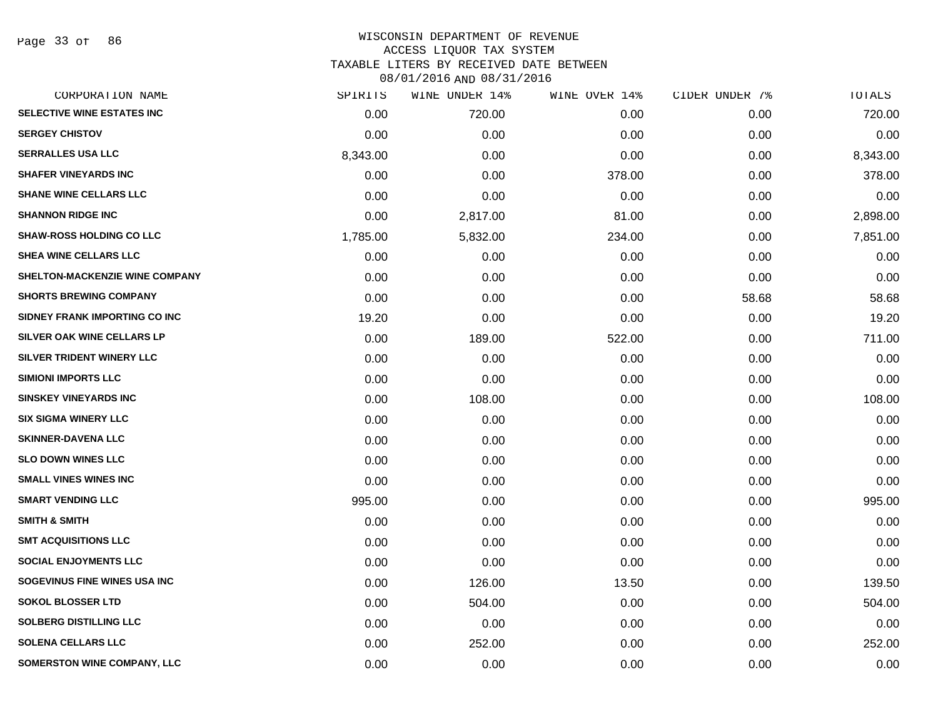Page 33 of 86

| CORPORATION NAME                  | SPIRITS  | WINE UNDER 14% | WINE OVER 14% | CIDER UNDER 7% | TOTALS   |
|-----------------------------------|----------|----------------|---------------|----------------|----------|
| <b>SELECTIVE WINE ESTATES INC</b> | 0.00     | 720.00         | 0.00          | 0.00           | 720.00   |
| <b>SERGEY CHISTOV</b>             | 0.00     | 0.00           | 0.00          | 0.00           | 0.00     |
| <b>SERRALLES USA LLC</b>          | 8,343.00 | 0.00           | 0.00          | 0.00           | 8,343.00 |
| <b>SHAFER VINEYARDS INC</b>       | 0.00     | 0.00           | 378.00        | 0.00           | 378.00   |
| <b>SHANE WINE CELLARS LLC</b>     | 0.00     | 0.00           | 0.00          | 0.00           | 0.00     |
| <b>SHANNON RIDGE INC</b>          | 0.00     | 2,817.00       | 81.00         | 0.00           | 2,898.00 |
| <b>SHAW-ROSS HOLDING CO LLC</b>   | 1,785.00 | 5,832.00       | 234.00        | 0.00           | 7,851.00 |
| SHEA WINE CELLARS LLC             | 0.00     | 0.00           | 0.00          | 0.00           | 0.00     |
| SHELTON-MACKENZIE WINE COMPANY    | 0.00     | 0.00           | 0.00          | 0.00           | 0.00     |
| <b>SHORTS BREWING COMPANY</b>     | 0.00     | 0.00           | 0.00          | 58.68          | 58.68    |
| SIDNEY FRANK IMPORTING CO INC     | 19.20    | 0.00           | 0.00          | 0.00           | 19.20    |
| SILVER OAK WINE CELLARS LP        | 0.00     | 189.00         | 522.00        | 0.00           | 711.00   |
| SILVER TRIDENT WINERY LLC         | 0.00     | 0.00           | 0.00          | 0.00           | 0.00     |
| <b>SIMIONI IMPORTS LLC</b>        | 0.00     | 0.00           | 0.00          | 0.00           | 0.00     |
| <b>SINSKEY VINEYARDS INC</b>      | 0.00     | 108.00         | 0.00          | 0.00           | 108.00   |
| <b>SIX SIGMA WINERY LLC</b>       | 0.00     | 0.00           | 0.00          | 0.00           | 0.00     |
| <b>SKINNER-DAVENA LLC</b>         | 0.00     | 0.00           | 0.00          | 0.00           | 0.00     |
| <b>SLO DOWN WINES LLC</b>         | 0.00     | 0.00           | 0.00          | 0.00           | 0.00     |
| <b>SMALL VINES WINES INC</b>      | 0.00     | 0.00           | 0.00          | 0.00           | 0.00     |
| <b>SMART VENDING LLC</b>          | 995.00   | 0.00           | 0.00          | 0.00           | 995.00   |
| <b>SMITH &amp; SMITH</b>          | 0.00     | 0.00           | 0.00          | 0.00           | 0.00     |
| <b>SMT ACQUISITIONS LLC</b>       | 0.00     | 0.00           | 0.00          | 0.00           | 0.00     |
| <b>SOCIAL ENJOYMENTS LLC</b>      | 0.00     | 0.00           | 0.00          | 0.00           | 0.00     |
| SOGEVINUS FINE WINES USA INC      | 0.00     | 126.00         | 13.50         | 0.00           | 139.50   |
| <b>SOKOL BLOSSER LTD</b>          | 0.00     | 504.00         | 0.00          | 0.00           | 504.00   |
| <b>SOLBERG DISTILLING LLC</b>     | 0.00     | 0.00           | 0.00          | 0.00           | 0.00     |
| <b>SOLENA CELLARS LLC</b>         | 0.00     | 252.00         | 0.00          | 0.00           | 252.00   |
| SOMERSTON WINE COMPANY, LLC       | 0.00     | 0.00           | 0.00          | 0.00           | 0.00     |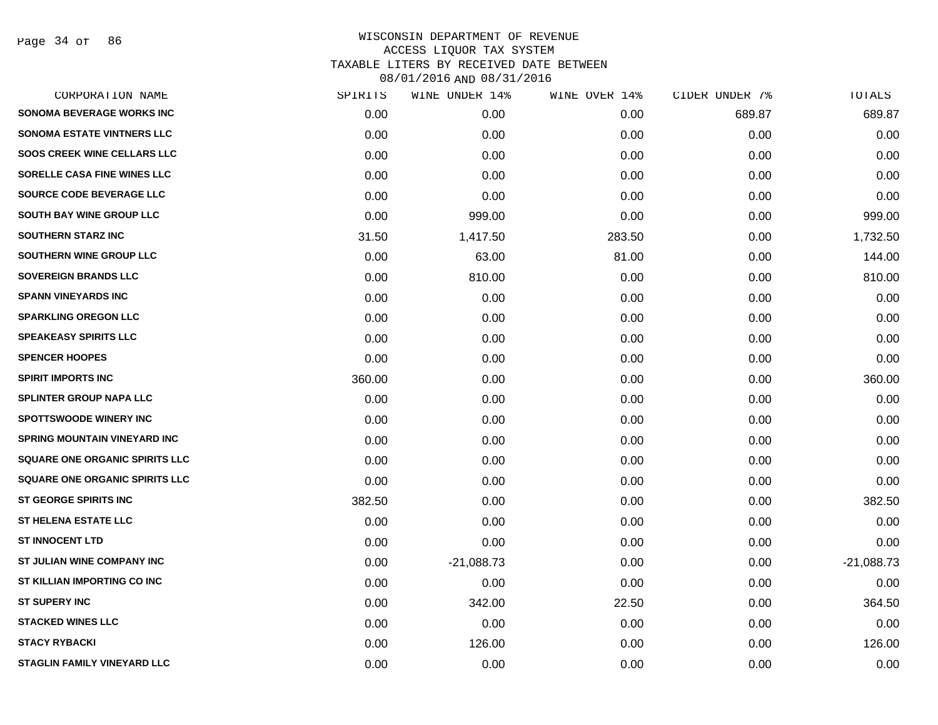Page 34 of 86

| CORPORATION NAME                    | SPIRITS | WINE UNDER 14% | WINE OVER 14% | CIDER UNDER 7% | TOTALS       |
|-------------------------------------|---------|----------------|---------------|----------------|--------------|
| <b>SONOMA BEVERAGE WORKS INC</b>    | 0.00    | 0.00           | 0.00          | 689.87         | 689.87       |
| <b>SONOMA ESTATE VINTNERS LLC</b>   | 0.00    | 0.00           | 0.00          | 0.00           | 0.00         |
| <b>SOOS CREEK WINE CELLARS LLC</b>  | 0.00    | 0.00           | 0.00          | 0.00           | 0.00         |
| SORELLE CASA FINE WINES LLC         | 0.00    | 0.00           | 0.00          | 0.00           | 0.00         |
| SOURCE CODE BEVERAGE LLC            | 0.00    | 0.00           | 0.00          | 0.00           | 0.00         |
| <b>SOUTH BAY WINE GROUP LLC</b>     | 0.00    | 999.00         | 0.00          | 0.00           | 999.00       |
| <b>SOUTHERN STARZ INC</b>           | 31.50   | 1,417.50       | 283.50        | 0.00           | 1,732.50     |
| SOUTHERN WINE GROUP LLC             | 0.00    | 63.00          | 81.00         | 0.00           | 144.00       |
| <b>SOVEREIGN BRANDS LLC</b>         | 0.00    | 810.00         | 0.00          | 0.00           | 810.00       |
| <b>SPANN VINEYARDS INC</b>          | 0.00    | 0.00           | 0.00          | 0.00           | 0.00         |
| <b>SPARKLING OREGON LLC</b>         | 0.00    | 0.00           | 0.00          | 0.00           | 0.00         |
| <b>SPEAKEASY SPIRITS LLC</b>        | 0.00    | 0.00           | 0.00          | 0.00           | 0.00         |
| <b>SPENCER HOOPES</b>               | 0.00    | 0.00           | 0.00          | 0.00           | 0.00         |
| <b>SPIRIT IMPORTS INC</b>           | 360.00  | 0.00           | 0.00          | 0.00           | 360.00       |
| <b>SPLINTER GROUP NAPA LLC</b>      | 0.00    | 0.00           | 0.00          | 0.00           | 0.00         |
| <b>SPOTTSWOODE WINERY INC</b>       | 0.00    | 0.00           | 0.00          | 0.00           | 0.00         |
| <b>SPRING MOUNTAIN VINEYARD INC</b> | 0.00    | 0.00           | 0.00          | 0.00           | 0.00         |
| SQUARE ONE ORGANIC SPIRITS LLC      | 0.00    | 0.00           | 0.00          | 0.00           | 0.00         |
| SQUARE ONE ORGANIC SPIRITS LLC      | 0.00    | 0.00           | 0.00          | 0.00           | 0.00         |
| <b>ST GEORGE SPIRITS INC</b>        | 382.50  | 0.00           | 0.00          | 0.00           | 382.50       |
| <b>ST HELENA ESTATE LLC</b>         | 0.00    | 0.00           | 0.00          | 0.00           | 0.00         |
| <b>ST INNOCENT LTD</b>              | 0.00    | 0.00           | 0.00          | 0.00           | 0.00         |
| ST JULIAN WINE COMPANY INC          | 0.00    | $-21,088.73$   | 0.00          | 0.00           | $-21,088.73$ |
| ST KILLIAN IMPORTING CO INC         | 0.00    | 0.00           | 0.00          | 0.00           | 0.00         |
| <b>ST SUPERY INC</b>                | 0.00    | 342.00         | 22.50         | 0.00           | 364.50       |
| <b>STACKED WINES LLC</b>            | 0.00    | 0.00           | 0.00          | 0.00           | 0.00         |
| <b>STACY RYBACKI</b>                | 0.00    | 126.00         | 0.00          | 0.00           | 126.00       |
| <b>STAGLIN FAMILY VINEYARD LLC</b>  | 0.00    | 0.00           | 0.00          | 0.00           | 0.00         |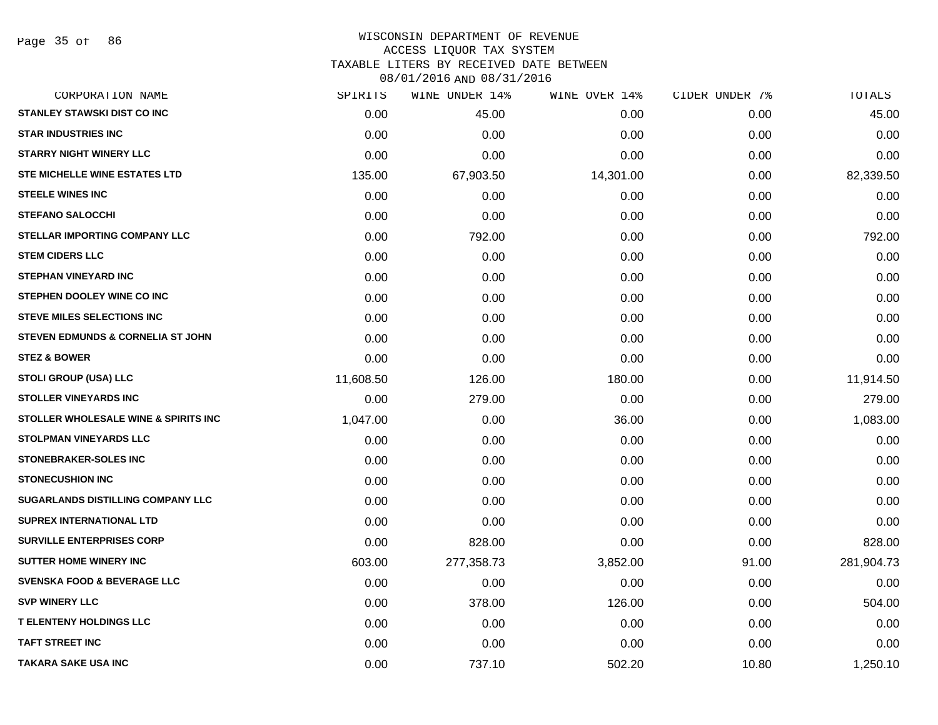### WISCONSIN DEPARTMENT OF REVENUE ACCESS LIQUOR TAX SYSTEM

TAXABLE LITERS BY RECEIVED DATE BETWEEN

| CORPORATION NAME                             | SPIRITS   | WINE UNDER 14% | WINE OVER 14% | CIDER UNDER 7% | TOTALS     |
|----------------------------------------------|-----------|----------------|---------------|----------------|------------|
| <b>STANLEY STAWSKI DIST CO INC</b>           | 0.00      | 45.00          | 0.00          | 0.00           | 45.00      |
| <b>STAR INDUSTRIES INC</b>                   | 0.00      | 0.00           | 0.00          | 0.00           | 0.00       |
| <b>STARRY NIGHT WINERY LLC</b>               | 0.00      | 0.00           | 0.00          | 0.00           | 0.00       |
| <b>STE MICHELLE WINE ESTATES LTD</b>         | 135.00    | 67,903.50      | 14,301.00     | 0.00           | 82,339.50  |
| <b>STEELE WINES INC</b>                      | 0.00      | 0.00           | 0.00          | 0.00           | 0.00       |
| <b>STEFANO SALOCCHI</b>                      | 0.00      | 0.00           | 0.00          | 0.00           | 0.00       |
| STELLAR IMPORTING COMPANY LLC                | 0.00      | 792.00         | 0.00          | 0.00           | 792.00     |
| <b>STEM CIDERS LLC</b>                       | 0.00      | 0.00           | 0.00          | 0.00           | 0.00       |
| <b>STEPHAN VINEYARD INC</b>                  | 0.00      | 0.00           | 0.00          | 0.00           | 0.00       |
| STEPHEN DOOLEY WINE CO INC                   | 0.00      | 0.00           | 0.00          | 0.00           | 0.00       |
| <b>STEVE MILES SELECTIONS INC</b>            | 0.00      | 0.00           | 0.00          | 0.00           | 0.00       |
| <b>STEVEN EDMUNDS &amp; CORNELIA ST JOHN</b> | 0.00      | 0.00           | 0.00          | 0.00           | 0.00       |
| <b>STEZ &amp; BOWER</b>                      | 0.00      | 0.00           | 0.00          | 0.00           | 0.00       |
| <b>STOLI GROUP (USA) LLC</b>                 | 11,608.50 | 126.00         | 180.00        | 0.00           | 11,914.50  |
| <b>STOLLER VINEYARDS INC</b>                 | 0.00      | 279.00         | 0.00          | 0.00           | 279.00     |
| STOLLER WHOLESALE WINE & SPIRITS INC         | 1,047.00  | 0.00           | 36.00         | 0.00           | 1,083.00   |
| <b>STOLPMAN VINEYARDS LLC</b>                | 0.00      | 0.00           | 0.00          | 0.00           | 0.00       |
| <b>STONEBRAKER-SOLES INC</b>                 | 0.00      | 0.00           | 0.00          | 0.00           | 0.00       |
| <b>STONECUSHION INC</b>                      | 0.00      | 0.00           | 0.00          | 0.00           | 0.00       |
| <b>SUGARLANDS DISTILLING COMPANY LLC</b>     | 0.00      | 0.00           | 0.00          | 0.00           | 0.00       |
| <b>SUPREX INTERNATIONAL LTD</b>              | 0.00      | 0.00           | 0.00          | 0.00           | 0.00       |
| <b>SURVILLE ENTERPRISES CORP</b>             | 0.00      | 828.00         | 0.00          | 0.00           | 828.00     |
| <b>SUTTER HOME WINERY INC</b>                | 603.00    | 277,358.73     | 3,852.00      | 91.00          | 281,904.73 |
| <b>SVENSKA FOOD &amp; BEVERAGE LLC</b>       | 0.00      | 0.00           | 0.00          | 0.00           | 0.00       |
| <b>SVP WINERY LLC</b>                        | 0.00      | 378.00         | 126.00        | 0.00           | 504.00     |
| <b>T ELENTENY HOLDINGS LLC</b>               | 0.00      | 0.00           | 0.00          | 0.00           | 0.00       |
| <b>TAFT STREET INC</b>                       | 0.00      | 0.00           | 0.00          | 0.00           | 0.00       |
| <b>TAKARA SAKE USA INC</b>                   | 0.00      | 737.10         | 502.20        | 10.80          | 1,250.10   |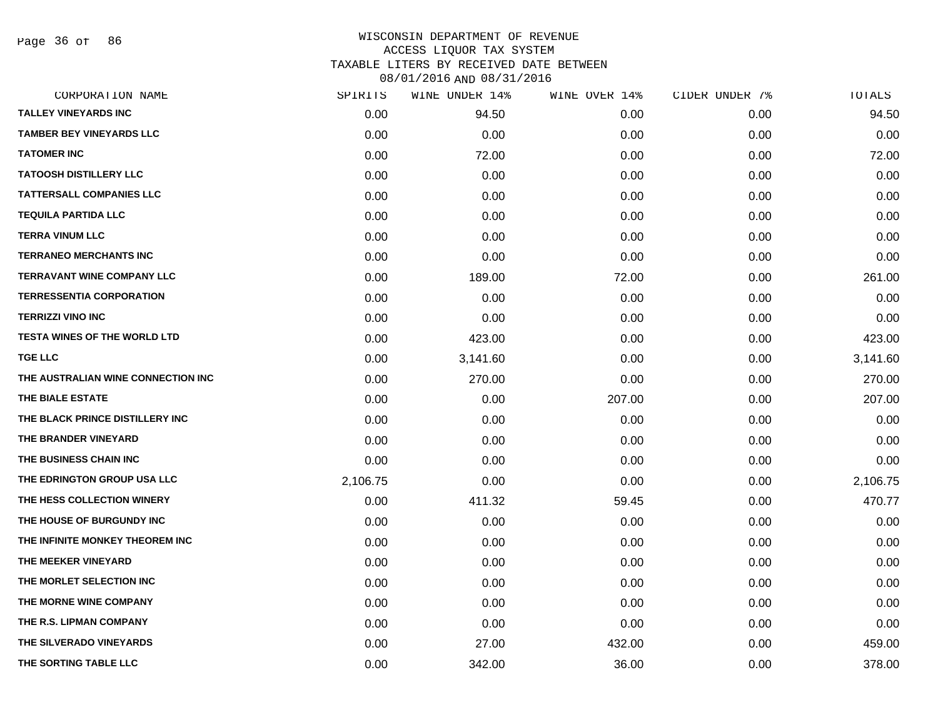Page 36 of 86

| CORPORATION NAME                    | SPIRITS  | WINE UNDER 14% | WINE OVER 14% | CIDER UNDER 7% | TOTALS   |
|-------------------------------------|----------|----------------|---------------|----------------|----------|
| <b>TALLEY VINEYARDS INC</b>         | 0.00     | 94.50          | 0.00          | 0.00           | 94.50    |
| <b>TAMBER BEY VINEYARDS LLC</b>     | 0.00     | 0.00           | 0.00          | 0.00           | 0.00     |
| <b>TATOMER INC</b>                  | 0.00     | 72.00          | 0.00          | 0.00           | 72.00    |
| <b>TATOOSH DISTILLERY LLC</b>       | 0.00     | 0.00           | 0.00          | 0.00           | 0.00     |
| <b>TATTERSALL COMPANIES LLC</b>     | 0.00     | 0.00           | 0.00          | 0.00           | 0.00     |
| <b>TEQUILA PARTIDA LLC</b>          | 0.00     | 0.00           | 0.00          | 0.00           | 0.00     |
| <b>TERRA VINUM LLC</b>              | 0.00     | 0.00           | 0.00          | 0.00           | 0.00     |
| <b>TERRANEO MERCHANTS INC</b>       | 0.00     | 0.00           | 0.00          | 0.00           | 0.00     |
| <b>TERRAVANT WINE COMPANY LLC</b>   | 0.00     | 189.00         | 72.00         | 0.00           | 261.00   |
| <b>TERRESSENTIA CORPORATION</b>     | 0.00     | 0.00           | 0.00          | 0.00           | 0.00     |
| <b>TERRIZZI VINO INC</b>            | 0.00     | 0.00           | 0.00          | 0.00           | 0.00     |
| <b>TESTA WINES OF THE WORLD LTD</b> | 0.00     | 423.00         | 0.00          | 0.00           | 423.00   |
| <b>TGE LLC</b>                      | 0.00     | 3,141.60       | 0.00          | 0.00           | 3,141.60 |
| THE AUSTRALIAN WINE CONNECTION INC  | 0.00     | 270.00         | 0.00          | 0.00           | 270.00   |
| THE BIALE ESTATE                    | 0.00     | 0.00           | 207.00        | 0.00           | 207.00   |
| THE BLACK PRINCE DISTILLERY INC     | 0.00     | 0.00           | 0.00          | 0.00           | 0.00     |
| THE BRANDER VINEYARD                | 0.00     | 0.00           | 0.00          | 0.00           | 0.00     |
| THE BUSINESS CHAIN INC              | 0.00     | 0.00           | 0.00          | 0.00           | 0.00     |
| THE EDRINGTON GROUP USA LLC         | 2,106.75 | 0.00           | 0.00          | 0.00           | 2,106.75 |
| THE HESS COLLECTION WINERY          | 0.00     | 411.32         | 59.45         | 0.00           | 470.77   |
| THE HOUSE OF BURGUNDY INC           | 0.00     | 0.00           | 0.00          | 0.00           | 0.00     |
| THE INFINITE MONKEY THEOREM INC     | 0.00     | 0.00           | 0.00          | 0.00           | 0.00     |
| THE MEEKER VINEYARD                 | 0.00     | 0.00           | 0.00          | 0.00           | 0.00     |
| THE MORLET SELECTION INC            | 0.00     | 0.00           | 0.00          | 0.00           | 0.00     |
| THE MORNE WINE COMPANY              | 0.00     | 0.00           | 0.00          | 0.00           | 0.00     |
| THE R.S. LIPMAN COMPANY             | 0.00     | 0.00           | 0.00          | 0.00           | 0.00     |
| THE SILVERADO VINEYARDS             | 0.00     | 27.00          | 432.00        | 0.00           | 459.00   |
| THE SORTING TABLE LLC               | 0.00     | 342.00         | 36.00         | 0.00           | 378.00   |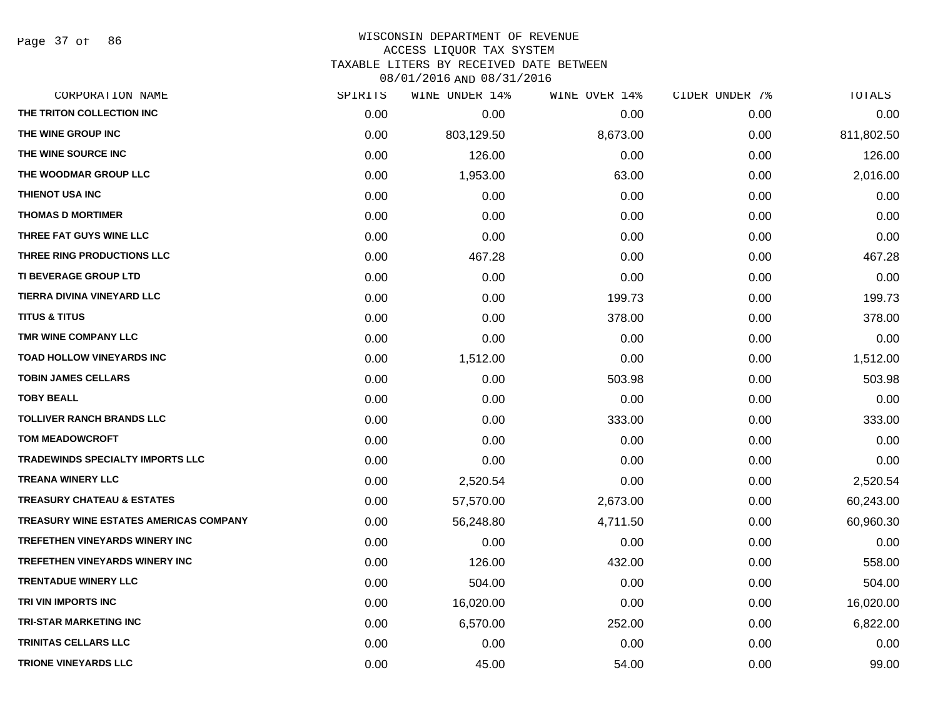Page 37 of 86

### WISCONSIN DEPARTMENT OF REVENUE ACCESS LIQUOR TAX SYSTEM

TAXABLE LITERS BY RECEIVED DATE BETWEEN

| CORPORATION NAME                        | SPIRITS | WINE UNDER 14% | WINE OVER 14% | CIDER UNDER 7% | TOTALS     |
|-----------------------------------------|---------|----------------|---------------|----------------|------------|
| THE TRITON COLLECTION INC               | 0.00    | 0.00           | 0.00          | 0.00           | 0.00       |
| THE WINE GROUP INC                      | 0.00    | 803,129.50     | 8,673.00      | 0.00           | 811,802.50 |
| THE WINE SOURCE INC                     | 0.00    | 126.00         | 0.00          | 0.00           | 126.00     |
| THE WOODMAR GROUP LLC                   | 0.00    | 1,953.00       | 63.00         | 0.00           | 2,016.00   |
| <b>THIENOT USA INC</b>                  | 0.00    | 0.00           | 0.00          | 0.00           | 0.00       |
| <b>THOMAS D MORTIMER</b>                | 0.00    | 0.00           | 0.00          | 0.00           | 0.00       |
| THREE FAT GUYS WINE LLC                 | 0.00    | 0.00           | 0.00          | 0.00           | 0.00       |
| THREE RING PRODUCTIONS LLC              | 0.00    | 467.28         | 0.00          | 0.00           | 467.28     |
| <b>TI BEVERAGE GROUP LTD</b>            | 0.00    | 0.00           | 0.00          | 0.00           | 0.00       |
| TIERRA DIVINA VINEYARD LLC              | 0.00    | 0.00           | 199.73        | 0.00           | 199.73     |
| <b>TITUS &amp; TITUS</b>                | 0.00    | 0.00           | 378.00        | 0.00           | 378.00     |
| TMR WINE COMPANY LLC                    | 0.00    | 0.00           | 0.00          | 0.00           | 0.00       |
| <b>TOAD HOLLOW VINEYARDS INC</b>        | 0.00    | 1,512.00       | 0.00          | 0.00           | 1,512.00   |
| <b>TOBIN JAMES CELLARS</b>              | 0.00    | 0.00           | 503.98        | 0.00           | 503.98     |
| <b>TOBY BEALL</b>                       | 0.00    | 0.00           | 0.00          | 0.00           | 0.00       |
| <b>TOLLIVER RANCH BRANDS LLC</b>        | 0.00    | 0.00           | 333.00        | 0.00           | 333.00     |
| <b>TOM MEADOWCROFT</b>                  | 0.00    | 0.00           | 0.00          | 0.00           | 0.00       |
| <b>TRADEWINDS SPECIALTY IMPORTS LLC</b> | 0.00    | 0.00           | 0.00          | 0.00           | 0.00       |
| <b>TREANA WINERY LLC</b>                | 0.00    | 2,520.54       | 0.00          | 0.00           | 2,520.54   |
| <b>TREASURY CHATEAU &amp; ESTATES</b>   | 0.00    | 57,570.00      | 2,673.00      | 0.00           | 60,243.00  |
| TREASURY WINE ESTATES AMERICAS COMPANY  | 0.00    | 56,248.80      | 4,711.50      | 0.00           | 60,960.30  |
| <b>TREFETHEN VINEYARDS WINERY INC</b>   | 0.00    | 0.00           | 0.00          | 0.00           | 0.00       |
| TREFETHEN VINEYARDS WINERY INC          | 0.00    | 126.00         | 432.00        | 0.00           | 558.00     |
| <b>TRENTADUE WINERY LLC</b>             | 0.00    | 504.00         | 0.00          | 0.00           | 504.00     |
| TRI VIN IMPORTS INC                     | 0.00    | 16,020.00      | 0.00          | 0.00           | 16,020.00  |
| <b>TRI-STAR MARKETING INC</b>           | 0.00    | 6,570.00       | 252.00        | 0.00           | 6,822.00   |
| <b>TRINITAS CELLARS LLC</b>             | 0.00    | 0.00           | 0.00          | 0.00           | 0.00       |
| <b>TRIONE VINEYARDS LLC</b>             | 0.00    | 45.00          | 54.00         | 0.00           | 99.00      |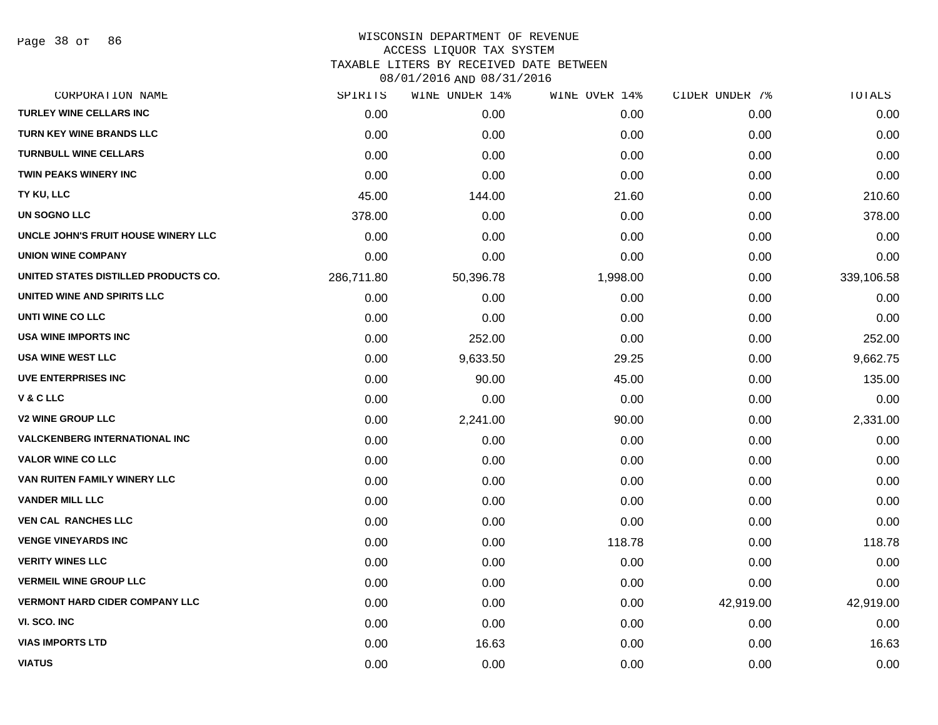Page 38 of 86

#### WISCONSIN DEPARTMENT OF REVENUE ACCESS LIQUOR TAX SYSTEM

TAXABLE LITERS BY RECEIVED DATE BETWEEN

| CORPORATION NAME                      | SPIRITS    | WINE UNDER 14% | WINE OVER 14% | CIDER UNDER 7% | TOTALS     |
|---------------------------------------|------------|----------------|---------------|----------------|------------|
| <b>TURLEY WINE CELLARS INC</b>        | 0.00       | 0.00           | 0.00          | 0.00           | 0.00       |
| <b>TURN KEY WINE BRANDS LLC</b>       | 0.00       | 0.00           | 0.00          | 0.00           | 0.00       |
| <b>TURNBULL WINE CELLARS</b>          | 0.00       | 0.00           | 0.00          | 0.00           | 0.00       |
| <b>TWIN PEAKS WINERY INC</b>          | 0.00       | 0.00           | 0.00          | 0.00           | 0.00       |
| TY KU, LLC                            | 45.00      | 144.00         | 21.60         | 0.00           | 210.60     |
| <b>UN SOGNO LLC</b>                   | 378.00     | 0.00           | 0.00          | 0.00           | 378.00     |
| UNCLE JOHN'S FRUIT HOUSE WINERY LLC   | 0.00       | 0.00           | 0.00          | 0.00           | 0.00       |
| <b>UNION WINE COMPANY</b>             | 0.00       | 0.00           | 0.00          | 0.00           | 0.00       |
| UNITED STATES DISTILLED PRODUCTS CO.  | 286,711.80 | 50,396.78      | 1,998.00      | 0.00           | 339,106.58 |
| UNITED WINE AND SPIRITS LLC           | 0.00       | 0.00           | 0.00          | 0.00           | 0.00       |
| UNTI WINE CO LLC                      | 0.00       | 0.00           | 0.00          | 0.00           | 0.00       |
| USA WINE IMPORTS INC                  | 0.00       | 252.00         | 0.00          | 0.00           | 252.00     |
| <b>USA WINE WEST LLC</b>              | 0.00       | 9,633.50       | 29.25         | 0.00           | 9,662.75   |
| <b>UVE ENTERPRISES INC</b>            | 0.00       | 90.00          | 45.00         | 0.00           | 135.00     |
| V & C LLC                             | 0.00       | 0.00           | 0.00          | 0.00           | 0.00       |
| <b>V2 WINE GROUP LLC</b>              | 0.00       | 2,241.00       | 90.00         | 0.00           | 2,331.00   |
| <b>VALCKENBERG INTERNATIONAL INC</b>  | 0.00       | 0.00           | 0.00          | 0.00           | 0.00       |
| <b>VALOR WINE CO LLC</b>              | 0.00       | 0.00           | 0.00          | 0.00           | 0.00       |
| VAN RUITEN FAMILY WINERY LLC          | 0.00       | 0.00           | 0.00          | 0.00           | 0.00       |
| <b>VANDER MILL LLC</b>                | 0.00       | 0.00           | 0.00          | 0.00           | 0.00       |
| <b>VEN CAL RANCHES LLC</b>            | 0.00       | 0.00           | 0.00          | 0.00           | 0.00       |
| <b>VENGE VINEYARDS INC</b>            | 0.00       | 0.00           | 118.78        | 0.00           | 118.78     |
| <b>VERITY WINES LLC</b>               | 0.00       | 0.00           | 0.00          | 0.00           | 0.00       |
| <b>VERMEIL WINE GROUP LLC</b>         | 0.00       | 0.00           | 0.00          | 0.00           | 0.00       |
| <b>VERMONT HARD CIDER COMPANY LLC</b> | 0.00       | 0.00           | 0.00          | 42,919.00      | 42,919.00  |
| VI. SCO. INC                          | 0.00       | 0.00           | 0.00          | 0.00           | 0.00       |
| <b>VIAS IMPORTS LTD</b>               | 0.00       | 16.63          | 0.00          | 0.00           | 16.63      |
| <b>VIATUS</b>                         | 0.00       | 0.00           | 0.00          | 0.00           | 0.00       |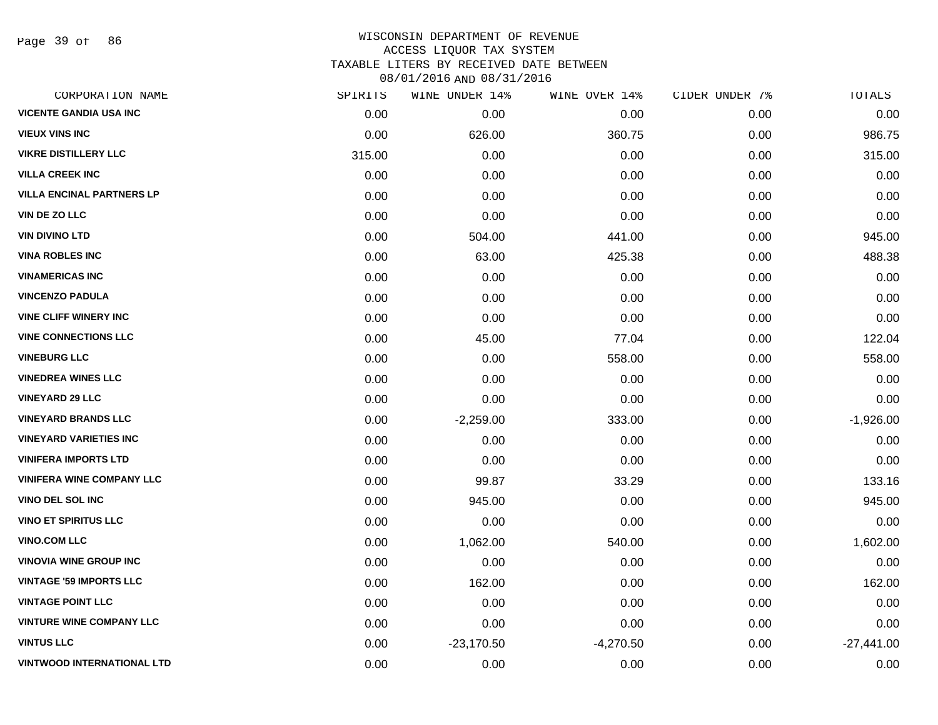Page 39 of 86

## WISCONSIN DEPARTMENT OF REVENUE ACCESS LIQUOR TAX SYSTEM TAXABLE LITERS BY RECEIVED DATE BETWEEN

| CORPORATION NAME                  | SPIRITS | WINE UNDER 14% | WINE OVER 14% | CIDER UNDER 7% | TOTALS       |
|-----------------------------------|---------|----------------|---------------|----------------|--------------|
| <b>VICENTE GANDIA USA INC</b>     | 0.00    | 0.00           | 0.00          | 0.00           | 0.00         |
| <b>VIEUX VINS INC</b>             | 0.00    | 626.00         | 360.75        | 0.00           | 986.75       |
| <b>VIKRE DISTILLERY LLC</b>       | 315.00  | 0.00           | 0.00          | 0.00           | 315.00       |
| <b>VILLA CREEK INC</b>            | 0.00    | 0.00           | 0.00          | 0.00           | 0.00         |
| <b>VILLA ENCINAL PARTNERS LP</b>  | 0.00    | 0.00           | 0.00          | 0.00           | 0.00         |
| VIN DE ZO LLC                     | 0.00    | 0.00           | 0.00          | 0.00           | 0.00         |
| <b>VIN DIVINO LTD</b>             | 0.00    | 504.00         | 441.00        | 0.00           | 945.00       |
| <b>VINA ROBLES INC</b>            | 0.00    | 63.00          | 425.38        | 0.00           | 488.38       |
| <b>VINAMERICAS INC</b>            | 0.00    | 0.00           | 0.00          | 0.00           | 0.00         |
| <b>VINCENZO PADULA</b>            | 0.00    | 0.00           | 0.00          | 0.00           | 0.00         |
| <b>VINE CLIFF WINERY INC</b>      | 0.00    | 0.00           | 0.00          | 0.00           | 0.00         |
| <b>VINE CONNECTIONS LLC</b>       | 0.00    | 45.00          | 77.04         | 0.00           | 122.04       |
| <b>VINEBURG LLC</b>               | 0.00    | 0.00           | 558.00        | 0.00           | 558.00       |
| <b>VINEDREA WINES LLC</b>         | 0.00    | 0.00           | 0.00          | 0.00           | 0.00         |
| <b>VINEYARD 29 LLC</b>            | 0.00    | 0.00           | 0.00          | 0.00           | 0.00         |
| <b>VINEYARD BRANDS LLC</b>        | 0.00    | $-2,259.00$    | 333.00        | 0.00           | $-1,926.00$  |
| <b>VINEYARD VARIETIES INC</b>     | 0.00    | 0.00           | 0.00          | 0.00           | 0.00         |
| <b>VINIFERA IMPORTS LTD</b>       | 0.00    | 0.00           | 0.00          | 0.00           | 0.00         |
| <b>VINIFERA WINE COMPANY LLC</b>  | 0.00    | 99.87          | 33.29         | 0.00           | 133.16       |
| <b>VINO DEL SOL INC</b>           | 0.00    | 945.00         | 0.00          | 0.00           | 945.00       |
| <b>VINO ET SPIRITUS LLC</b>       | 0.00    | 0.00           | 0.00          | 0.00           | 0.00         |
| <b>VINO.COM LLC</b>               | 0.00    | 1,062.00       | 540.00        | 0.00           | 1,602.00     |
| <b>VINOVIA WINE GROUP INC</b>     | 0.00    | 0.00           | 0.00          | 0.00           | 0.00         |
| <b>VINTAGE '59 IMPORTS LLC</b>    | 0.00    | 162.00         | 0.00          | 0.00           | 162.00       |
| <b>VINTAGE POINT LLC</b>          | 0.00    | 0.00           | 0.00          | 0.00           | 0.00         |
| <b>VINTURE WINE COMPANY LLC</b>   | 0.00    | 0.00           | 0.00          | 0.00           | 0.00         |
| <b>VINTUS LLC</b>                 | 0.00    | $-23,170.50$   | $-4,270.50$   | 0.00           | $-27,441.00$ |
| <b>VINTWOOD INTERNATIONAL LTD</b> | 0.00    | 0.00           | 0.00          | 0.00           | 0.00         |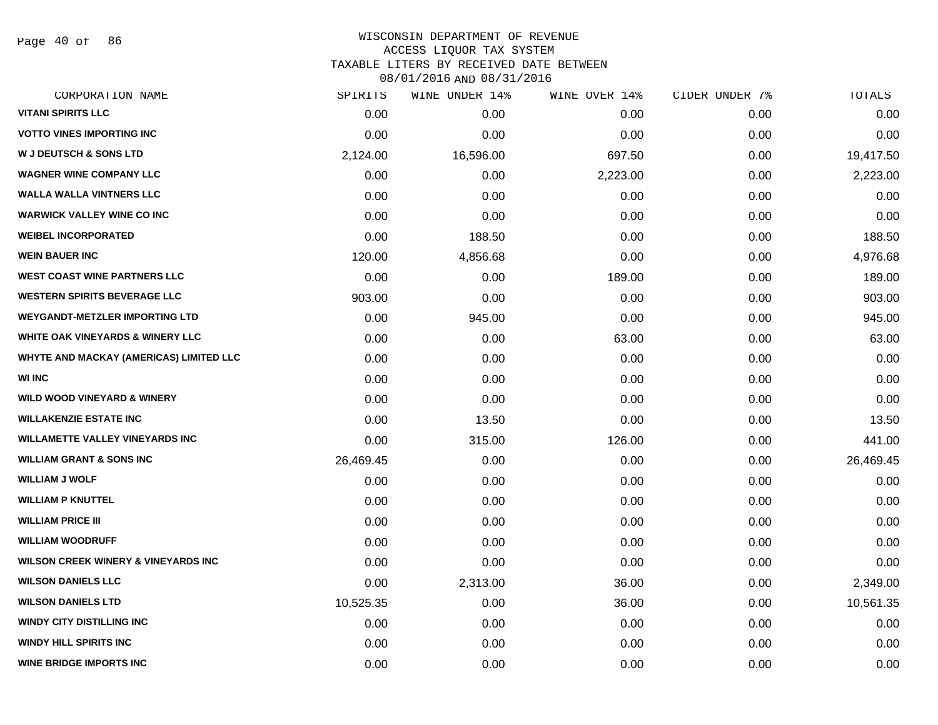Page 40 of 86

| CORPORATION NAME                               | SPIRITS   | WINE UNDER 14% | WINE OVER 14% | CIDER UNDER 7% | TOTALS    |
|------------------------------------------------|-----------|----------------|---------------|----------------|-----------|
| <b>VITANI SPIRITS LLC</b>                      | 0.00      | 0.00           | 0.00          | 0.00           | 0.00      |
| <b>VOTTO VINES IMPORTING INC</b>               | 0.00      | 0.00           | 0.00          | 0.00           | 0.00      |
| <b>W J DEUTSCH &amp; SONS LTD</b>              | 2,124.00  | 16,596.00      | 697.50        | 0.00           | 19,417.50 |
| <b>WAGNER WINE COMPANY LLC</b>                 | 0.00      | 0.00           | 2,223.00      | 0.00           | 2,223.00  |
| <b>WALLA WALLA VINTNERS LLC</b>                | 0.00      | 0.00           | 0.00          | 0.00           | 0.00      |
| <b>WARWICK VALLEY WINE CO INC</b>              | 0.00      | 0.00           | 0.00          | 0.00           | 0.00      |
| <b>WEIBEL INCORPORATED</b>                     | 0.00      | 188.50         | 0.00          | 0.00           | 188.50    |
| <b>WEIN BAUER INC</b>                          | 120.00    | 4,856.68       | 0.00          | 0.00           | 4,976.68  |
| <b>WEST COAST WINE PARTNERS LLC</b>            | 0.00      | 0.00           | 189.00        | 0.00           | 189.00    |
| <b>WESTERN SPIRITS BEVERAGE LLC</b>            | 903.00    | 0.00           | 0.00          | 0.00           | 903.00    |
| <b>WEYGANDT-METZLER IMPORTING LTD</b>          | 0.00      | 945.00         | 0.00          | 0.00           | 945.00    |
| <b>WHITE OAK VINEYARDS &amp; WINERY LLC</b>    | 0.00      | 0.00           | 63.00         | 0.00           | 63.00     |
| WHYTE AND MACKAY (AMERICAS) LIMITED LLC        | 0.00      | 0.00           | 0.00          | 0.00           | 0.00      |
| <b>WI INC</b>                                  | 0.00      | 0.00           | 0.00          | 0.00           | 0.00      |
| <b>WILD WOOD VINEYARD &amp; WINERY</b>         | 0.00      | 0.00           | 0.00          | 0.00           | 0.00      |
| <b>WILLAKENZIE ESTATE INC</b>                  | 0.00      | 13.50          | 0.00          | 0.00           | 13.50     |
| <b>WILLAMETTE VALLEY VINEYARDS INC</b>         | 0.00      | 315.00         | 126.00        | 0.00           | 441.00    |
| <b>WILLIAM GRANT &amp; SONS INC</b>            | 26,469.45 | 0.00           | 0.00          | 0.00           | 26,469.45 |
| <b>WILLIAM J WOLF</b>                          | 0.00      | 0.00           | 0.00          | 0.00           | 0.00      |
| <b>WILLIAM P KNUTTEL</b>                       | 0.00      | 0.00           | 0.00          | 0.00           | 0.00      |
| <b>WILLIAM PRICE III</b>                       | 0.00      | 0.00           | 0.00          | 0.00           | 0.00      |
| <b>WILLIAM WOODRUFF</b>                        | 0.00      | 0.00           | 0.00          | 0.00           | 0.00      |
| <b>WILSON CREEK WINERY &amp; VINEYARDS INC</b> | 0.00      | 0.00           | 0.00          | 0.00           | 0.00      |
| <b>WILSON DANIELS LLC</b>                      | 0.00      | 2,313.00       | 36.00         | 0.00           | 2,349.00  |
| <b>WILSON DANIELS LTD</b>                      | 10,525.35 | 0.00           | 36.00         | 0.00           | 10,561.35 |
| <b>WINDY CITY DISTILLING INC</b>               | 0.00      | 0.00           | 0.00          | 0.00           | 0.00      |
| <b>WINDY HILL SPIRITS INC</b>                  | 0.00      | 0.00           | 0.00          | 0.00           | 0.00      |
| <b>WINE BRIDGE IMPORTS INC</b>                 | 0.00      | 0.00           | 0.00          | 0.00           | 0.00      |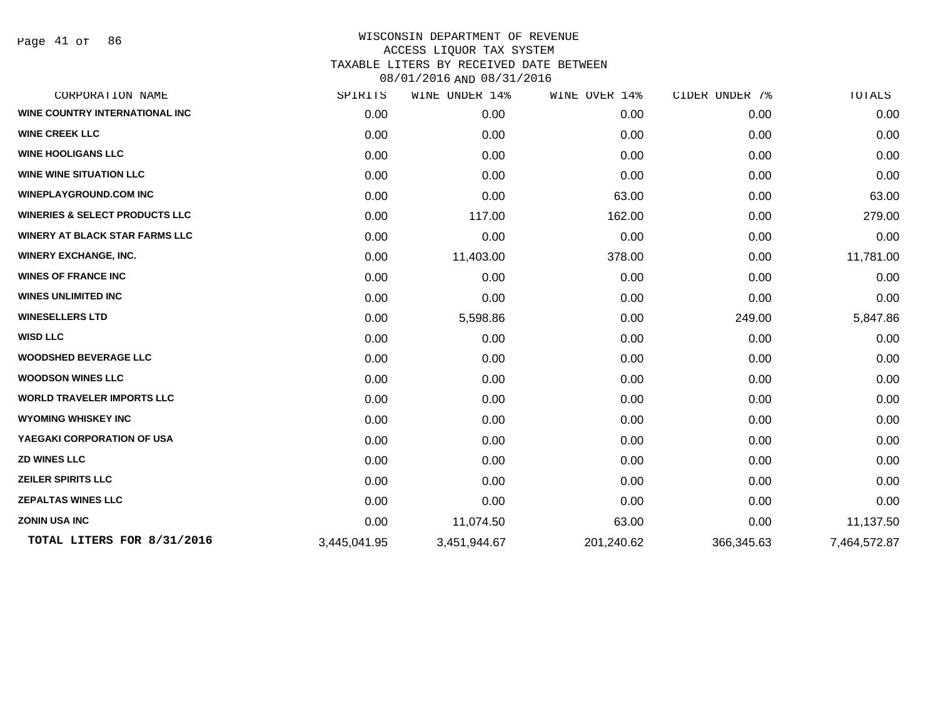Page 41 of 86

| CORPORATION NAME                          | SPIRITS      | WINE UNDER 14% | WINE OVER 14% | CIDER UNDER 7% | TOTALS       |
|-------------------------------------------|--------------|----------------|---------------|----------------|--------------|
| <b>WINE COUNTRY INTERNATIONAL INC</b>     | 0.00         | 0.00           | 0.00          | 0.00           | 0.00         |
| <b>WINE CREEK LLC</b>                     | 0.00         | 0.00           | 0.00          | 0.00           | 0.00         |
| <b>WINE HOOLIGANS LLC</b>                 | 0.00         | 0.00           | 0.00          | 0.00           | 0.00         |
| <b>WINE WINE SITUATION LLC</b>            | 0.00         | 0.00           | 0.00          | 0.00           | 0.00         |
| <b>WINEPLAYGROUND.COM INC</b>             | 0.00         | 0.00           | 63.00         | 0.00           | 63.00        |
| <b>WINERIES &amp; SELECT PRODUCTS LLC</b> | 0.00         | 117.00         | 162.00        | 0.00           | 279.00       |
| <b>WINERY AT BLACK STAR FARMS LLC</b>     | 0.00         | 0.00           | 0.00          | 0.00           | 0.00         |
| <b>WINERY EXCHANGE, INC.</b>              | 0.00         | 11,403.00      | 378.00        | 0.00           | 11,781.00    |
| <b>WINES OF FRANCE INC</b>                | 0.00         | 0.00           | 0.00          | 0.00           | 0.00         |
| <b>WINES UNLIMITED INC</b>                | 0.00         | 0.00           | 0.00          | 0.00           | 0.00         |
| <b>WINESELLERS LTD</b>                    | 0.00         | 5,598.86       | 0.00          | 249.00         | 5,847.86     |
| <b>WISD LLC</b>                           | 0.00         | 0.00           | 0.00          | 0.00           | 0.00         |
| <b>WOODSHED BEVERAGE LLC</b>              | 0.00         | 0.00           | 0.00          | 0.00           | 0.00         |
| <b>WOODSON WINES LLC</b>                  | 0.00         | 0.00           | 0.00          | 0.00           | 0.00         |
| <b>WORLD TRAVELER IMPORTS LLC</b>         | 0.00         | 0.00           | 0.00          | 0.00           | 0.00         |
| <b>WYOMING WHISKEY INC</b>                | 0.00         | 0.00           | 0.00          | 0.00           | 0.00         |
| YAEGAKI CORPORATION OF USA                | 0.00         | 0.00           | 0.00          | 0.00           | 0.00         |
| <b>ZD WINES LLC</b>                       | 0.00         | 0.00           | 0.00          | 0.00           | 0.00         |
| <b>ZEILER SPIRITS LLC</b>                 | 0.00         | 0.00           | 0.00          | 0.00           | 0.00         |
| <b>ZEPALTAS WINES LLC</b>                 | 0.00         | 0.00           | 0.00          | 0.00           | 0.00         |
| <b>ZONIN USA INC</b>                      | 0.00         | 11,074.50      | 63.00         | 0.00           | 11,137.50    |
| TOTAL LITERS FOR 8/31/2016                | 3,445,041.95 | 3,451,944.67   | 201,240.62    | 366,345.63     | 7,464,572.87 |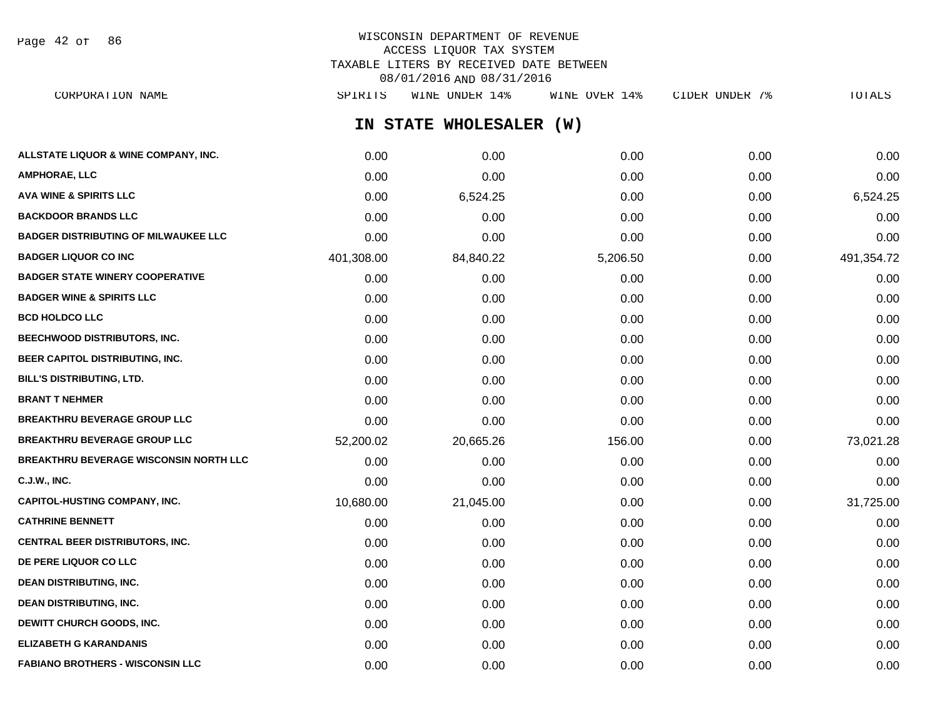Page 42 of 86

## WISCONSIN DEPARTMENT OF REVENUE ACCESS LIQUOR TAX SYSTEM TAXABLE LITERS BY RECEIVED DATE BETWEEN 08/01/2016 AND 08/31/2016

**IN STATE WHOLESALER (W) ALLSTATE LIQUOR & WINE COMPANY, INC.**  $0.00$   $0.00$   $0.00$   $0.00$   $0.00$   $0.00$   $0.00$   $0.00$   $0.00$   $0.00$   $0.00$   $0.00$ **AMPHORAE, LLC** 0.00 0.00 0.00 0.00 0.00 **AVA WINE & SPIRITS LLC** 0.00 6,524.25 0.00 0.00 6,524.25 **BACKDOOR BRANDS LLC** 0.00 0.00 0.00 0.00 0.00 **BADGER DISTRIBUTING OF MILWAUKEE LLC** 0.00 0.00 0.00 0.00 0.00 **BADGER LIQUOR CO INC** 401,308.00 84,840.22 5,206.50 0.00 491,354.72 **BADGER STATE WINERY COOPERATIVE** 0.00 0.00 0.00 0.00 0.00 **BADGER WINE & SPIRITS LLC**  $\begin{array}{ccc} 0.00 & 0.00 & 0.00 \\ 0.00 & 0.00 & 0.00 \end{array}$ **BCD HOLDCO LLC** 0.00 0.00 0.00 0.00 0.00 **BEECHWOOD DISTRIBUTORS, INC.** 0.00 0.00 0.00 0.00 0.00 **BEER CAPITOL DISTRIBUTING, INC.** 0.00 0.00 0.00 0.00 0.00 **BILL'S DISTRIBUTING, LTD.** 0.00 0.00 0.00 0.00 0.00 **BRANT T NEHMER** 0.00 0.00 0.00 0.00 0.00 **BREAKTHRU BEVERAGE GROUP LLC** 0.00 0.00 0.00 0.00 0.00 **BREAKTHRU BEVERAGE GROUP LLC**  $52.200.02$   $20.665.26$   $156.00$   $0.00$   $73.021.28$ **BREAKTHRU BEVERAGE WISCONSIN NORTH LLC** 0.00 0.00 0.00 0.00 0.00 **C.J.W., INC.** 0.00 0.00 0.00 0.00 0.00 **CAPITOL-HUSTING COMPANY, INC.** 10,680.00 21,045.00 0.00 0.00 31,725.00 **CATHRINE BENNETT** 0.00 0.00 0.00 0.00 0.00 **CENTRAL BEER DISTRIBUTORS, INC.** 0.00 0.00 0.00 0.00 0.00 **DE PERE LIQUOR CO LLC** 0.00 0.00 0.00 0.00 0.00 **DEAN DISTRIBUTING, INC.** 0.00 0.00 0.00 0.00 0.00 **DEAN DISTRIBUTING, INC.** 0.00 0.00 0.00 0.00 0.00 **DEWITT CHURCH GOODS, INC.** 0.00 0.00 0.00 0.00 0.00 **ELIZABETH G KARANDANIS** 0.00 0.00 0.00 0.00 0.00 CORPORATION NAME SPIRITS WINE UNDER 14% WINE OVER 14% CIDER UNDER 7% TOTALS

**FABIANO BROTHERS - WISCONSIN LLC** 0.00 0.00 0.00 0.00 0.00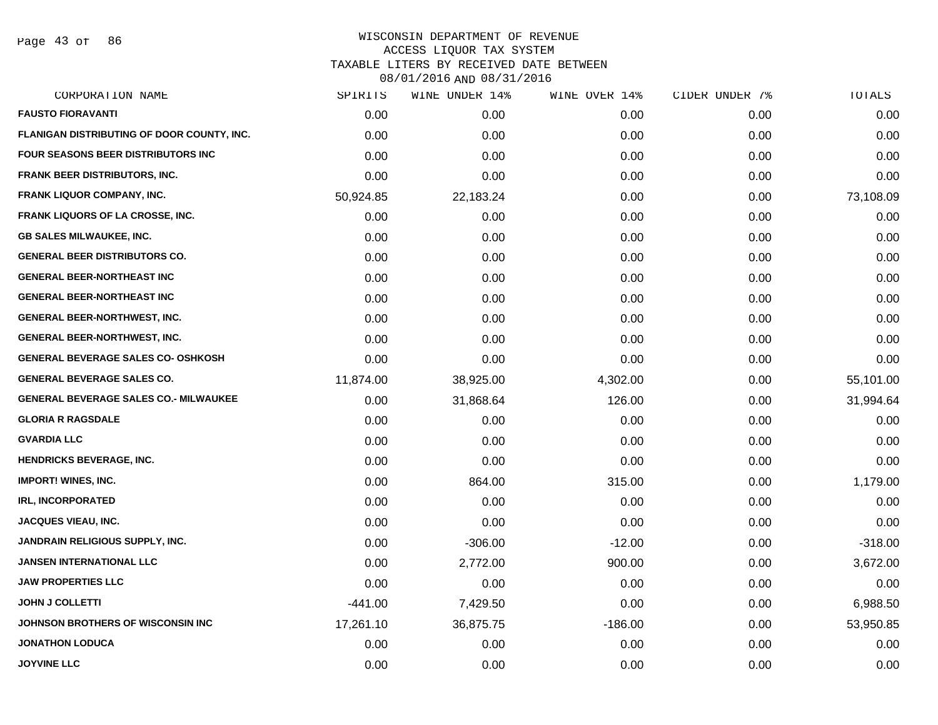Page 43 of 86

| CORPORATION NAME                             | SPIRITS   | WINE UNDER 14% | WINE OVER 14% | CIDER UNDER 7% | TOTALS    |
|----------------------------------------------|-----------|----------------|---------------|----------------|-----------|
| <b>FAUSTO FIORAVANTI</b>                     | 0.00      | 0.00           | 0.00          | 0.00           | 0.00      |
| FLANIGAN DISTRIBUTING OF DOOR COUNTY, INC.   | 0.00      | 0.00           | 0.00          | 0.00           | 0.00      |
| FOUR SEASONS BEER DISTRIBUTORS INC           | 0.00      | 0.00           | 0.00          | 0.00           | 0.00      |
| FRANK BEER DISTRIBUTORS, INC.                | 0.00      | 0.00           | 0.00          | 0.00           | 0.00      |
| <b>FRANK LIQUOR COMPANY, INC.</b>            | 50,924.85 | 22,183.24      | 0.00          | 0.00           | 73,108.09 |
| FRANK LIQUORS OF LA CROSSE, INC.             | 0.00      | 0.00           | 0.00          | 0.00           | 0.00      |
| <b>GB SALES MILWAUKEE, INC.</b>              | 0.00      | 0.00           | 0.00          | 0.00           | 0.00      |
| <b>GENERAL BEER DISTRIBUTORS CO.</b>         | 0.00      | 0.00           | 0.00          | 0.00           | 0.00      |
| <b>GENERAL BEER-NORTHEAST INC</b>            | 0.00      | 0.00           | 0.00          | 0.00           | 0.00      |
| <b>GENERAL BEER-NORTHEAST INC</b>            | 0.00      | 0.00           | 0.00          | 0.00           | 0.00      |
| <b>GENERAL BEER-NORTHWEST, INC.</b>          | 0.00      | 0.00           | 0.00          | 0.00           | 0.00      |
| <b>GENERAL BEER-NORTHWEST, INC.</b>          | 0.00      | 0.00           | 0.00          | 0.00           | 0.00      |
| <b>GENERAL BEVERAGE SALES CO- OSHKOSH</b>    | 0.00      | 0.00           | 0.00          | 0.00           | 0.00      |
| <b>GENERAL BEVERAGE SALES CO.</b>            | 11,874.00 | 38,925.00      | 4,302.00      | 0.00           | 55,101.00 |
| <b>GENERAL BEVERAGE SALES CO.- MILWAUKEE</b> | 0.00      | 31,868.64      | 126.00        | 0.00           | 31,994.64 |
| <b>GLORIA R RAGSDALE</b>                     | 0.00      | 0.00           | 0.00          | 0.00           | 0.00      |
| <b>GVARDIA LLC</b>                           | 0.00      | 0.00           | 0.00          | 0.00           | 0.00      |
| <b>HENDRICKS BEVERAGE, INC.</b>              | 0.00      | 0.00           | 0.00          | 0.00           | 0.00      |
| <b>IMPORT! WINES, INC.</b>                   | 0.00      | 864.00         | 315.00        | 0.00           | 1,179.00  |
| <b>IRL, INCORPORATED</b>                     | 0.00      | 0.00           | 0.00          | 0.00           | 0.00      |
| JACQUES VIEAU, INC.                          | 0.00      | 0.00           | 0.00          | 0.00           | 0.00      |
| JANDRAIN RELIGIOUS SUPPLY, INC.              | 0.00      | $-306.00$      | $-12.00$      | 0.00           | $-318.00$ |
| <b>JANSEN INTERNATIONAL LLC</b>              | 0.00      | 2,772.00       | 900.00        | 0.00           | 3,672.00  |
| <b>JAW PROPERTIES LLC</b>                    | 0.00      | 0.00           | 0.00          | 0.00           | 0.00      |
| <b>JOHN J COLLETTI</b>                       | $-441.00$ | 7,429.50       | 0.00          | 0.00           | 6,988.50  |
| <b>JOHNSON BROTHERS OF WISCONSIN INC</b>     | 17,261.10 | 36,875.75      | $-186.00$     | 0.00           | 53,950.85 |
| <b>JONATHON LODUCA</b>                       | 0.00      | 0.00           | 0.00          | 0.00           | 0.00      |
| <b>JOYVINE LLC</b>                           | 0.00      | 0.00           | 0.00          | 0.00           | 0.00      |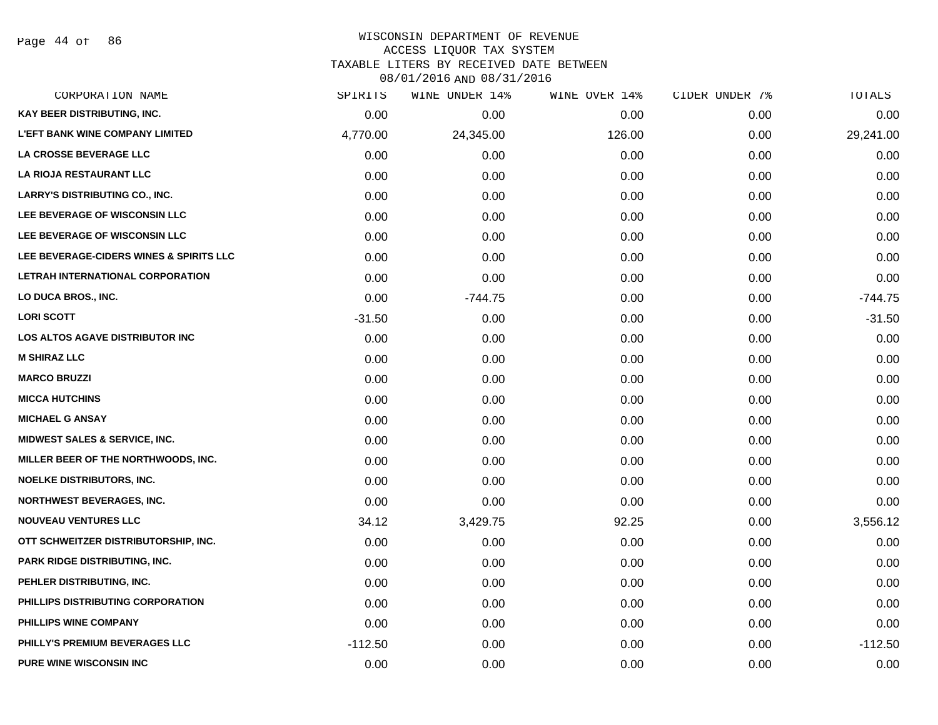Page 44 of 86

#### WISCONSIN DEPARTMENT OF REVENUE ACCESS LIQUOR TAX SYSTEM

TAXABLE LITERS BY RECEIVED DATE BETWEEN

| CORPORATION NAME                         | SPIRITS   | WINE UNDER 14% | WINE OVER 14% | CIDER UNDER 7% | TOTALS    |
|------------------------------------------|-----------|----------------|---------------|----------------|-----------|
| KAY BEER DISTRIBUTING, INC.              | 0.00      | 0.00           | 0.00          | 0.00           | 0.00      |
| <b>L'EFT BANK WINE COMPANY LIMITED</b>   | 4,770.00  | 24,345.00      | 126.00        | 0.00           | 29,241.00 |
| LA CROSSE BEVERAGE LLC                   | 0.00      | 0.00           | 0.00          | 0.00           | 0.00      |
| <b>LA RIOJA RESTAURANT LLC</b>           | 0.00      | 0.00           | 0.00          | 0.00           | 0.00      |
| LARRY'S DISTRIBUTING CO., INC.           | 0.00      | 0.00           | 0.00          | 0.00           | 0.00      |
| LEE BEVERAGE OF WISCONSIN LLC            | 0.00      | 0.00           | 0.00          | 0.00           | 0.00      |
| LEE BEVERAGE OF WISCONSIN LLC            | 0.00      | 0.00           | 0.00          | 0.00           | 0.00      |
| LEE BEVERAGE-CIDERS WINES & SPIRITS LLC  | 0.00      | 0.00           | 0.00          | 0.00           | 0.00      |
| LETRAH INTERNATIONAL CORPORATION         | 0.00      | 0.00           | 0.00          | 0.00           | 0.00      |
| LO DUCA BROS., INC.                      | 0.00      | $-744.75$      | 0.00          | 0.00           | $-744.75$ |
| <b>LORI SCOTT</b>                        | $-31.50$  | 0.00           | 0.00          | 0.00           | $-31.50$  |
| LOS ALTOS AGAVE DISTRIBUTOR INC          | 0.00      | 0.00           | 0.00          | 0.00           | 0.00      |
| <b>M SHIRAZ LLC</b>                      | 0.00      | 0.00           | 0.00          | 0.00           | 0.00      |
| <b>MARCO BRUZZI</b>                      | 0.00      | 0.00           | 0.00          | 0.00           | 0.00      |
| <b>MICCA HUTCHINS</b>                    | 0.00      | 0.00           | 0.00          | 0.00           | 0.00      |
| <b>MICHAEL G ANSAY</b>                   | 0.00      | 0.00           | 0.00          | 0.00           | 0.00      |
| <b>MIDWEST SALES &amp; SERVICE, INC.</b> | 0.00      | 0.00           | 0.00          | 0.00           | 0.00      |
| MILLER BEER OF THE NORTHWOODS, INC.      | 0.00      | 0.00           | 0.00          | 0.00           | 0.00      |
| NOELKE DISTRIBUTORS, INC.                | 0.00      | 0.00           | 0.00          | 0.00           | 0.00      |
| <b>NORTHWEST BEVERAGES, INC.</b>         | 0.00      | 0.00           | 0.00          | 0.00           | 0.00      |
| <b>NOUVEAU VENTURES LLC</b>              | 34.12     | 3,429.75       | 92.25         | 0.00           | 3,556.12  |
| OTT SCHWEITZER DISTRIBUTORSHIP, INC.     | 0.00      | 0.00           | 0.00          | 0.00           | 0.00      |
| <b>PARK RIDGE DISTRIBUTING, INC.</b>     | 0.00      | 0.00           | 0.00          | 0.00           | 0.00      |
| PEHLER DISTRIBUTING, INC.                | 0.00      | 0.00           | 0.00          | 0.00           | 0.00      |
| PHILLIPS DISTRIBUTING CORPORATION        | 0.00      | 0.00           | 0.00          | 0.00           | 0.00      |
| PHILLIPS WINE COMPANY                    | 0.00      | 0.00           | 0.00          | 0.00           | 0.00      |
| PHILLY'S PREMIUM BEVERAGES LLC           | $-112.50$ | 0.00           | 0.00          | 0.00           | $-112.50$ |
| PURE WINE WISCONSIN INC                  | 0.00      | 0.00           | 0.00          | 0.00           | 0.00      |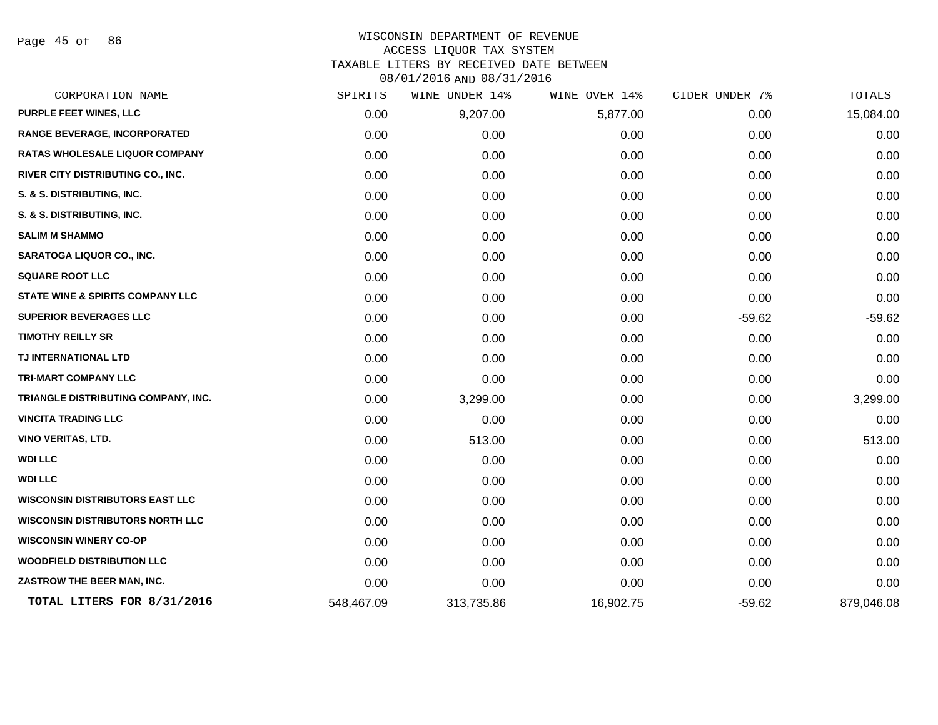Page 45 of 86

| SPIRITS    | UNDER 14%<br>WINE | WINE OVER 14% | CIDER UNDER 7% | <b>TOTALS</b> |
|------------|-------------------|---------------|----------------|---------------|
| 0.00       | 9,207.00          | 5,877.00      | 0.00           | 15,084.00     |
| 0.00       | 0.00              | 0.00          | 0.00           | 0.00          |
| 0.00       | 0.00              | 0.00          | 0.00           | 0.00          |
| 0.00       | 0.00              | 0.00          | 0.00           | 0.00          |
| 0.00       | 0.00              | 0.00          | 0.00           | 0.00          |
| 0.00       | 0.00              | 0.00          | 0.00           | 0.00          |
| 0.00       | 0.00              | 0.00          | 0.00           | 0.00          |
| 0.00       | 0.00              | 0.00          | 0.00           | 0.00          |
| 0.00       | 0.00              | 0.00          | 0.00           | 0.00          |
| 0.00       | 0.00              | 0.00          | 0.00           | 0.00          |
| 0.00       | 0.00              | 0.00          | $-59.62$       | $-59.62$      |
| 0.00       | 0.00              | 0.00          | 0.00           | 0.00          |
| 0.00       | 0.00              | 0.00          | 0.00           | 0.00          |
| 0.00       | 0.00              | 0.00          | 0.00           | 0.00          |
| 0.00       | 3,299.00          | 0.00          | 0.00           | 3,299.00      |
| 0.00       | 0.00              | 0.00          | 0.00           | 0.00          |
| 0.00       | 513.00            | 0.00          | 0.00           | 513.00        |
| 0.00       | 0.00              | 0.00          | 0.00           | 0.00          |
| 0.00       | 0.00              | 0.00          | 0.00           | 0.00          |
| 0.00       | 0.00              | 0.00          | 0.00           | 0.00          |
| 0.00       | 0.00              | 0.00          | 0.00           | 0.00          |
| 0.00       | 0.00              | 0.00          | 0.00           | 0.00          |
| 0.00       | 0.00              | 0.00          | 0.00           | 0.00          |
| 0.00       | 0.00              | 0.00          | 0.00           | 0.00          |
| 548,467.09 | 313,735.86        | 16,902.75     | $-59.62$       | 879,046.08    |
|            |                   |               |                |               |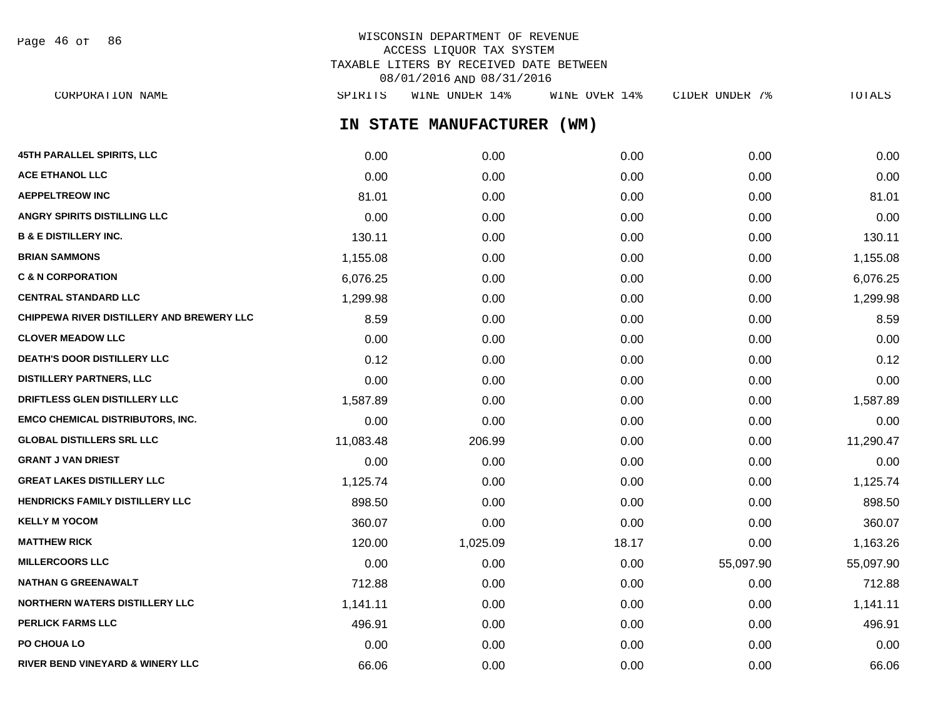| Page | 46 of |  | 86 |
|------|-------|--|----|
|------|-------|--|----|

## WISCONSIN DEPARTMENT OF REVENUE ACCESS LIQUOR TAX SYSTEM TAXABLE LITERS BY RECEIVED DATE BETWEEN 08/01/2016 AND 08/31/2016

**IN STATE MANUFACTURER (WM) 45TH PARALLEL SPIRITS, LLC** 0.00 0.00 0.00 0.00 0.00 **ACE ETHANOL LLC** 0.00 0.00 0.00 0.00 0.00 **AEPPELTREOW INC** 81.01 81.01 81.01 81.01 81.01 81.01 81.01 81.01 81.01 81.01 **ANGRY SPIRITS DISTILLING LLC** 0.00 0.00 0.00 0.00 0.00 **B & E DISTILLERY INC.** 2010 130.11 130.11 130.11 130.11 130.11 130.11 130.11 130.11 130.11 **BRIAN SAMMONS** 1,155.08 0.00 0.00 0.00 1,155.08 **C & N CORPORATION** 6,076.25 0.00 0.00 0.00 6,076.25 **CENTRAL STANDARD LLC** 1,299.98 0.00 0.00 0.00 1,299.98 **CHIPPEWA RIVER DISTILLERY AND BREWERY LLC**  $8.59$   $0.00$   $0.00$   $0.00$   $0.00$   $0.00$   $0.00$   $0.8.59$ **CLOVER MEADOW LLC** 0.00 0.00 0.00 0.00 0.00 **DEATH'S DOOR DISTILLERY LLC** 0.12 0.00 0.00 0.00 0.12 **DISTILLERY PARTNERS, LLC** 0.00 0.00 0.00 0.00 0.00 **DRIFTLESS GLEN DISTILLERY LLC** 1.587.89 0.00 0.00 0.00 0.00 0.00 0.00 0.00 1.587.89 **EMCO CHEMICAL DISTRIBUTORS, INC.** 0.00 0.00 0.00 0.00 0.00 **GLOBAL DISTILLERS SRL LLC** 11,083.48 206.99 0.00 0.00 11,290.47 **GRANT J VAN DRIEST** 0.00 0.00 0.00 0.00 0.00 **GREAT LAKES DISTILLERY LLC** 1,125.74 0.00 0.00 0.00 1,125.74 **HENDRICKS FAMILY DISTILLERY LLC** 898.50 0.00 0.00 0.00 898.50 **KELLY M YOCOM** 360.07 0.00 0.00 0.00 360.07 **MATTHEW RICK** 120.00 1,025.09 18.17 0.00 1,163.26 **MILLERCOORS LLC** 65,097.90 55,097.90 0.00 0.00 0.00 0.00 0.00 0.00 55,097.90 55,097.90 **NATHAN G GREENAWALT** 712.88 0.00 0.00 0.00 712.88 **NORTHERN WATERS DISTILLERY LLC** 1,141.11 0.00 0.00 0.00 1,141.11 **PERLICK FARMS LLC** 496.91 0.00 0.00 0.00 496.91 **PO CHOUA LO** 0.00 0.00 0.00 0.00 0.00 CORPORATION NAME SPIRITS WINE UNDER 14% WINE OVER 14% CIDER UNDER 7% TOTALS

RIVER BEND VINEYARD & WINERY LLC **CONFIDENT CONSUMERT CONFIDENT** CONFIDENT CONFIDENT CONFIDENT CONFIDENT CONFIDENT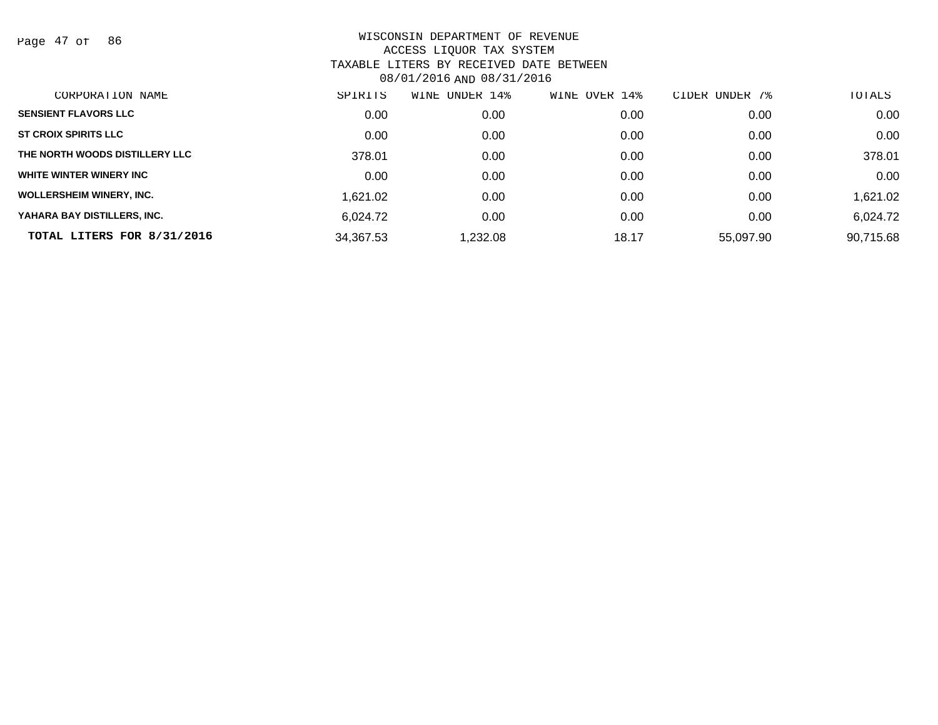Page 47 of 86

| CORPORATION NAME                | SPIRITS   | UNDER 14%<br>WINE | 14%<br>WINE OVER | UNDER 7%<br><b>CIDER</b> | TOTALS    |
|---------------------------------|-----------|-------------------|------------------|--------------------------|-----------|
| <b>SENSIENT FLAVORS LLC</b>     | 0.00      | 0.00              | 0.00             | 0.00                     | 0.00      |
| <b>ST CROIX SPIRITS LLC</b>     | 0.00      | 0.00              | 0.00             | 0.00                     | 0.00      |
| THE NORTH WOODS DISTILLERY LLC  | 378.01    | 0.00              | 0.00             | 0.00                     | 378.01    |
| WHITE WINTER WINERY INC         | 0.00      | 0.00              | 0.00             | 0.00                     | 0.00      |
| <b>WOLLERSHEIM WINERY, INC.</b> | 1,621.02  | 0.00              | 0.00             | 0.00                     | 1,621.02  |
| YAHARA BAY DISTILLERS, INC.     | 6.024.72  | 0.00              | 0.00             | 0.00                     | 6,024.72  |
| TOTAL LITERS FOR 8/31/2016      | 34,367.53 | 1.232.08          | 18.17            | 55.097.90                | 90,715.68 |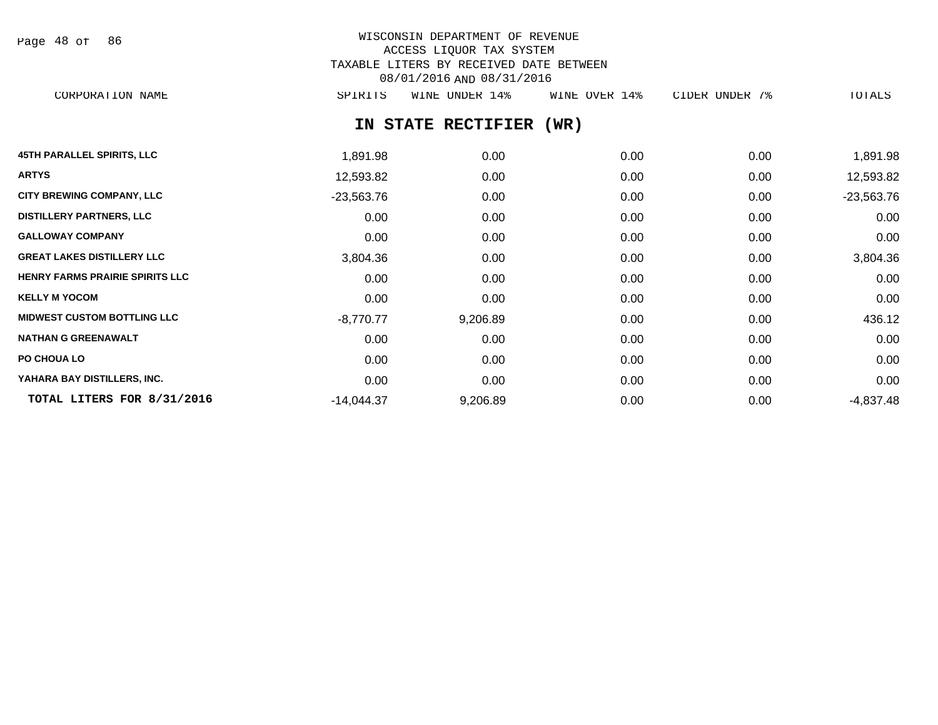| Page |  | 48 of | 86 |
|------|--|-------|----|
|------|--|-------|----|

# WISCONSIN DEPARTMENT OF REVENUE ACCESS LIQUOR TAX SYSTEM TAXABLE LITERS BY RECEIVED DATE BETWEEN 08/01/2016 AND 08/31/2016

CORPORATION NAME SPIRITS WINE UNDER 14% WINE OVER 14% CIDER UNDER 7% TOTALS

# **IN STATE RECTIFIER (WR)**

| <b>45TH PARALLEL SPIRITS, LLC</b>      | 1,891.98     | 0.00     | 0.00 | 0.00 | 1,891.98     |
|----------------------------------------|--------------|----------|------|------|--------------|
| <b>ARTYS</b>                           | 12,593.82    | 0.00     | 0.00 | 0.00 | 12,593.82    |
| <b>CITY BREWING COMPANY, LLC</b>       | $-23,563.76$ | 0.00     | 0.00 | 0.00 | $-23,563.76$ |
| <b>DISTILLERY PARTNERS, LLC</b>        | 0.00         | 0.00     | 0.00 | 0.00 | 0.00         |
| <b>GALLOWAY COMPANY</b>                | 0.00         | 0.00     | 0.00 | 0.00 | 0.00         |
| <b>GREAT LAKES DISTILLERY LLC</b>      | 3,804.36     | 0.00     | 0.00 | 0.00 | 3,804.36     |
| <b>HENRY FARMS PRAIRIE SPIRITS LLC</b> | 0.00         | 0.00     | 0.00 | 0.00 | 0.00         |
| <b>KELLY M YOCOM</b>                   | 0.00         | 0.00     | 0.00 | 0.00 | 0.00         |
| <b>MIDWEST CUSTOM BOTTLING LLC</b>     | $-8,770.77$  | 9,206.89 | 0.00 | 0.00 | 436.12       |
| <b>NATHAN G GREENAWALT</b>             | 0.00         | 0.00     | 0.00 | 0.00 | 0.00         |
| PO CHOUA LO                            | 0.00         | 0.00     | 0.00 | 0.00 | 0.00         |
| YAHARA BAY DISTILLERS, INC.            | 0.00         | 0.00     | 0.00 | 0.00 | 0.00         |
| TOTAL LITERS FOR 8/31/2016             | $-14,044.37$ | 9,206.89 | 0.00 | 0.00 | $-4,837.48$  |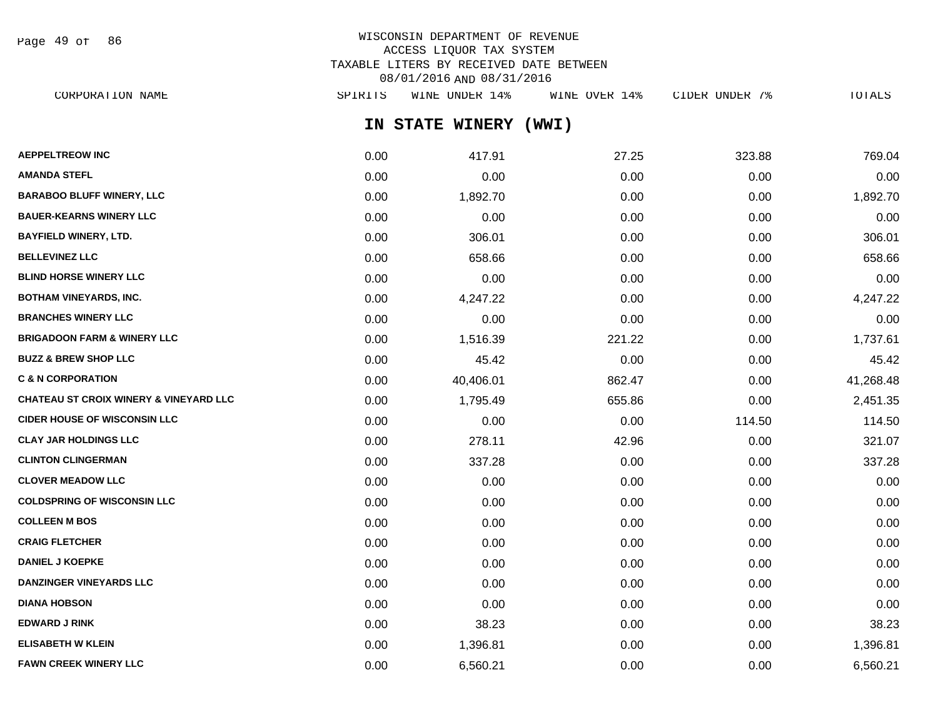Page 49 of 86

## WISCONSIN DEPARTMENT OF REVENUE ACCESS LIQUOR TAX SYSTEM TAXABLE LITERS BY RECEIVED DATE BETWEEN 08/01/2016 AND 08/31/2016

| CORPORATION NAME                                  | SPIRITS | WINE UNDER 14%  | WINE OVER 14% | CIDER UNDER 7% | TOTALS    |
|---------------------------------------------------|---------|-----------------|---------------|----------------|-----------|
|                                                   |         | IN STATE WINERY | (WWI)         |                |           |
| <b>AEPPELTREOW INC</b>                            | 0.00    | 417.91          | 27.25         | 323.88         | 769.04    |
| <b>AMANDA STEFL</b>                               | 0.00    | 0.00            | 0.00          | 0.00           | 0.00      |
| <b>BARABOO BLUFF WINERY, LLC</b>                  | 0.00    | 1,892.70        | 0.00          | 0.00           | 1,892.70  |
| <b>BAUER-KEARNS WINERY LLC</b>                    | 0.00    | 0.00            | 0.00          | 0.00           | 0.00      |
| BAYFIELD WINERY, LTD.                             | 0.00    | 306.01          | 0.00          | 0.00           | 306.01    |
| <b>BELLEVINEZ LLC</b>                             | 0.00    | 658.66          | 0.00          | 0.00           | 658.66    |
| <b>BLIND HORSE WINERY LLC</b>                     | 0.00    | 0.00            | 0.00          | 0.00           | 0.00      |
| BOTHAM VINEYARDS, INC.                            | 0.00    | 4,247.22        | 0.00          | 0.00           | 4,247.22  |
| <b>BRANCHES WINERY LLC</b>                        | 0.00    | 0.00            | 0.00          | 0.00           | 0.00      |
| <b>BRIGADOON FARM &amp; WINERY LLC</b>            | 0.00    | 1,516.39        | 221.22        | 0.00           | 1,737.61  |
| <b>BUZZ &amp; BREW SHOP LLC</b>                   | 0.00    | 45.42           | 0.00          | 0.00           | 45.42     |
| <b>C &amp; N CORPORATION</b>                      | 0.00    | 40,406.01       | 862.47        | 0.00           | 41,268.48 |
| <b>CHATEAU ST CROIX WINERY &amp; VINEYARD LLC</b> | 0.00    | 1,795.49        | 655.86        | 0.00           | 2,451.35  |
| <b>CIDER HOUSE OF WISCONSIN LLC</b>               | 0.00    | 0.00            | 0.00          | 114.50         | 114.50    |
| <b>CLAY JAR HOLDINGS LLC</b>                      | 0.00    | 278.11          | 42.96         | 0.00           | 321.07    |
| <b>CLINTON CLINGERMAN</b>                         | 0.00    | 337.28          | 0.00          | 0.00           | 337.28    |
| <b>CLOVER MEADOW LLC</b>                          | 0.00    | 0.00            | 0.00          | 0.00           | 0.00      |
| <b>COLDSPRING OF WISCONSIN LLC</b>                | 0.00    | 0.00            | 0.00          | 0.00           | 0.00      |
| <b>COLLEEN M BOS</b>                              | 0.00    | 0.00            | 0.00          | 0.00           | 0.00      |
| <b>CRAIG FLETCHER</b>                             | 0.00    | 0.00            | 0.00          | 0.00           | 0.00      |
| <b>DANIEL J KOEPKE</b>                            | 0.00    | 0.00            | 0.00          | 0.00           | 0.00      |
| <b>DANZINGER VINEYARDS LLC</b>                    | 0.00    | 0.00            | 0.00          | 0.00           | 0.00      |
| <b>DIANA HOBSON</b>                               | 0.00    | 0.00            | 0.00          | 0.00           | 0.00      |

**EDWARD J RINK** 0.00 38.23 0.00 0.00 38.23 **ELISABETH W KLEIN** 0.00 1,396.81 0.00 0.00 1,396.81 FAWN CREEK WINERY LLC **CONTACT CONSUMERY LLC** 0.00 6,560.21 0.00 0.00 0.00 0.00 6,560.21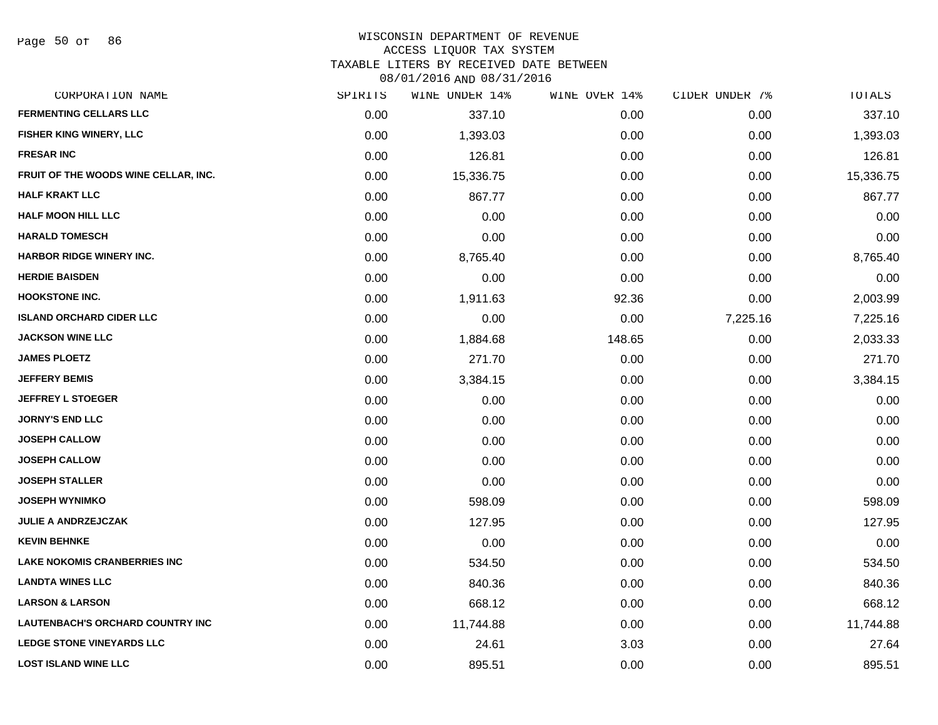#### WISCONSIN DEPARTMENT OF REVENUE ACCESS LIQUOR TAX SYSTEM

TAXABLE LITERS BY RECEIVED DATE BETWEEN

| CORPORATION NAME                        | SPIRITS | WINE UNDER 14% | WINE OVER 14% | CIDER UNDER 7% | TOTALS    |
|-----------------------------------------|---------|----------------|---------------|----------------|-----------|
| <b>FERMENTING CELLARS LLC</b>           | 0.00    | 337.10         | 0.00          | 0.00           | 337.10    |
| FISHER KING WINERY, LLC                 | 0.00    | 1,393.03       | 0.00          | 0.00           | 1,393.03  |
| <b>FRESAR INC</b>                       | 0.00    | 126.81         | 0.00          | 0.00           | 126.81    |
| FRUIT OF THE WOODS WINE CELLAR, INC.    | 0.00    | 15,336.75      | 0.00          | 0.00           | 15,336.75 |
| <b>HALF KRAKT LLC</b>                   | 0.00    | 867.77         | 0.00          | 0.00           | 867.77    |
| <b>HALF MOON HILL LLC</b>               | 0.00    | 0.00           | 0.00          | 0.00           | 0.00      |
| <b>HARALD TOMESCH</b>                   | 0.00    | 0.00           | 0.00          | 0.00           | 0.00      |
| <b>HARBOR RIDGE WINERY INC.</b>         | 0.00    | 8,765.40       | 0.00          | 0.00           | 8,765.40  |
| <b>HERDIE BAISDEN</b>                   | 0.00    | 0.00           | 0.00          | 0.00           | 0.00      |
| <b>HOOKSTONE INC.</b>                   | 0.00    | 1,911.63       | 92.36         | 0.00           | 2,003.99  |
| <b>ISLAND ORCHARD CIDER LLC</b>         | 0.00    | 0.00           | 0.00          | 7,225.16       | 7,225.16  |
| <b>JACKSON WINE LLC</b>                 | 0.00    | 1,884.68       | 148.65        | 0.00           | 2,033.33  |
| <b>JAMES PLOETZ</b>                     | 0.00    | 271.70         | 0.00          | 0.00           | 271.70    |
| <b>JEFFERY BEMIS</b>                    | 0.00    | 3,384.15       | 0.00          | 0.00           | 3,384.15  |
| <b>JEFFREY L STOEGER</b>                | 0.00    | 0.00           | 0.00          | 0.00           | 0.00      |
| <b>JORNY'S END LLC</b>                  | 0.00    | 0.00           | 0.00          | 0.00           | 0.00      |
| <b>JOSEPH CALLOW</b>                    | 0.00    | 0.00           | 0.00          | 0.00           | 0.00      |
| <b>JOSEPH CALLOW</b>                    | 0.00    | 0.00           | 0.00          | 0.00           | 0.00      |
| <b>JOSEPH STALLER</b>                   | 0.00    | 0.00           | 0.00          | 0.00           | 0.00      |
| <b>JOSEPH WYNIMKO</b>                   | 0.00    | 598.09         | 0.00          | 0.00           | 598.09    |
| <b>JULIE A ANDRZEJCZAK</b>              | 0.00    | 127.95         | 0.00          | 0.00           | 127.95    |
| <b>KEVIN BEHNKE</b>                     | 0.00    | 0.00           | 0.00          | 0.00           | 0.00      |
| <b>LAKE NOKOMIS CRANBERRIES INC</b>     | 0.00    | 534.50         | 0.00          | 0.00           | 534.50    |
| <b>LANDTA WINES LLC</b>                 | 0.00    | 840.36         | 0.00          | 0.00           | 840.36    |
| <b>LARSON &amp; LARSON</b>              | 0.00    | 668.12         | 0.00          | 0.00           | 668.12    |
| <b>LAUTENBACH'S ORCHARD COUNTRY INC</b> | 0.00    | 11,744.88      | 0.00          | 0.00           | 11,744.88 |
| <b>LEDGE STONE VINEYARDS LLC</b>        | 0.00    | 24.61          | 3.03          | 0.00           | 27.64     |
| <b>LOST ISLAND WINE LLC</b>             | 0.00    | 895.51         | 0.00          | 0.00           | 895.51    |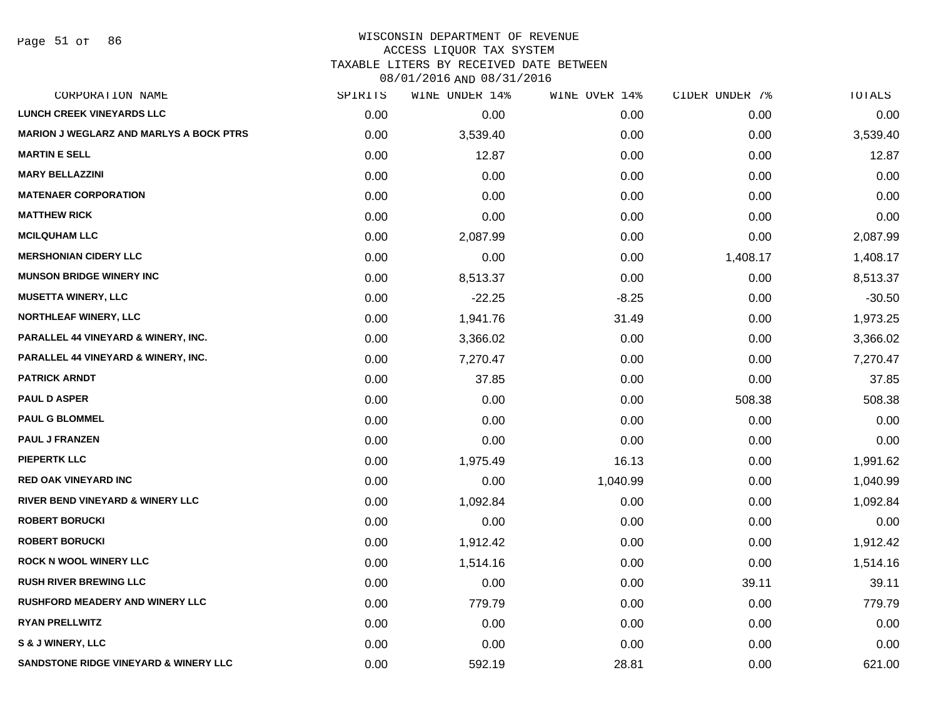#### WISCONSIN DEPARTMENT OF REVENUE ACCESS LIQUOR TAX SYSTEM

TAXABLE LITERS BY RECEIVED DATE BETWEEN

| CORPORATION NAME                                 | SPIRITS | WINE UNDER 14% | WINE OVER 14% | CIDER UNDER 7% | TOTALS   |
|--------------------------------------------------|---------|----------------|---------------|----------------|----------|
| <b>LUNCH CREEK VINEYARDS LLC</b>                 | 0.00    | 0.00           | 0.00          | 0.00           | 0.00     |
| <b>MARION J WEGLARZ AND MARLYS A BOCK PTRS</b>   | 0.00    | 3,539.40       | 0.00          | 0.00           | 3,539.40 |
| <b>MARTIN E SELL</b>                             | 0.00    | 12.87          | 0.00          | 0.00           | 12.87    |
| <b>MARY BELLAZZINI</b>                           | 0.00    | 0.00           | 0.00          | 0.00           | 0.00     |
| <b>MATENAER CORPORATION</b>                      | 0.00    | 0.00           | 0.00          | 0.00           | 0.00     |
| <b>MATTHEW RICK</b>                              | 0.00    | 0.00           | 0.00          | 0.00           | 0.00     |
| <b>MCILQUHAM LLC</b>                             | 0.00    | 2,087.99       | 0.00          | 0.00           | 2,087.99 |
| <b>MERSHONIAN CIDERY LLC</b>                     | 0.00    | 0.00           | 0.00          | 1,408.17       | 1,408.17 |
| <b>MUNSON BRIDGE WINERY INC</b>                  | 0.00    | 8,513.37       | 0.00          | 0.00           | 8,513.37 |
| <b>MUSETTA WINERY, LLC</b>                       | 0.00    | $-22.25$       | $-8.25$       | 0.00           | $-30.50$ |
| <b>NORTHLEAF WINERY, LLC</b>                     | 0.00    | 1,941.76       | 31.49         | 0.00           | 1,973.25 |
| PARALLEL 44 VINEYARD & WINERY, INC.              | 0.00    | 3,366.02       | 0.00          | 0.00           | 3,366.02 |
| PARALLEL 44 VINEYARD & WINERY, INC.              | 0.00    | 7,270.47       | 0.00          | 0.00           | 7,270.47 |
| <b>PATRICK ARNDT</b>                             | 0.00    | 37.85          | 0.00          | 0.00           | 37.85    |
| <b>PAUL D ASPER</b>                              | 0.00    | 0.00           | 0.00          | 508.38         | 508.38   |
| <b>PAUL G BLOMMEL</b>                            | 0.00    | 0.00           | 0.00          | 0.00           | 0.00     |
| <b>PAUL J FRANZEN</b>                            | 0.00    | 0.00           | 0.00          | 0.00           | 0.00     |
| <b>PIEPERTK LLC</b>                              | 0.00    | 1,975.49       | 16.13         | 0.00           | 1,991.62 |
| <b>RED OAK VINEYARD INC</b>                      | 0.00    | 0.00           | 1,040.99      | 0.00           | 1,040.99 |
| <b>RIVER BEND VINEYARD &amp; WINERY LLC</b>      | 0.00    | 1,092.84       | 0.00          | 0.00           | 1,092.84 |
| <b>ROBERT BORUCKI</b>                            | 0.00    | 0.00           | 0.00          | 0.00           | 0.00     |
| <b>ROBERT BORUCKI</b>                            | 0.00    | 1,912.42       | 0.00          | 0.00           | 1,912.42 |
| <b>ROCK N WOOL WINERY LLC</b>                    | 0.00    | 1,514.16       | 0.00          | 0.00           | 1,514.16 |
| <b>RUSH RIVER BREWING LLC</b>                    | 0.00    | 0.00           | 0.00          | 39.11          | 39.11    |
| <b>RUSHFORD MEADERY AND WINERY LLC</b>           | 0.00    | 779.79         | 0.00          | 0.00           | 779.79   |
| <b>RYAN PRELLWITZ</b>                            | 0.00    | 0.00           | 0.00          | 0.00           | 0.00     |
| S & J WINERY, LLC                                | 0.00    | 0.00           | 0.00          | 0.00           | 0.00     |
| <b>SANDSTONE RIDGE VINEYARD &amp; WINERY LLC</b> | 0.00    | 592.19         | 28.81         | 0.00           | 621.00   |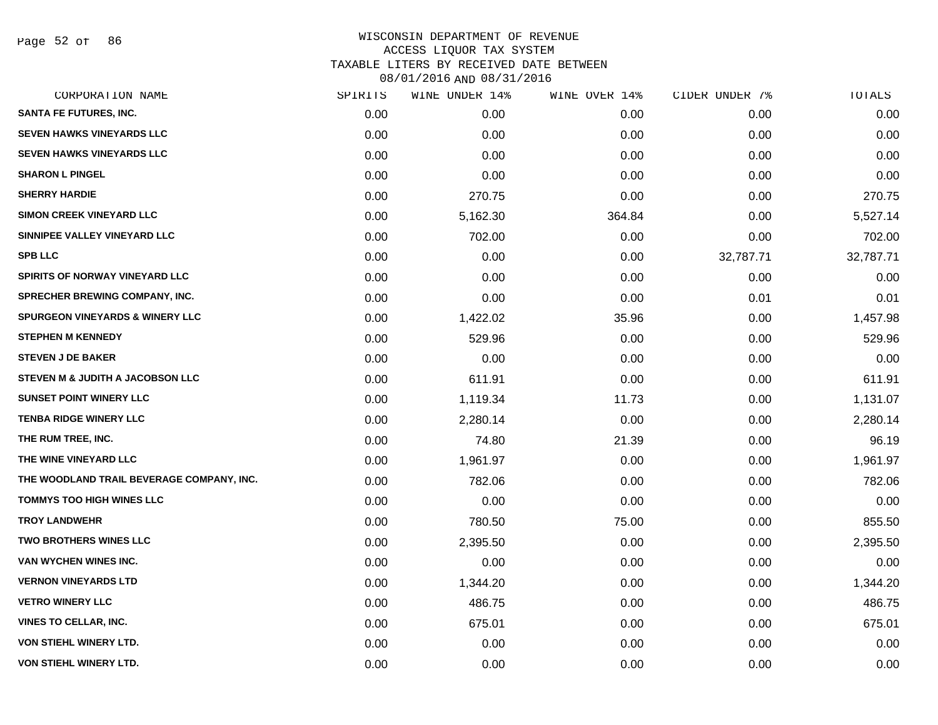Page 52 of 86

| CORPORATION NAME                           | SPIRITS | WINE UNDER 14% | WINE OVER 14% | CIDER UNDER 7% | TOTALS    |
|--------------------------------------------|---------|----------------|---------------|----------------|-----------|
| <b>SANTA FE FUTURES, INC.</b>              | 0.00    | 0.00           | 0.00          | 0.00           | 0.00      |
| <b>SEVEN HAWKS VINEYARDS LLC</b>           | 0.00    | 0.00           | 0.00          | 0.00           | 0.00      |
| <b>SEVEN HAWKS VINEYARDS LLC</b>           | 0.00    | 0.00           | 0.00          | 0.00           | 0.00      |
| <b>SHARON L PINGEL</b>                     | 0.00    | 0.00           | 0.00          | 0.00           | 0.00      |
| <b>SHERRY HARDIE</b>                       | 0.00    | 270.75         | 0.00          | 0.00           | 270.75    |
| <b>SIMON CREEK VINEYARD LLC</b>            | 0.00    | 5,162.30       | 364.84        | 0.00           | 5,527.14  |
| SINNIPEE VALLEY VINEYARD LLC               | 0.00    | 702.00         | 0.00          | 0.00           | 702.00    |
| <b>SPB LLC</b>                             | 0.00    | 0.00           | 0.00          | 32,787.71      | 32,787.71 |
| SPIRITS OF NORWAY VINEYARD LLC             | 0.00    | 0.00           | 0.00          | 0.00           | 0.00      |
| <b>SPRECHER BREWING COMPANY, INC.</b>      | 0.00    | 0.00           | 0.00          | 0.01           | 0.01      |
| <b>SPURGEON VINEYARDS &amp; WINERY LLC</b> | 0.00    | 1,422.02       | 35.96         | 0.00           | 1,457.98  |
| <b>STEPHEN M KENNEDY</b>                   | 0.00    | 529.96         | 0.00          | 0.00           | 529.96    |
| <b>STEVEN J DE BAKER</b>                   | 0.00    | 0.00           | 0.00          | 0.00           | 0.00      |
| STEVEN M & JUDITH A JACOBSON LLC           | 0.00    | 611.91         | 0.00          | 0.00           | 611.91    |
| <b>SUNSET POINT WINERY LLC</b>             | 0.00    | 1,119.34       | 11.73         | 0.00           | 1,131.07  |
| <b>TENBA RIDGE WINERY LLC</b>              | 0.00    | 2,280.14       | 0.00          | 0.00           | 2,280.14  |
| THE RUM TREE, INC.                         | 0.00    | 74.80          | 21.39         | 0.00           | 96.19     |
| THE WINE VINEYARD LLC                      | 0.00    | 1,961.97       | 0.00          | 0.00           | 1,961.97  |
| THE WOODLAND TRAIL BEVERAGE COMPANY, INC.  | 0.00    | 782.06         | 0.00          | 0.00           | 782.06    |
| <b>TOMMYS TOO HIGH WINES LLC</b>           | 0.00    | 0.00           | 0.00          | 0.00           | 0.00      |
| <b>TROY LANDWEHR</b>                       | 0.00    | 780.50         | 75.00         | 0.00           | 855.50    |
| <b>TWO BROTHERS WINES LLC</b>              | 0.00    | 2,395.50       | 0.00          | 0.00           | 2,395.50  |
| VAN WYCHEN WINES INC.                      | 0.00    | 0.00           | 0.00          | 0.00           | 0.00      |
| <b>VERNON VINEYARDS LTD</b>                | 0.00    | 1,344.20       | 0.00          | 0.00           | 1,344.20  |
| <b>VETRO WINERY LLC</b>                    | 0.00    | 486.75         | 0.00          | 0.00           | 486.75    |
| <b>VINES TO CELLAR, INC.</b>               | 0.00    | 675.01         | 0.00          | 0.00           | 675.01    |
| <b>VON STIEHL WINERY LTD.</b>              | 0.00    | 0.00           | 0.00          | 0.00           | 0.00      |
| <b>VON STIEHL WINERY LTD.</b>              | 0.00    | 0.00           | 0.00          | 0.00           | 0.00      |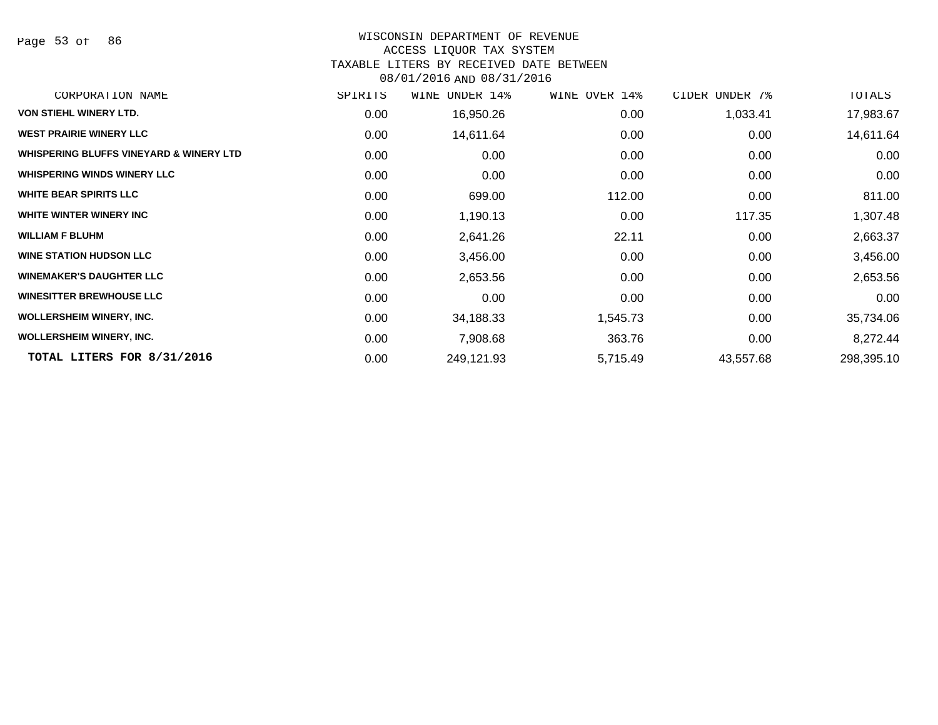#### WISCONSIN DEPARTMENT OF REVENUE

#### ACCESS LIQUOR TAX SYSTEM

TAXABLE LITERS BY RECEIVED DATE BETWEEN

| CORPORATION NAME                                   | SPIRITS | UNDER 14%<br>WINE | WINE OVER 14% | CIDER UNDER 7% | TOTALS     |
|----------------------------------------------------|---------|-------------------|---------------|----------------|------------|
| <b>VON STIEHL WINERY LTD.</b>                      | 0.00    | 16,950.26         | 0.00          | 1,033.41       | 17,983.67  |
| <b>WEST PRAIRIE WINERY LLC</b>                     | 0.00    | 14,611.64         | 0.00          | 0.00           | 14,611.64  |
| <b>WHISPERING BLUFFS VINEYARD &amp; WINERY LTD</b> | 0.00    | 0.00              | 0.00          | 0.00           | 0.00       |
| <b>WHISPERING WINDS WINERY LLC</b>                 | 0.00    | 0.00              | 0.00          | 0.00           | 0.00       |
| <b>WHITE BEAR SPIRITS LLC</b>                      | 0.00    | 699.00            | 112.00        | 0.00           | 811.00     |
| WHITE WINTER WINERY INC                            | 0.00    | 1,190.13          | 0.00          | 117.35         | 1,307.48   |
| <b>WILLIAM F BLUHM</b>                             | 0.00    | 2,641.26          | 22.11         | 0.00           | 2,663.37   |
| <b>WINE STATION HUDSON LLC</b>                     | 0.00    | 3,456.00          | 0.00          | 0.00           | 3,456.00   |
| <b>WINEMAKER'S DAUGHTER LLC</b>                    | 0.00    | 2,653.56          | 0.00          | 0.00           | 2,653.56   |
| <b>WINESITTER BREWHOUSE LLC</b>                    | 0.00    | 0.00              | 0.00          | 0.00           | 0.00       |
| <b>WOLLERSHEIM WINERY, INC.</b>                    | 0.00    | 34,188.33         | 1,545.73      | 0.00           | 35,734.06  |
| <b>WOLLERSHEIM WINERY, INC.</b>                    | 0.00    | 7,908.68          | 363.76        | 0.00           | 8,272.44   |
| TOTAL LITERS FOR 8/31/2016                         | 0.00    | 249,121.93        | 5,715.49      | 43,557.68      | 298,395.10 |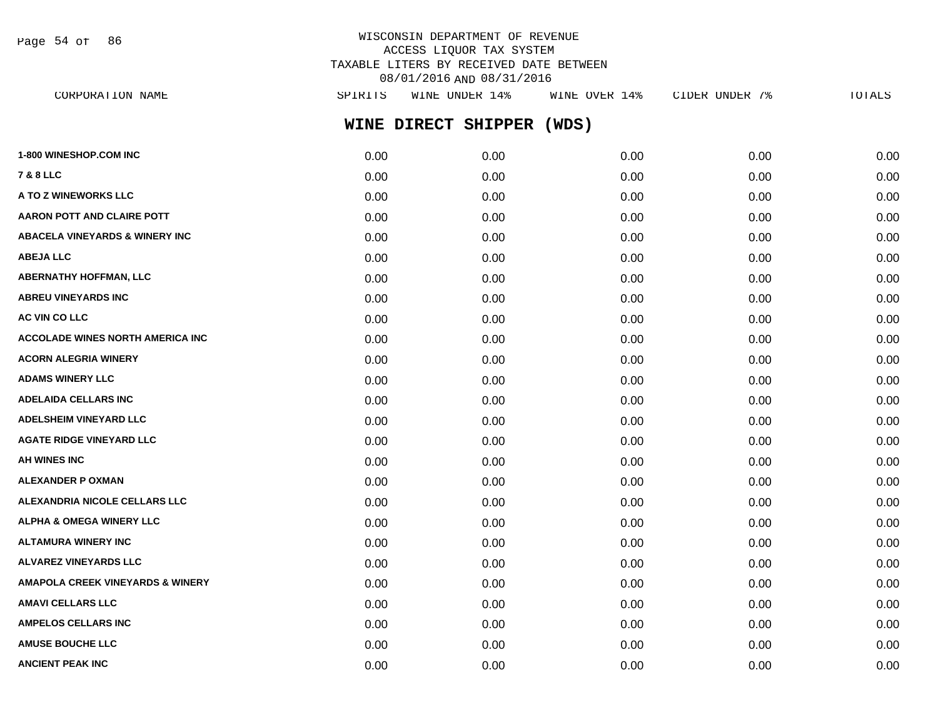Page 54 of 86

## WISCONSIN DEPARTMENT OF REVENUE ACCESS LIQUOR TAX SYSTEM TAXABLE LITERS BY RECEIVED DATE BETWEEN 08/01/2016 AND 08/31/2016

| CORPORATION NAME                            | SPIRITS | WINE UNDER 14%      | WINE OVER 14% | CIDER UNDER 7% | TOTALS |
|---------------------------------------------|---------|---------------------|---------------|----------------|--------|
|                                             |         | WINE DIRECT SHIPPER | (WDS)         |                |        |
| <b>1-800 WINESHOP.COM INC</b>               | 0.00    | 0.00                | 0.00          | 0.00           | 0.00   |
| 7 & 8 LLC                                   | 0.00    | 0.00                | 0.00          | 0.00           | 0.00   |
| <b>A TO Z WINEWORKS LLC</b>                 | 0.00    | 0.00                | 0.00          | 0.00           | 0.00   |
| AARON POTT AND CLAIRE POTT                  | 0.00    | 0.00                | 0.00          | 0.00           | 0.00   |
| <b>ABACELA VINEYARDS &amp; WINERY INC</b>   | 0.00    | 0.00                | 0.00          | 0.00           | 0.00   |
| <b>ABEJA LLC</b>                            | 0.00    | 0.00                | 0.00          | 0.00           | 0.00   |
| ABERNATHY HOFFMAN, LLC                      | 0.00    | 0.00                | 0.00          | 0.00           | 0.00   |
| <b>ABREU VINEYARDS INC</b>                  | 0.00    | 0.00                | 0.00          | 0.00           | 0.00   |
| <b>AC VIN CO LLC</b>                        | 0.00    | 0.00                | 0.00          | 0.00           | 0.00   |
| ACCOLADE WINES NORTH AMERICA INC            | 0.00    | 0.00                | 0.00          | 0.00           | 0.00   |
| <b>ACORN ALEGRIA WINERY</b>                 | 0.00    | 0.00                | 0.00          | 0.00           | 0.00   |
| <b>ADAMS WINERY LLC</b>                     | 0.00    | 0.00                | 0.00          | 0.00           | 0.00   |
| ADELAIDA CELLARS INC                        | 0.00    | 0.00                | 0.00          | 0.00           | 0.00   |
| <b>ADELSHEIM VINEYARD LLC</b>               | 0.00    | 0.00                | 0.00          | 0.00           | 0.00   |
| <b>AGATE RIDGE VINEYARD LLC</b>             | 0.00    | 0.00                | 0.00          | 0.00           | 0.00   |
| AH WINES INC                                | 0.00    | 0.00                | 0.00          | 0.00           | 0.00   |
| ALEXANDER P OXMAN                           | 0.00    | 0.00                | 0.00          | 0.00           | 0.00   |
| <b>ALEXANDRIA NICOLE CELLARS LLC</b>        | 0.00    | 0.00                | 0.00          | 0.00           | 0.00   |
| ALPHA & OMEGA WINERY LLC                    | 0.00    | 0.00                | 0.00          | 0.00           | 0.00   |
| ALTAMURA WINERY INC                         | 0.00    | 0.00                | 0.00          | 0.00           | 0.00   |
| <b>ALVAREZ VINEYARDS LLC</b>                | 0.00    | 0.00                | 0.00          | 0.00           | 0.00   |
| <b>AMAPOLA CREEK VINEYARDS &amp; WINERY</b> | 0.00    | 0.00                | 0.00          | 0.00           | 0.00   |
| AMAVI CELLARS LLC                           | 0.00    | 0.00                | 0.00          | 0.00           | 0.00   |
| <b>AMPELOS CELLARS INC</b>                  | 0.00    | 0.00                | 0.00          | 0.00           | 0.00   |
| <b>AMUSE BOUCHE LLC</b>                     | 0.00    | 0.00                | 0.00          | 0.00           | 0.00   |
|                                             |         |                     |               |                |        |

**ANCIENT PEAK INC** 0.00 0.00 0.00 0.00 0.00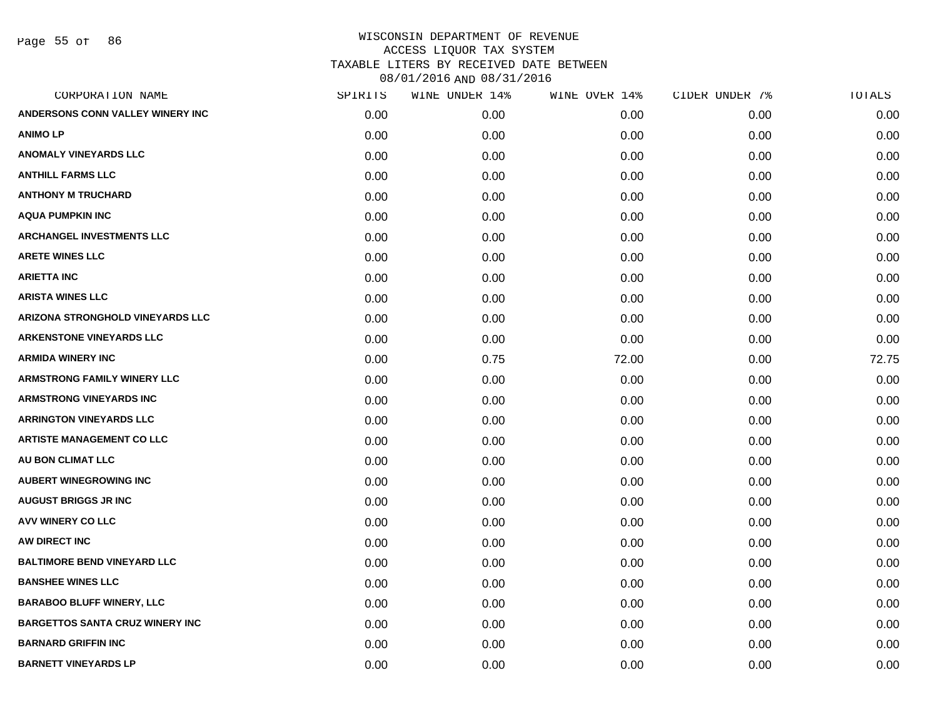Page 55 of 86

| CORPORATION NAME                       | SPIRITS | WINE UNDER 14% | WINE OVER 14% | CIDER UNDER 7% | TOTALS |
|----------------------------------------|---------|----------------|---------------|----------------|--------|
| ANDERSONS CONN VALLEY WINERY INC       | 0.00    | 0.00           | 0.00          | 0.00           | 0.00   |
| <b>ANIMOLP</b>                         | 0.00    | 0.00           | 0.00          | 0.00           | 0.00   |
| <b>ANOMALY VINEYARDS LLC</b>           | 0.00    | 0.00           | 0.00          | 0.00           | 0.00   |
| <b>ANTHILL FARMS LLC</b>               | 0.00    | 0.00           | 0.00          | 0.00           | 0.00   |
| <b>ANTHONY M TRUCHARD</b>              | 0.00    | 0.00           | 0.00          | 0.00           | 0.00   |
| <b>AQUA PUMPKIN INC</b>                | 0.00    | 0.00           | 0.00          | 0.00           | 0.00   |
| ARCHANGEL INVESTMENTS LLC              | 0.00    | 0.00           | 0.00          | 0.00           | 0.00   |
| <b>ARETE WINES LLC</b>                 | 0.00    | 0.00           | 0.00          | 0.00           | 0.00   |
| <b>ARIETTA INC</b>                     | 0.00    | 0.00           | 0.00          | 0.00           | 0.00   |
| <b>ARISTA WINES LLC</b>                | 0.00    | 0.00           | 0.00          | 0.00           | 0.00   |
| ARIZONA STRONGHOLD VINEYARDS LLC       | 0.00    | 0.00           | 0.00          | 0.00           | 0.00   |
| <b>ARKENSTONE VINEYARDS LLC</b>        | 0.00    | 0.00           | 0.00          | 0.00           | 0.00   |
| <b>ARMIDA WINERY INC</b>               | 0.00    | 0.75           | 72.00         | 0.00           | 72.75  |
| <b>ARMSTRONG FAMILY WINERY LLC</b>     | 0.00    | 0.00           | 0.00          | 0.00           | 0.00   |
| <b>ARMSTRONG VINEYARDS INC</b>         | 0.00    | 0.00           | 0.00          | 0.00           | 0.00   |
| <b>ARRINGTON VINEYARDS LLC</b>         | 0.00    | 0.00           | 0.00          | 0.00           | 0.00   |
| <b>ARTISTE MANAGEMENT CO LLC</b>       | 0.00    | 0.00           | 0.00          | 0.00           | 0.00   |
| <b>AU BON CLIMAT LLC</b>               | 0.00    | 0.00           | 0.00          | 0.00           | 0.00   |
| <b>AUBERT WINEGROWING INC</b>          | 0.00    | 0.00           | 0.00          | 0.00           | 0.00   |
| <b>AUGUST BRIGGS JR INC</b>            | 0.00    | 0.00           | 0.00          | 0.00           | 0.00   |
| AVV WINERY CO LLC                      | 0.00    | 0.00           | 0.00          | 0.00           | 0.00   |
| AW DIRECT INC                          | 0.00    | 0.00           | 0.00          | 0.00           | 0.00   |
| <b>BALTIMORE BEND VINEYARD LLC</b>     | 0.00    | 0.00           | 0.00          | 0.00           | 0.00   |
| <b>BANSHEE WINES LLC</b>               | 0.00    | 0.00           | 0.00          | 0.00           | 0.00   |
| <b>BARABOO BLUFF WINERY, LLC</b>       | 0.00    | 0.00           | 0.00          | 0.00           | 0.00   |
| <b>BARGETTOS SANTA CRUZ WINERY INC</b> | 0.00    | 0.00           | 0.00          | 0.00           | 0.00   |
| <b>BARNARD GRIFFIN INC</b>             | 0.00    | 0.00           | 0.00          | 0.00           | 0.00   |
| <b>BARNETT VINEYARDS LP</b>            | 0.00    | 0.00           | 0.00          | 0.00           | 0.00   |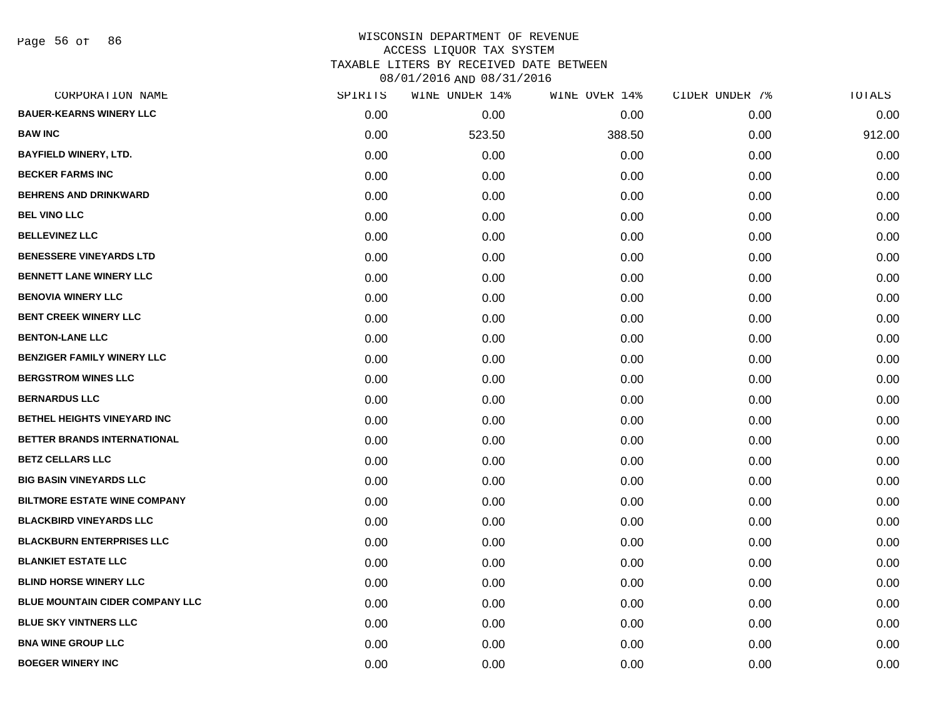Page 56 of 86

| CORPORATION NAME                       | SPIRITS | WINE UNDER 14% | WINE OVER 14% | CIDER UNDER 7% | TOTALS |
|----------------------------------------|---------|----------------|---------------|----------------|--------|
| <b>BAUER-KEARNS WINERY LLC</b>         | 0.00    | 0.00           | 0.00          | 0.00           | 0.00   |
| <b>BAW INC</b>                         | 0.00    | 523.50         | 388.50        | 0.00           | 912.00 |
| <b>BAYFIELD WINERY, LTD.</b>           | 0.00    | 0.00           | 0.00          | 0.00           | 0.00   |
| <b>BECKER FARMS INC</b>                | 0.00    | 0.00           | 0.00          | 0.00           | 0.00   |
| <b>BEHRENS AND DRINKWARD</b>           | 0.00    | 0.00           | 0.00          | 0.00           | 0.00   |
| <b>BEL VINO LLC</b>                    | 0.00    | 0.00           | 0.00          | 0.00           | 0.00   |
| <b>BELLEVINEZ LLC</b>                  | 0.00    | 0.00           | 0.00          | 0.00           | 0.00   |
| <b>BENESSERE VINEYARDS LTD</b>         | 0.00    | 0.00           | 0.00          | 0.00           | 0.00   |
| <b>BENNETT LANE WINERY LLC</b>         | 0.00    | 0.00           | 0.00          | 0.00           | 0.00   |
| <b>BENOVIA WINERY LLC</b>              | 0.00    | 0.00           | 0.00          | 0.00           | 0.00   |
| <b>BENT CREEK WINERY LLC</b>           | 0.00    | 0.00           | 0.00          | 0.00           | 0.00   |
| <b>BENTON-LANE LLC</b>                 | 0.00    | 0.00           | 0.00          | 0.00           | 0.00   |
| <b>BENZIGER FAMILY WINERY LLC</b>      | 0.00    | 0.00           | 0.00          | 0.00           | 0.00   |
| <b>BERGSTROM WINES LLC</b>             | 0.00    | 0.00           | 0.00          | 0.00           | 0.00   |
| <b>BERNARDUS LLC</b>                   | 0.00    | 0.00           | 0.00          | 0.00           | 0.00   |
| BETHEL HEIGHTS VINEYARD INC            | 0.00    | 0.00           | 0.00          | 0.00           | 0.00   |
| BETTER BRANDS INTERNATIONAL            | 0.00    | 0.00           | 0.00          | 0.00           | 0.00   |
| <b>BETZ CELLARS LLC</b>                | 0.00    | 0.00           | 0.00          | 0.00           | 0.00   |
| <b>BIG BASIN VINEYARDS LLC</b>         | 0.00    | 0.00           | 0.00          | 0.00           | 0.00   |
| <b>BILTMORE ESTATE WINE COMPANY</b>    | 0.00    | 0.00           | 0.00          | 0.00           | 0.00   |
| <b>BLACKBIRD VINEYARDS LLC</b>         | 0.00    | 0.00           | 0.00          | 0.00           | 0.00   |
| <b>BLACKBURN ENTERPRISES LLC</b>       | 0.00    | 0.00           | 0.00          | 0.00           | 0.00   |
| <b>BLANKIET ESTATE LLC</b>             | 0.00    | 0.00           | 0.00          | 0.00           | 0.00   |
| <b>BLIND HORSE WINERY LLC</b>          | 0.00    | 0.00           | 0.00          | 0.00           | 0.00   |
| <b>BLUE MOUNTAIN CIDER COMPANY LLC</b> | 0.00    | 0.00           | 0.00          | 0.00           | 0.00   |
| <b>BLUE SKY VINTNERS LLC</b>           | 0.00    | 0.00           | 0.00          | 0.00           | 0.00   |
| <b>BNA WINE GROUP LLC</b>              | 0.00    | 0.00           | 0.00          | 0.00           | 0.00   |
| <b>BOEGER WINERY INC</b>               | 0.00    | 0.00           | 0.00          | 0.00           | 0.00   |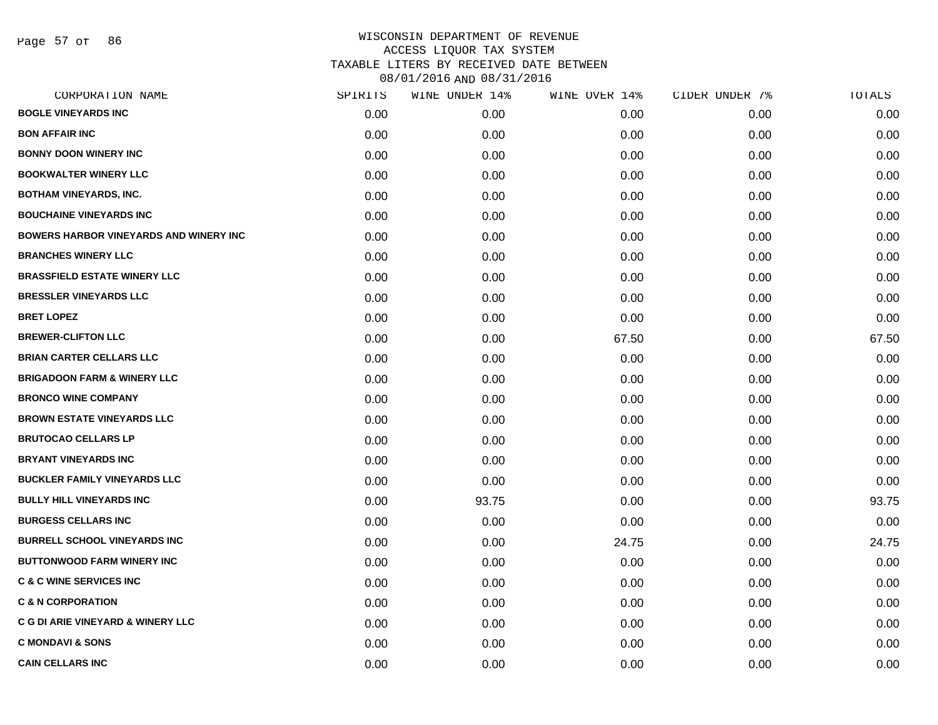Page 57 of 86

| CORPORATION NAME                               | SPIRITS | WINE UNDER 14% | WINE OVER 14% | CIDER UNDER 7% | TOTALS |
|------------------------------------------------|---------|----------------|---------------|----------------|--------|
| <b>BOGLE VINEYARDS INC</b>                     | 0.00    | 0.00           | 0.00          | 0.00           | 0.00   |
| <b>BON AFFAIR INC</b>                          | 0.00    | 0.00           | 0.00          | 0.00           | 0.00   |
| <b>BONNY DOON WINERY INC</b>                   | 0.00    | 0.00           | 0.00          | 0.00           | 0.00   |
| <b>BOOKWALTER WINERY LLC</b>                   | 0.00    | 0.00           | 0.00          | 0.00           | 0.00   |
| <b>BOTHAM VINEYARDS, INC.</b>                  | 0.00    | 0.00           | 0.00          | 0.00           | 0.00   |
| <b>BOUCHAINE VINEYARDS INC</b>                 | 0.00    | 0.00           | 0.00          | 0.00           | 0.00   |
| <b>BOWERS HARBOR VINEYARDS AND WINERY INC.</b> | 0.00    | 0.00           | 0.00          | 0.00           | 0.00   |
| <b>BRANCHES WINERY LLC</b>                     | 0.00    | 0.00           | 0.00          | 0.00           | 0.00   |
| <b>BRASSFIELD ESTATE WINERY LLC</b>            | 0.00    | 0.00           | 0.00          | 0.00           | 0.00   |
| <b>BRESSLER VINEYARDS LLC</b>                  | 0.00    | 0.00           | 0.00          | 0.00           | 0.00   |
| <b>BRET LOPEZ</b>                              | 0.00    | 0.00           | 0.00          | 0.00           | 0.00   |
| <b>BREWER-CLIFTON LLC</b>                      | 0.00    | 0.00           | 67.50         | 0.00           | 67.50  |
| <b>BRIAN CARTER CELLARS LLC</b>                | 0.00    | 0.00           | 0.00          | 0.00           | 0.00   |
| <b>BRIGADOON FARM &amp; WINERY LLC</b>         | 0.00    | 0.00           | 0.00          | 0.00           | 0.00   |
| <b>BRONCO WINE COMPANY</b>                     | 0.00    | 0.00           | 0.00          | 0.00           | 0.00   |
| <b>BROWN ESTATE VINEYARDS LLC</b>              | 0.00    | 0.00           | 0.00          | 0.00           | 0.00   |
| <b>BRUTOCAO CELLARS LP</b>                     | 0.00    | 0.00           | 0.00          | 0.00           | 0.00   |
| <b>BRYANT VINEYARDS INC</b>                    | 0.00    | 0.00           | 0.00          | 0.00           | 0.00   |
| <b>BUCKLER FAMILY VINEYARDS LLC</b>            | 0.00    | 0.00           | 0.00          | 0.00           | 0.00   |
| <b>BULLY HILL VINEYARDS INC</b>                | 0.00    | 93.75          | 0.00          | 0.00           | 93.75  |
| <b>BURGESS CELLARS INC</b>                     | 0.00    | 0.00           | 0.00          | 0.00           | 0.00   |
| <b>BURRELL SCHOOL VINEYARDS INC</b>            | 0.00    | 0.00           | 24.75         | 0.00           | 24.75  |
| <b>BUTTONWOOD FARM WINERY INC</b>              | 0.00    | 0.00           | 0.00          | 0.00           | 0.00   |
| <b>C &amp; C WINE SERVICES INC</b>             | 0.00    | 0.00           | 0.00          | 0.00           | 0.00   |
| <b>C &amp; N CORPORATION</b>                   | 0.00    | 0.00           | 0.00          | 0.00           | 0.00   |
| C G DI ARIE VINEYARD & WINERY LLC              | 0.00    | 0.00           | 0.00          | 0.00           | 0.00   |
| <b>C MONDAVI &amp; SONS</b>                    | 0.00    | 0.00           | 0.00          | 0.00           | 0.00   |
| <b>CAIN CELLARS INC</b>                        | 0.00    | 0.00           | 0.00          | 0.00           | 0.00   |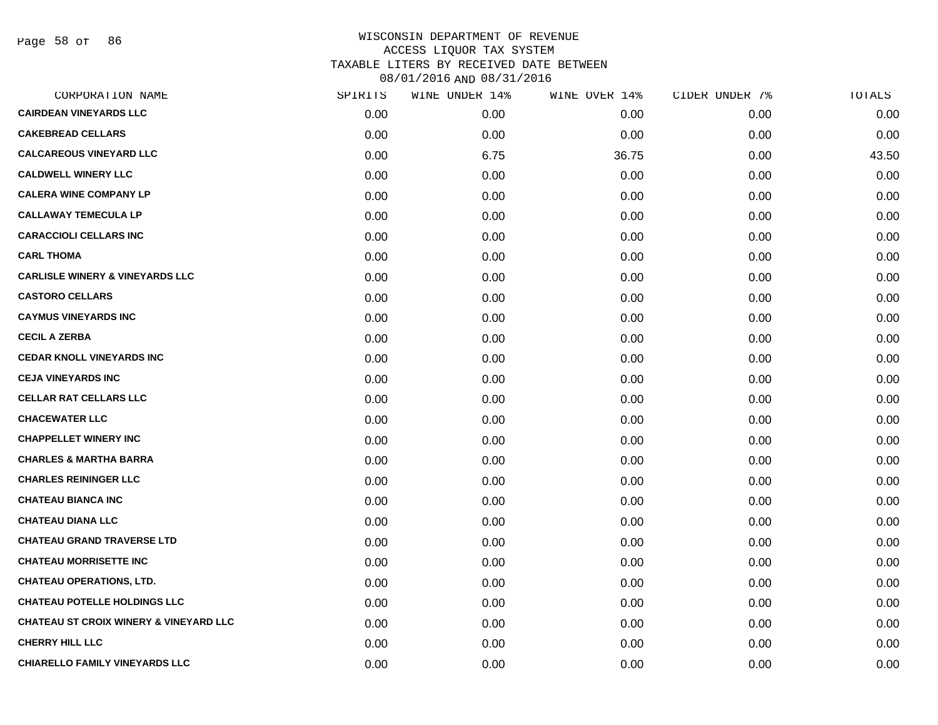Page 58 of 86

| CORPORATION NAME                                  | SPIRITS | WINE UNDER 14% | WINE OVER 14% | CIDER UNDER 7% | TOTALS |
|---------------------------------------------------|---------|----------------|---------------|----------------|--------|
| <b>CAIRDEAN VINEYARDS LLC</b>                     | 0.00    | 0.00           | 0.00          | 0.00           | 0.00   |
| <b>CAKEBREAD CELLARS</b>                          | 0.00    | 0.00           | 0.00          | 0.00           | 0.00   |
| <b>CALCAREOUS VINEYARD LLC</b>                    | 0.00    | 6.75           | 36.75         | 0.00           | 43.50  |
| <b>CALDWELL WINERY LLC</b>                        | 0.00    | 0.00           | 0.00          | 0.00           | 0.00   |
| <b>CALERA WINE COMPANY LP</b>                     | 0.00    | 0.00           | 0.00          | 0.00           | 0.00   |
| <b>CALLAWAY TEMECULA LP</b>                       | 0.00    | 0.00           | 0.00          | 0.00           | 0.00   |
| <b>CARACCIOLI CELLARS INC</b>                     | 0.00    | 0.00           | 0.00          | 0.00           | 0.00   |
| <b>CARL THOMA</b>                                 | 0.00    | 0.00           | 0.00          | 0.00           | 0.00   |
| <b>CARLISLE WINERY &amp; VINEYARDS LLC</b>        | 0.00    | 0.00           | 0.00          | 0.00           | 0.00   |
| <b>CASTORO CELLARS</b>                            | 0.00    | 0.00           | 0.00          | 0.00           | 0.00   |
| <b>CAYMUS VINEYARDS INC</b>                       | 0.00    | 0.00           | 0.00          | 0.00           | 0.00   |
| <b>CECIL A ZERBA</b>                              | 0.00    | 0.00           | 0.00          | 0.00           | 0.00   |
| <b>CEDAR KNOLL VINEYARDS INC</b>                  | 0.00    | 0.00           | 0.00          | 0.00           | 0.00   |
| <b>CEJA VINEYARDS INC</b>                         | 0.00    | 0.00           | 0.00          | 0.00           | 0.00   |
| <b>CELLAR RAT CELLARS LLC</b>                     | 0.00    | 0.00           | 0.00          | 0.00           | 0.00   |
| <b>CHACEWATER LLC</b>                             | 0.00    | 0.00           | 0.00          | 0.00           | 0.00   |
| <b>CHAPPELLET WINERY INC</b>                      | 0.00    | 0.00           | 0.00          | 0.00           | 0.00   |
| <b>CHARLES &amp; MARTHA BARRA</b>                 | 0.00    | 0.00           | 0.00          | 0.00           | 0.00   |
| <b>CHARLES REININGER LLC</b>                      | 0.00    | 0.00           | 0.00          | 0.00           | 0.00   |
| <b>CHATEAU BIANCA INC</b>                         | 0.00    | 0.00           | 0.00          | 0.00           | 0.00   |
| <b>CHATEAU DIANA LLC</b>                          | 0.00    | 0.00           | 0.00          | 0.00           | 0.00   |
| <b>CHATEAU GRAND TRAVERSE LTD</b>                 | 0.00    | 0.00           | 0.00          | 0.00           | 0.00   |
| <b>CHATEAU MORRISETTE INC</b>                     | 0.00    | 0.00           | 0.00          | 0.00           | 0.00   |
| <b>CHATEAU OPERATIONS, LTD.</b>                   | 0.00    | 0.00           | 0.00          | 0.00           | 0.00   |
| <b>CHATEAU POTELLE HOLDINGS LLC</b>               | 0.00    | 0.00           | 0.00          | 0.00           | 0.00   |
| <b>CHATEAU ST CROIX WINERY &amp; VINEYARD LLC</b> | 0.00    | 0.00           | 0.00          | 0.00           | 0.00   |
| <b>CHERRY HILL LLC</b>                            | 0.00    | 0.00           | 0.00          | 0.00           | 0.00   |
| CHIARELLO FAMILY VINEYARDS LLC                    | 0.00    | 0.00           | 0.00          | 0.00           | 0.00   |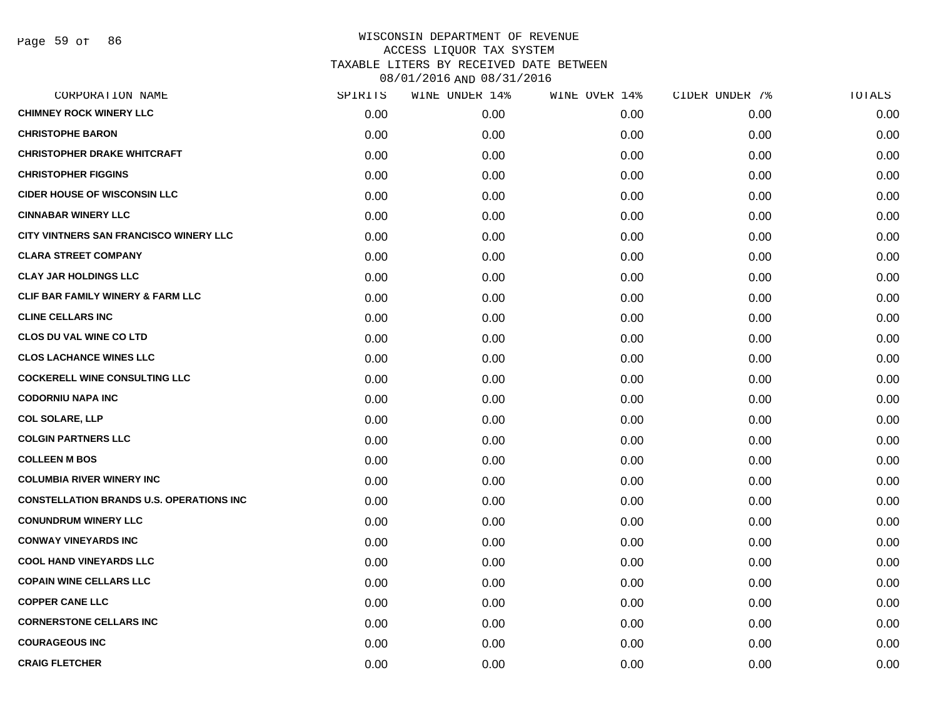| CORPORATION NAME                                | SPIRITS | WINE UNDER 14% | WINE OVER 14% | CIDER UNDER 7% | TOTALS |
|-------------------------------------------------|---------|----------------|---------------|----------------|--------|
| <b>CHIMNEY ROCK WINERY LLC</b>                  | 0.00    | 0.00           | 0.00          | 0.00           | 0.00   |
| <b>CHRISTOPHE BARON</b>                         | 0.00    | 0.00           | 0.00          | 0.00           | 0.00   |
| <b>CHRISTOPHER DRAKE WHITCRAFT</b>              | 0.00    | 0.00           | 0.00          | 0.00           | 0.00   |
| <b>CHRISTOPHER FIGGINS</b>                      | 0.00    | 0.00           | 0.00          | 0.00           | 0.00   |
| <b>CIDER HOUSE OF WISCONSIN LLC</b>             | 0.00    | 0.00           | 0.00          | 0.00           | 0.00   |
| <b>CINNABAR WINERY LLC</b>                      | 0.00    | 0.00           | 0.00          | 0.00           | 0.00   |
| <b>CITY VINTNERS SAN FRANCISCO WINERY LLC</b>   | 0.00    | 0.00           | 0.00          | 0.00           | 0.00   |
| <b>CLARA STREET COMPANY</b>                     | 0.00    | 0.00           | 0.00          | 0.00           | 0.00   |
| <b>CLAY JAR HOLDINGS LLC</b>                    | 0.00    | 0.00           | 0.00          | 0.00           | 0.00   |
| CLIF BAR FAMILY WINERY & FARM LLC               | 0.00    | 0.00           | 0.00          | 0.00           | 0.00   |
| <b>CLINE CELLARS INC</b>                        | 0.00    | 0.00           | 0.00          | 0.00           | 0.00   |
| <b>CLOS DU VAL WINE CO LTD</b>                  | 0.00    | 0.00           | 0.00          | 0.00           | 0.00   |
| <b>CLOS LACHANCE WINES LLC</b>                  | 0.00    | 0.00           | 0.00          | 0.00           | 0.00   |
| <b>COCKERELL WINE CONSULTING LLC</b>            | 0.00    | 0.00           | 0.00          | 0.00           | 0.00   |
| <b>CODORNIU NAPA INC</b>                        | 0.00    | 0.00           | 0.00          | 0.00           | 0.00   |
| <b>COL SOLARE, LLP</b>                          | 0.00    | 0.00           | 0.00          | 0.00           | 0.00   |
| <b>COLGIN PARTNERS LLC</b>                      | 0.00    | 0.00           | 0.00          | 0.00           | 0.00   |
| <b>COLLEEN M BOS</b>                            | 0.00    | 0.00           | 0.00          | 0.00           | 0.00   |
| <b>COLUMBIA RIVER WINERY INC</b>                | 0.00    | 0.00           | 0.00          | 0.00           | 0.00   |
| <b>CONSTELLATION BRANDS U.S. OPERATIONS INC</b> | 0.00    | 0.00           | 0.00          | 0.00           | 0.00   |
| <b>CONUNDRUM WINERY LLC</b>                     | 0.00    | 0.00           | 0.00          | 0.00           | 0.00   |
| <b>CONWAY VINEYARDS INC</b>                     | 0.00    | 0.00           | 0.00          | 0.00           | 0.00   |
| <b>COOL HAND VINEYARDS LLC</b>                  | 0.00    | 0.00           | 0.00          | 0.00           | 0.00   |
| <b>COPAIN WINE CELLARS LLC</b>                  | 0.00    | 0.00           | 0.00          | 0.00           | 0.00   |
| <b>COPPER CANE LLC</b>                          | 0.00    | 0.00           | 0.00          | 0.00           | 0.00   |
| <b>CORNERSTONE CELLARS INC</b>                  | 0.00    | 0.00           | 0.00          | 0.00           | 0.00   |
| <b>COURAGEOUS INC</b>                           | 0.00    | 0.00           | 0.00          | 0.00           | 0.00   |
| <b>CRAIG FLETCHER</b>                           | 0.00    | 0.00           | 0.00          | 0.00           | 0.00   |
|                                                 |         |                |               |                |        |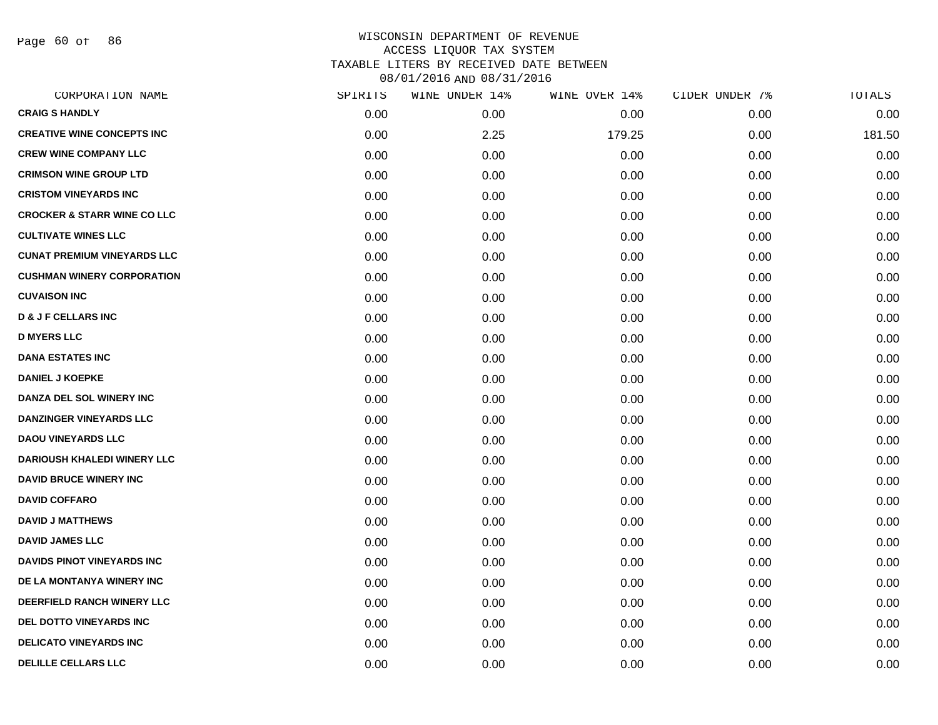Page 60 of 86

| CORPORATION NAME                       | SPIRITS | WINE UNDER 14% | WINE OVER 14% | CIDER UNDER 7% | TOTALS |
|----------------------------------------|---------|----------------|---------------|----------------|--------|
| <b>CRAIG S HANDLY</b>                  | 0.00    | 0.00           | 0.00          | 0.00           | 0.00   |
| <b>CREATIVE WINE CONCEPTS INC</b>      | 0.00    | 2.25           | 179.25        | 0.00           | 181.50 |
| <b>CREW WINE COMPANY LLC</b>           | 0.00    | 0.00           | 0.00          | 0.00           | 0.00   |
| <b>CRIMSON WINE GROUP LTD</b>          | 0.00    | 0.00           | 0.00          | 0.00           | 0.00   |
| <b>CRISTOM VINEYARDS INC</b>           | 0.00    | 0.00           | 0.00          | 0.00           | 0.00   |
| <b>CROCKER &amp; STARR WINE CO LLC</b> | 0.00    | 0.00           | 0.00          | 0.00           | 0.00   |
| <b>CULTIVATE WINES LLC</b>             | 0.00    | 0.00           | 0.00          | 0.00           | 0.00   |
| <b>CUNAT PREMIUM VINEYARDS LLC</b>     | 0.00    | 0.00           | 0.00          | 0.00           | 0.00   |
| <b>CUSHMAN WINERY CORPORATION</b>      | 0.00    | 0.00           | 0.00          | 0.00           | 0.00   |
| <b>CUVAISON INC</b>                    | 0.00    | 0.00           | 0.00          | 0.00           | 0.00   |
| <b>D &amp; J F CELLARS INC</b>         | 0.00    | 0.00           | 0.00          | 0.00           | 0.00   |
| <b>D MYERS LLC</b>                     | 0.00    | 0.00           | 0.00          | 0.00           | 0.00   |
| <b>DANA ESTATES INC</b>                | 0.00    | 0.00           | 0.00          | 0.00           | 0.00   |
| <b>DANIEL J KOEPKE</b>                 | 0.00    | 0.00           | 0.00          | 0.00           | 0.00   |
| DANZA DEL SOL WINERY INC               | 0.00    | 0.00           | 0.00          | 0.00           | 0.00   |
| <b>DANZINGER VINEYARDS LLC</b>         | 0.00    | 0.00           | 0.00          | 0.00           | 0.00   |
| <b>DAOU VINEYARDS LLC</b>              | 0.00    | 0.00           | 0.00          | 0.00           | 0.00   |
| <b>DARIOUSH KHALEDI WINERY LLC</b>     | 0.00    | 0.00           | 0.00          | 0.00           | 0.00   |
| <b>DAVID BRUCE WINERY INC</b>          | 0.00    | 0.00           | 0.00          | 0.00           | 0.00   |
| <b>DAVID COFFARO</b>                   | 0.00    | 0.00           | 0.00          | 0.00           | 0.00   |
| <b>DAVID J MATTHEWS</b>                | 0.00    | 0.00           | 0.00          | 0.00           | 0.00   |
| <b>DAVID JAMES LLC</b>                 | 0.00    | 0.00           | 0.00          | 0.00           | 0.00   |
| <b>DAVIDS PINOT VINEYARDS INC</b>      | 0.00    | 0.00           | 0.00          | 0.00           | 0.00   |
| DE LA MONTANYA WINERY INC              | 0.00    | 0.00           | 0.00          | 0.00           | 0.00   |
| DEERFIELD RANCH WINERY LLC             | 0.00    | 0.00           | 0.00          | 0.00           | 0.00   |
| DEL DOTTO VINEYARDS INC                | 0.00    | 0.00           | 0.00          | 0.00           | 0.00   |
| <b>DELICATO VINEYARDS INC</b>          | 0.00    | 0.00           | 0.00          | 0.00           | 0.00   |
| <b>DELILLE CELLARS LLC</b>             | 0.00    | 0.00           | 0.00          | 0.00           | 0.00   |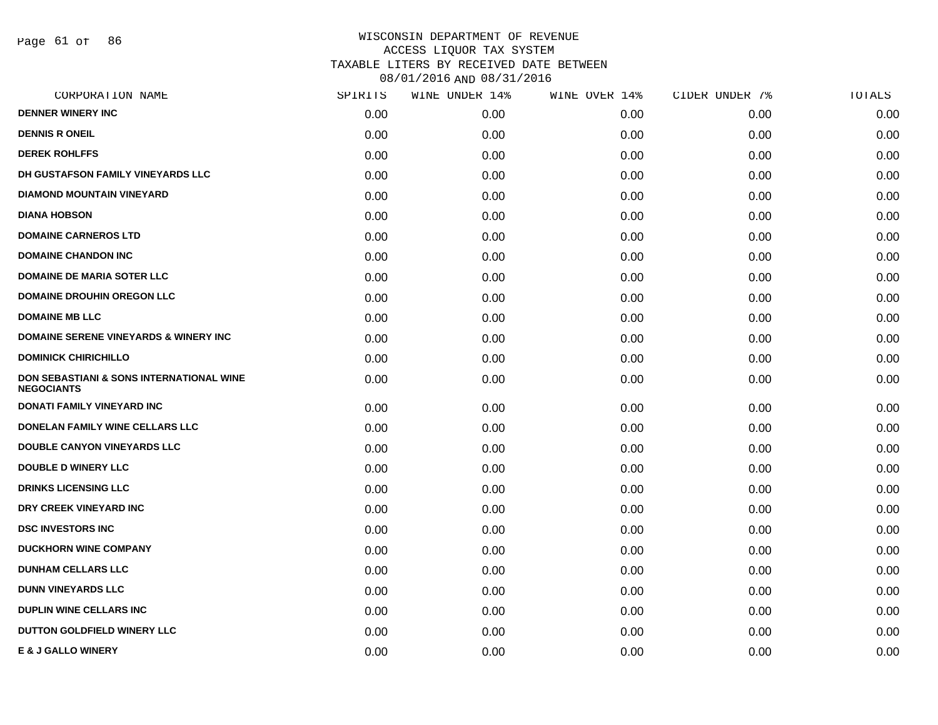Page 61 of 86

| CORPORATION NAME                                                         | SPIRITS | WINE UNDER 14% | WINE OVER 14% | CIDER UNDER 7% | TOTALS |
|--------------------------------------------------------------------------|---------|----------------|---------------|----------------|--------|
| <b>DENNER WINERY INC</b>                                                 | 0.00    | 0.00           | 0.00          | 0.00           | 0.00   |
| <b>DENNIS R ONEIL</b>                                                    | 0.00    | 0.00           | 0.00          | 0.00           | 0.00   |
| <b>DEREK ROHLFFS</b>                                                     | 0.00    | 0.00           | 0.00          | 0.00           | 0.00   |
| DH GUSTAFSON FAMILY VINEYARDS LLC                                        | 0.00    | 0.00           | 0.00          | 0.00           | 0.00   |
| <b>DIAMOND MOUNTAIN VINEYARD</b>                                         | 0.00    | 0.00           | 0.00          | 0.00           | 0.00   |
| <b>DIANA HOBSON</b>                                                      | 0.00    | 0.00           | 0.00          | 0.00           | 0.00   |
| <b>DOMAINE CARNEROS LTD</b>                                              | 0.00    | 0.00           | 0.00          | 0.00           | 0.00   |
| <b>DOMAINE CHANDON INC</b>                                               | 0.00    | 0.00           | 0.00          | 0.00           | 0.00   |
| <b>DOMAINE DE MARIA SOTER LLC</b>                                        | 0.00    | 0.00           | 0.00          | 0.00           | 0.00   |
| <b>DOMAINE DROUHIN OREGON LLC</b>                                        | 0.00    | 0.00           | 0.00          | 0.00           | 0.00   |
| <b>DOMAINE MB LLC</b>                                                    | 0.00    | 0.00           | 0.00          | 0.00           | 0.00   |
| <b>DOMAINE SERENE VINEYARDS &amp; WINERY INC</b>                         | 0.00    | 0.00           | 0.00          | 0.00           | 0.00   |
| <b>DOMINICK CHIRICHILLO</b>                                              | 0.00    | 0.00           | 0.00          | 0.00           | 0.00   |
| <b>DON SEBASTIANI &amp; SONS INTERNATIONAL WINE</b><br><b>NEGOCIANTS</b> | 0.00    | 0.00           | 0.00          | 0.00           | 0.00   |
| <b>DONATI FAMILY VINEYARD INC</b>                                        | 0.00    | 0.00           | 0.00          | 0.00           | 0.00   |
| DONELAN FAMILY WINE CELLARS LLC                                          | 0.00    | 0.00           | 0.00          | 0.00           | 0.00   |
| <b>DOUBLE CANYON VINEYARDS LLC</b>                                       | 0.00    | 0.00           | 0.00          | 0.00           | 0.00   |
| <b>DOUBLE D WINERY LLC</b>                                               | 0.00    | 0.00           | 0.00          | 0.00           | 0.00   |
| <b>DRINKS LICENSING LLC</b>                                              | 0.00    | 0.00           | 0.00          | 0.00           | 0.00   |
| DRY CREEK VINEYARD INC                                                   | 0.00    | 0.00           | 0.00          | 0.00           | 0.00   |
| <b>DSC INVESTORS INC</b>                                                 | 0.00    | 0.00           | 0.00          | 0.00           | 0.00   |
| <b>DUCKHORN WINE COMPANY</b>                                             | 0.00    | 0.00           | 0.00          | 0.00           | 0.00   |
| <b>DUNHAM CELLARS LLC</b>                                                | 0.00    | 0.00           | 0.00          | 0.00           | 0.00   |
| <b>DUNN VINEYARDS LLC</b>                                                | 0.00    | 0.00           | 0.00          | 0.00           | 0.00   |
| <b>DUPLIN WINE CELLARS INC</b>                                           | 0.00    | 0.00           | 0.00          | 0.00           | 0.00   |
| <b>DUTTON GOLDFIELD WINERY LLC</b>                                       | 0.00    | 0.00           | 0.00          | 0.00           | 0.00   |
| <b>E &amp; J GALLO WINERY</b>                                            | 0.00    | 0.00           | 0.00          | 0.00           | 0.00   |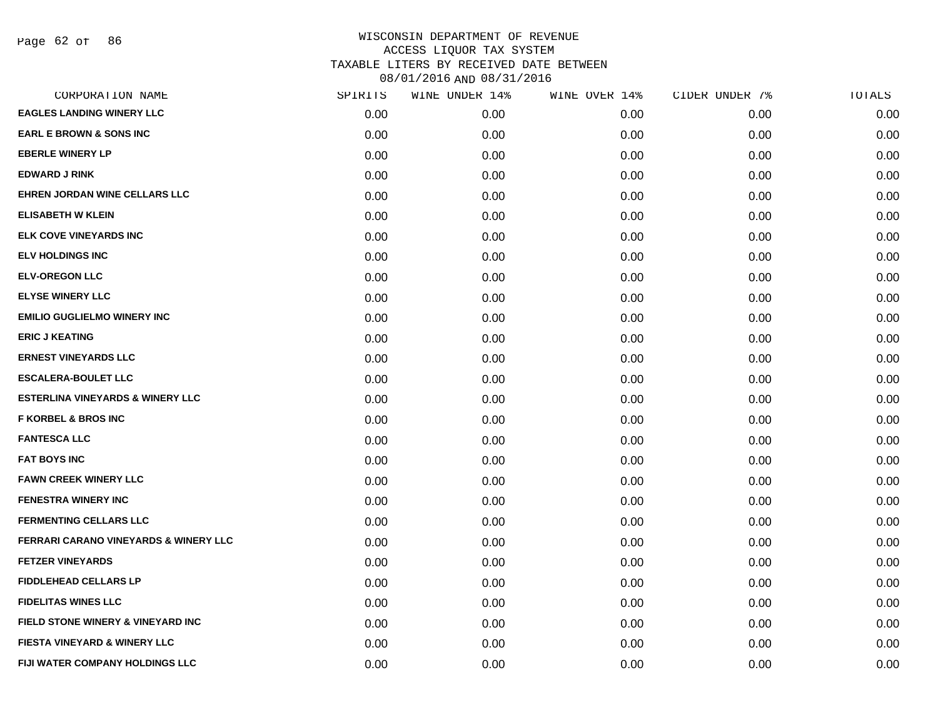| CORPORATION NAME                                 | SPIRITS | WINE UNDER 14% | WINE OVER 14% | CIDER UNDER 7% | <b>TOTALS</b> |
|--------------------------------------------------|---------|----------------|---------------|----------------|---------------|
| <b>EAGLES LANDING WINERY LLC</b>                 | 0.00    | 0.00           | 0.00          | 0.00           | 0.00          |
| <b>EARL E BROWN &amp; SONS INC</b>               | 0.00    | 0.00           | 0.00          | 0.00           | 0.00          |
| <b>EBERLE WINERY LP</b>                          | 0.00    | 0.00           | 0.00          | 0.00           | 0.00          |
| <b>EDWARD J RINK</b>                             | 0.00    | 0.00           | 0.00          | 0.00           | 0.00          |
| EHREN JORDAN WINE CELLARS LLC                    | 0.00    | 0.00           | 0.00          | 0.00           | 0.00          |
| <b>ELISABETH W KLEIN</b>                         | 0.00    | 0.00           | 0.00          | 0.00           | 0.00          |
| <b>ELK COVE VINEYARDS INC</b>                    | 0.00    | 0.00           | 0.00          | 0.00           | 0.00          |
| <b>ELV HOLDINGS INC</b>                          | 0.00    | 0.00           | 0.00          | 0.00           | 0.00          |
| <b>ELV-OREGON LLC</b>                            | 0.00    | 0.00           | 0.00          | 0.00           | 0.00          |
| <b>ELYSE WINERY LLC</b>                          | 0.00    | 0.00           | 0.00          | 0.00           | 0.00          |
| <b>EMILIO GUGLIELMO WINERY INC</b>               | 0.00    | 0.00           | 0.00          | 0.00           | 0.00          |
| <b>ERIC J KEATING</b>                            | 0.00    | 0.00           | 0.00          | 0.00           | 0.00          |
| <b>ERNEST VINEYARDS LLC</b>                      | 0.00    | 0.00           | 0.00          | 0.00           | 0.00          |
| <b>ESCALERA-BOULET LLC</b>                       | 0.00    | 0.00           | 0.00          | 0.00           | 0.00          |
| <b>ESTERLINA VINEYARDS &amp; WINERY LLC</b>      | 0.00    | 0.00           | 0.00          | 0.00           | 0.00          |
| <b>F KORBEL &amp; BROS INC</b>                   | 0.00    | 0.00           | 0.00          | 0.00           | 0.00          |
| <b>FANTESCA LLC</b>                              | 0.00    | 0.00           | 0.00          | 0.00           | 0.00          |
| <b>FAT BOYS INC</b>                              | 0.00    | 0.00           | 0.00          | 0.00           | 0.00          |
| <b>FAWN CREEK WINERY LLC</b>                     | 0.00    | 0.00           | 0.00          | 0.00           | 0.00          |
| <b>FENESTRA WINERY INC</b>                       | 0.00    | 0.00           | 0.00          | 0.00           | 0.00          |
| <b>FERMENTING CELLARS LLC</b>                    | 0.00    | 0.00           | 0.00          | 0.00           | 0.00          |
| <b>FERRARI CARANO VINEYARDS &amp; WINERY LLC</b> | 0.00    | 0.00           | 0.00          | 0.00           | 0.00          |
| <b>FETZER VINEYARDS</b>                          | 0.00    | 0.00           | 0.00          | 0.00           | 0.00          |
| <b>FIDDLEHEAD CELLARS LP</b>                     | 0.00    | 0.00           | 0.00          | 0.00           | 0.00          |
| <b>FIDELITAS WINES LLC</b>                       | 0.00    | 0.00           | 0.00          | 0.00           | 0.00          |
| FIELD STONE WINERY & VINEYARD INC                | 0.00    | 0.00           | 0.00          | 0.00           | 0.00          |
| <b>FIESTA VINEYARD &amp; WINERY LLC</b>          | 0.00    | 0.00           | 0.00          | 0.00           | 0.00          |
| <b>FIJI WATER COMPANY HOLDINGS LLC</b>           | 0.00    | 0.00           | 0.00          | 0.00           | 0.00          |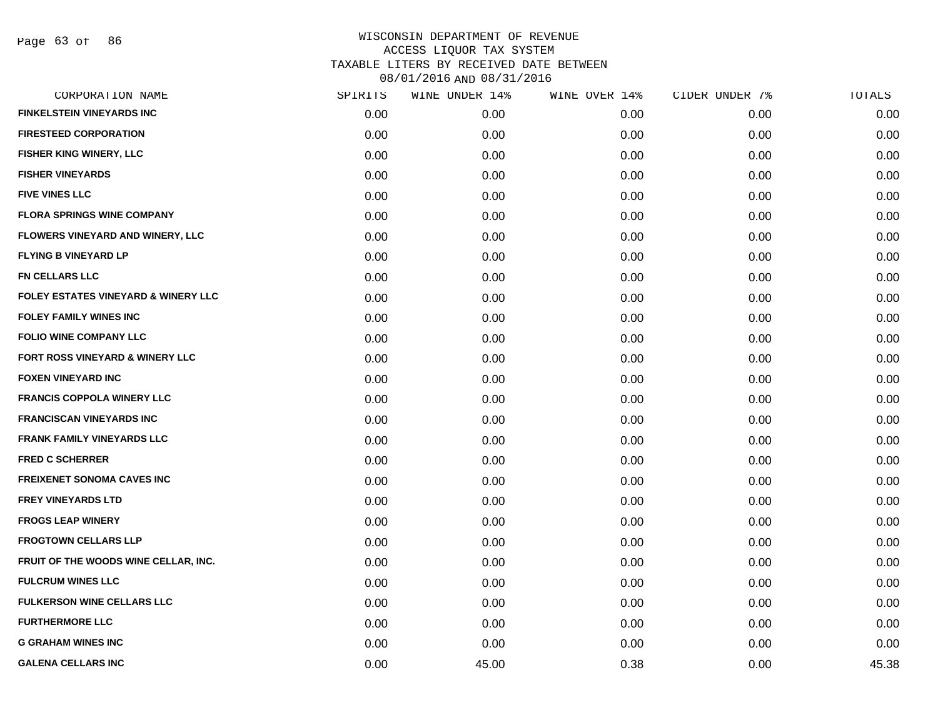Page 63 of 86

| CORPORATION NAME                               | SPIRITS | WINE UNDER 14% | WINE OVER 14% | CIDER UNDER 7% | TOTALS |
|------------------------------------------------|---------|----------------|---------------|----------------|--------|
| <b>FINKELSTEIN VINEYARDS INC</b>               | 0.00    | 0.00           | 0.00          | 0.00           | 0.00   |
| <b>FIRESTEED CORPORATION</b>                   | 0.00    | 0.00           | 0.00          | 0.00           | 0.00   |
| FISHER KING WINERY, LLC                        | 0.00    | 0.00           | 0.00          | 0.00           | 0.00   |
| <b>FISHER VINEYARDS</b>                        | 0.00    | 0.00           | 0.00          | 0.00           | 0.00   |
| <b>FIVE VINES LLC</b>                          | 0.00    | 0.00           | 0.00          | 0.00           | 0.00   |
| <b>FLORA SPRINGS WINE COMPANY</b>              | 0.00    | 0.00           | 0.00          | 0.00           | 0.00   |
| FLOWERS VINEYARD AND WINERY, LLC               | 0.00    | 0.00           | 0.00          | 0.00           | 0.00   |
| <b>FLYING B VINEYARD LP</b>                    | 0.00    | 0.00           | 0.00          | 0.00           | 0.00   |
| <b>FN CELLARS LLC</b>                          | 0.00    | 0.00           | 0.00          | 0.00           | 0.00   |
| <b>FOLEY ESTATES VINEYARD &amp; WINERY LLC</b> | 0.00    | 0.00           | 0.00          | 0.00           | 0.00   |
| <b>FOLEY FAMILY WINES INC</b>                  | 0.00    | 0.00           | 0.00          | 0.00           | 0.00   |
| <b>FOLIO WINE COMPANY LLC</b>                  | 0.00    | 0.00           | 0.00          | 0.00           | 0.00   |
| FORT ROSS VINEYARD & WINERY LLC                | 0.00    | 0.00           | 0.00          | 0.00           | 0.00   |
| <b>FOXEN VINEYARD INC</b>                      | 0.00    | 0.00           | 0.00          | 0.00           | 0.00   |
| <b>FRANCIS COPPOLA WINERY LLC</b>              | 0.00    | 0.00           | 0.00          | 0.00           | 0.00   |
| <b>FRANCISCAN VINEYARDS INC</b>                | 0.00    | 0.00           | 0.00          | 0.00           | 0.00   |
| <b>FRANK FAMILY VINEYARDS LLC</b>              | 0.00    | 0.00           | 0.00          | 0.00           | 0.00   |
| <b>FRED C SCHERRER</b>                         | 0.00    | 0.00           | 0.00          | 0.00           | 0.00   |
| <b>FREIXENET SONOMA CAVES INC</b>              | 0.00    | 0.00           | 0.00          | 0.00           | 0.00   |
| <b>FREY VINEYARDS LTD</b>                      | 0.00    | 0.00           | 0.00          | 0.00           | 0.00   |
| <b>FROGS LEAP WINERY</b>                       | 0.00    | 0.00           | 0.00          | 0.00           | 0.00   |
| <b>FROGTOWN CELLARS LLP</b>                    | 0.00    | 0.00           | 0.00          | 0.00           | 0.00   |
| FRUIT OF THE WOODS WINE CELLAR, INC.           | 0.00    | 0.00           | 0.00          | 0.00           | 0.00   |
| <b>FULCRUM WINES LLC</b>                       | 0.00    | 0.00           | 0.00          | 0.00           | 0.00   |
| <b>FULKERSON WINE CELLARS LLC</b>              | 0.00    | 0.00           | 0.00          | 0.00           | 0.00   |
| <b>FURTHERMORE LLC</b>                         | 0.00    | 0.00           | 0.00          | 0.00           | 0.00   |
| <b>G GRAHAM WINES INC</b>                      | 0.00    | 0.00           | 0.00          | 0.00           | 0.00   |
| <b>GALENA CELLARS INC</b>                      | 0.00    | 45.00          | 0.38          | 0.00           | 45.38  |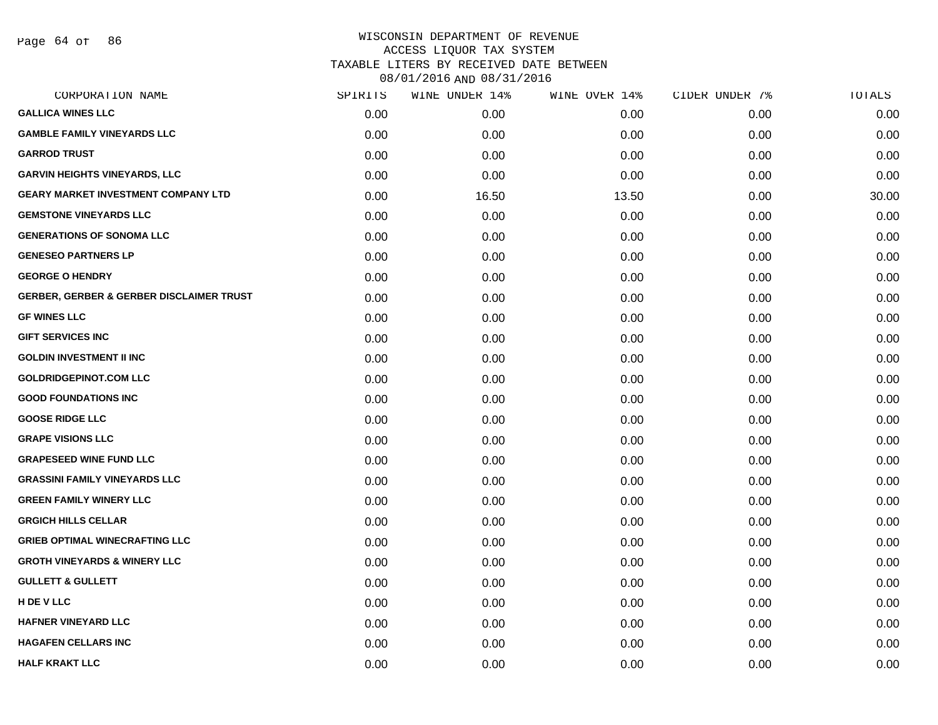Page 64 of 86

# WISCONSIN DEPARTMENT OF REVENUE ACCESS LIQUOR TAX SYSTEM TAXABLE LITERS BY RECEIVED DATE BETWEEN

| CORPORATION NAME                                    | SPIRITS | WINE UNDER 14% | WINE OVER 14% | CIDER UNDER 7% | TOTALS |
|-----------------------------------------------------|---------|----------------|---------------|----------------|--------|
| <b>GALLICA WINES LLC</b>                            | 0.00    | 0.00           | 0.00          | 0.00           | 0.00   |
| <b>GAMBLE FAMILY VINEYARDS LLC</b>                  | 0.00    | 0.00           | 0.00          | 0.00           | 0.00   |
| <b>GARROD TRUST</b>                                 | 0.00    | 0.00           | 0.00          | 0.00           | 0.00   |
| <b>GARVIN HEIGHTS VINEYARDS, LLC</b>                | 0.00    | 0.00           | 0.00          | 0.00           | 0.00   |
| <b>GEARY MARKET INVESTMENT COMPANY LTD</b>          | 0.00    | 16.50          | 13.50         | 0.00           | 30.00  |
| <b>GEMSTONE VINEYARDS LLC</b>                       | 0.00    | 0.00           | 0.00          | 0.00           | 0.00   |
| <b>GENERATIONS OF SONOMA LLC</b>                    | 0.00    | 0.00           | 0.00          | 0.00           | 0.00   |
| <b>GENESEO PARTNERS LP</b>                          | 0.00    | 0.00           | 0.00          | 0.00           | 0.00   |
| <b>GEORGE O HENDRY</b>                              | 0.00    | 0.00           | 0.00          | 0.00           | 0.00   |
| <b>GERBER, GERBER &amp; GERBER DISCLAIMER TRUST</b> | 0.00    | 0.00           | 0.00          | 0.00           | 0.00   |
| <b>GF WINES LLC</b>                                 | 0.00    | 0.00           | 0.00          | 0.00           | 0.00   |
| <b>GIFT SERVICES INC</b>                            | 0.00    | 0.00           | 0.00          | 0.00           | 0.00   |
| <b>GOLDIN INVESTMENT II INC</b>                     | 0.00    | 0.00           | 0.00          | 0.00           | 0.00   |
| <b>GOLDRIDGEPINOT.COM LLC</b>                       | 0.00    | 0.00           | 0.00          | 0.00           | 0.00   |
| <b>GOOD FOUNDATIONS INC</b>                         | 0.00    | 0.00           | 0.00          | 0.00           | 0.00   |
| <b>GOOSE RIDGE LLC</b>                              | 0.00    | 0.00           | 0.00          | 0.00           | 0.00   |
| <b>GRAPE VISIONS LLC</b>                            | 0.00    | 0.00           | 0.00          | 0.00           | 0.00   |
| <b>GRAPESEED WINE FUND LLC</b>                      | 0.00    | 0.00           | 0.00          | 0.00           | 0.00   |
| <b>GRASSINI FAMILY VINEYARDS LLC</b>                | 0.00    | 0.00           | 0.00          | 0.00           | 0.00   |
| <b>GREEN FAMILY WINERY LLC</b>                      | 0.00    | 0.00           | 0.00          | 0.00           | 0.00   |
| <b>GRGICH HILLS CELLAR</b>                          | 0.00    | 0.00           | 0.00          | 0.00           | 0.00   |
| <b>GRIEB OPTIMAL WINECRAFTING LLC</b>               | 0.00    | 0.00           | 0.00          | 0.00           | 0.00   |
| <b>GROTH VINEYARDS &amp; WINERY LLC</b>             | 0.00    | 0.00           | 0.00          | 0.00           | 0.00   |
| <b>GULLETT &amp; GULLETT</b>                        | 0.00    | 0.00           | 0.00          | 0.00           | 0.00   |
| H DE V LLC                                          | 0.00    | 0.00           | 0.00          | 0.00           | 0.00   |
| <b>HAFNER VINEYARD LLC</b>                          | 0.00    | 0.00           | 0.00          | 0.00           | 0.00   |
| <b>HAGAFEN CELLARS INC</b>                          | 0.00    | 0.00           | 0.00          | 0.00           | 0.00   |
| <b>HALF KRAKT LLC</b>                               | 0.00    | 0.00           | 0.00          | 0.00           | 0.00   |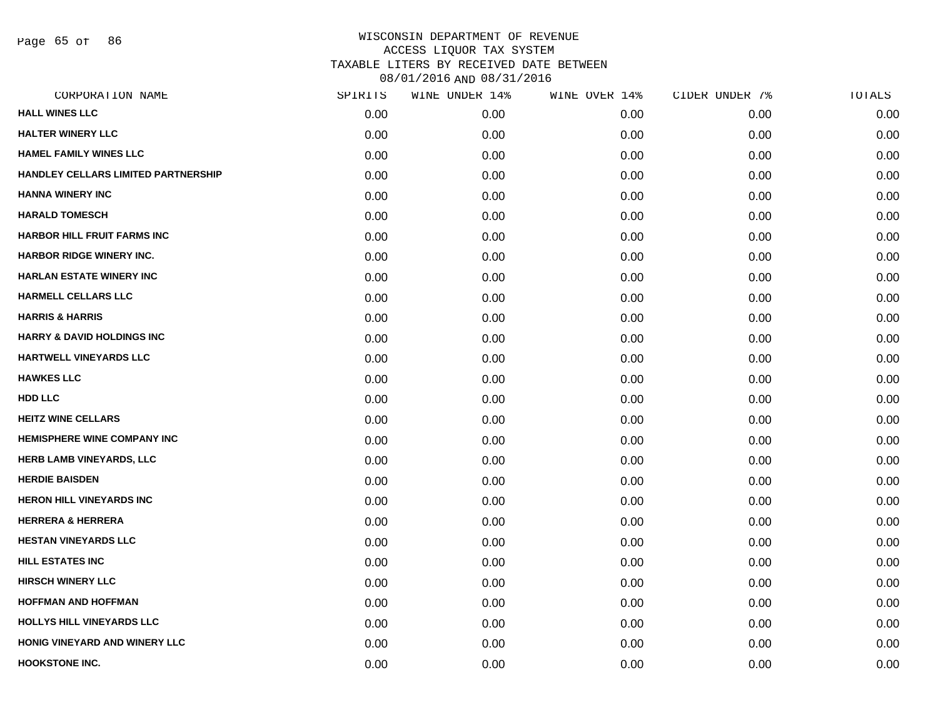Page 65 of 86

| CORPORATION NAME                      | SPIRITS | WINE UNDER 14% | WINE OVER 14% | CIDER UNDER 7% | TOTALS |
|---------------------------------------|---------|----------------|---------------|----------------|--------|
| <b>HALL WINES LLC</b>                 | 0.00    | 0.00           | 0.00          | 0.00           | 0.00   |
| <b>HALTER WINERY LLC</b>              | 0.00    | 0.00           | 0.00          | 0.00           | 0.00   |
| HAMEL FAMILY WINES LLC                | 0.00    | 0.00           | 0.00          | 0.00           | 0.00   |
| HANDLEY CELLARS LIMITED PARTNERSHIP   | 0.00    | 0.00           | 0.00          | 0.00           | 0.00   |
| <b>HANNA WINERY INC</b>               | 0.00    | 0.00           | 0.00          | 0.00           | 0.00   |
| <b>HARALD TOMESCH</b>                 | 0.00    | 0.00           | 0.00          | 0.00           | 0.00   |
| <b>HARBOR HILL FRUIT FARMS INC</b>    | 0.00    | 0.00           | 0.00          | 0.00           | 0.00   |
| <b>HARBOR RIDGE WINERY INC.</b>       | 0.00    | 0.00           | 0.00          | 0.00           | 0.00   |
| <b>HARLAN ESTATE WINERY INC</b>       | 0.00    | 0.00           | 0.00          | 0.00           | 0.00   |
| <b>HARMELL CELLARS LLC</b>            | 0.00    | 0.00           | 0.00          | 0.00           | 0.00   |
| <b>HARRIS &amp; HARRIS</b>            | 0.00    | 0.00           | 0.00          | 0.00           | 0.00   |
| <b>HARRY &amp; DAVID HOLDINGS INC</b> | 0.00    | 0.00           | 0.00          | 0.00           | 0.00   |
| HARTWELL VINEYARDS LLC                | 0.00    | 0.00           | 0.00          | 0.00           | 0.00   |
| <b>HAWKES LLC</b>                     | 0.00    | 0.00           | 0.00          | 0.00           | 0.00   |
| HDD LLC                               | 0.00    | 0.00           | 0.00          | 0.00           | 0.00   |
| <b>HEITZ WINE CELLARS</b>             | 0.00    | 0.00           | 0.00          | 0.00           | 0.00   |
| <b>HEMISPHERE WINE COMPANY INC</b>    | 0.00    | 0.00           | 0.00          | 0.00           | 0.00   |
| <b>HERB LAMB VINEYARDS, LLC</b>       | 0.00    | 0.00           | 0.00          | 0.00           | 0.00   |
| <b>HERDIE BAISDEN</b>                 | 0.00    | 0.00           | 0.00          | 0.00           | 0.00   |
| <b>HERON HILL VINEYARDS INC</b>       | 0.00    | 0.00           | 0.00          | 0.00           | 0.00   |
| <b>HERRERA &amp; HERRERA</b>          | 0.00    | 0.00           | 0.00          | 0.00           | 0.00   |
| <b>HESTAN VINEYARDS LLC</b>           | 0.00    | 0.00           | 0.00          | 0.00           | 0.00   |
| <b>HILL ESTATES INC</b>               | 0.00    | 0.00           | 0.00          | 0.00           | 0.00   |
| <b>HIRSCH WINERY LLC</b>              | 0.00    | 0.00           | 0.00          | 0.00           | 0.00   |
| <b>HOFFMAN AND HOFFMAN</b>            | 0.00    | 0.00           | 0.00          | 0.00           | 0.00   |
| HOLLYS HILL VINEYARDS LLC             | 0.00    | 0.00           | 0.00          | 0.00           | 0.00   |
| HONIG VINEYARD AND WINERY LLC         | 0.00    | 0.00           | 0.00          | 0.00           | 0.00   |
| <b>HOOKSTONE INC.</b>                 | 0.00    | 0.00           | 0.00          | 0.00           | 0.00   |
|                                       |         |                |               |                |        |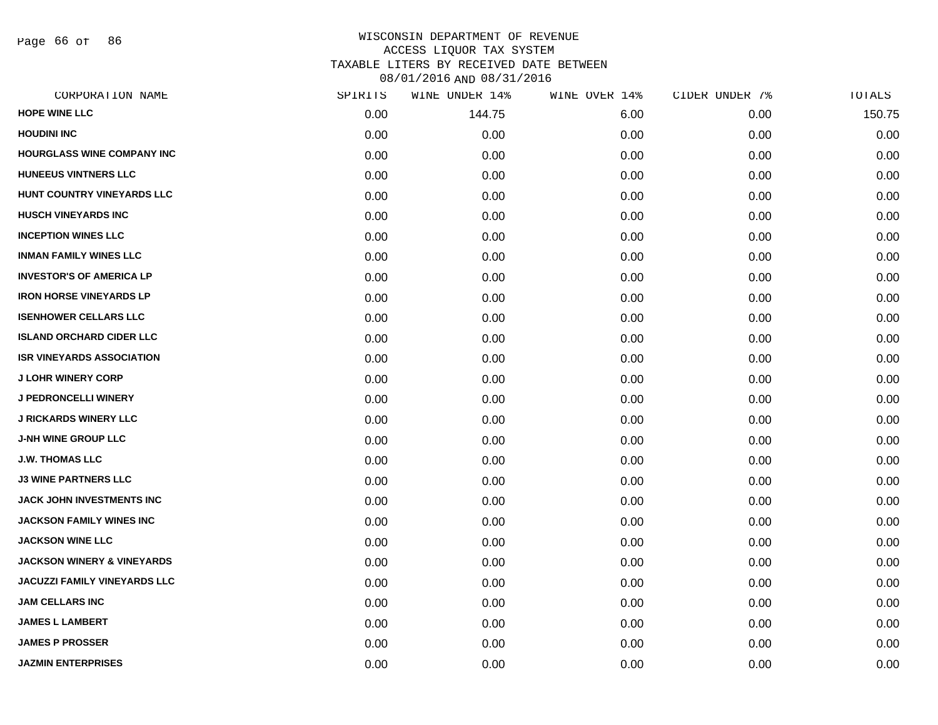Page 66 of 86

| SPIRITS | WINE UNDER 14% | WINE OVER 14% | CIDER UNDER 7% | TOTALS |
|---------|----------------|---------------|----------------|--------|
| 0.00    | 144.75         | 6.00          | 0.00           | 150.75 |
| 0.00    | 0.00           | 0.00          | 0.00           | 0.00   |
| 0.00    | 0.00           | 0.00          | 0.00           | 0.00   |
| 0.00    | 0.00           | 0.00          | 0.00           | 0.00   |
| 0.00    | 0.00           | 0.00          | 0.00           | 0.00   |
| 0.00    | 0.00           | 0.00          | 0.00           | 0.00   |
| 0.00    | 0.00           | 0.00          | 0.00           | 0.00   |
| 0.00    | 0.00           | 0.00          | 0.00           | 0.00   |
| 0.00    | 0.00           | 0.00          | 0.00           | 0.00   |
| 0.00    | 0.00           | 0.00          | 0.00           | 0.00   |
| 0.00    | 0.00           | 0.00          | 0.00           | 0.00   |
| 0.00    | 0.00           | 0.00          | 0.00           | 0.00   |
| 0.00    | 0.00           | 0.00          | 0.00           | 0.00   |
| 0.00    | 0.00           | 0.00          | 0.00           | 0.00   |
| 0.00    | 0.00           | 0.00          | 0.00           | 0.00   |
| 0.00    | 0.00           | 0.00          | 0.00           | 0.00   |
| 0.00    | 0.00           | 0.00          | 0.00           | 0.00   |
| 0.00    | 0.00           | 0.00          | 0.00           | 0.00   |
| 0.00    | 0.00           | 0.00          | 0.00           | 0.00   |
| 0.00    | 0.00           | 0.00          | 0.00           | 0.00   |
| 0.00    | 0.00           | 0.00          | 0.00           | 0.00   |
| 0.00    | 0.00           | 0.00          | 0.00           | 0.00   |
| 0.00    | 0.00           | 0.00          | 0.00           | 0.00   |
| 0.00    | 0.00           | 0.00          | 0.00           | 0.00   |
| 0.00    | 0.00           | 0.00          | 0.00           | 0.00   |
| 0.00    | 0.00           | 0.00          | 0.00           | 0.00   |
| 0.00    | 0.00           | 0.00          | 0.00           | 0.00   |
| 0.00    | 0.00           | 0.00          | 0.00           | 0.00   |
|         |                |               |                |        |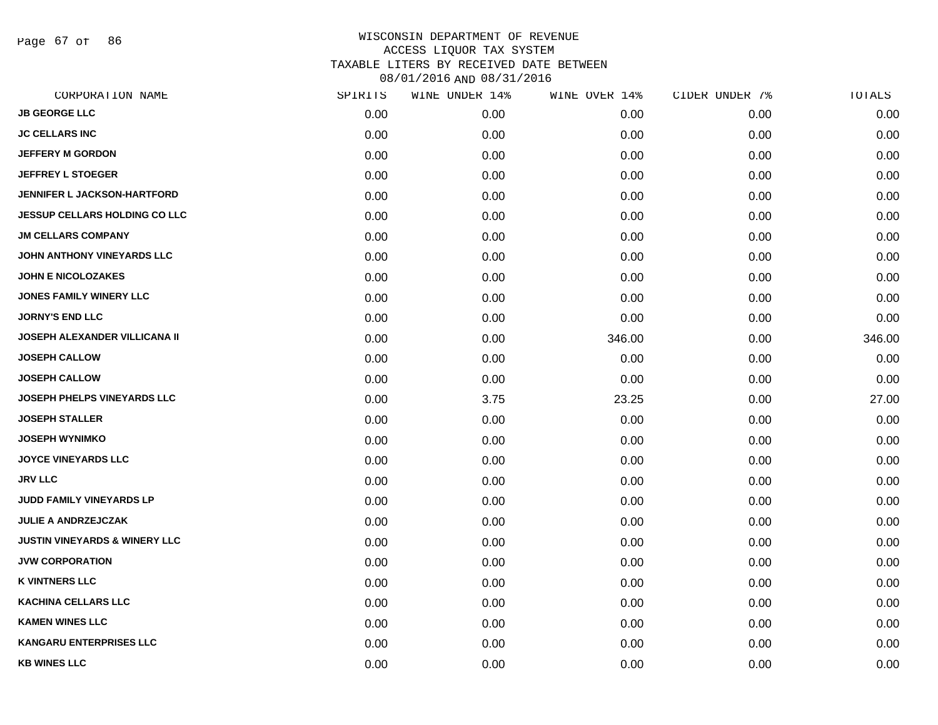Page 67 of 86

| CORPORATION NAME                         | SPIRITS | WINE UNDER 14% | WINE OVER 14% | CIDER UNDER 7% | TOTALS |
|------------------------------------------|---------|----------------|---------------|----------------|--------|
| <b>JB GEORGE LLC</b>                     | 0.00    | 0.00           | 0.00          | 0.00           | 0.00   |
| <b>JC CELLARS INC</b>                    | 0.00    | 0.00           | 0.00          | 0.00           | 0.00   |
| <b>JEFFERY M GORDON</b>                  | 0.00    | 0.00           | 0.00          | 0.00           | 0.00   |
| <b>JEFFREY L STOEGER</b>                 | 0.00    | 0.00           | 0.00          | 0.00           | 0.00   |
| JENNIFER L JACKSON-HARTFORD              | 0.00    | 0.00           | 0.00          | 0.00           | 0.00   |
| <b>JESSUP CELLARS HOLDING CO LLC</b>     | 0.00    | 0.00           | 0.00          | 0.00           | 0.00   |
| <b>JM CELLARS COMPANY</b>                | 0.00    | 0.00           | 0.00          | 0.00           | 0.00   |
| JOHN ANTHONY VINEYARDS LLC               | 0.00    | 0.00           | 0.00          | 0.00           | 0.00   |
| <b>JOHN E NICOLOZAKES</b>                | 0.00    | 0.00           | 0.00          | 0.00           | 0.00   |
| <b>JONES FAMILY WINERY LLC</b>           | 0.00    | 0.00           | 0.00          | 0.00           | 0.00   |
| <b>JORNY'S END LLC</b>                   | 0.00    | 0.00           | 0.00          | 0.00           | 0.00   |
| <b>JOSEPH ALEXANDER VILLICANA II</b>     | 0.00    | 0.00           | 346.00        | 0.00           | 346.00 |
| <b>JOSEPH CALLOW</b>                     | 0.00    | 0.00           | 0.00          | 0.00           | 0.00   |
| <b>JOSEPH CALLOW</b>                     | 0.00    | 0.00           | 0.00          | 0.00           | 0.00   |
| JOSEPH PHELPS VINEYARDS LLC              | 0.00    | 3.75           | 23.25         | 0.00           | 27.00  |
| <b>JOSEPH STALLER</b>                    | 0.00    | 0.00           | 0.00          | 0.00           | 0.00   |
| <b>JOSEPH WYNIMKO</b>                    | 0.00    | 0.00           | 0.00          | 0.00           | 0.00   |
| <b>JOYCE VINEYARDS LLC</b>               | 0.00    | 0.00           | 0.00          | 0.00           | 0.00   |
| <b>JRV LLC</b>                           | 0.00    | 0.00           | 0.00          | 0.00           | 0.00   |
| JUDD FAMILY VINEYARDS LP                 | 0.00    | 0.00           | 0.00          | 0.00           | 0.00   |
| <b>JULIE A ANDRZEJCZAK</b>               | 0.00    | 0.00           | 0.00          | 0.00           | 0.00   |
| <b>JUSTIN VINEYARDS &amp; WINERY LLC</b> | 0.00    | 0.00           | 0.00          | 0.00           | 0.00   |
| <b>JVW CORPORATION</b>                   | 0.00    | 0.00           | 0.00          | 0.00           | 0.00   |
| <b>K VINTNERS LLC</b>                    | 0.00    | 0.00           | 0.00          | 0.00           | 0.00   |
| <b>KACHINA CELLARS LLC</b>               | 0.00    | 0.00           | 0.00          | 0.00           | 0.00   |
| <b>KAMEN WINES LLC</b>                   | 0.00    | 0.00           | 0.00          | 0.00           | 0.00   |
| <b>KANGARU ENTERPRISES LLC</b>           | 0.00    | 0.00           | 0.00          | 0.00           | 0.00   |
| <b>KB WINES LLC</b>                      | 0.00    | 0.00           | 0.00          | 0.00           | 0.00   |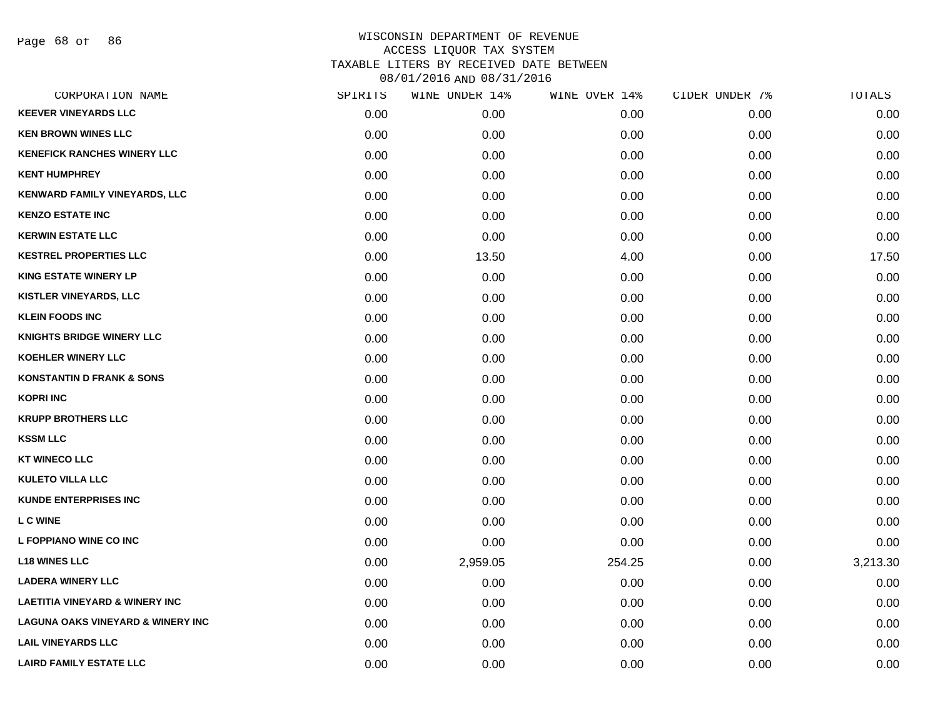Page 68 of 86

| CORPORATION NAME                             | SPIRITS | WINE UNDER 14% | WINE OVER 14% | CIDER UNDER 7% | TOTALS   |
|----------------------------------------------|---------|----------------|---------------|----------------|----------|
| <b>KEEVER VINEYARDS LLC</b>                  | 0.00    | 0.00           | 0.00          | 0.00           | 0.00     |
| <b>KEN BROWN WINES LLC</b>                   | 0.00    | 0.00           | 0.00          | 0.00           | 0.00     |
| <b>KENEFICK RANCHES WINERY LLC</b>           | 0.00    | 0.00           | 0.00          | 0.00           | 0.00     |
| <b>KENT HUMPHREY</b>                         | 0.00    | 0.00           | 0.00          | 0.00           | 0.00     |
| <b>KENWARD FAMILY VINEYARDS, LLC</b>         | 0.00    | 0.00           | 0.00          | 0.00           | 0.00     |
| <b>KENZO ESTATE INC</b>                      | 0.00    | 0.00           | 0.00          | 0.00           | 0.00     |
| <b>KERWIN ESTATE LLC</b>                     | 0.00    | 0.00           | 0.00          | 0.00           | 0.00     |
| <b>KESTREL PROPERTIES LLC</b>                | 0.00    | 13.50          | 4.00          | 0.00           | 17.50    |
| <b>KING ESTATE WINERY LP</b>                 | 0.00    | 0.00           | 0.00          | 0.00           | 0.00     |
| <b>KISTLER VINEYARDS, LLC</b>                | 0.00    | 0.00           | 0.00          | 0.00           | 0.00     |
| <b>KLEIN FOODS INC</b>                       | 0.00    | 0.00           | 0.00          | 0.00           | 0.00     |
| KNIGHTS BRIDGE WINERY LLC                    | 0.00    | 0.00           | 0.00          | 0.00           | 0.00     |
| <b>KOEHLER WINERY LLC</b>                    | 0.00    | 0.00           | 0.00          | 0.00           | 0.00     |
| <b>KONSTANTIN D FRANK &amp; SONS</b>         | 0.00    | 0.00           | 0.00          | 0.00           | 0.00     |
| <b>KOPRI INC</b>                             | 0.00    | 0.00           | 0.00          | 0.00           | 0.00     |
| <b>KRUPP BROTHERS LLC</b>                    | 0.00    | 0.00           | 0.00          | 0.00           | 0.00     |
| <b>KSSM LLC</b>                              | 0.00    | 0.00           | 0.00          | 0.00           | 0.00     |
| <b>KT WINECO LLC</b>                         | 0.00    | 0.00           | 0.00          | 0.00           | 0.00     |
| <b>KULETO VILLA LLC</b>                      | 0.00    | 0.00           | 0.00          | 0.00           | 0.00     |
| <b>KUNDE ENTERPRISES INC</b>                 | 0.00    | 0.00           | 0.00          | 0.00           | 0.00     |
| <b>L C WINE</b>                              | 0.00    | 0.00           | 0.00          | 0.00           | 0.00     |
| L FOPPIANO WINE CO INC                       | 0.00    | 0.00           | 0.00          | 0.00           | 0.00     |
| <b>L18 WINES LLC</b>                         | 0.00    | 2,959.05       | 254.25        | 0.00           | 3,213.30 |
| <b>LADERA WINERY LLC</b>                     | 0.00    | 0.00           | 0.00          | 0.00           | 0.00     |
| <b>LAETITIA VINEYARD &amp; WINERY INC</b>    | 0.00    | 0.00           | 0.00          | 0.00           | 0.00     |
| <b>LAGUNA OAKS VINEYARD &amp; WINERY INC</b> | 0.00    | 0.00           | 0.00          | 0.00           | 0.00     |
| <b>LAIL VINEYARDS LLC</b>                    | 0.00    | 0.00           | 0.00          | 0.00           | 0.00     |
| <b>LAIRD FAMILY ESTATE LLC</b>               | 0.00    | 0.00           | 0.00          | 0.00           | 0.00     |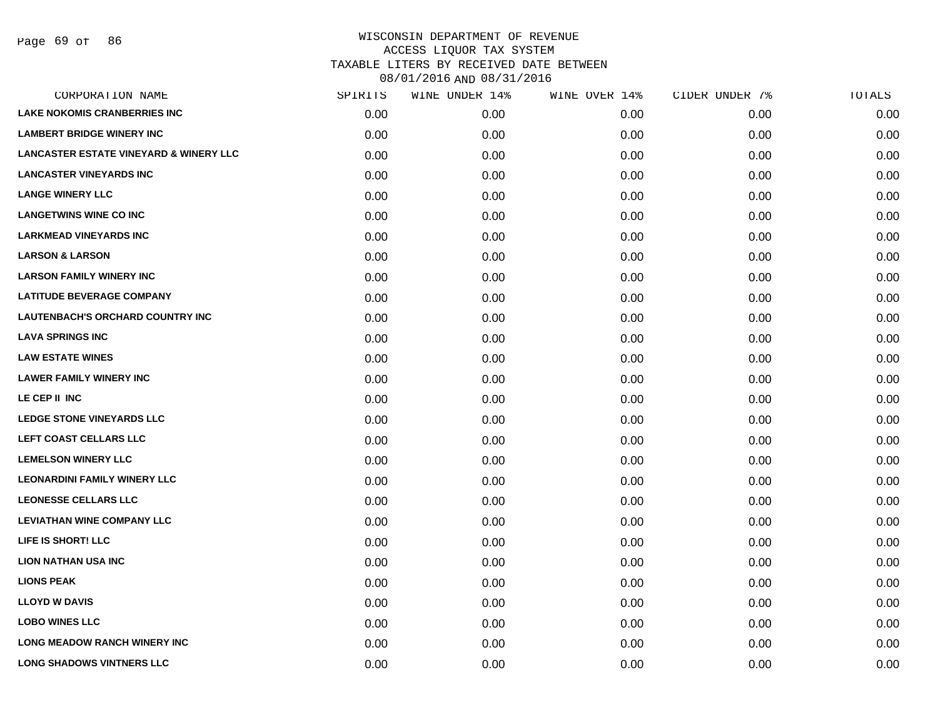| CORPORATION NAME                                  | SPIRITS | WINE UNDER 14% | WINE OVER 14% | CIDER UNDER 7% | TOTALS |
|---------------------------------------------------|---------|----------------|---------------|----------------|--------|
| <b>LAKE NOKOMIS CRANBERRIES INC</b>               | 0.00    | 0.00           | 0.00          | 0.00           | 0.00   |
| <b>LAMBERT BRIDGE WINERY INC</b>                  | 0.00    | 0.00           | 0.00          | 0.00           | 0.00   |
| <b>LANCASTER ESTATE VINEYARD &amp; WINERY LLC</b> | 0.00    | 0.00           | 0.00          | 0.00           | 0.00   |
| <b>LANCASTER VINEYARDS INC</b>                    | 0.00    | 0.00           | 0.00          | 0.00           | 0.00   |
| <b>LANGE WINERY LLC</b>                           | 0.00    | 0.00           | 0.00          | 0.00           | 0.00   |
| <b>LANGETWINS WINE CO INC</b>                     | 0.00    | 0.00           | 0.00          | 0.00           | 0.00   |
| <b>LARKMEAD VINEYARDS INC</b>                     | 0.00    | 0.00           | 0.00          | 0.00           | 0.00   |
| <b>LARSON &amp; LARSON</b>                        | 0.00    | 0.00           | 0.00          | 0.00           | 0.00   |
| <b>LARSON FAMILY WINERY INC</b>                   | 0.00    | 0.00           | 0.00          | 0.00           | 0.00   |
| <b>LATITUDE BEVERAGE COMPANY</b>                  | 0.00    | 0.00           | 0.00          | 0.00           | 0.00   |
| LAUTENBACH'S ORCHARD COUNTRY INC                  | 0.00    | 0.00           | 0.00          | 0.00           | 0.00   |
| <b>LAVA SPRINGS INC</b>                           | 0.00    | 0.00           | 0.00          | 0.00           | 0.00   |
| <b>LAW ESTATE WINES</b>                           | 0.00    | 0.00           | 0.00          | 0.00           | 0.00   |
| <b>LAWER FAMILY WINERY INC</b>                    | 0.00    | 0.00           | 0.00          | 0.00           | 0.00   |
| LE CEP II INC                                     | 0.00    | 0.00           | 0.00          | 0.00           | 0.00   |
| <b>LEDGE STONE VINEYARDS LLC</b>                  | 0.00    | 0.00           | 0.00          | 0.00           | 0.00   |
| LEFT COAST CELLARS LLC                            | 0.00    | 0.00           | 0.00          | 0.00           | 0.00   |
| <b>LEMELSON WINERY LLC</b>                        | 0.00    | 0.00           | 0.00          | 0.00           | 0.00   |
| <b>LEONARDINI FAMILY WINERY LLC</b>               | 0.00    | 0.00           | 0.00          | 0.00           | 0.00   |
| <b>LEONESSE CELLARS LLC</b>                       | 0.00    | 0.00           | 0.00          | 0.00           | 0.00   |
| <b>LEVIATHAN WINE COMPANY LLC</b>                 | 0.00    | 0.00           | 0.00          | 0.00           | 0.00   |
| LIFE IS SHORT! LLC                                | 0.00    | 0.00           | 0.00          | 0.00           | 0.00   |
| <b>LION NATHAN USA INC</b>                        | 0.00    | 0.00           | 0.00          | 0.00           | 0.00   |
| <b>LIONS PEAK</b>                                 | 0.00    | 0.00           | 0.00          | 0.00           | 0.00   |
| <b>LLOYD W DAVIS</b>                              | 0.00    | 0.00           | 0.00          | 0.00           | 0.00   |
| <b>LOBO WINES LLC</b>                             | 0.00    | 0.00           | 0.00          | 0.00           | 0.00   |
| <b>LONG MEADOW RANCH WINERY INC</b>               | 0.00    | 0.00           | 0.00          | 0.00           | 0.00   |
| <b>LONG SHADOWS VINTNERS LLC</b>                  | 0.00    | 0.00           | 0.00          | 0.00           | 0.00   |
|                                                   |         |                |               |                |        |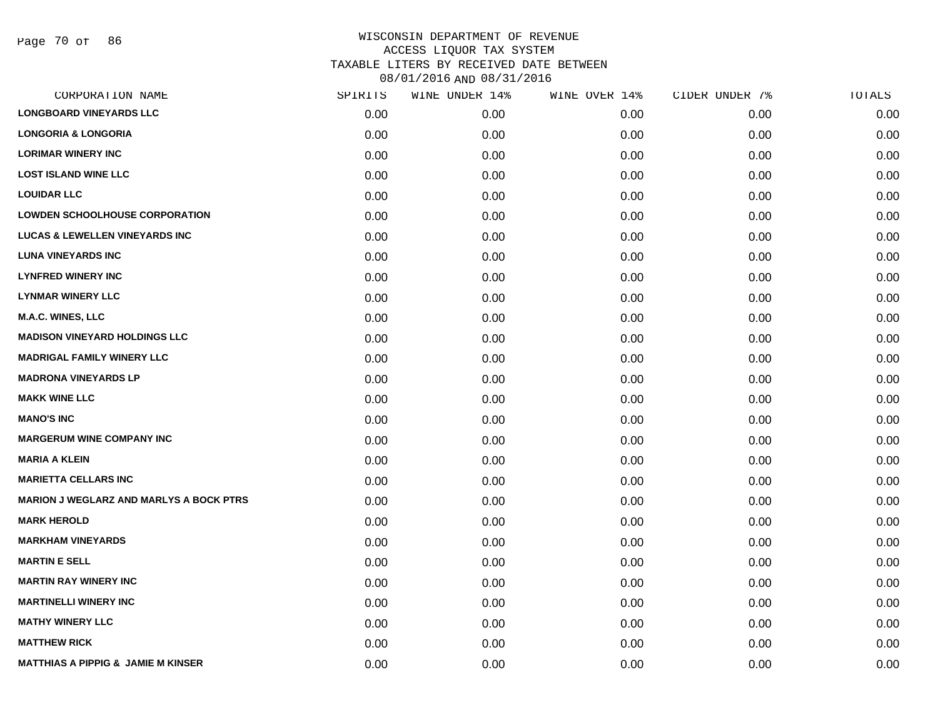| CORPORATION NAME                               | SPIRITS | WINE UNDER 14% | WINE OVER 14% | CIDER UNDER 7% | TOTALS |
|------------------------------------------------|---------|----------------|---------------|----------------|--------|
| <b>LONGBOARD VINEYARDS LLC</b>                 | 0.00    | 0.00           | 0.00          | 0.00           | 0.00   |
| <b>LONGORIA &amp; LONGORIA</b>                 | 0.00    | 0.00           | 0.00          | 0.00           | 0.00   |
| <b>LORIMAR WINERY INC</b>                      | 0.00    | 0.00           | 0.00          | 0.00           | 0.00   |
| <b>LOST ISLAND WINE LLC</b>                    | 0.00    | 0.00           | 0.00          | 0.00           | 0.00   |
| <b>LOUIDAR LLC</b>                             | 0.00    | 0.00           | 0.00          | 0.00           | 0.00   |
| <b>LOWDEN SCHOOLHOUSE CORPORATION</b>          | 0.00    | 0.00           | 0.00          | 0.00           | 0.00   |
| <b>LUCAS &amp; LEWELLEN VINEYARDS INC</b>      | 0.00    | 0.00           | 0.00          | 0.00           | 0.00   |
| <b>LUNA VINEYARDS INC</b>                      | 0.00    | 0.00           | 0.00          | 0.00           | 0.00   |
| <b>LYNFRED WINERY INC</b>                      | 0.00    | 0.00           | 0.00          | 0.00           | 0.00   |
| <b>LYNMAR WINERY LLC</b>                       | 0.00    | 0.00           | 0.00          | 0.00           | 0.00   |
| <b>M.A.C. WINES, LLC</b>                       | 0.00    | 0.00           | 0.00          | 0.00           | 0.00   |
| <b>MADISON VINEYARD HOLDINGS LLC</b>           | 0.00    | 0.00           | 0.00          | 0.00           | 0.00   |
| <b>MADRIGAL FAMILY WINERY LLC</b>              | 0.00    | 0.00           | 0.00          | 0.00           | 0.00   |
| <b>MADRONA VINEYARDS LP</b>                    | 0.00    | 0.00           | 0.00          | 0.00           | 0.00   |
| <b>MAKK WINE LLC</b>                           | 0.00    | 0.00           | 0.00          | 0.00           | 0.00   |
| <b>MANO'S INC</b>                              | 0.00    | 0.00           | 0.00          | 0.00           | 0.00   |
| <b>MARGERUM WINE COMPANY INC</b>               | 0.00    | 0.00           | 0.00          | 0.00           | 0.00   |
| MARIA A KLEIN                                  | 0.00    | 0.00           | 0.00          | 0.00           | 0.00   |
| <b>MARIETTA CELLARS INC</b>                    | 0.00    | 0.00           | 0.00          | 0.00           | 0.00   |
| <b>MARION J WEGLARZ AND MARLYS A BOCK PTRS</b> | 0.00    | 0.00           | 0.00          | 0.00           | 0.00   |
| <b>MARK HEROLD</b>                             | 0.00    | 0.00           | 0.00          | 0.00           | 0.00   |
| <b>MARKHAM VINEYARDS</b>                       | 0.00    | 0.00           | 0.00          | 0.00           | 0.00   |
| <b>MARTIN E SELL</b>                           | 0.00    | 0.00           | 0.00          | 0.00           | 0.00   |
| <b>MARTIN RAY WINERY INC</b>                   | 0.00    | 0.00           | 0.00          | 0.00           | 0.00   |
| <b>MARTINELLI WINERY INC</b>                   | 0.00    | 0.00           | 0.00          | 0.00           | 0.00   |
| <b>MATHY WINERY LLC</b>                        | 0.00    | 0.00           | 0.00          | 0.00           | 0.00   |
| <b>MATTHEW RICK</b>                            | 0.00    | 0.00           | 0.00          | 0.00           | 0.00   |
| MATTHIAS A PIPPIG & JAMIE M KINSER             | 0.00    | 0.00           | 0.00          | 0.00           | 0.00   |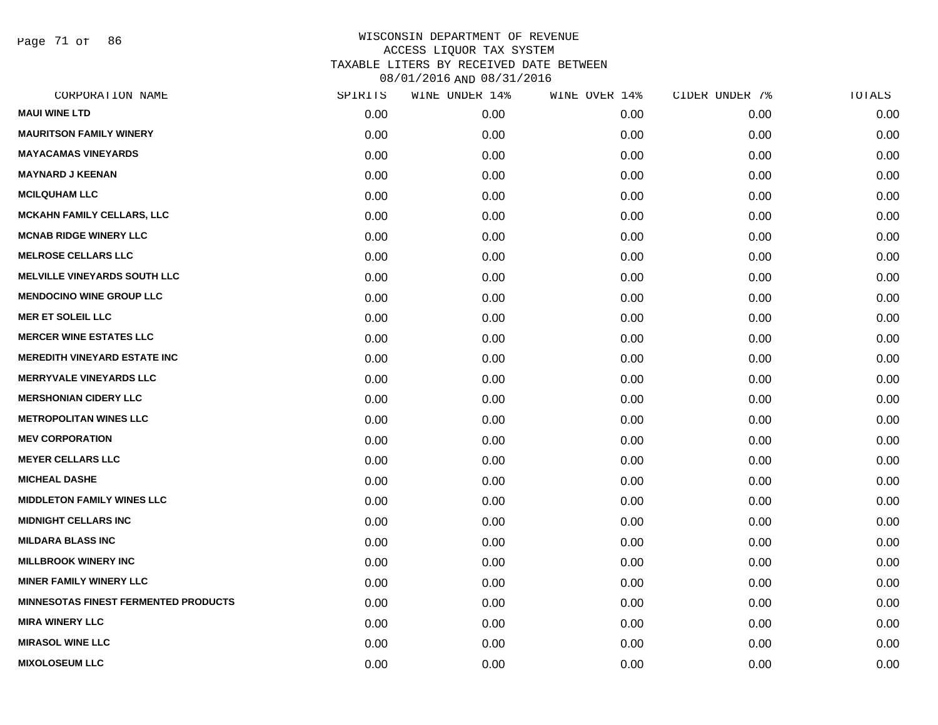Page 71 of 86

| <b>MAUI WINE LTD</b><br>0.00<br>0.00<br>0.00<br>0.00<br><b>MAURITSON FAMILY WINERY</b><br>0.00<br>0.00<br>0.00<br>0.00<br><b>MAYACAMAS VINEYARDS</b><br>0.00<br>0.00<br>0.00<br>0.00<br><b>MAYNARD J KEENAN</b><br>0.00<br>0.00<br>0.00<br>0.00<br><b>MCILQUHAM LLC</b><br>0.00<br>0.00<br>0.00<br>0.00<br><b>MCKAHN FAMILY CELLARS, LLC</b><br>0.00<br>0.00<br>0.00<br>0.00<br><b>MCNAB RIDGE WINERY LLC</b><br>0.00<br>0.00<br>0.00<br>0.00<br><b>MELROSE CELLARS LLC</b><br>0.00<br>0.00<br>0.00<br>0.00<br><b>MELVILLE VINEYARDS SOUTH LLC</b><br>0.00<br>0.00<br>0.00<br>0.00<br><b>MENDOCINO WINE GROUP LLC</b><br>0.00<br>0.00<br>0.00<br>0.00<br><b>MER ET SOLEIL LLC</b><br>0.00<br>0.00<br>0.00<br>0.00<br><b>MERCER WINE ESTATES LLC</b><br>0.00<br>0.00<br>0.00<br>0.00<br><b>MEREDITH VINEYARD ESTATE INC</b><br>0.00<br>0.00<br>0.00<br>0.00<br><b>MERRYVALE VINEYARDS LLC</b><br>0.00<br>0.00<br>0.00<br>0.00<br><b>MERSHONIAN CIDERY LLC</b><br>0.00<br>0.00<br>0.00<br>0.00<br><b>METROPOLITAN WINES LLC</b><br>0.00<br>0.00<br>0.00<br>0.00<br><b>MEV CORPORATION</b><br>0.00<br>0.00<br>0.00<br>0.00<br><b>MEYER CELLARS LLC</b><br>0.00<br>0.00<br>0.00<br>0.00<br><b>MICHEAL DASHE</b><br>0.00<br>0.00<br>0.00<br>0.00<br><b>MIDDLETON FAMILY WINES LLC</b><br>0.00<br>0.00<br>0.00<br>0.00<br><b>MIDNIGHT CELLARS INC</b><br>0.00<br>0.00<br>0.00<br>0.00<br><b>MILDARA BLASS INC</b><br>0.00<br>0.00<br>0.00<br>0.00<br><b>MILLBROOK WINERY INC</b><br>0.00<br>0.00<br>0.00<br>0.00<br><b>MINER FAMILY WINERY LLC</b><br>0.00<br>0.00<br>0.00<br>0.00<br>MINNESOTAS FINEST FERMENTED PRODUCTS<br>0.00<br>0.00<br>0.00<br>0.00<br><b>MIRA WINERY LLC</b><br>0.00<br>0.00<br>0.00<br>0.00<br><b>MIRASOL WINE LLC</b><br>0.00<br>0.00<br>0.00<br>0.00<br><b>MIXOLOSEUM LLC</b><br>0.00<br>0.00<br>0.00<br>0.00 | CORPORATION NAME | SPIRITS | WINE UNDER 14% | WINE OVER 14% | CIDER UNDER 7% | TOTALS |
|------------------------------------------------------------------------------------------------------------------------------------------------------------------------------------------------------------------------------------------------------------------------------------------------------------------------------------------------------------------------------------------------------------------------------------------------------------------------------------------------------------------------------------------------------------------------------------------------------------------------------------------------------------------------------------------------------------------------------------------------------------------------------------------------------------------------------------------------------------------------------------------------------------------------------------------------------------------------------------------------------------------------------------------------------------------------------------------------------------------------------------------------------------------------------------------------------------------------------------------------------------------------------------------------------------------------------------------------------------------------------------------------------------------------------------------------------------------------------------------------------------------------------------------------------------------------------------------------------------------------------------------------------------------------------------------------------------------------------------------------------------------------------------------------------------------------------------|------------------|---------|----------------|---------------|----------------|--------|
|                                                                                                                                                                                                                                                                                                                                                                                                                                                                                                                                                                                                                                                                                                                                                                                                                                                                                                                                                                                                                                                                                                                                                                                                                                                                                                                                                                                                                                                                                                                                                                                                                                                                                                                                                                                                                                    |                  |         |                |               |                | 0.00   |
|                                                                                                                                                                                                                                                                                                                                                                                                                                                                                                                                                                                                                                                                                                                                                                                                                                                                                                                                                                                                                                                                                                                                                                                                                                                                                                                                                                                                                                                                                                                                                                                                                                                                                                                                                                                                                                    |                  |         |                |               |                | 0.00   |
|                                                                                                                                                                                                                                                                                                                                                                                                                                                                                                                                                                                                                                                                                                                                                                                                                                                                                                                                                                                                                                                                                                                                                                                                                                                                                                                                                                                                                                                                                                                                                                                                                                                                                                                                                                                                                                    |                  |         |                |               |                | 0.00   |
|                                                                                                                                                                                                                                                                                                                                                                                                                                                                                                                                                                                                                                                                                                                                                                                                                                                                                                                                                                                                                                                                                                                                                                                                                                                                                                                                                                                                                                                                                                                                                                                                                                                                                                                                                                                                                                    |                  |         |                |               |                | 0.00   |
|                                                                                                                                                                                                                                                                                                                                                                                                                                                                                                                                                                                                                                                                                                                                                                                                                                                                                                                                                                                                                                                                                                                                                                                                                                                                                                                                                                                                                                                                                                                                                                                                                                                                                                                                                                                                                                    |                  |         |                |               |                | 0.00   |
|                                                                                                                                                                                                                                                                                                                                                                                                                                                                                                                                                                                                                                                                                                                                                                                                                                                                                                                                                                                                                                                                                                                                                                                                                                                                                                                                                                                                                                                                                                                                                                                                                                                                                                                                                                                                                                    |                  |         |                |               |                | 0.00   |
|                                                                                                                                                                                                                                                                                                                                                                                                                                                                                                                                                                                                                                                                                                                                                                                                                                                                                                                                                                                                                                                                                                                                                                                                                                                                                                                                                                                                                                                                                                                                                                                                                                                                                                                                                                                                                                    |                  |         |                |               |                | 0.00   |
|                                                                                                                                                                                                                                                                                                                                                                                                                                                                                                                                                                                                                                                                                                                                                                                                                                                                                                                                                                                                                                                                                                                                                                                                                                                                                                                                                                                                                                                                                                                                                                                                                                                                                                                                                                                                                                    |                  |         |                |               |                | 0.00   |
|                                                                                                                                                                                                                                                                                                                                                                                                                                                                                                                                                                                                                                                                                                                                                                                                                                                                                                                                                                                                                                                                                                                                                                                                                                                                                                                                                                                                                                                                                                                                                                                                                                                                                                                                                                                                                                    |                  |         |                |               |                | 0.00   |
|                                                                                                                                                                                                                                                                                                                                                                                                                                                                                                                                                                                                                                                                                                                                                                                                                                                                                                                                                                                                                                                                                                                                                                                                                                                                                                                                                                                                                                                                                                                                                                                                                                                                                                                                                                                                                                    |                  |         |                |               |                | 0.00   |
|                                                                                                                                                                                                                                                                                                                                                                                                                                                                                                                                                                                                                                                                                                                                                                                                                                                                                                                                                                                                                                                                                                                                                                                                                                                                                                                                                                                                                                                                                                                                                                                                                                                                                                                                                                                                                                    |                  |         |                |               |                | 0.00   |
|                                                                                                                                                                                                                                                                                                                                                                                                                                                                                                                                                                                                                                                                                                                                                                                                                                                                                                                                                                                                                                                                                                                                                                                                                                                                                                                                                                                                                                                                                                                                                                                                                                                                                                                                                                                                                                    |                  |         |                |               |                | 0.00   |
|                                                                                                                                                                                                                                                                                                                                                                                                                                                                                                                                                                                                                                                                                                                                                                                                                                                                                                                                                                                                                                                                                                                                                                                                                                                                                                                                                                                                                                                                                                                                                                                                                                                                                                                                                                                                                                    |                  |         |                |               |                | 0.00   |
|                                                                                                                                                                                                                                                                                                                                                                                                                                                                                                                                                                                                                                                                                                                                                                                                                                                                                                                                                                                                                                                                                                                                                                                                                                                                                                                                                                                                                                                                                                                                                                                                                                                                                                                                                                                                                                    |                  |         |                |               |                | 0.00   |
|                                                                                                                                                                                                                                                                                                                                                                                                                                                                                                                                                                                                                                                                                                                                                                                                                                                                                                                                                                                                                                                                                                                                                                                                                                                                                                                                                                                                                                                                                                                                                                                                                                                                                                                                                                                                                                    |                  |         |                |               |                | 0.00   |
|                                                                                                                                                                                                                                                                                                                                                                                                                                                                                                                                                                                                                                                                                                                                                                                                                                                                                                                                                                                                                                                                                                                                                                                                                                                                                                                                                                                                                                                                                                                                                                                                                                                                                                                                                                                                                                    |                  |         |                |               |                | 0.00   |
|                                                                                                                                                                                                                                                                                                                                                                                                                                                                                                                                                                                                                                                                                                                                                                                                                                                                                                                                                                                                                                                                                                                                                                                                                                                                                                                                                                                                                                                                                                                                                                                                                                                                                                                                                                                                                                    |                  |         |                |               |                | 0.00   |
|                                                                                                                                                                                                                                                                                                                                                                                                                                                                                                                                                                                                                                                                                                                                                                                                                                                                                                                                                                                                                                                                                                                                                                                                                                                                                                                                                                                                                                                                                                                                                                                                                                                                                                                                                                                                                                    |                  |         |                |               |                | 0.00   |
|                                                                                                                                                                                                                                                                                                                                                                                                                                                                                                                                                                                                                                                                                                                                                                                                                                                                                                                                                                                                                                                                                                                                                                                                                                                                                                                                                                                                                                                                                                                                                                                                                                                                                                                                                                                                                                    |                  |         |                |               |                | 0.00   |
|                                                                                                                                                                                                                                                                                                                                                                                                                                                                                                                                                                                                                                                                                                                                                                                                                                                                                                                                                                                                                                                                                                                                                                                                                                                                                                                                                                                                                                                                                                                                                                                                                                                                                                                                                                                                                                    |                  |         |                |               |                | 0.00   |
|                                                                                                                                                                                                                                                                                                                                                                                                                                                                                                                                                                                                                                                                                                                                                                                                                                                                                                                                                                                                                                                                                                                                                                                                                                                                                                                                                                                                                                                                                                                                                                                                                                                                                                                                                                                                                                    |                  |         |                |               |                | 0.00   |
|                                                                                                                                                                                                                                                                                                                                                                                                                                                                                                                                                                                                                                                                                                                                                                                                                                                                                                                                                                                                                                                                                                                                                                                                                                                                                                                                                                                                                                                                                                                                                                                                                                                                                                                                                                                                                                    |                  |         |                |               |                | 0.00   |
|                                                                                                                                                                                                                                                                                                                                                                                                                                                                                                                                                                                                                                                                                                                                                                                                                                                                                                                                                                                                                                                                                                                                                                                                                                                                                                                                                                                                                                                                                                                                                                                                                                                                                                                                                                                                                                    |                  |         |                |               |                | 0.00   |
|                                                                                                                                                                                                                                                                                                                                                                                                                                                                                                                                                                                                                                                                                                                                                                                                                                                                                                                                                                                                                                                                                                                                                                                                                                                                                                                                                                                                                                                                                                                                                                                                                                                                                                                                                                                                                                    |                  |         |                |               |                | 0.00   |
|                                                                                                                                                                                                                                                                                                                                                                                                                                                                                                                                                                                                                                                                                                                                                                                                                                                                                                                                                                                                                                                                                                                                                                                                                                                                                                                                                                                                                                                                                                                                                                                                                                                                                                                                                                                                                                    |                  |         |                |               |                | 0.00   |
|                                                                                                                                                                                                                                                                                                                                                                                                                                                                                                                                                                                                                                                                                                                                                                                                                                                                                                                                                                                                                                                                                                                                                                                                                                                                                                                                                                                                                                                                                                                                                                                                                                                                                                                                                                                                                                    |                  |         |                |               |                | 0.00   |
|                                                                                                                                                                                                                                                                                                                                                                                                                                                                                                                                                                                                                                                                                                                                                                                                                                                                                                                                                                                                                                                                                                                                                                                                                                                                                                                                                                                                                                                                                                                                                                                                                                                                                                                                                                                                                                    |                  |         |                |               |                | 0.00   |
|                                                                                                                                                                                                                                                                                                                                                                                                                                                                                                                                                                                                                                                                                                                                                                                                                                                                                                                                                                                                                                                                                                                                                                                                                                                                                                                                                                                                                                                                                                                                                                                                                                                                                                                                                                                                                                    |                  |         |                |               |                | 0.00   |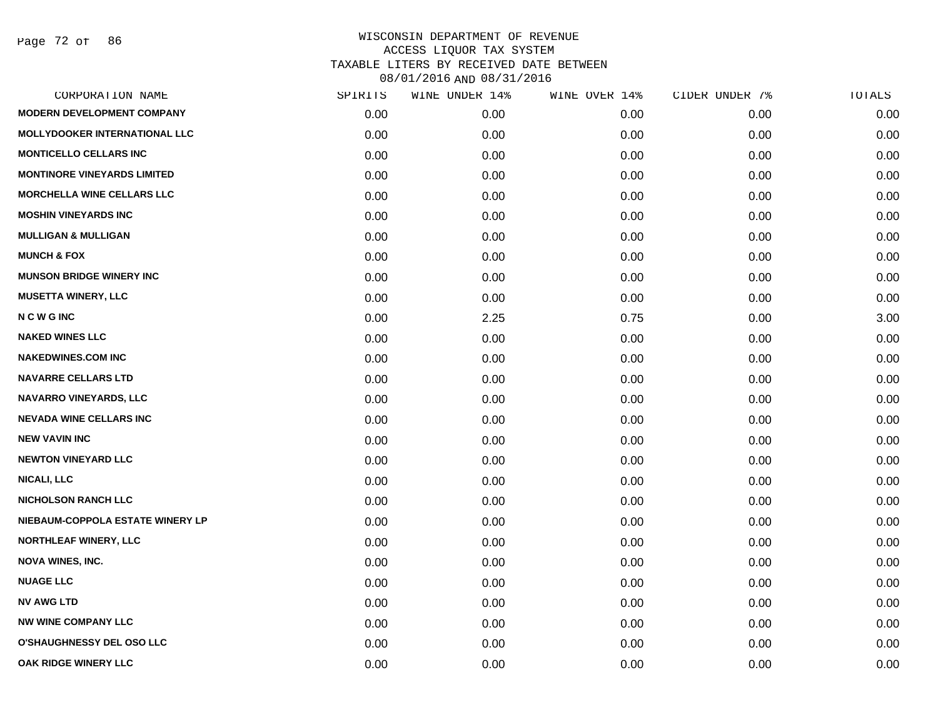Page 72 of 86

|      |         |                |               | TOTALS         |
|------|---------|----------------|---------------|----------------|
| 0.00 | 0.00    | 0.00           | 0.00          | 0.00           |
| 0.00 | 0.00    | 0.00           | 0.00          | 0.00           |
| 0.00 | 0.00    | 0.00           | 0.00          | 0.00           |
| 0.00 | 0.00    | 0.00           | 0.00          | 0.00           |
| 0.00 | 0.00    | 0.00           | 0.00          | 0.00           |
| 0.00 | 0.00    | 0.00           | 0.00          | 0.00           |
| 0.00 | 0.00    | 0.00           | 0.00          | 0.00           |
| 0.00 | 0.00    | 0.00           | 0.00          | 0.00           |
| 0.00 | 0.00    | 0.00           | 0.00          | 0.00           |
| 0.00 | 0.00    | 0.00           | 0.00          | 0.00           |
| 0.00 | 2.25    | 0.75           | 0.00          | 3.00           |
| 0.00 | 0.00    | 0.00           | 0.00          | 0.00           |
| 0.00 | 0.00    | 0.00           | 0.00          | 0.00           |
| 0.00 | 0.00    | 0.00           | 0.00          | 0.00           |
| 0.00 | 0.00    | 0.00           | 0.00          | 0.00           |
| 0.00 | 0.00    | 0.00           | 0.00          | 0.00           |
| 0.00 | 0.00    | 0.00           | 0.00          | 0.00           |
| 0.00 | 0.00    | 0.00           | 0.00          | 0.00           |
| 0.00 | 0.00    | 0.00           | 0.00          | 0.00           |
| 0.00 | 0.00    | 0.00           | 0.00          | 0.00           |
| 0.00 | 0.00    | 0.00           | 0.00          | 0.00           |
| 0.00 | 0.00    | 0.00           | 0.00          | 0.00           |
| 0.00 | 0.00    | 0.00           | 0.00          | 0.00           |
| 0.00 | 0.00    | 0.00           | 0.00          | 0.00           |
| 0.00 | 0.00    | 0.00           | 0.00          | 0.00           |
| 0.00 | 0.00    | 0.00           | 0.00          | 0.00           |
| 0.00 | 0.00    | 0.00           | 0.00          | 0.00           |
| 0.00 | 0.00    | 0.00           | 0.00          | 0.00           |
|      | SPIRITS | WINE UNDER 14% | WINE OVER 14% | CIDER UNDER 7% |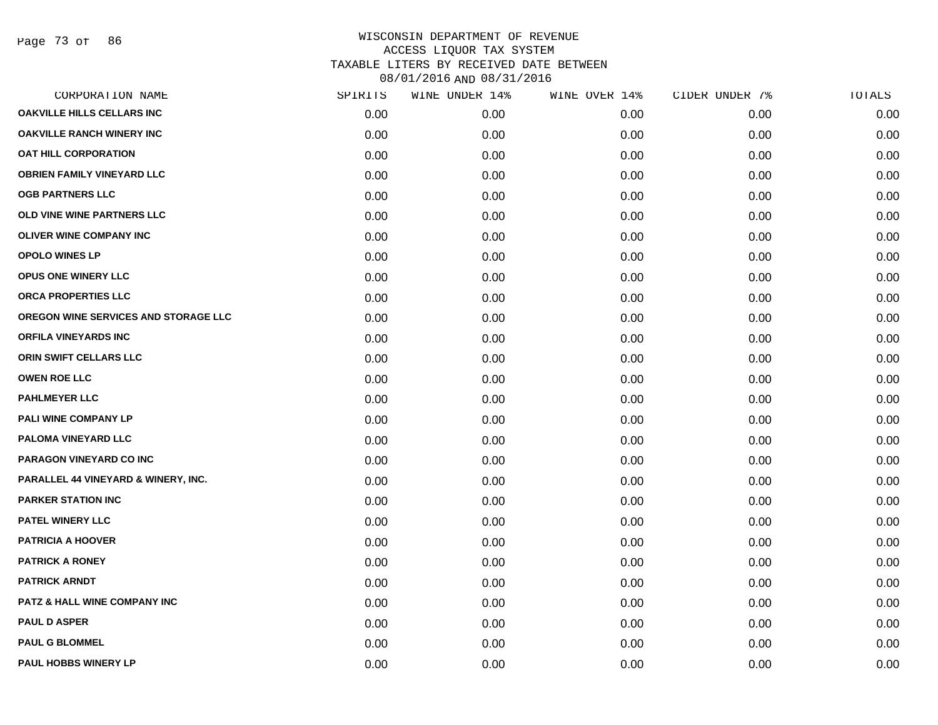| CORPORATION NAME                               | SPIRITS | WINE UNDER 14% | WINE OVER 14% | CIDER UNDER 7% | TOTALS |
|------------------------------------------------|---------|----------------|---------------|----------------|--------|
| OAKVILLE HILLS CELLARS INC                     | 0.00    | 0.00           | 0.00          | 0.00           | 0.00   |
| <b>OAKVILLE RANCH WINERY INC</b>               | 0.00    | 0.00           | 0.00          | 0.00           | 0.00   |
| <b>OAT HILL CORPORATION</b>                    | 0.00    | 0.00           | 0.00          | 0.00           | 0.00   |
| <b>OBRIEN FAMILY VINEYARD LLC</b>              | 0.00    | 0.00           | 0.00          | 0.00           | 0.00   |
| <b>OGB PARTNERS LLC</b>                        | 0.00    | 0.00           | 0.00          | 0.00           | 0.00   |
| OLD VINE WINE PARTNERS LLC                     | 0.00    | 0.00           | 0.00          | 0.00           | 0.00   |
| <b>OLIVER WINE COMPANY INC</b>                 | 0.00    | 0.00           | 0.00          | 0.00           | 0.00   |
| <b>OPOLO WINES LP</b>                          | 0.00    | 0.00           | 0.00          | 0.00           | 0.00   |
| OPUS ONE WINERY LLC                            | 0.00    | 0.00           | 0.00          | 0.00           | 0.00   |
| ORCA PROPERTIES LLC                            | 0.00    | 0.00           | 0.00          | 0.00           | 0.00   |
| OREGON WINE SERVICES AND STORAGE LLC           | 0.00    | 0.00           | 0.00          | 0.00           | 0.00   |
| <b>ORFILA VINEYARDS INC</b>                    | 0.00    | 0.00           | 0.00          | 0.00           | 0.00   |
| ORIN SWIFT CELLARS LLC                         | 0.00    | 0.00           | 0.00          | 0.00           | 0.00   |
| <b>OWEN ROE LLC</b>                            | 0.00    | 0.00           | 0.00          | 0.00           | 0.00   |
| <b>PAHLMEYER LLC</b>                           | 0.00    | 0.00           | 0.00          | 0.00           | 0.00   |
| PALI WINE COMPANY LP                           | 0.00    | 0.00           | 0.00          | 0.00           | 0.00   |
| PALOMA VINEYARD LLC                            | 0.00    | 0.00           | 0.00          | 0.00           | 0.00   |
| PARAGON VINEYARD CO INC                        | 0.00    | 0.00           | 0.00          | 0.00           | 0.00   |
| <b>PARALLEL 44 VINEYARD &amp; WINERY, INC.</b> | 0.00    | 0.00           | 0.00          | 0.00           | 0.00   |
| <b>PARKER STATION INC</b>                      | 0.00    | 0.00           | 0.00          | 0.00           | 0.00   |
| <b>PATEL WINERY LLC</b>                        | 0.00    | 0.00           | 0.00          | 0.00           | 0.00   |
| <b>PATRICIA A HOOVER</b>                       | 0.00    | 0.00           | 0.00          | 0.00           | 0.00   |
| <b>PATRICK A RONEY</b>                         | 0.00    | 0.00           | 0.00          | 0.00           | 0.00   |
| <b>PATRICK ARNDT</b>                           | 0.00    | 0.00           | 0.00          | 0.00           | 0.00   |
| <b>PATZ &amp; HALL WINE COMPANY INC</b>        | 0.00    | 0.00           | 0.00          | 0.00           | 0.00   |
| <b>PAUL D ASPER</b>                            | 0.00    | 0.00           | 0.00          | 0.00           | 0.00   |
| <b>PAUL G BLOMMEL</b>                          | 0.00    | 0.00           | 0.00          | 0.00           | 0.00   |
| PAUL HOBBS WINERY LP                           | 0.00    | 0.00           | 0.00          | 0.00           | 0.00   |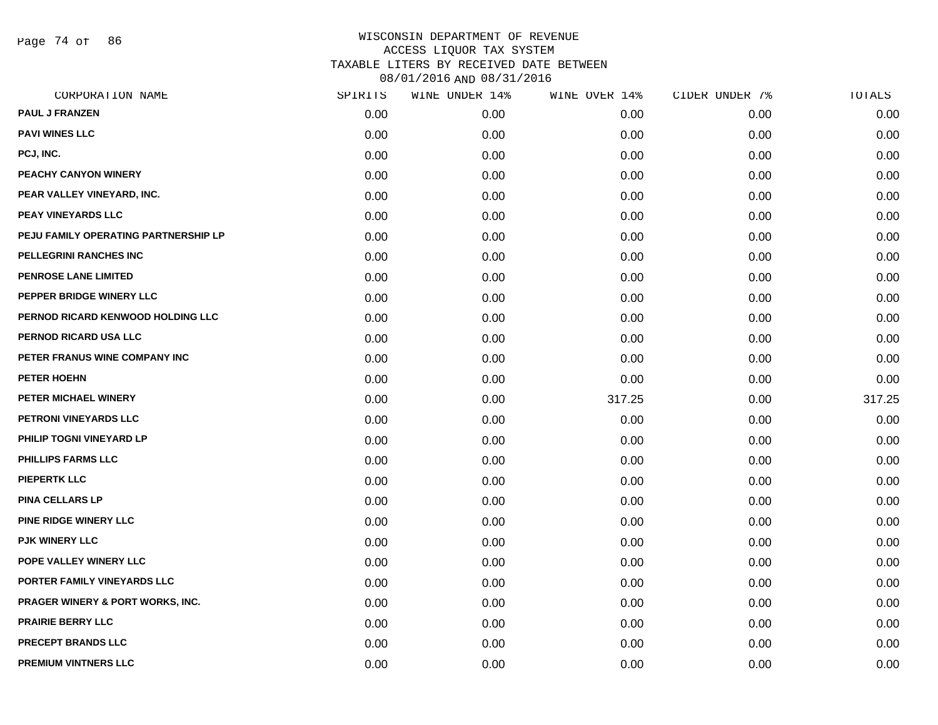Page 74 of 86

| CORPORATION NAME                     | SPIRITS | WINE UNDER 14% | WINE OVER 14% | CIDER UNDER 7% | TOTALS |
|--------------------------------------|---------|----------------|---------------|----------------|--------|
| PAUL J FRANZEN                       | 0.00    | 0.00           | 0.00          | 0.00           | 0.00   |
| <b>PAVI WINES LLC</b>                | 0.00    | 0.00           | 0.00          | 0.00           | 0.00   |
| PCJ, INC.                            | 0.00    | 0.00           | 0.00          | 0.00           | 0.00   |
| PEACHY CANYON WINERY                 | 0.00    | 0.00           | 0.00          | 0.00           | 0.00   |
| PEAR VALLEY VINEYARD, INC.           | 0.00    | 0.00           | 0.00          | 0.00           | 0.00   |
| <b>PEAY VINEYARDS LLC</b>            | 0.00    | 0.00           | 0.00          | 0.00           | 0.00   |
| PEJU FAMILY OPERATING PARTNERSHIP LP | 0.00    | 0.00           | 0.00          | 0.00           | 0.00   |
| PELLEGRINI RANCHES INC               | 0.00    | 0.00           | 0.00          | 0.00           | 0.00   |
| PENROSE LANE LIMITED                 | 0.00    | 0.00           | 0.00          | 0.00           | 0.00   |
| PEPPER BRIDGE WINERY LLC             | 0.00    | 0.00           | 0.00          | 0.00           | 0.00   |
| PERNOD RICARD KENWOOD HOLDING LLC    | 0.00    | 0.00           | 0.00          | 0.00           | 0.00   |
| <b>PERNOD RICARD USA LLC</b>         | 0.00    | 0.00           | 0.00          | 0.00           | 0.00   |
| PETER FRANUS WINE COMPANY INC        | 0.00    | 0.00           | 0.00          | 0.00           | 0.00   |
| PETER HOEHN                          | 0.00    | 0.00           | 0.00          | 0.00           | 0.00   |
| PETER MICHAEL WINERY                 | 0.00    | 0.00           | 317.25        | 0.00           | 317.25 |
| PETRONI VINEYARDS LLC                | 0.00    | 0.00           | 0.00          | 0.00           | 0.00   |
| PHILIP TOGNI VINEYARD LP             | 0.00    | 0.00           | 0.00          | 0.00           | 0.00   |
| <b>PHILLIPS FARMS LLC</b>            | 0.00    | 0.00           | 0.00          | 0.00           | 0.00   |
| <b>PIEPERTK LLC</b>                  | 0.00    | 0.00           | 0.00          | 0.00           | 0.00   |
| <b>PINA CELLARS LP</b>               | 0.00    | 0.00           | 0.00          | 0.00           | 0.00   |
| <b>PINE RIDGE WINERY LLC</b>         | 0.00    | 0.00           | 0.00          | 0.00           | 0.00   |
| <b>PJK WINERY LLC</b>                | 0.00    | 0.00           | 0.00          | 0.00           | 0.00   |
| POPE VALLEY WINERY LLC               | 0.00    | 0.00           | 0.00          | 0.00           | 0.00   |
| PORTER FAMILY VINEYARDS LLC          | 0.00    | 0.00           | 0.00          | 0.00           | 0.00   |
| PRAGER WINERY & PORT WORKS, INC.     | 0.00    | 0.00           | 0.00          | 0.00           | 0.00   |
| <b>PRAIRIE BERRY LLC</b>             | 0.00    | 0.00           | 0.00          | 0.00           | 0.00   |
| <b>PRECEPT BRANDS LLC</b>            | 0.00    | 0.00           | 0.00          | 0.00           | 0.00   |
| <b>PREMIUM VINTNERS LLC</b>          | 0.00    | 0.00           | 0.00          | 0.00           | 0.00   |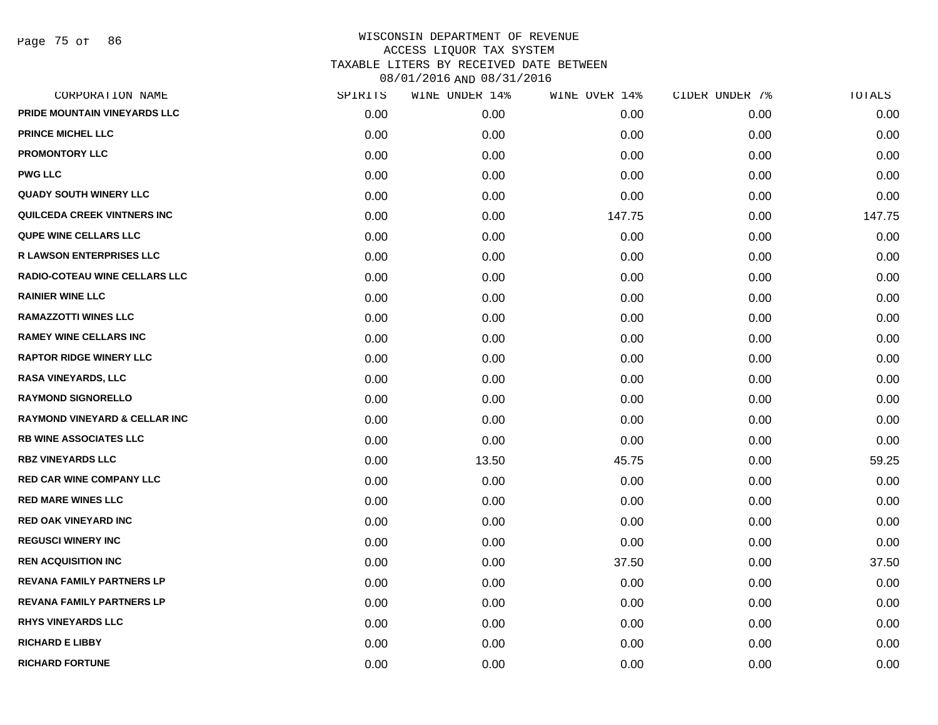|      | WINE UNDER 14% |        | CIDER UNDER 7% | TOTALS |
|------|----------------|--------|----------------|--------|
| 0.00 | 0.00           | 0.00   | 0.00           | 0.00   |
| 0.00 | 0.00           | 0.00   | 0.00           | 0.00   |
| 0.00 | 0.00           | 0.00   | 0.00           | 0.00   |
| 0.00 | 0.00           | 0.00   | 0.00           | 0.00   |
| 0.00 | 0.00           | 0.00   | 0.00           | 0.00   |
| 0.00 | 0.00           | 147.75 | 0.00           | 147.75 |
| 0.00 | 0.00           | 0.00   | 0.00           | 0.00   |
| 0.00 | 0.00           | 0.00   | 0.00           | 0.00   |
| 0.00 | 0.00           | 0.00   | 0.00           | 0.00   |
| 0.00 | 0.00           | 0.00   | 0.00           | 0.00   |
| 0.00 | 0.00           | 0.00   | 0.00           | 0.00   |
| 0.00 | 0.00           | 0.00   | 0.00           | 0.00   |
| 0.00 | 0.00           | 0.00   | 0.00           | 0.00   |
| 0.00 | 0.00           | 0.00   | 0.00           | 0.00   |
| 0.00 | 0.00           | 0.00   | 0.00           | 0.00   |
| 0.00 | 0.00           | 0.00   | 0.00           | 0.00   |
| 0.00 | 0.00           | 0.00   | 0.00           | 0.00   |
| 0.00 | 13.50          | 45.75  | 0.00           | 59.25  |
| 0.00 | 0.00           | 0.00   | 0.00           | 0.00   |
| 0.00 | 0.00           | 0.00   | 0.00           | 0.00   |
| 0.00 | 0.00           | 0.00   | 0.00           | 0.00   |
| 0.00 | 0.00           | 0.00   | 0.00           | 0.00   |
| 0.00 | 0.00           | 37.50  | 0.00           | 37.50  |
| 0.00 | 0.00           | 0.00   | 0.00           | 0.00   |
| 0.00 | 0.00           | 0.00   | 0.00           | 0.00   |
| 0.00 | 0.00           | 0.00   | 0.00           | 0.00   |
| 0.00 | 0.00           | 0.00   | 0.00           | 0.00   |
| 0.00 | 0.00           | 0.00   | 0.00           | 0.00   |
|      | SPIRITS        |        | WINE OVER 14%  |        |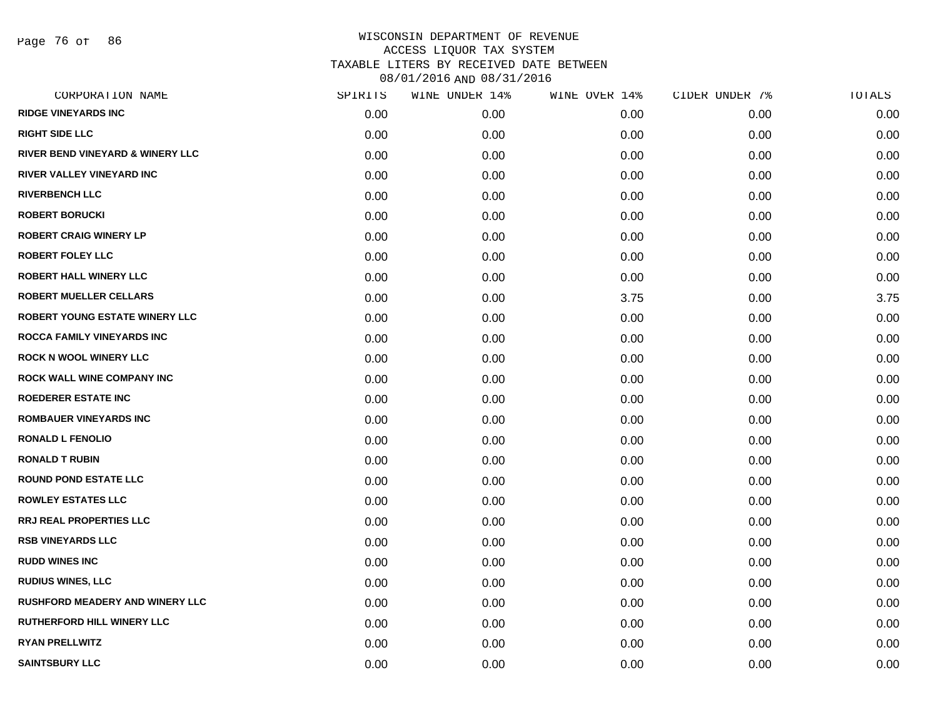Page 76 of 86

| CORPORATION NAME                       | SPIRITS | WINE UNDER 14% | WINE OVER 14% | CIDER UNDER 7% | TOTALS |
|----------------------------------------|---------|----------------|---------------|----------------|--------|
| <b>RIDGE VINEYARDS INC</b>             | 0.00    | 0.00           | 0.00          | 0.00           | 0.00   |
| <b>RIGHT SIDE LLC</b>                  | 0.00    | 0.00           | 0.00          | 0.00           | 0.00   |
| RIVER BEND VINEYARD & WINERY LLC       | 0.00    | 0.00           | 0.00          | 0.00           | 0.00   |
| RIVER VALLEY VINEYARD INC              | 0.00    | 0.00           | 0.00          | 0.00           | 0.00   |
| <b>RIVERBENCH LLC</b>                  | 0.00    | 0.00           | 0.00          | 0.00           | 0.00   |
| <b>ROBERT BORUCKI</b>                  | 0.00    | 0.00           | 0.00          | 0.00           | 0.00   |
| <b>ROBERT CRAIG WINERY LP</b>          | 0.00    | 0.00           | 0.00          | 0.00           | 0.00   |
| <b>ROBERT FOLEY LLC</b>                | 0.00    | 0.00           | 0.00          | 0.00           | 0.00   |
| <b>ROBERT HALL WINERY LLC</b>          | 0.00    | 0.00           | 0.00          | 0.00           | 0.00   |
| <b>ROBERT MUELLER CELLARS</b>          | 0.00    | 0.00           | 3.75          | 0.00           | 3.75   |
| ROBERT YOUNG ESTATE WINERY LLC         | 0.00    | 0.00           | 0.00          | 0.00           | 0.00   |
| ROCCA FAMILY VINEYARDS INC             | 0.00    | 0.00           | 0.00          | 0.00           | 0.00   |
| <b>ROCK N WOOL WINERY LLC</b>          | 0.00    | 0.00           | 0.00          | 0.00           | 0.00   |
| ROCK WALL WINE COMPANY INC             | 0.00    | 0.00           | 0.00          | 0.00           | 0.00   |
| <b>ROEDERER ESTATE INC</b>             | 0.00    | 0.00           | 0.00          | 0.00           | 0.00   |
| <b>ROMBAUER VINEYARDS INC</b>          | 0.00    | 0.00           | 0.00          | 0.00           | 0.00   |
| <b>RONALD L FENOLIO</b>                | 0.00    | 0.00           | 0.00          | 0.00           | 0.00   |
| <b>RONALD T RUBIN</b>                  | 0.00    | 0.00           | 0.00          | 0.00           | 0.00   |
| <b>ROUND POND ESTATE LLC</b>           | 0.00    | 0.00           | 0.00          | 0.00           | 0.00   |
| <b>ROWLEY ESTATES LLC</b>              | 0.00    | 0.00           | 0.00          | 0.00           | 0.00   |
| <b>RRJ REAL PROPERTIES LLC</b>         | 0.00    | 0.00           | 0.00          | 0.00           | 0.00   |
| <b>RSB VINEYARDS LLC</b>               | 0.00    | 0.00           | 0.00          | 0.00           | 0.00   |
| <b>RUDD WINES INC</b>                  | 0.00    | 0.00           | 0.00          | 0.00           | 0.00   |
| <b>RUDIUS WINES, LLC</b>               | 0.00    | 0.00           | 0.00          | 0.00           | 0.00   |
| <b>RUSHFORD MEADERY AND WINERY LLC</b> | 0.00    | 0.00           | 0.00          | 0.00           | 0.00   |
| RUTHERFORD HILL WINERY LLC             | 0.00    | 0.00           | 0.00          | 0.00           | 0.00   |
| <b>RYAN PRELLWITZ</b>                  | 0.00    | 0.00           | 0.00          | 0.00           | 0.00   |
| <b>SAINTSBURY LLC</b>                  | 0.00    | 0.00           | 0.00          | 0.00           | 0.00   |
|                                        |         |                |               |                |        |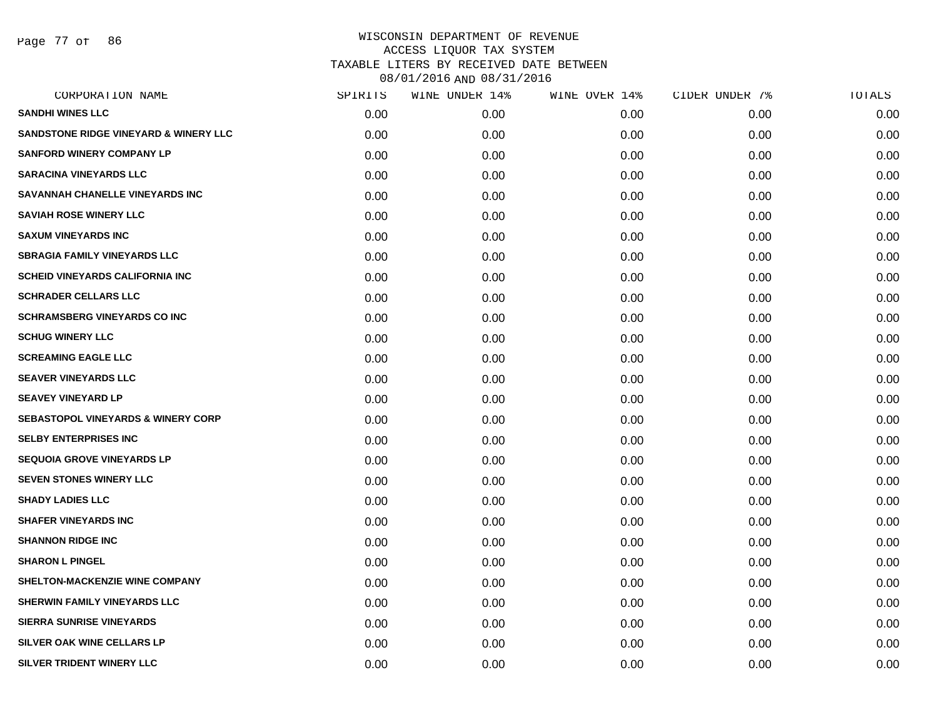Page 77 of 86

| CORPORATION NAME                                 | SPIRITS | WINE UNDER 14% | WINE OVER 14% | CIDER UNDER 7% | TOTALS |
|--------------------------------------------------|---------|----------------|---------------|----------------|--------|
| <b>SANDHI WINES LLC</b>                          | 0.00    | 0.00           | 0.00          | 0.00           | 0.00   |
| <b>SANDSTONE RIDGE VINEYARD &amp; WINERY LLC</b> | 0.00    | 0.00           | 0.00          | 0.00           | 0.00   |
| <b>SANFORD WINERY COMPANY LP</b>                 | 0.00    | 0.00           | 0.00          | 0.00           | 0.00   |
| <b>SARACINA VINEYARDS LLC</b>                    | 0.00    | 0.00           | 0.00          | 0.00           | 0.00   |
| SAVANNAH CHANELLE VINEYARDS INC                  | 0.00    | 0.00           | 0.00          | 0.00           | 0.00   |
| <b>SAVIAH ROSE WINERY LLC</b>                    | 0.00    | 0.00           | 0.00          | 0.00           | 0.00   |
| <b>SAXUM VINEYARDS INC</b>                       | 0.00    | 0.00           | 0.00          | 0.00           | 0.00   |
| <b>SBRAGIA FAMILY VINEYARDS LLC</b>              | 0.00    | 0.00           | 0.00          | 0.00           | 0.00   |
| <b>SCHEID VINEYARDS CALIFORNIA INC</b>           | 0.00    | 0.00           | 0.00          | 0.00           | 0.00   |
| <b>SCHRADER CELLARS LLC</b>                      | 0.00    | 0.00           | 0.00          | 0.00           | 0.00   |
| <b>SCHRAMSBERG VINEYARDS CO INC</b>              | 0.00    | 0.00           | 0.00          | 0.00           | 0.00   |
| <b>SCHUG WINERY LLC</b>                          | 0.00    | 0.00           | 0.00          | 0.00           | 0.00   |
| <b>SCREAMING EAGLE LLC</b>                       | 0.00    | 0.00           | 0.00          | 0.00           | 0.00   |
| <b>SEAVER VINEYARDS LLC</b>                      | 0.00    | 0.00           | 0.00          | 0.00           | 0.00   |
| <b>SEAVEY VINEYARD LP</b>                        | 0.00    | 0.00           | 0.00          | 0.00           | 0.00   |
| <b>SEBASTOPOL VINEYARDS &amp; WINERY CORP</b>    | 0.00    | 0.00           | 0.00          | 0.00           | 0.00   |
| <b>SELBY ENTERPRISES INC</b>                     | 0.00    | 0.00           | 0.00          | 0.00           | 0.00   |
| <b>SEQUOIA GROVE VINEYARDS LP</b>                | 0.00    | 0.00           | 0.00          | 0.00           | 0.00   |
| <b>SEVEN STONES WINERY LLC</b>                   | 0.00    | 0.00           | 0.00          | 0.00           | 0.00   |
| <b>SHADY LADIES LLC</b>                          | 0.00    | 0.00           | 0.00          | 0.00           | 0.00   |
| <b>SHAFER VINEYARDS INC</b>                      | 0.00    | 0.00           | 0.00          | 0.00           | 0.00   |
| <b>SHANNON RIDGE INC</b>                         | 0.00    | 0.00           | 0.00          | 0.00           | 0.00   |
| <b>SHARON L PINGEL</b>                           | 0.00    | 0.00           | 0.00          | 0.00           | 0.00   |
| <b>SHELTON-MACKENZIE WINE COMPANY</b>            | 0.00    | 0.00           | 0.00          | 0.00           | 0.00   |
| SHERWIN FAMILY VINEYARDS LLC                     | 0.00    | 0.00           | 0.00          | 0.00           | 0.00   |
| <b>SIERRA SUNRISE VINEYARDS</b>                  | 0.00    | 0.00           | 0.00          | 0.00           | 0.00   |
| <b>SILVER OAK WINE CELLARS LP</b>                | 0.00    | 0.00           | 0.00          | 0.00           | 0.00   |
| SILVER TRIDENT WINERY LLC                        | 0.00    | 0.00           | 0.00          | 0.00           | 0.00   |
|                                                  |         |                |               |                |        |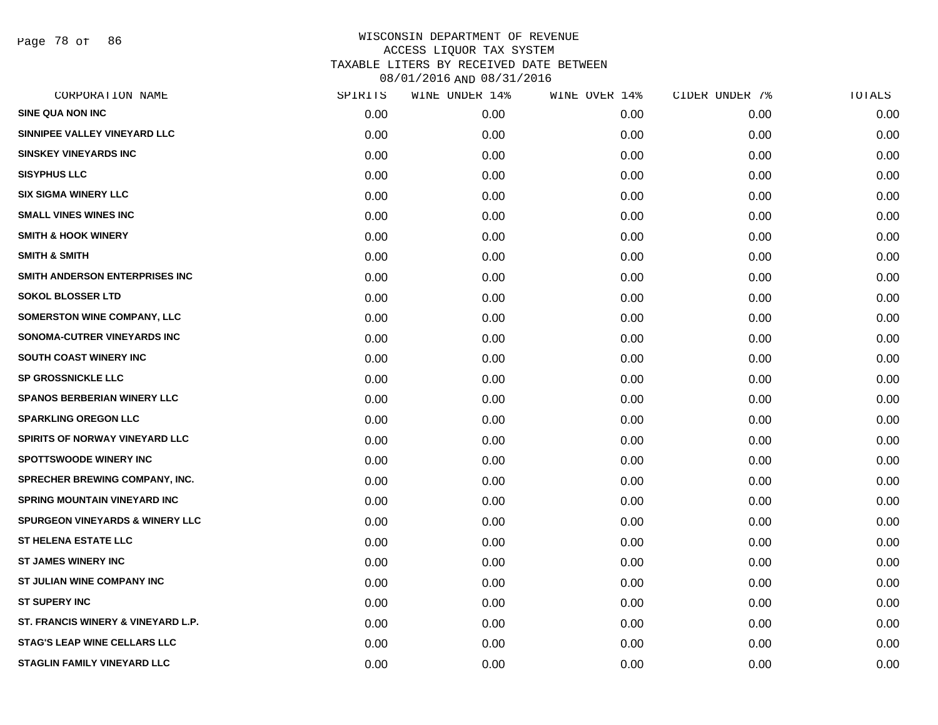Page 78 of 86

| CORPORATION NAME                           | SPIRITS | WINE UNDER 14% | WINE OVER 14% | CIDER UNDER 7% | TOTALS |
|--------------------------------------------|---------|----------------|---------------|----------------|--------|
| <b>SINE QUA NON INC</b>                    | 0.00    | 0.00           | 0.00          | 0.00           | 0.00   |
| SINNIPEE VALLEY VINEYARD LLC               | 0.00    | 0.00           | 0.00          | 0.00           | 0.00   |
| <b>SINSKEY VINEYARDS INC</b>               | 0.00    | 0.00           | 0.00          | 0.00           | 0.00   |
| <b>SISYPHUS LLC</b>                        | 0.00    | 0.00           | 0.00          | 0.00           | 0.00   |
| <b>SIX SIGMA WINERY LLC</b>                | 0.00    | 0.00           | 0.00          | 0.00           | 0.00   |
| <b>SMALL VINES WINES INC</b>               | 0.00    | 0.00           | 0.00          | 0.00           | 0.00   |
| <b>SMITH &amp; HOOK WINERY</b>             | 0.00    | 0.00           | 0.00          | 0.00           | 0.00   |
| <b>SMITH &amp; SMITH</b>                   | 0.00    | 0.00           | 0.00          | 0.00           | 0.00   |
| SMITH ANDERSON ENTERPRISES INC             | 0.00    | 0.00           | 0.00          | 0.00           | 0.00   |
| <b>SOKOL BLOSSER LTD</b>                   | 0.00    | 0.00           | 0.00          | 0.00           | 0.00   |
| <b>SOMERSTON WINE COMPANY, LLC</b>         | 0.00    | 0.00           | 0.00          | 0.00           | 0.00   |
| SONOMA-CUTRER VINEYARDS INC                | 0.00    | 0.00           | 0.00          | 0.00           | 0.00   |
| SOUTH COAST WINERY INC                     | 0.00    | 0.00           | 0.00          | 0.00           | 0.00   |
| <b>SP GROSSNICKLE LLC</b>                  | 0.00    | 0.00           | 0.00          | 0.00           | 0.00   |
| <b>SPANOS BERBERIAN WINERY LLC</b>         | 0.00    | 0.00           | 0.00          | 0.00           | 0.00   |
| <b>SPARKLING OREGON LLC</b>                | 0.00    | 0.00           | 0.00          | 0.00           | 0.00   |
| <b>SPIRITS OF NORWAY VINEYARD LLC</b>      | 0.00    | 0.00           | 0.00          | 0.00           | 0.00   |
| <b>SPOTTSWOODE WINERY INC</b>              | 0.00    | 0.00           | 0.00          | 0.00           | 0.00   |
| <b>SPRECHER BREWING COMPANY, INC.</b>      | 0.00    | 0.00           | 0.00          | 0.00           | 0.00   |
| <b>SPRING MOUNTAIN VINEYARD INC</b>        | 0.00    | 0.00           | 0.00          | 0.00           | 0.00   |
| <b>SPURGEON VINEYARDS &amp; WINERY LLC</b> | 0.00    | 0.00           | 0.00          | 0.00           | 0.00   |
| <b>ST HELENA ESTATE LLC</b>                | 0.00    | 0.00           | 0.00          | 0.00           | 0.00   |
| <b>ST JAMES WINERY INC</b>                 | 0.00    | 0.00           | 0.00          | 0.00           | 0.00   |
| ST JULIAN WINE COMPANY INC                 | 0.00    | 0.00           | 0.00          | 0.00           | 0.00   |
| <b>ST SUPERY INC</b>                       | 0.00    | 0.00           | 0.00          | 0.00           | 0.00   |
| ST. FRANCIS WINERY & VINEYARD L.P.         | 0.00    | 0.00           | 0.00          | 0.00           | 0.00   |
| <b>STAG'S LEAP WINE CELLARS LLC</b>        | 0.00    | 0.00           | 0.00          | 0.00           | 0.00   |
| <b>STAGLIN FAMILY VINEYARD LLC</b>         | 0.00    | 0.00           | 0.00          | 0.00           | 0.00   |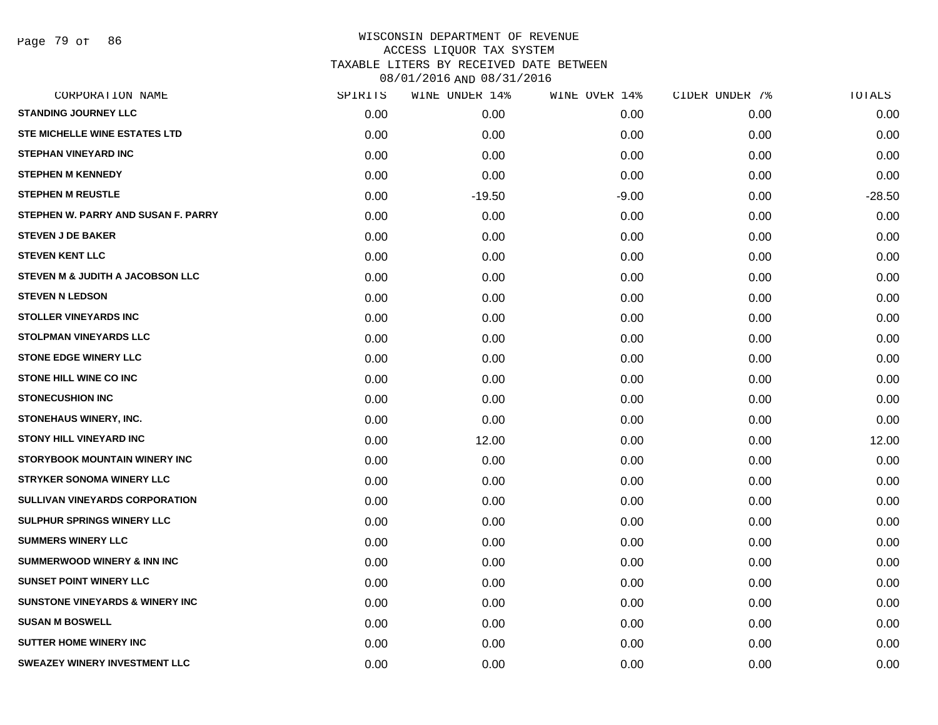Page 79 of 86

| CORPORATION NAME                           | SPIRITS | WINE UNDER 14% | WINE OVER 14% | CIDER UNDER 7% | TOTALS   |
|--------------------------------------------|---------|----------------|---------------|----------------|----------|
| <b>STANDING JOURNEY LLC</b>                | 0.00    | 0.00           | 0.00          | 0.00           | 0.00     |
| <b>STE MICHELLE WINE ESTATES LTD</b>       | 0.00    | 0.00           | 0.00          | 0.00           | 0.00     |
| <b>STEPHAN VINEYARD INC</b>                | 0.00    | 0.00           | 0.00          | 0.00           | 0.00     |
| <b>STEPHEN M KENNEDY</b>                   | 0.00    | 0.00           | 0.00          | 0.00           | 0.00     |
| <b>STEPHEN M REUSTLE</b>                   | 0.00    | $-19.50$       | $-9.00$       | 0.00           | $-28.50$ |
| STEPHEN W. PARRY AND SUSAN F. PARRY        | 0.00    | 0.00           | 0.00          | 0.00           | 0.00     |
| <b>STEVEN J DE BAKER</b>                   | 0.00    | 0.00           | 0.00          | 0.00           | 0.00     |
| <b>STEVEN KENT LLC</b>                     | 0.00    | 0.00           | 0.00          | 0.00           | 0.00     |
| STEVEN M & JUDITH A JACOBSON LLC           | 0.00    | 0.00           | 0.00          | 0.00           | 0.00     |
| <b>STEVEN N LEDSON</b>                     | 0.00    | 0.00           | 0.00          | 0.00           | 0.00     |
| <b>STOLLER VINEYARDS INC</b>               | 0.00    | 0.00           | 0.00          | 0.00           | 0.00     |
| <b>STOLPMAN VINEYARDS LLC</b>              | 0.00    | 0.00           | 0.00          | 0.00           | 0.00     |
| <b>STONE EDGE WINERY LLC</b>               | 0.00    | 0.00           | 0.00          | 0.00           | 0.00     |
| <b>STONE HILL WINE CO INC</b>              | 0.00    | 0.00           | 0.00          | 0.00           | 0.00     |
| <b>STONECUSHION INC</b>                    | 0.00    | 0.00           | 0.00          | 0.00           | 0.00     |
| STONEHAUS WINERY, INC.                     | 0.00    | 0.00           | 0.00          | 0.00           | 0.00     |
| <b>STONY HILL VINEYARD INC</b>             | 0.00    | 12.00          | 0.00          | 0.00           | 12.00    |
| STORYBOOK MOUNTAIN WINERY INC              | 0.00    | 0.00           | 0.00          | 0.00           | 0.00     |
| <b>STRYKER SONOMA WINERY LLC</b>           | 0.00    | 0.00           | 0.00          | 0.00           | 0.00     |
| SULLIVAN VINEYARDS CORPORATION             | 0.00    | 0.00           | 0.00          | 0.00           | 0.00     |
| <b>SULPHUR SPRINGS WINERY LLC</b>          | 0.00    | 0.00           | 0.00          | 0.00           | 0.00     |
| <b>SUMMERS WINERY LLC</b>                  | 0.00    | 0.00           | 0.00          | 0.00           | 0.00     |
| <b>SUMMERWOOD WINERY &amp; INN INC</b>     | 0.00    | 0.00           | 0.00          | 0.00           | 0.00     |
| <b>SUNSET POINT WINERY LLC</b>             | 0.00    | 0.00           | 0.00          | 0.00           | 0.00     |
| <b>SUNSTONE VINEYARDS &amp; WINERY INC</b> | 0.00    | 0.00           | 0.00          | 0.00           | 0.00     |
| <b>SUSAN M BOSWELL</b>                     | 0.00    | 0.00           | 0.00          | 0.00           | 0.00     |
| <b>SUTTER HOME WINERY INC</b>              | 0.00    | 0.00           | 0.00          | 0.00           | 0.00     |
| <b>SWEAZEY WINERY INVESTMENT LLC</b>       | 0.00    | 0.00           | 0.00          | 0.00           | 0.00     |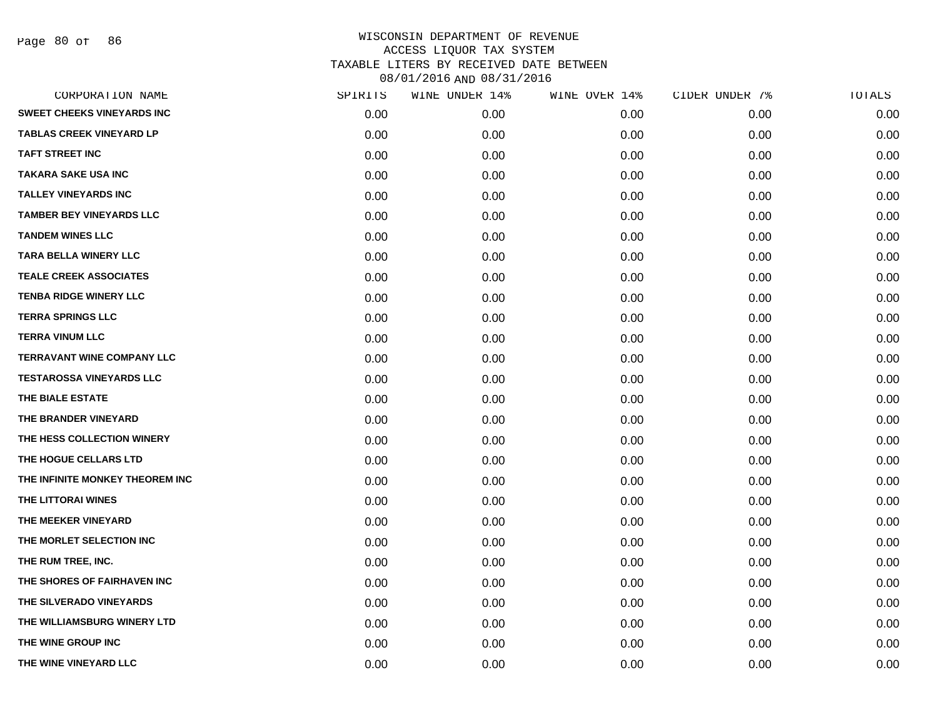Page 80 of 86

| CORPORATION NAME                  | SPIRITS | WINE UNDER 14% | WINE OVER 14% | CIDER UNDER 7% | TOTALS |
|-----------------------------------|---------|----------------|---------------|----------------|--------|
| <b>SWEET CHEEKS VINEYARDS INC</b> | 0.00    | 0.00           | 0.00          | 0.00           | 0.00   |
| <b>TABLAS CREEK VINEYARD LP</b>   | 0.00    | 0.00           | 0.00          | 0.00           | 0.00   |
| <b>TAFT STREET INC</b>            | 0.00    | 0.00           | 0.00          | 0.00           | 0.00   |
| <b>TAKARA SAKE USA INC</b>        | 0.00    | 0.00           | 0.00          | 0.00           | 0.00   |
| <b>TALLEY VINEYARDS INC</b>       | 0.00    | 0.00           | 0.00          | 0.00           | 0.00   |
| <b>TAMBER BEY VINEYARDS LLC</b>   | 0.00    | 0.00           | 0.00          | 0.00           | 0.00   |
| <b>TANDEM WINES LLC</b>           | 0.00    | 0.00           | 0.00          | 0.00           | 0.00   |
| <b>TARA BELLA WINERY LLC</b>      | 0.00    | 0.00           | 0.00          | 0.00           | 0.00   |
| <b>TEALE CREEK ASSOCIATES</b>     | 0.00    | 0.00           | 0.00          | 0.00           | 0.00   |
| <b>TENBA RIDGE WINERY LLC</b>     | 0.00    | 0.00           | 0.00          | 0.00           | 0.00   |
| <b>TERRA SPRINGS LLC</b>          | 0.00    | 0.00           | 0.00          | 0.00           | 0.00   |
| <b>TERRA VINUM LLC</b>            | 0.00    | 0.00           | 0.00          | 0.00           | 0.00   |
| <b>TERRAVANT WINE COMPANY LLC</b> | 0.00    | 0.00           | 0.00          | 0.00           | 0.00   |
| <b>TESTAROSSA VINEYARDS LLC</b>   | 0.00    | 0.00           | 0.00          | 0.00           | 0.00   |
| THE BIALE ESTATE                  | 0.00    | 0.00           | 0.00          | 0.00           | 0.00   |
| THE BRANDER VINEYARD              | 0.00    | 0.00           | 0.00          | 0.00           | 0.00   |
| THE HESS COLLECTION WINERY        | 0.00    | 0.00           | 0.00          | 0.00           | 0.00   |
| THE HOGUE CELLARS LTD             | 0.00    | 0.00           | 0.00          | 0.00           | 0.00   |
| THE INFINITE MONKEY THEOREM INC   | 0.00    | 0.00           | 0.00          | 0.00           | 0.00   |
| THE LITTORAI WINES                | 0.00    | 0.00           | 0.00          | 0.00           | 0.00   |
| THE MEEKER VINEYARD               | 0.00    | 0.00           | 0.00          | 0.00           | 0.00   |
| THE MORLET SELECTION INC          | 0.00    | 0.00           | 0.00          | 0.00           | 0.00   |
| THE RUM TREE, INC.                | 0.00    | 0.00           | 0.00          | 0.00           | 0.00   |
| THE SHORES OF FAIRHAVEN INC       | 0.00    | 0.00           | 0.00          | 0.00           | 0.00   |
| THE SILVERADO VINEYARDS           | 0.00    | 0.00           | 0.00          | 0.00           | 0.00   |
| THE WILLIAMSBURG WINERY LTD       | 0.00    | 0.00           | 0.00          | 0.00           | 0.00   |
| THE WINE GROUP INC                | 0.00    | 0.00           | 0.00          | 0.00           | 0.00   |
| THE WINE VINEYARD LLC             | 0.00    | 0.00           | 0.00          | 0.00           | 0.00   |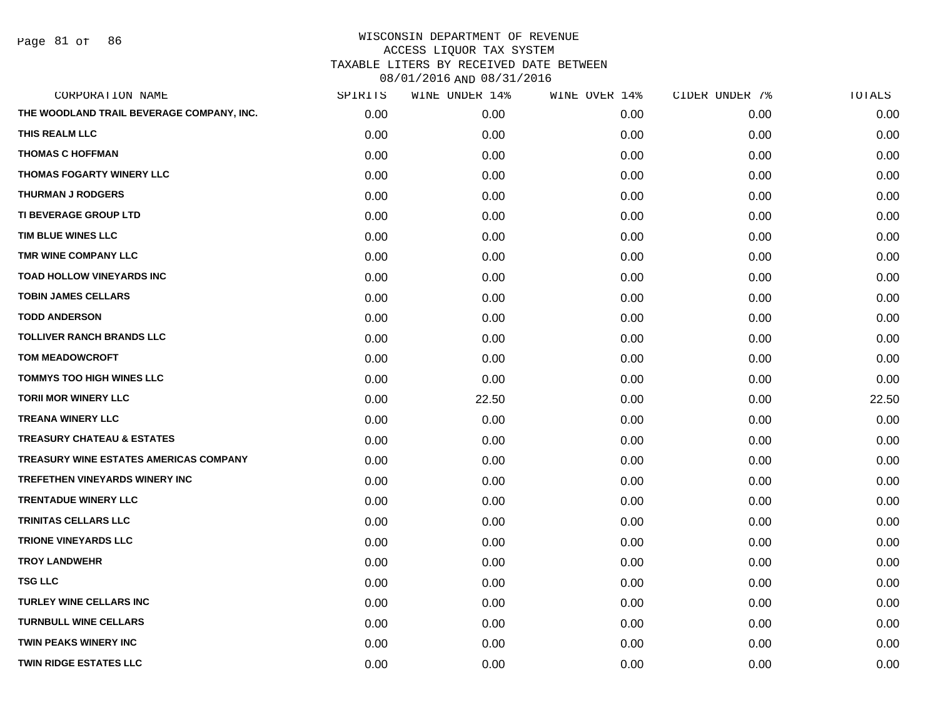Page 81 of 86

| CORPORATION NAME                              | SPIRITS | WINE UNDER 14% | WINE OVER 14% | CIDER UNDER 7% | TOTALS |
|-----------------------------------------------|---------|----------------|---------------|----------------|--------|
| THE WOODLAND TRAIL BEVERAGE COMPANY, INC.     | 0.00    | 0.00           | 0.00          | 0.00           | 0.00   |
| THIS REALM LLC                                | 0.00    | 0.00           | 0.00          | 0.00           | 0.00   |
| <b>THOMAS C HOFFMAN</b>                       | 0.00    | 0.00           | 0.00          | 0.00           | 0.00   |
| THOMAS FOGARTY WINERY LLC                     | 0.00    | 0.00           | 0.00          | 0.00           | 0.00   |
| <b>THURMAN J RODGERS</b>                      | 0.00    | 0.00           | 0.00          | 0.00           | 0.00   |
| TI BEVERAGE GROUP LTD                         | 0.00    | 0.00           | 0.00          | 0.00           | 0.00   |
| TIM BLUE WINES LLC                            | 0.00    | 0.00           | 0.00          | 0.00           | 0.00   |
| TMR WINE COMPANY LLC                          | 0.00    | 0.00           | 0.00          | 0.00           | 0.00   |
| TOAD HOLLOW VINEYARDS INC                     | 0.00    | 0.00           | 0.00          | 0.00           | 0.00   |
| <b>TOBIN JAMES CELLARS</b>                    | 0.00    | 0.00           | 0.00          | 0.00           | 0.00   |
| <b>TODD ANDERSON</b>                          | 0.00    | 0.00           | 0.00          | 0.00           | 0.00   |
| <b>TOLLIVER RANCH BRANDS LLC</b>              | 0.00    | 0.00           | 0.00          | 0.00           | 0.00   |
| <b>TOM MEADOWCROFT</b>                        | 0.00    | 0.00           | 0.00          | 0.00           | 0.00   |
| <b>TOMMYS TOO HIGH WINES LLC</b>              | 0.00    | 0.00           | 0.00          | 0.00           | 0.00   |
| <b>TORII MOR WINERY LLC</b>                   | 0.00    | 22.50          | 0.00          | 0.00           | 22.50  |
| <b>TREANA WINERY LLC</b>                      | 0.00    | 0.00           | 0.00          | 0.00           | 0.00   |
| <b>TREASURY CHATEAU &amp; ESTATES</b>         | 0.00    | 0.00           | 0.00          | 0.00           | 0.00   |
| <b>TREASURY WINE ESTATES AMERICAS COMPANY</b> | 0.00    | 0.00           | 0.00          | 0.00           | 0.00   |
| <b>TREFETHEN VINEYARDS WINERY INC</b>         | 0.00    | 0.00           | 0.00          | 0.00           | 0.00   |
| <b>TRENTADUE WINERY LLC</b>                   | 0.00    | 0.00           | 0.00          | 0.00           | 0.00   |
| TRINITAS CELLARS LLC                          | 0.00    | 0.00           | 0.00          | 0.00           | 0.00   |
| <b>TRIONE VINEYARDS LLC</b>                   | 0.00    | 0.00           | 0.00          | 0.00           | 0.00   |
| <b>TROY LANDWEHR</b>                          | 0.00    | 0.00           | 0.00          | 0.00           | 0.00   |
| <b>TSG LLC</b>                                | 0.00    | 0.00           | 0.00          | 0.00           | 0.00   |
| <b>TURLEY WINE CELLARS INC</b>                | 0.00    | 0.00           | 0.00          | 0.00           | 0.00   |
| <b>TURNBULL WINE CELLARS</b>                  | 0.00    | 0.00           | 0.00          | 0.00           | 0.00   |
| <b>TWIN PEAKS WINERY INC</b>                  | 0.00    | 0.00           | 0.00          | 0.00           | 0.00   |
| <b>TWIN RIDGE ESTATES LLC</b>                 | 0.00    | 0.00           | 0.00          | 0.00           | 0.00   |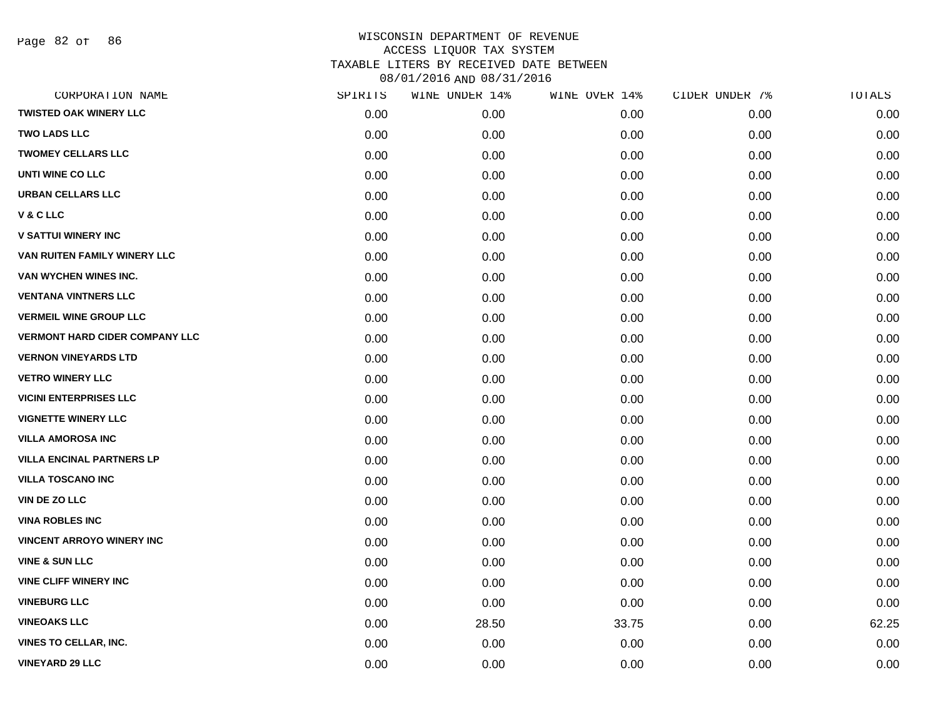Page 82 of 86

| CORPORATION NAME                      | SPIRITS | WINE UNDER 14% | WINE OVER 14% | CIDER UNDER 7% | TOTALS |
|---------------------------------------|---------|----------------|---------------|----------------|--------|
| <b>TWISTED OAK WINERY LLC</b>         | 0.00    | 0.00           | 0.00          | 0.00           | 0.00   |
| <b>TWO LADS LLC</b>                   | 0.00    | 0.00           | 0.00          | 0.00           | 0.00   |
| <b>TWOMEY CELLARS LLC</b>             | 0.00    | 0.00           | 0.00          | 0.00           | 0.00   |
| UNTI WINE CO LLC                      | 0.00    | 0.00           | 0.00          | 0.00           | 0.00   |
| <b>URBAN CELLARS LLC</b>              | 0.00    | 0.00           | 0.00          | 0.00           | 0.00   |
| V & C LLC                             | 0.00    | 0.00           | 0.00          | 0.00           | 0.00   |
| <b>V SATTUI WINERY INC</b>            | 0.00    | 0.00           | 0.00          | 0.00           | 0.00   |
| VAN RUITEN FAMILY WINERY LLC          | 0.00    | 0.00           | 0.00          | 0.00           | 0.00   |
| VAN WYCHEN WINES INC.                 | 0.00    | 0.00           | 0.00          | 0.00           | 0.00   |
| <b>VENTANA VINTNERS LLC</b>           | 0.00    | 0.00           | 0.00          | 0.00           | 0.00   |
| <b>VERMEIL WINE GROUP LLC</b>         | 0.00    | 0.00           | 0.00          | 0.00           | 0.00   |
| <b>VERMONT HARD CIDER COMPANY LLC</b> | 0.00    | 0.00           | 0.00          | 0.00           | 0.00   |
| <b>VERNON VINEYARDS LTD</b>           | 0.00    | 0.00           | 0.00          | 0.00           | 0.00   |
| <b>VETRO WINERY LLC</b>               | 0.00    | 0.00           | 0.00          | 0.00           | 0.00   |
| <b>VICINI ENTERPRISES LLC</b>         | 0.00    | 0.00           | 0.00          | 0.00           | 0.00   |
| <b>VIGNETTE WINERY LLC</b>            | 0.00    | 0.00           | 0.00          | 0.00           | 0.00   |
| <b>VILLA AMOROSA INC</b>              | 0.00    | 0.00           | 0.00          | 0.00           | 0.00   |
| <b>VILLA ENCINAL PARTNERS LP</b>      | 0.00    | 0.00           | 0.00          | 0.00           | 0.00   |
| <b>VILLA TOSCANO INC</b>              | 0.00    | 0.00           | 0.00          | 0.00           | 0.00   |
| <b>VIN DE ZO LLC</b>                  | 0.00    | 0.00           | 0.00          | 0.00           | 0.00   |
| <b>VINA ROBLES INC</b>                | 0.00    | 0.00           | 0.00          | 0.00           | 0.00   |
| <b>VINCENT ARROYO WINERY INC</b>      | 0.00    | 0.00           | 0.00          | 0.00           | 0.00   |
| <b>VINE &amp; SUN LLC</b>             | 0.00    | 0.00           | 0.00          | 0.00           | 0.00   |
| <b>VINE CLIFF WINERY INC</b>          | 0.00    | 0.00           | 0.00          | 0.00           | 0.00   |
| <b>VINEBURG LLC</b>                   | 0.00    | 0.00           | 0.00          | 0.00           | 0.00   |
| <b>VINEOAKS LLC</b>                   | 0.00    | 28.50          | 33.75         | 0.00           | 62.25  |
| <b>VINES TO CELLAR, INC.</b>          | 0.00    | 0.00           | 0.00          | 0.00           | 0.00   |
| <b>VINEYARD 29 LLC</b>                | 0.00    | 0.00           | 0.00          | 0.00           | 0.00   |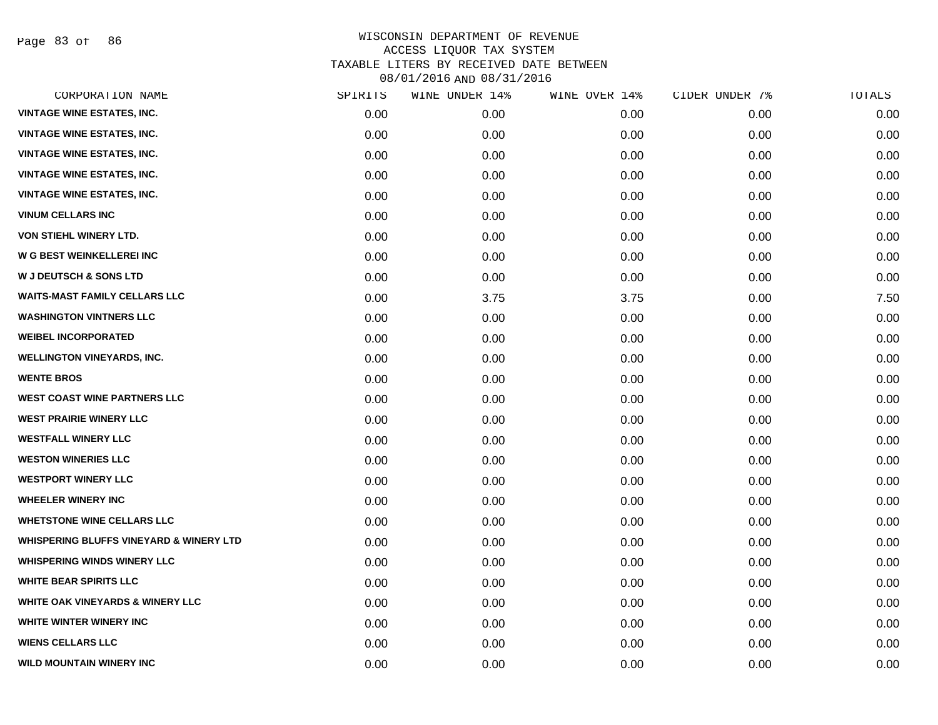Page 83 of 86

| CORPORATION NAME                                   | SPIRITS | WINE UNDER 14% | WINE OVER 14% | CIDER UNDER 7% | TOTALS |
|----------------------------------------------------|---------|----------------|---------------|----------------|--------|
| <b>VINTAGE WINE ESTATES, INC.</b>                  | 0.00    | 0.00           | 0.00          | 0.00           | 0.00   |
| <b>VINTAGE WINE ESTATES, INC.</b>                  | 0.00    | 0.00           | 0.00          | 0.00           | 0.00   |
| <b>VINTAGE WINE ESTATES, INC.</b>                  | 0.00    | 0.00           | 0.00          | 0.00           | 0.00   |
| <b>VINTAGE WINE ESTATES, INC.</b>                  | 0.00    | 0.00           | 0.00          | 0.00           | 0.00   |
| <b>VINTAGE WINE ESTATES, INC.</b>                  | 0.00    | 0.00           | 0.00          | 0.00           | 0.00   |
| <b>VINUM CELLARS INC</b>                           | 0.00    | 0.00           | 0.00          | 0.00           | 0.00   |
| <b>VON STIEHL WINERY LTD.</b>                      | 0.00    | 0.00           | 0.00          | 0.00           | 0.00   |
| W G BEST WEINKELLEREI INC                          | 0.00    | 0.00           | 0.00          | 0.00           | 0.00   |
| <b>W J DEUTSCH &amp; SONS LTD</b>                  | 0.00    | 0.00           | 0.00          | 0.00           | 0.00   |
| <b>WAITS-MAST FAMILY CELLARS LLC</b>               | 0.00    | 3.75           | 3.75          | 0.00           | 7.50   |
| <b>WASHINGTON VINTNERS LLC</b>                     | 0.00    | 0.00           | 0.00          | 0.00           | 0.00   |
| <b>WEIBEL INCORPORATED</b>                         | 0.00    | 0.00           | 0.00          | 0.00           | 0.00   |
| <b>WELLINGTON VINEYARDS, INC.</b>                  | 0.00    | 0.00           | 0.00          | 0.00           | 0.00   |
| <b>WENTE BROS</b>                                  | 0.00    | 0.00           | 0.00          | 0.00           | 0.00   |
| <b>WEST COAST WINE PARTNERS LLC</b>                | 0.00    | 0.00           | 0.00          | 0.00           | 0.00   |
| <b>WEST PRAIRIE WINERY LLC</b>                     | 0.00    | 0.00           | 0.00          | 0.00           | 0.00   |
| <b>WESTFALL WINERY LLC</b>                         | 0.00    | 0.00           | 0.00          | 0.00           | 0.00   |
| <b>WESTON WINERIES LLC</b>                         | 0.00    | 0.00           | 0.00          | 0.00           | 0.00   |
| <b>WESTPORT WINERY LLC</b>                         | 0.00    | 0.00           | 0.00          | 0.00           | 0.00   |
| <b>WHEELER WINERY INC</b>                          | 0.00    | 0.00           | 0.00          | 0.00           | 0.00   |
| <b>WHETSTONE WINE CELLARS LLC</b>                  | 0.00    | 0.00           | 0.00          | 0.00           | 0.00   |
| <b>WHISPERING BLUFFS VINEYARD &amp; WINERY LTD</b> | 0.00    | 0.00           | 0.00          | 0.00           | 0.00   |
| <b>WHISPERING WINDS WINERY LLC</b>                 | 0.00    | 0.00           | 0.00          | 0.00           | 0.00   |
| <b>WHITE BEAR SPIRITS LLC</b>                      | 0.00    | 0.00           | 0.00          | 0.00           | 0.00   |
| <b>WHITE OAK VINEYARDS &amp; WINERY LLC</b>        | 0.00    | 0.00           | 0.00          | 0.00           | 0.00   |
| WHITE WINTER WINERY INC                            | 0.00    | 0.00           | 0.00          | 0.00           | 0.00   |
| <b>WIENS CELLARS LLC</b>                           | 0.00    | 0.00           | 0.00          | 0.00           | 0.00   |
| <b>WILD MOUNTAIN WINERY INC</b>                    | 0.00    | 0.00           | 0.00          | 0.00           | 0.00   |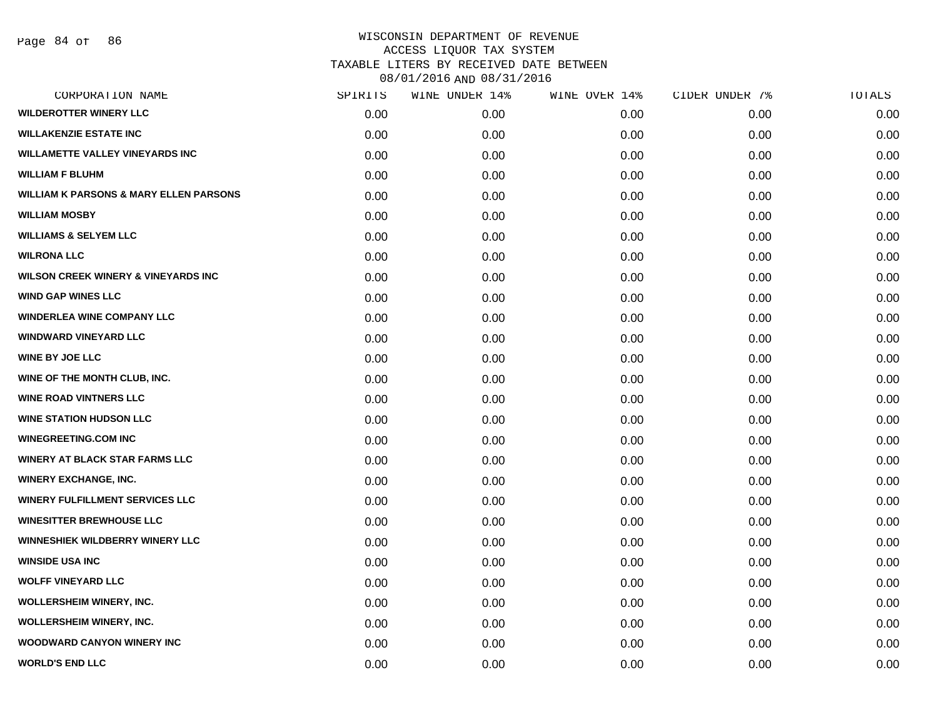| CORPORATION NAME                                  | SPIRITS | WINE UNDER 14% | WINE OVER 14% | CIDER UNDER 7% | TOTALS |
|---------------------------------------------------|---------|----------------|---------------|----------------|--------|
| <b>WILDEROTTER WINERY LLC</b>                     | 0.00    | 0.00           | 0.00          | 0.00           | 0.00   |
| <b>WILLAKENZIE ESTATE INC</b>                     | 0.00    | 0.00           | 0.00          | 0.00           | 0.00   |
| <b>WILLAMETTE VALLEY VINEYARDS INC</b>            | 0.00    | 0.00           | 0.00          | 0.00           | 0.00   |
| <b>WILLIAM F BLUHM</b>                            | 0.00    | 0.00           | 0.00          | 0.00           | 0.00   |
| <b>WILLIAM K PARSONS &amp; MARY ELLEN PARSONS</b> | 0.00    | 0.00           | 0.00          | 0.00           | 0.00   |
| <b>WILLIAM MOSBY</b>                              | 0.00    | 0.00           | 0.00          | 0.00           | 0.00   |
| <b>WILLIAMS &amp; SELYEM LLC</b>                  | 0.00    | 0.00           | 0.00          | 0.00           | 0.00   |
| <b>WILRONA LLC</b>                                | 0.00    | 0.00           | 0.00          | 0.00           | 0.00   |
| <b>WILSON CREEK WINERY &amp; VINEYARDS INC</b>    | 0.00    | 0.00           | 0.00          | 0.00           | 0.00   |
| <b>WIND GAP WINES LLC</b>                         | 0.00    | 0.00           | 0.00          | 0.00           | 0.00   |
| <b>WINDERLEA WINE COMPANY LLC</b>                 | 0.00    | 0.00           | 0.00          | 0.00           | 0.00   |
| <b>WINDWARD VINEYARD LLC</b>                      | 0.00    | 0.00           | 0.00          | 0.00           | 0.00   |
| <b>WINE BY JOE LLC</b>                            | 0.00    | 0.00           | 0.00          | 0.00           | 0.00   |
| WINE OF THE MONTH CLUB, INC.                      | 0.00    | 0.00           | 0.00          | 0.00           | 0.00   |
| <b>WINE ROAD VINTNERS LLC</b>                     | 0.00    | 0.00           | 0.00          | 0.00           | 0.00   |
| <b>WINE STATION HUDSON LLC</b>                    | 0.00    | 0.00           | 0.00          | 0.00           | 0.00   |
| <b>WINEGREETING.COM INC</b>                       | 0.00    | 0.00           | 0.00          | 0.00           | 0.00   |
| <b>WINERY AT BLACK STAR FARMS LLC</b>             | 0.00    | 0.00           | 0.00          | 0.00           | 0.00   |
| <b>WINERY EXCHANGE, INC.</b>                      | 0.00    | 0.00           | 0.00          | 0.00           | 0.00   |
| <b>WINERY FULFILLMENT SERVICES LLC</b>            | 0.00    | 0.00           | 0.00          | 0.00           | 0.00   |
| <b>WINESITTER BREWHOUSE LLC</b>                   | 0.00    | 0.00           | 0.00          | 0.00           | 0.00   |
| <b>WINNESHIEK WILDBERRY WINERY LLC</b>            | 0.00    | 0.00           | 0.00          | 0.00           | 0.00   |
| <b>WINSIDE USA INC</b>                            | 0.00    | 0.00           | 0.00          | 0.00           | 0.00   |
| <b>WOLFF VINEYARD LLC</b>                         | 0.00    | 0.00           | 0.00          | 0.00           | 0.00   |
| <b>WOLLERSHEIM WINERY, INC.</b>                   | 0.00    | 0.00           | 0.00          | 0.00           | 0.00   |
| WOLLERSHEIM WINERY, INC.                          | 0.00    | 0.00           | 0.00          | 0.00           | 0.00   |
| <b>WOODWARD CANYON WINERY INC</b>                 | 0.00    | 0.00           | 0.00          | 0.00           | 0.00   |
| <b>WORLD'S END LLC</b>                            | 0.00    | 0.00           | 0.00          | 0.00           | 0.00   |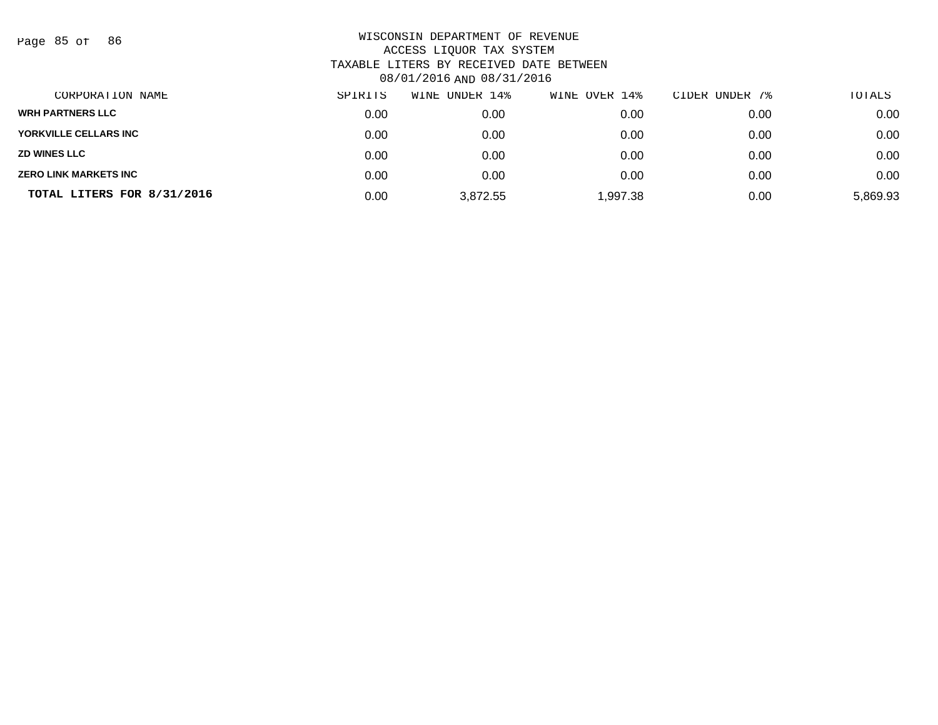Page 85 of 86

| CORPORATION NAME             | SPIRITS | WINE UNDER 14% | WINE OVER 14% | CIDER UNDER 7% | TOTALS   |
|------------------------------|---------|----------------|---------------|----------------|----------|
| <b>WRH PARTNERS LLC</b>      | 0.00    | 0.00           | 0.00          | 0.00           | 0.00     |
| YORKVILLE CELLARS INC        | 0.00    | 0.00           | 0.00          | 0.00           | 0.00     |
| <b>ZD WINES LLC</b>          | 0.00    | 0.00           | 0.00          | 0.00           | 0.00     |
| <b>ZERO LINK MARKETS INC</b> | 0.00    | 0.00           | 0.00          | 0.00           | 0.00     |
| TOTAL LITERS FOR 8/31/2016   | 0.00    | 3,872.55       | 1,997.38      | 0.00           | 5,869.93 |